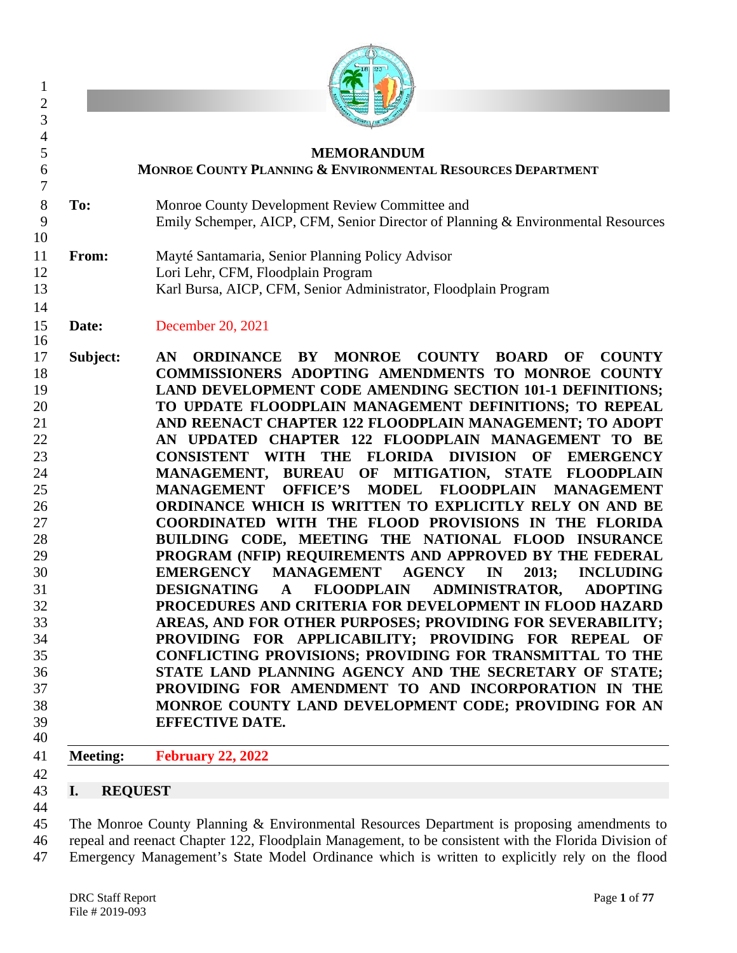

# **MEMORANDUM MONROE COUNTY PLANNING & ENVIRONMENTAL RESOURCES DEPARTMENT To:** Monroe County Development Review Committee and

- Emily Schemper, AICP, CFM, Senior Director of Planning & Environmental Resources
- **From:** Mayté Santamaria, Senior Planning Policy Advisor Lori Lehr, CFM, Floodplain Program Karl Bursa, AICP, CFM, Senior Administrator, Floodplain Program
- **Date:** December 20, 2021
- **Subject: AN ORDINANCE BY MONROE COUNTY BOARD OF COUNTY COMMISSIONERS ADOPTING AMENDMENTS TO MONROE COUNTY LAND DEVELOPMENT CODE AMENDING SECTION 101-1 DEFINITIONS; TO UPDATE FLOODPLAIN MANAGEMENT DEFINITIONS; TO REPEAL AND REENACT CHAPTER 122 FLOODPLAIN MANAGEMENT; TO ADOPT AN UPDATED CHAPTER 122 FLOODPLAIN MANAGEMENT TO BE CONSISTENT WITH THE FLORIDA DIVISION OF EMERGENCY MANAGEMENT, BUREAU OF MITIGATION, STATE FLOODPLAIN MANAGEMENT OFFICE'S MODEL FLOODPLAIN MANAGEMENT ORDINANCE WHICH IS WRITTEN TO EXPLICITLY RELY ON AND BE COORDINATED WITH THE FLOOD PROVISIONS IN THE FLORIDA BUILDING CODE, MEETING THE NATIONAL FLOOD INSURANCE PROGRAM (NFIP) REQUIREMENTS AND APPROVED BY THE FEDERAL EMERGENCY MANAGEMENT AGENCY IN 2013; INCLUDING DESIGNATING A FLOODPLAIN ADMINISTRATOR, ADOPTING PROCEDURES AND CRITERIA FOR DEVELOPMENT IN FLOOD HAZARD AREAS, AND FOR OTHER PURPOSES; PROVIDING FOR SEVERABILITY; PROVIDING FOR APPLICABILITY; PROVIDING FOR REPEAL OF CONFLICTING PROVISIONS; PROVIDING FOR TRANSMITTAL TO THE STATE LAND PLANNING AGENCY AND THE SECRETARY OF STATE; PROVIDING FOR AMENDMENT TO AND INCORPORATION IN THE MONROE COUNTY LAND DEVELOPMENT CODE; PROVIDING FOR AN EFFECTIVE DATE.**
- 

- **Meeting: February 22, 2022**
- 
- **I. REQUEST**
- 

 The Monroe County Planning & Environmental Resources Department is proposing amendments to repeal and reenact Chapter 122, Floodplain Management, to be consistent with the Florida Division of Emergency Management's State Model Ordinance which is written to explicitly rely on the flood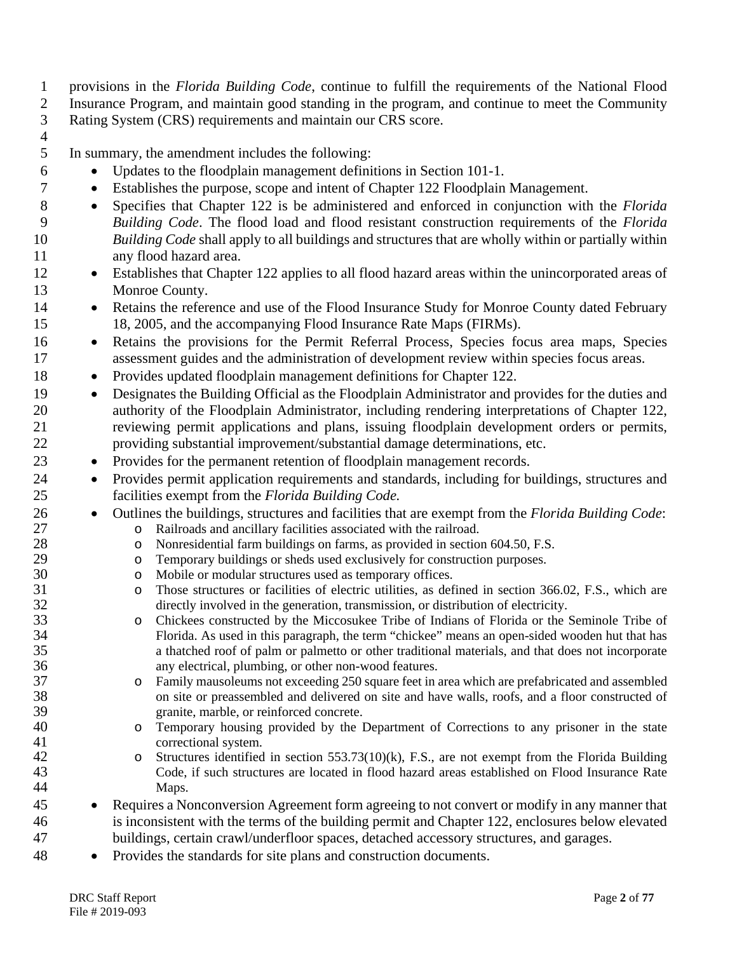provisions in the *Florida Building Code*, continue to fulfill the requirements of the National Flood Insurance Program, and maintain good standing in the program, and continue to meet the Community Rating System (CRS) requirements and maintain our CRS score.

In summary, the amendment includes the following:

- Updates to the floodplain management definitions in Section 101-1.
- Establishes the purpose, scope and intent of Chapter 122 Floodplain Management.
- Specifies that Chapter 122 is be administered and enforced in conjunction with the *Florida Building Code*. The flood load and flood resistant construction requirements of the *Florida Building Code* shall apply to all buildings and structures that are wholly within or partially within any flood hazard area.
- Establishes that Chapter 122 applies to all flood hazard areas within the unincorporated areas of Monroe County.
- 14 Retains the reference and use of the Flood Insurance Study for Monroe County dated February 18, 2005, and the accompanying Flood Insurance Rate Maps (FIRMs).
- Retains the provisions for the Permit Referral Process, Species focus area maps, Species assessment guides and the administration of development review within species focus areas.
- Provides updated floodplain management definitions for Chapter 122.
- Designates the Building Official as the Floodplain Administrator and provides for the duties and authority of the Floodplain Administrator, including rendering interpretations of Chapter 122, reviewing permit applications and plans, issuing floodplain development orders or permits, providing substantial improvement/substantial damage determinations, etc.
- Provides for the permanent retention of floodplain management records.
- Provides permit application requirements and standards, including for buildings, structures and facilities exempt from the *Florida Building Code.*
- Outlines the buildings, structures and facilities that are exempt from the *Florida Building Code*:
- 27 o Railroads and ancillary facilities associated with the railroad.<br>28 o Nonresidential farm buildings on farms, as provided in section
- 28 o Nonresidential farm buildings on farms, as provided in section 604.50, F.S.<br>29 o Temporary buildings or sheds used exclusively for construction purposes.
- 29 o Temporary buildings or sheds used exclusively for construction purposes.<br>30 o Mobile or modular structures used as temporary offices.
- 30 o Mobile or modular structures used as temporary offices.<br>31 o Those structures or facilities of electric utilities, as def
- 31 o Those structures or facilities of electric utilities, as defined in section 366.02, F.S., which are directly involved in the generation, transmission, or distribution of electricity. 32 directly involved in the generation, transmission, or distribution of electricity.<br>33 constructed by the Miccosukee Tribe of Indians of Florida or the 1
- 33 constructed by the Miccosukee Tribe of Indians of Florida or the Seminole Tribe of Florida. As used in this paragraph, the term "chickee" means an open-sided wooden hut that has 34 Florida. As used in this paragraph, the term "chickee" means an open-sided wooden hut that has a that has a that had book of palm or palmetto or other traditional materials, and that does not incorporate a thatched roof of palm or palmetto or other traditional materials, and that does not incorporate any electrical, plumbing, or other non-wood features.
- 37 o Family mausoleums not exceeding 250 square feet in area which are prefabricated and assembled<br>38 on site or preassembled and delivered on site and have walls, roofs, and a floor constructed of 38 on site or preassembled and delivered on site and have walls, roofs, and a floor constructed of granite. marble, or reinforced concrete. 39 granite, marble, or reinforced concrete.<br>40 c Temporary housing provided by the I
- o Temporary housing provided by the Department of Corrections to any prisoner in the state correctional system.
- 42 o Structures identified in section 553.73(10)(k), F.S., are not exempt from the Florida Building<br>43 Code. if such structures are located in flood hazard areas established on Flood Insurance Rate Code, if such structures are located in flood hazard areas established on Flood Insurance Rate Maps.
- Requires a Nonconversion Agreement form agreeing to not convert or modify in any manner that is inconsistent with the terms of the building permit and Chapter 122, enclosures below elevated buildings, certain crawl/underfloor spaces, detached accessory structures, and garages.
- Provides the standards for site plans and construction documents.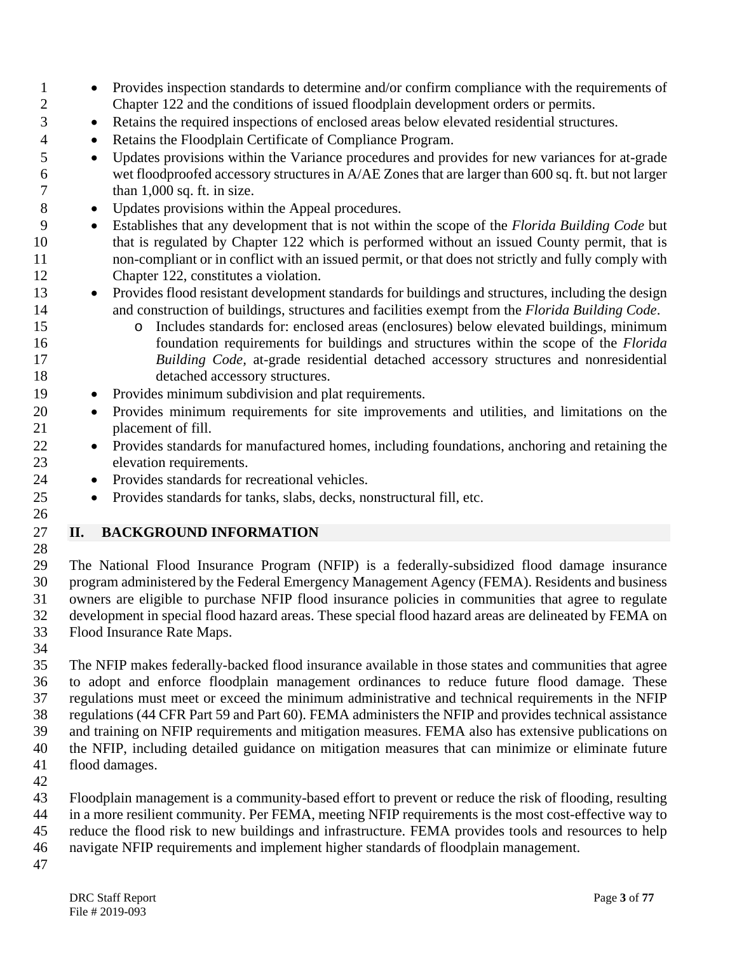- Provides inspection standards to determine and/or confirm compliance with the requirements of Chapter 122 and the conditions of issued floodplain development orders or permits.
- <sup>3</sup> Retains the required inspections of enclosed areas below elevated residential structures.
- Retains the Floodplain Certificate of Compliance Program.
- Updates provisions within the Variance procedures and provides for new variances for at-grade wet floodproofed accessory structures in A/AE Zones that are larger than 600 sq. ft. but not larger 7 than 1,000 sq. ft. in size.
- Updates provisions within the Appeal procedures.
- Establishes that any development that is not within the scope of the *Florida Building Code* but that is regulated by Chapter 122 which is performed without an issued County permit, that is non-compliant or in conflict with an issued permit, or that does not strictly and fully comply with Chapter 122, constitutes a violation.
- Provides flood resistant development standards for buildings and structures, including the design and construction of buildings, structures and facilities exempt from the *Florida Building Code*.
- 15 o Includes standards for: enclosed areas (enclosures) below elevated buildings, minimum<br>16 foundation requirements for buildings and structures within the scope of the *Florida*  foundation requirements for buildings and structures within the scope of the *Florida Building Code,* at-grade residential detached accessory structures and nonresidential 18 detached accessory structures.
- Provides minimum subdivision and plat requirements.
- Provides minimum requirements for site improvements and utilities, and limitations on the placement of fill.
- Provides standards for manufactured homes, including foundations, anchoring and retaining the elevation requirements.
- Provides standards for recreational vehicles.
- Provides standards for tanks, slabs, decks, nonstructural fill, etc.
- **II. BACKGROUND INFORMATION**
- 

 The National Flood Insurance Program (NFIP) is a federally-subsidized flood damage insurance program administered by the Federal Emergency Management Agency (FEMA). Residents and business owners are eligible to purchase NFIP flood insurance policies in communities that agree to regulate development in special flood hazard areas. These special flood hazard areas are delineated by FEMA on Flood Insurance Rate Maps.

 The NFIP makes federally-backed flood insurance available in those states and communities that agree to adopt and enforce floodplain management ordinances to reduce future flood damage. These regulations must meet or exceed the minimum administrative and technical requirements in the NFIP regulations (44 CFR Part 59 and Part 60). FEMA administers the NFIP and provides technical assistance and training on NFIP requirements and mitigation measures. FEMA also has extensive publications on the NFIP, including detailed guidance on mitigation measures that can minimize or eliminate future flood damages.

 Floodplain management is a community-based effort to prevent or reduce the risk of flooding, resulting in a more resilient community. Per FEMA, meeting NFIP requirements is the most cost-effective way to reduce the flood risk to new buildings and infrastructure. FEMA provides tools and resources to help

- navigate NFIP requirements and implement higher standards of floodplain management.
-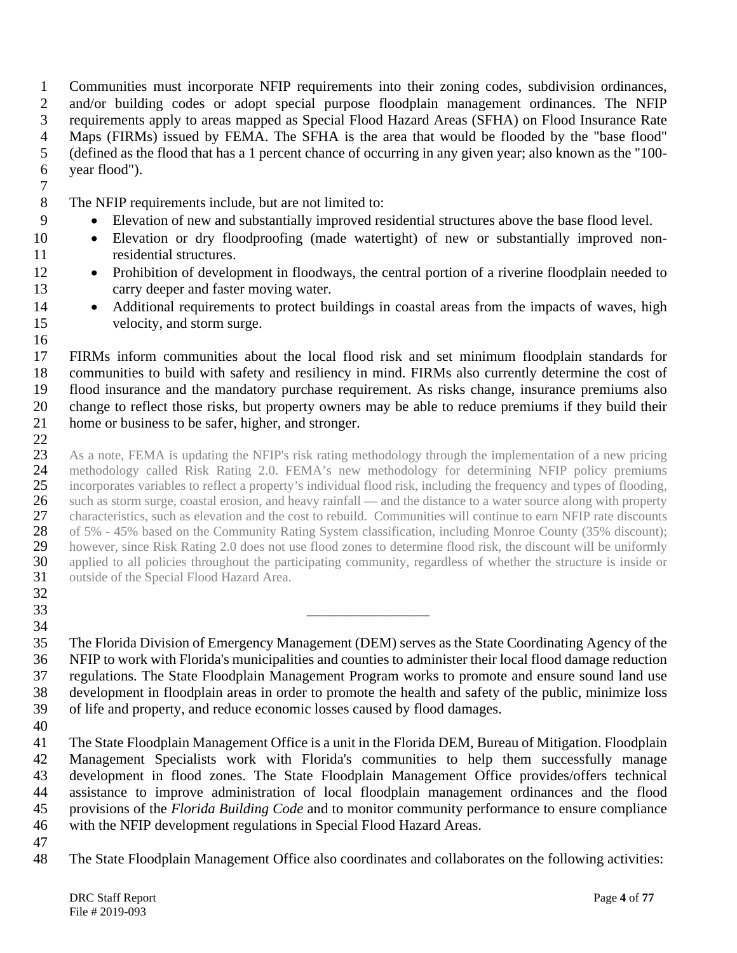Communities must incorporate NFIP requirements into their zoning codes, subdivision ordinances, and/or building codes or adopt special purpose floodplain management ordinances. The NFIP requirements apply to areas mapped as Special Flood Hazard Areas (SFHA) on Flood Insurance Rate Maps (FIRMs) issued by FEMA. The SFHA is the area that would be flooded by the "base flood" (defined as the flood that has a 1 percent chance of occurring in any given year; also known as the "100- year flood").

The NFIP requirements include, but are not limited to:

- Elevation of new and substantially improved residential structures above the base flood level.
- Elevation or dry floodproofing (made watertight) of new or substantially improved non-residential structures.
- Prohibition of development in floodways, the central portion of a riverine floodplain needed to carry deeper and faster moving water.
- 14 Additional requirements to protect buildings in coastal areas from the impacts of waves, high velocity, and storm surge.

 FIRMs inform communities about the local flood risk and set minimum floodplain standards for communities to build with safety and resiliency in mind. FIRMs also currently determine the cost of flood insurance and the mandatory purchase requirement. As risks change, insurance premiums also change to reflect those risks, but property owners may be able to reduce premiums if they build their home or business to be safer, higher, and stronger.

 $rac{22}{23}$ 23 As a note, FEMA is updating the NFIP's risk rating methodology through the implementation of a new pricing<br>24 methodology called Risk Rating 2.0. FEMA's new methodology for determining NFIP policy premiums 24 methodology called Risk Rating 2.0. FEMA's new methodology for determining NFIP policy premiums<br>25 incorporates variables to reflect a property's individual flood risk, including the frequency and types of flooding, incorporates variables to reflect a property's individual flood risk, including the frequency and types of flooding, 26 such as storm surge, coastal erosion, and heavy rainfall — and the distance to a water source along with property<br>27 characteristics, such as elevation and the cost to rebuild. Communities will continue to earn NFIP rat 27 characteristics, such as elevation and the cost to rebuild. Communities will continue to earn NFIP rate discounts<br>28 of 5% - 45% based on the Community Rating System classification, including Monroe County (35% discount 28 of 5% - 45% based on the Community Rating System classification, including Monroe County (35% discount);<br>29 however, since Risk Rating 2.0 does not use flood zones to determine flood risk, the discount will be uniformly 29 however, since Risk Rating 2.0 does not use flood zones to determine flood risk, the discount will be uniformly<br>20 applied to all policies throughout the participating community, regardless of whether the structure is i 30 applied to all policies throughout the participating community, regardless of whether the structure is inside or outside of the Special Flood Hazard Area. outside of the Special Flood Hazard Area.

- 
- 32<br>33 \_\_\_\_\_\_\_\_\_\_\_\_\_\_\_\_\_
- 

 The Florida Division of Emergency Management (DEM) serves as the State Coordinating Agency of the NFIP to work with Florida's municipalities and counties to administer their local flood damage reduction regulations. The State Floodplain Management Program works to promote and ensure sound land use development in floodplain areas in order to promote the health and safety of the public, minimize loss of life and property, and reduce economic losses caused by flood damages.

 The State Floodplain Management Office is a unit in the Florida DEM, Bureau of Mitigation. Floodplain Management Specialists work with Florida's communities to help them successfully manage development in flood zones. The State Floodplain Management Office provides/offers technical assistance to improve administration of local floodplain management ordinances and the flood provisions of the *Florida Building Code* and to monitor community performance to ensure compliance with the NFIP development regulations in Special Flood Hazard Areas.

The State Floodplain Management Office also coordinates and collaborates on the following activities: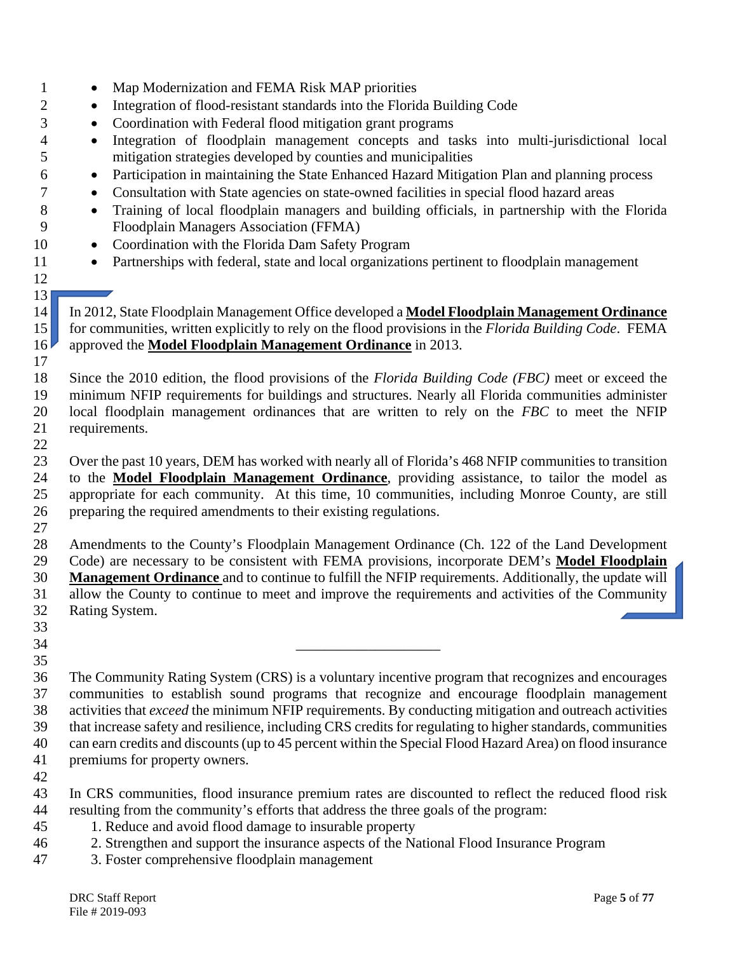• Integration of flood-resistant standards into the Florida Building Code • Coordination with Federal flood mitigation grant programs • Integration of floodplain management concepts and tasks into multi-jurisdictional local mitigation strategies developed by counties and municipalities • Participation in maintaining the State Enhanced Hazard Mitigation Plan and planning process • Consultation with State agencies on state-owned facilities in special flood hazard areas • Training of local floodplain managers and building officials, in partnership with the Florida Floodplain Managers Association (FFMA) 10 • Coordination with the Florida Dam Safety Program 11 • Partnerships with federal, state and local organizations pertinent to floodplain management  $\begin{vmatrix} 13 \\ 14 \end{vmatrix}$  In 2012, State Floodplain Management Office developed a **Model Floodplain Management Ordinance** for communities, written explicitly to rely on the flood provisions in the *Florida Building Code*. FEMA approved the **Model Floodplain Management Ordinance** in 2013. Since the 2010 edition, the flood provisions of the *Florida Building Code (FBC)* meet or exceed the minimum NFIP requirements for buildings and structures. Nearly all Florida communities administer local floodplain management ordinances that are written to rely on the *FBC* to meet the NFIP requirements. Over the past 10 years, DEM has worked with nearly all of Florida's 468 NFIP communities to transition to the **Model Floodplain Management Ordinance**, providing assistance, to tailor the model as appropriate for each community. At this time, 10 communities, including Monroe County, are still preparing the required amendments to their existing regulations. Amendments to the County's Floodplain Management Ordinance (Ch. 122 of the Land Development Code) are necessary to be consistent with FEMA provisions, incorporate DEM's **Model Floodplain Management Ordinance** and to continue to fulfill the NFIP requirements. Additionally, the update will allow the County to continue to meet and improve the requirements and activities of the Community Rating System. \_\_\_\_\_\_\_\_\_\_\_\_\_\_\_\_\_\_\_\_ The Community Rating System (CRS) is a voluntary incentive program that recognizes and encourages communities to establish sound programs that recognize and encourage floodplain management activities that *exceed* the minimum NFIP requirements. By conducting mitigation and outreach activities that increase safety and resilience, including CRS credits for regulating to higher standards, communities can earn credits and discounts (up to 45 percent within the Special Flood Hazard Area) on flood insurance premiums for property owners. In CRS communities, flood insurance premium rates are discounted to reflect the reduced flood risk resulting from the community's efforts that address the three goals of the program: 1. Reduce and avoid flood damage to insurable property 2. Strengthen and support the insurance aspects of the National Flood Insurance Program 3. Foster comprehensive floodplain management

1 • Map Modernization and FEMA Risk MAP priorities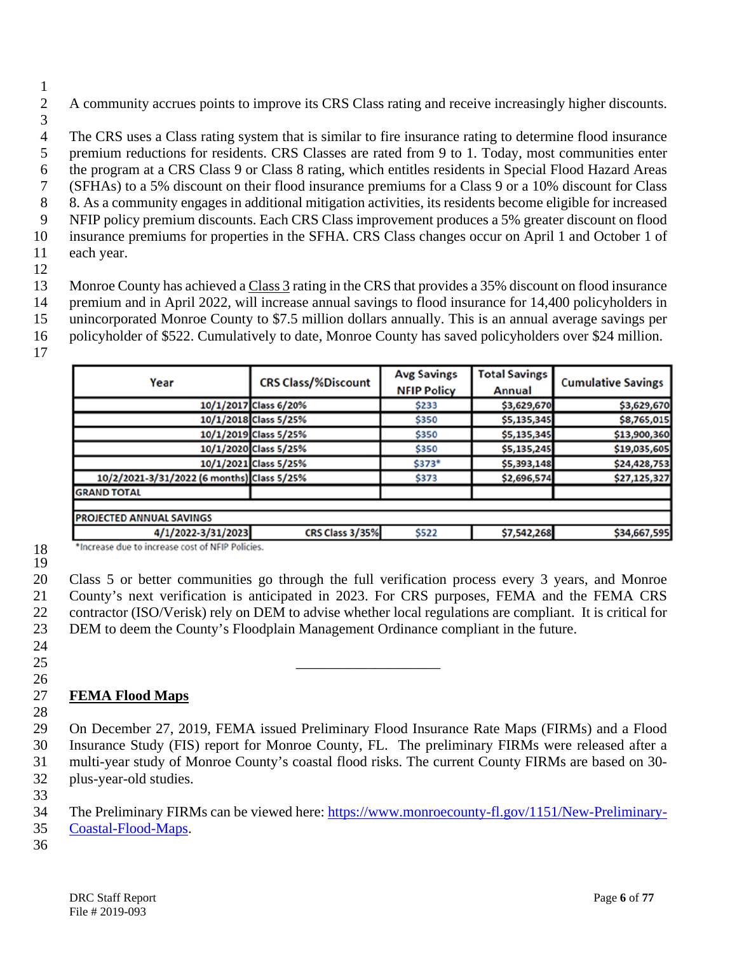A community accrues points to improve its CRS Class rating and receive increasingly higher discounts.

 The CRS uses a Class rating system that is similar to fire insurance rating to determine flood insurance premium reductions for residents. CRS Classes are rated from 9 to 1. Today, most communities enter the program at a CRS Class 9 or Class 8 rating, which entitles residents in Special Flood Hazard Areas (SFHAs) to a 5% discount on their flood insurance premiums for a Class 9 or a 10% discount for Class 8. As a community engages in additional mitigation activities, its residents become eligible for increased NFIP policy premium discounts. Each CRS Class improvement produces a 5% greater discount on flood insurance premiums for properties in the SFHA. CRS Class changes occur on April 1 and October 1 of each year.

 Monroe County has achieved a Class 3 rating in the CRS that provides a 35% discount on flood insurance premium and in April 2022, will increase annual savings to flood insurance for 14,400 policyholders in unincorporated Monroe County to \$7.5 million dollars annually. This is an annual average savings per

policyholder of \$522. Cumulatively to date, Monroe County has saved policyholders over \$24 million.

| Year                                             | <b>CRS Class/%Discount</b> | <b>Avg Savings</b><br><b>NFIP Policy</b> | <b>Total Savings</b><br>Annual | <b>Cumulative Savings</b> |
|--------------------------------------------------|----------------------------|------------------------------------------|--------------------------------|---------------------------|
|                                                  | 10/1/2017 Class 6/20%      | \$233                                    | \$3,629,670                    | \$3,629,670               |
|                                                  | 10/1/2018 Class 5/25%      | \$350                                    | \$5,135,345                    | \$8,765,015               |
|                                                  | 10/1/2019 Class 5/25%      | \$350                                    | \$5,135,345                    | \$13,900,360              |
|                                                  | 10/1/2020 Class 5/25%      | \$350                                    | \$5,135,245                    | \$19,035,605              |
|                                                  | 10/1/2021 Class 5/25%      | \$373*                                   | \$5,393,148                    | \$24,428,753              |
| 10/2/2021-3/31/2022 (6 months) Class 5/25%       |                            | \$373                                    | \$2,696,574                    | \$27,125,327              |
| <b>GRAND TOTAL</b>                               |                            |                                          |                                |                           |
| <b>PROJECTED ANNUAL SAVINGS</b>                  |                            |                                          |                                |                           |
| 4/1/2022-3/31/2023                               | CRS Class 3/35%            | \$522                                    | \$7,542,268                    | \$34,667,595              |
| *Increase due to increase cost of NFIP Policies. |                            |                                          |                                |                           |

 

 Class 5 or better communities go through the full verification process every 3 years, and Monroe County's next verification is anticipated in 2023. For CRS purposes, FEMA and the FEMA CRS contractor (ISO/Verisk) rely on DEM to advise whether local regulations are compliant. It is critical for DEM to deem the County's Floodplain Management Ordinance compliant in the future.

 

### **FEMA Flood Maps**

 On December 27, 2019, FEMA issued Preliminary Flood Insurance Rate Maps (FIRMs) and a Flood Insurance Study (FIS) report for Monroe County, FL. The preliminary FIRMs were released after a multi-year study of Monroe County's coastal flood risks. The current County FIRMs are based on 30- plus-year-old studies.

34 The Preliminary FIRMs can be viewed here: [https://www.monroecounty-fl.gov/1151/New-Preliminary-](https://www.monroecounty-fl.gov/1151/New-Preliminary-Coastal-Flood-Maps)

- [Coastal-Flood-Maps.](https://www.monroecounty-fl.gov/1151/New-Preliminary-Coastal-Flood-Maps)
-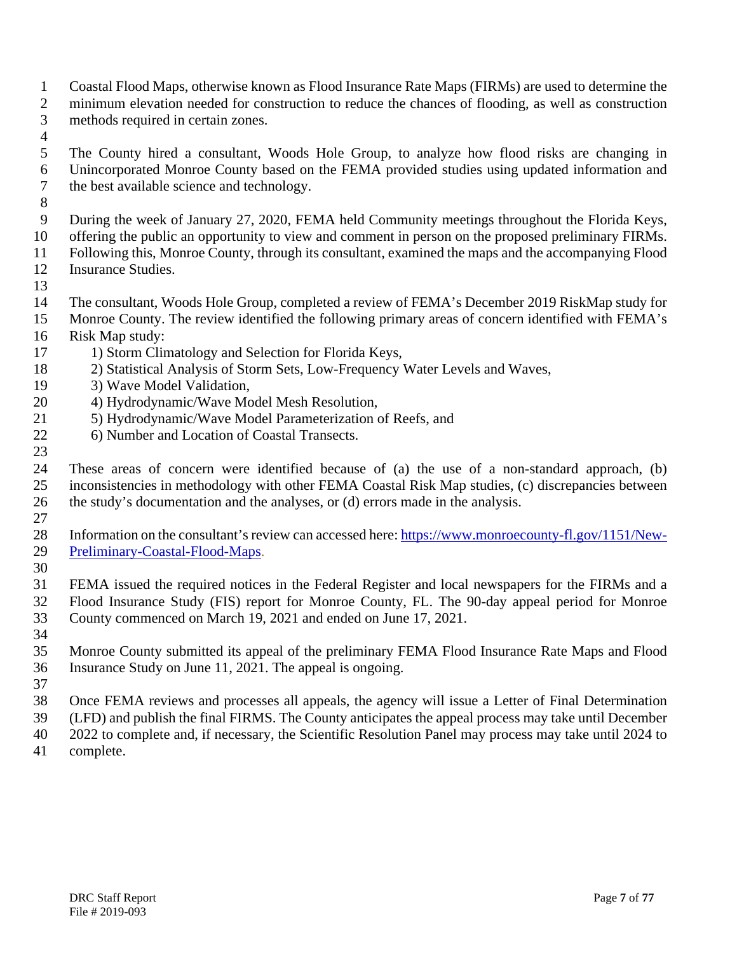- Coastal Flood Maps, otherwise known as Flood Insurance Rate Maps (FIRMs) are used to determine the minimum elevation needed for construction to reduce the chances of flooding, as well as construction methods required in certain zones.
- 
- The County hired a consultant, Woods Hole Group, to analyze how flood risks are changing in Unincorporated Monroe County based on the FEMA provided studies using updated information and the best available science and technology.
- 
- During the week of January 27, 2020, FEMA held Community meetings throughout the Florida Keys,

offering the public an opportunity to view and comment in person on the proposed preliminary FIRMs.

 Following this, Monroe County, through its consultant, examined the maps and the accompanying Flood Insurance Studies.

- 
- The consultant, Woods Hole Group, completed a review of FEMA's December 2019 RiskMap study for
- Monroe County. The review identified the following primary areas of concern identified with FEMA's
- Risk Map study:
- 17 1) Storm Climatology and Selection for Florida Keys,
- 2) Statistical Analysis of Storm Sets, Low-Frequency Water Levels and Waves,
- 3) Wave Model Validation,
- 4) Hydrodynamic/Wave Model Mesh Resolution,
- 21 5) Hydrodynamic/Wave Model Parameterization of Reefs, and
- 22 6) Number and Location of Coastal Transects.
- These areas of concern were identified because of (a) the use of a non-standard approach, (b) inconsistencies in methodology with other FEMA Coastal Risk Map studies, (c) discrepancies between the study's documentation and the analyses, or (d) errors made in the analysis.
- 
- Information on the consultant's review can accessed here: [https://www.monroecounty-fl.gov/1151/New-](https://www.monroecounty-fl.gov/1151/New-Preliminary-Coastal-Flood-Maps)[Preliminary-Coastal-Flood-Maps.](https://www.monroecounty-fl.gov/1151/New-Preliminary-Coastal-Flood-Maps)
- 

 FEMA issued the required notices in the Federal Register and local newspapers for the FIRMs and a Flood Insurance Study (FIS) report for Monroe County, FL. The 90-day appeal period for Monroe County commenced on March 19, 2021 and ended on June 17, 2021.

- Monroe County submitted its appeal of the preliminary FEMA Flood Insurance Rate Maps and Flood Insurance Study on June 11, 2021. The appeal is ongoing.
- 

 Once FEMA reviews and processes all appeals, the agency will issue a Letter of Final Determination (LFD) and publish the final FIRMS. The County anticipates the appeal process may take until December 2022 to complete and, if necessary, the Scientific Resolution Panel may process may take until 2024 to

complete.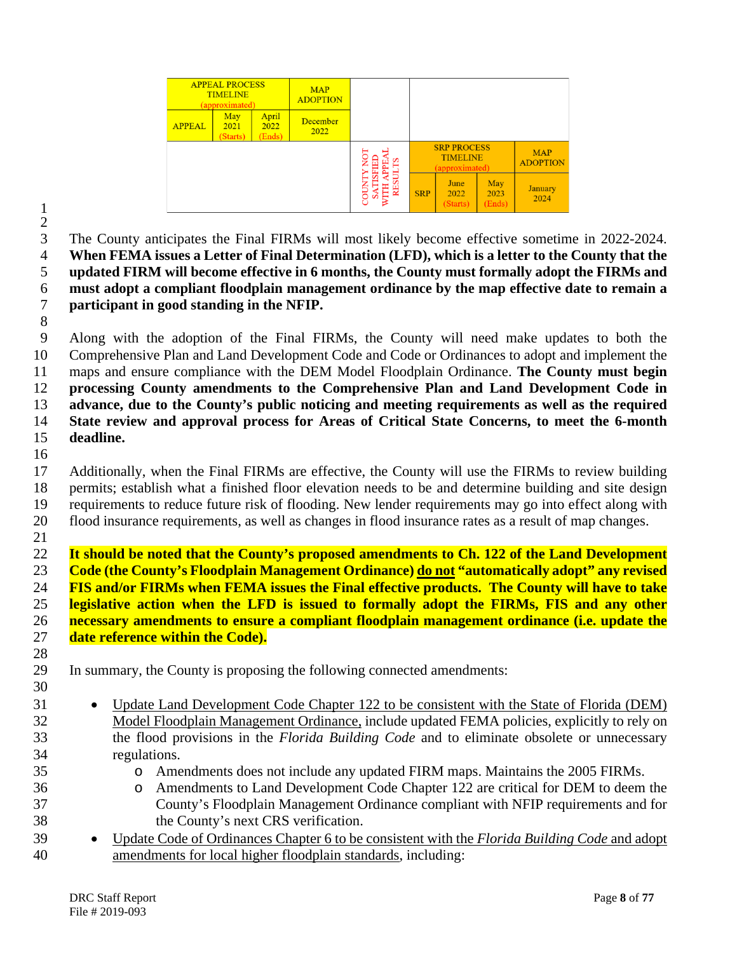| <b>APPEAL PROCESS</b><br><b>TIMELINE</b><br>(approximated)          |  | <b>MAP</b><br><b>ADOPTION</b> |  |   |            |                                                         |                       |                               |
|---------------------------------------------------------------------|--|-------------------------------|--|---|------------|---------------------------------------------------------|-----------------------|-------------------------------|
| April<br>May<br><b>APPEAL</b><br>2022<br>2021<br>(Ends)<br>(Starts) |  | December<br>2022              |  |   |            |                                                         |                       |                               |
|                                                                     |  |                               |  |   |            | <b>SRP PROCESS</b><br><b>TIMELINE</b><br>(approximated) |                       | <b>MAP</b><br><b>ADOPTION</b> |
|                                                                     |  |                               |  | õ | <b>SRP</b> | June<br>2022<br>(Starts)                                | May<br>2023<br>(Ends) | <b>January</b><br>2024        |

 $\frac{2}{3}$  The County anticipates the Final FIRMs will most likely become effective sometime in 2022-2024. **When FEMA issues a Letter of Final Determination (LFD), which is a letter to the County that the updated FIRM will become effective in 6 months, the County must formally adopt the FIRMs and must adopt a compliant floodplain management ordinance by the map effective date to remain a participant in good standing in the NFIP.**

 Along with the adoption of the Final FIRMs, the County will need make updates to both the Comprehensive Plan and Land Development Code and Code or Ordinances to adopt and implement the maps and ensure compliance with the DEM Model Floodplain Ordinance. **The County must begin processing County amendments to the Comprehensive Plan and Land Development Code in advance, due to the County's public noticing and meeting requirements as well as the required State review and approval process for Areas of Critical State Concerns, to meet the 6-month deadline.**

 Additionally, when the Final FIRMs are effective, the County will use the FIRMs to review building permits; establish what a finished floor elevation needs to be and determine building and site design requirements to reduce future risk of flooding. New lender requirements may go into effect along with flood insurance requirements, as well as changes in flood insurance rates as a result of map changes.

 **It should be noted that the County's proposed amendments to Ch. 122 of the Land Development Code (the County's Floodplain Management Ordinance) do not "automatically adopt" any revised FIS and/or FIRMs when FEMA issues the Final effective products. The County will have to take legislative action when the LFD is issued to formally adopt the FIRMs, FIS and any other necessary amendments to ensure a compliant floodplain management ordinance (i.e. update the date reference within the Code).**

In summary, the County is proposing the following connected amendments:

- Update Land Development Code Chapter 122 to be consistent with the State of Florida (DEM) Model Floodplain Management Ordinance, include updated FEMA policies, explicitly to rely on the flood provisions in the *Florida Building Code* and to eliminate obsolete or unnecessary regulations.
	-
- 35 o Amendments does not include any updated FIRM maps. Maintains the 2005 FIRMs.<br>36 o Amendments to Land Development Code Chapter 122 are critical for DEM to deem **o** Amendments to Land Development Code Chapter 122 are critical for DEM to deem the County's Floodplain Management Ordinance compliant with NFIP requirements and for County's Floodplain Management Ordinance compliant with NFIP requirements and for the County's next CRS verification.
- Update Code of Ordinances Chapter 6 to be consistent with the *Florida Building Code* and adopt amendments for local higher floodplain standards, including: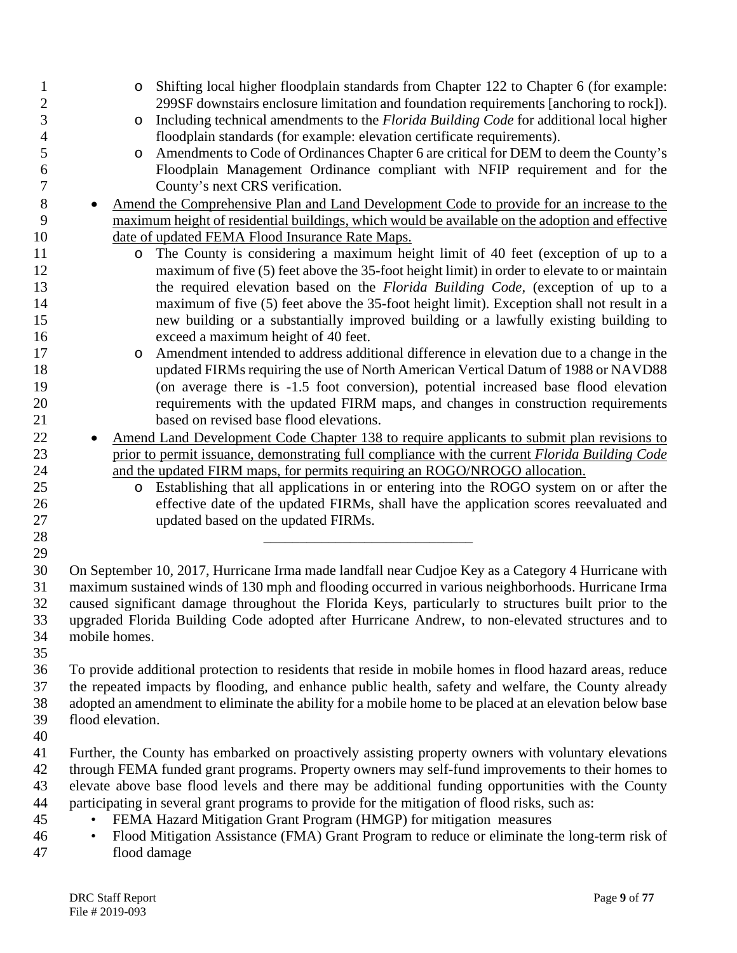| $\mathbf{1}$   | O                | Shifting local higher floodplain standards from Chapter 122 to Chapter 6 (for example:                                               |
|----------------|------------------|--------------------------------------------------------------------------------------------------------------------------------------|
| $\overline{c}$ |                  | 299SF downstairs enclosure limitation and foundation requirements [anchoring to rock]).                                              |
| 3              | O                | Including technical amendments to the <i>Florida Building Code</i> for additional local higher                                       |
| 4              |                  | floodplain standards (for example: elevation certificate requirements).                                                              |
| 5              | O                | Amendments to Code of Ordinances Chapter 6 are critical for DEM to deem the County's                                                 |
| 6              |                  | Floodplain Management Ordinance compliant with NFIP requirement and for the                                                          |
| 7              |                  | County's next CRS verification.                                                                                                      |
| $8\,$          |                  | Amend the Comprehensive Plan and Land Development Code to provide for an increase to the                                             |
| 9              |                  | maximum height of residential buildings, which would be available on the adoption and effective                                      |
| 10             |                  |                                                                                                                                      |
|                |                  | date of updated FEMA Flood Insurance Rate Maps.<br>The County is considering a maximum height limit of 40 feet (exception of up to a |
| 11             | $\circ$          |                                                                                                                                      |
| 12             |                  | maximum of five (5) feet above the 35-foot height limit) in order to elevate to or maintain                                          |
| 13             |                  | the required elevation based on the Florida Building Code, (exception of up to a                                                     |
| 14             |                  | maximum of five (5) feet above the 35-foot height limit). Exception shall not result in a                                            |
| 15             |                  | new building or a substantially improved building or a lawfully existing building to                                                 |
| 16             |                  | exceed a maximum height of 40 feet.                                                                                                  |
| 17             | O                | Amendment intended to address additional difference in elevation due to a change in the                                              |
| 18             |                  | updated FIRMs requiring the use of North American Vertical Datum of 1988 or NAVD88                                                   |
| 19             |                  | (on average there is -1.5 foot conversion), potential increased base flood elevation                                                 |
| 20             |                  | requirements with the updated FIRM maps, and changes in construction requirements                                                    |
| 21             |                  | based on revised base flood elevations.                                                                                              |
| 22             |                  | Amend Land Development Code Chapter 138 to require applicants to submit plan revisions to                                            |
| 23             |                  | prior to permit issuance, demonstrating full compliance with the current Florida Building Code                                       |
| 24             |                  | and the updated FIRM maps, for permits requiring an ROGO/NROGO allocation.                                                           |
| 25             | $\circ$          | Establishing that all applications in or entering into the ROGO system on or after the                                               |
| 26             |                  | effective date of the updated FIRMs, shall have the application scores reevaluated and                                               |
| 27             |                  | updated based on the updated FIRMs.                                                                                                  |
| 28             |                  |                                                                                                                                      |
| 29             |                  |                                                                                                                                      |
| 30             |                  | On September 10, 2017, Hurricane Irma made landfall near Cudjoe Key as a Category 4 Hurricane with                                   |
| 31             |                  | maximum sustained winds of 130 mph and flooding occurred in various neighborhoods. Hurricane Irma                                    |
| 32             |                  | caused significant damage throughout the Florida Keys, particularly to structures built prior to the                                 |
| 33             |                  | upgraded Florida Building Code adopted after Hurricane Andrew, to non-elevated structures and to                                     |
| 34             | mobile homes.    |                                                                                                                                      |
| 35             |                  |                                                                                                                                      |
| 36             |                  | To provide additional protection to residents that reside in mobile homes in flood hazard areas, reduce                              |
| 37             |                  | the repeated impacts by flooding, and enhance public health, safety and welfare, the County already                                  |
| 38             |                  | adopted an amendment to eliminate the ability for a mobile home to be placed at an elevation below base                              |
| 39             | flood elevation. |                                                                                                                                      |
| 40             |                  |                                                                                                                                      |
| 41             |                  | Further, the County has embarked on proactively assisting property owners with voluntary elevations                                  |
| 42             |                  | through FEMA funded grant programs. Property owners may self-fund improvements to their homes to                                     |
| 43             |                  | elevate above base flood levels and there may be additional funding opportunities with the County                                    |
|                |                  | participating in several grant programs to provide for the mitigation of flood risks, such as:                                       |
| 44             |                  |                                                                                                                                      |
| 45             |                  | FEMA Hazard Mitigation Grant Program (HMGP) for mitigation measures                                                                  |
| 46             | $\bullet$        | Flood Mitigation Assistance (FMA) Grant Program to reduce or eliminate the long-term risk of                                         |
| 47             |                  | flood damage                                                                                                                         |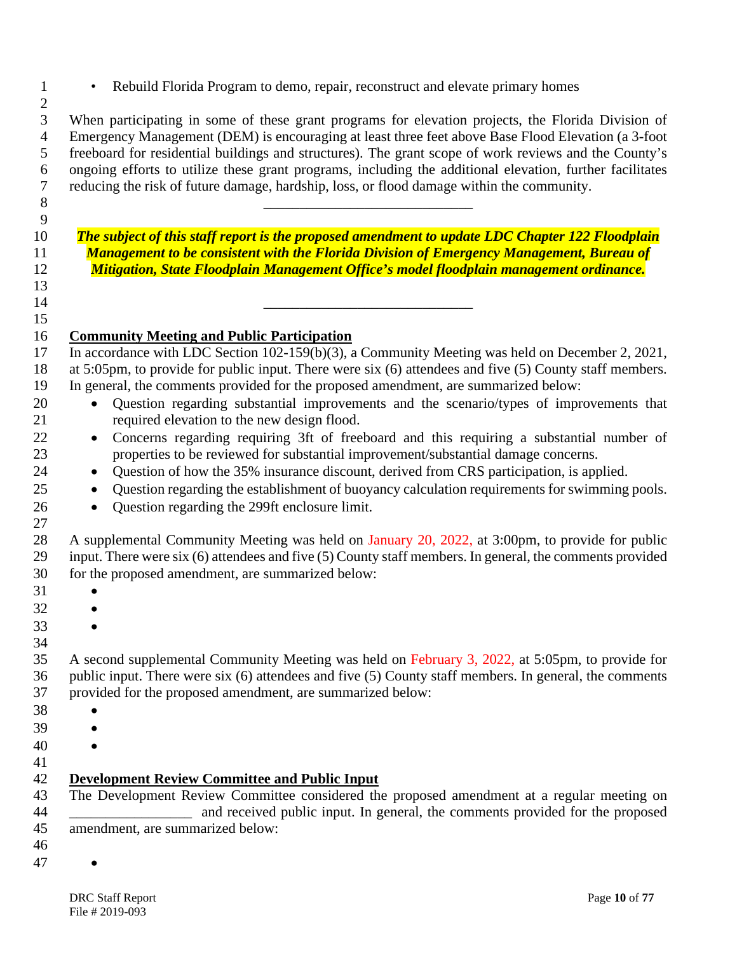• Rebuild Florida Program to demo, repair, reconstruct and elevate primary homes

 When participating in some of these grant programs for elevation projects, the Florida Division of Emergency Management (DEM) is encouraging at least three feet above Base Flood Elevation (a 3-foot freeboard for residential buildings and structures). The grant scope of work reviews and the County's ongoing efforts to utilize these grant programs, including the additional elevation, further facilitates reducing the risk of future damage, hardship, loss, or flood damage within the community.

 *The subject of this staff report is the proposed amendment to update LDC Chapter 122 Floodplain Management to be consistent with the Florida Division of Emergency Management, Bureau of Mitigation, State Floodplain Management Office's model floodplain management ordinance.*

 \_\_\_\_\_\_\_\_\_\_\_\_\_\_\_\_\_\_\_\_\_\_\_\_\_\_\_\_\_ 

# **Community Meeting and Public Participation**

\_\_\_\_\_\_\_\_\_\_\_\_\_\_\_\_\_\_\_\_\_\_\_\_\_\_\_\_\_

- 17 In accordance with LDC Section 102-159(b)(3), a Community Meeting was held on December 2, 2021, at 5:05pm, to provide for public input. There were six (6) attendees and five (5) County staff members. In general, the comments provided for the proposed amendment, are summarized below:
- Question regarding substantial improvements and the scenario/types of improvements that required elevation to the new design flood.
- Concerns regarding requiring 3ft of freeboard and this requiring a substantial number of properties to be reviewed for substantial improvement/substantial damage concerns.
- Question of how the 35% insurance discount, derived from CRS participation, is applied.
- 25 Question regarding the establishment of buoyancy calculation requirements for swimming pools.
- Question regarding the 299ft enclosure limit.

 A supplemental Community Meeting was held on January 20, 2022, at 3:00pm, to provide for public input. There were six (6) attendees and five (5) County staff members. In general, the comments provided for the proposed amendment, are summarized below:

- 
- •
- •
- 

•

 A second supplemental Community Meeting was held on February 3, 2022, at 5:05pm, to provide for public input. There were six (6) attendees and five (5) County staff members. In general, the comments provided for the proposed amendment, are summarized below:

- •
- •
- •
- 

# **Development Review Committee and Public Input**

 The Development Review Committee considered the proposed amendment at a regular meeting on \_\_\_\_\_\_\_\_\_\_\_\_\_\_\_\_\_ and received public input. In general, the comments provided for the proposed amendment, are summarized below: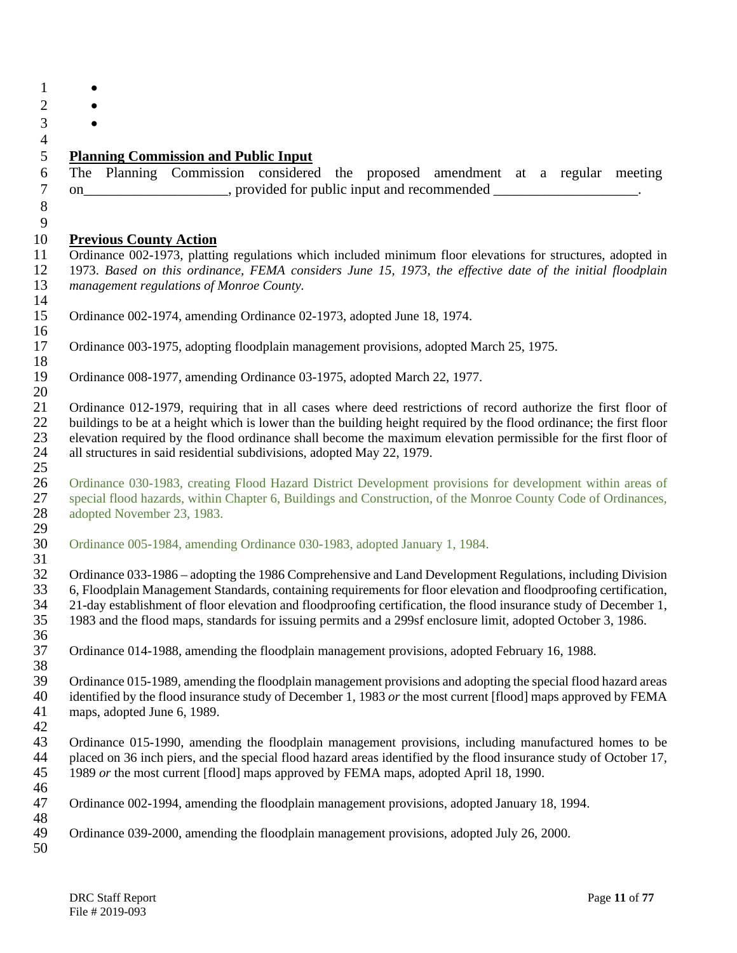| <b>Planning Commission and Public Input</b>                                                                                                                                                                                 |
|-----------------------------------------------------------------------------------------------------------------------------------------------------------------------------------------------------------------------------|
| The Planning Commission considered the proposed amendment at a regular meeting                                                                                                                                              |
| on_______________________, provided for public input and recommended ____________________.                                                                                                                                  |
|                                                                                                                                                                                                                             |
|                                                                                                                                                                                                                             |
| <b>Previous County Action</b>                                                                                                                                                                                               |
| Ordinance 002-1973, platting regulations which included minimum floor elevations for structures, adopted in                                                                                                                 |
| 1973. Based on this ordinance, FEMA considers June 15, 1973, the effective date of the initial floodplain                                                                                                                   |
| management regulations of Monroe County.                                                                                                                                                                                    |
|                                                                                                                                                                                                                             |
| Ordinance 002-1974, amending Ordinance 02-1973, adopted June 18, 1974.                                                                                                                                                      |
| Ordinance 003-1975, adopting floodplain management provisions, adopted March 25, 1975.                                                                                                                                      |
|                                                                                                                                                                                                                             |
| Ordinance 008-1977, amending Ordinance 03-1975, adopted March 22, 1977.                                                                                                                                                     |
|                                                                                                                                                                                                                             |
| Ordinance 012-1979, requiring that in all cases where deed restrictions of record authorize the first floor of                                                                                                              |
| buildings to be at a height which is lower than the building height required by the flood ordinance; the first floor                                                                                                        |
| elevation required by the flood ordinance shall become the maximum elevation permissible for the first floor of                                                                                                             |
| all structures in said residential subdivisions, adopted May 22, 1979.                                                                                                                                                      |
|                                                                                                                                                                                                                             |
| Ordinance 030-1983, creating Flood Hazard District Development provisions for development within areas of                                                                                                                   |
| special flood hazards, within Chapter 6, Buildings and Construction, of the Monroe County Code of Ordinances,                                                                                                               |
| adopted November 23, 1983.                                                                                                                                                                                                  |
| Ordinance 005-1984, amending Ordinance 030-1983, adopted January 1, 1984.                                                                                                                                                   |
|                                                                                                                                                                                                                             |
| Ordinance 033-1986 – adopting the 1986 Comprehensive and Land Development Regulations, including Division                                                                                                                   |
| 6, Floodplain Management Standards, containing requirements for floor elevation and floodproofing certification,                                                                                                            |
| 21-day establishment of floor elevation and floodproofing certification, the flood insurance study of December 1,                                                                                                           |
| 1983 and the flood maps, standards for issuing permits and a 299sf enclosure limit, adopted October 3, 1986.                                                                                                                |
|                                                                                                                                                                                                                             |
| Ordinance 014-1988, amending the floodplain management provisions, adopted February 16, 1988.                                                                                                                               |
|                                                                                                                                                                                                                             |
| Ordinance 015-1989, amending the floodplain management provisions and adopting the special flood hazard areas                                                                                                               |
| identified by the flood insurance study of December 1, 1983 or the most current [flood] maps approved by FEMA                                                                                                               |
| maps, adopted June 6, 1989.                                                                                                                                                                                                 |
|                                                                                                                                                                                                                             |
| Ordinance 015-1990, amending the floodplain management provisions, including manufactured homes to be<br>placed on 36 inch piers, and the special flood hazard areas identified by the flood insurance study of October 17, |
| 1989 or the most current [flood] maps approved by FEMA maps, adopted April 18, 1990.                                                                                                                                        |
|                                                                                                                                                                                                                             |
| Ordinance 002-1994, amending the floodplain management provisions, adopted January 18, 1994.                                                                                                                                |
|                                                                                                                                                                                                                             |
| Ordinance 039-2000, amending the floodplain management provisions, adopted July 26, 2000.                                                                                                                                   |
|                                                                                                                                                                                                                             |
|                                                                                                                                                                                                                             |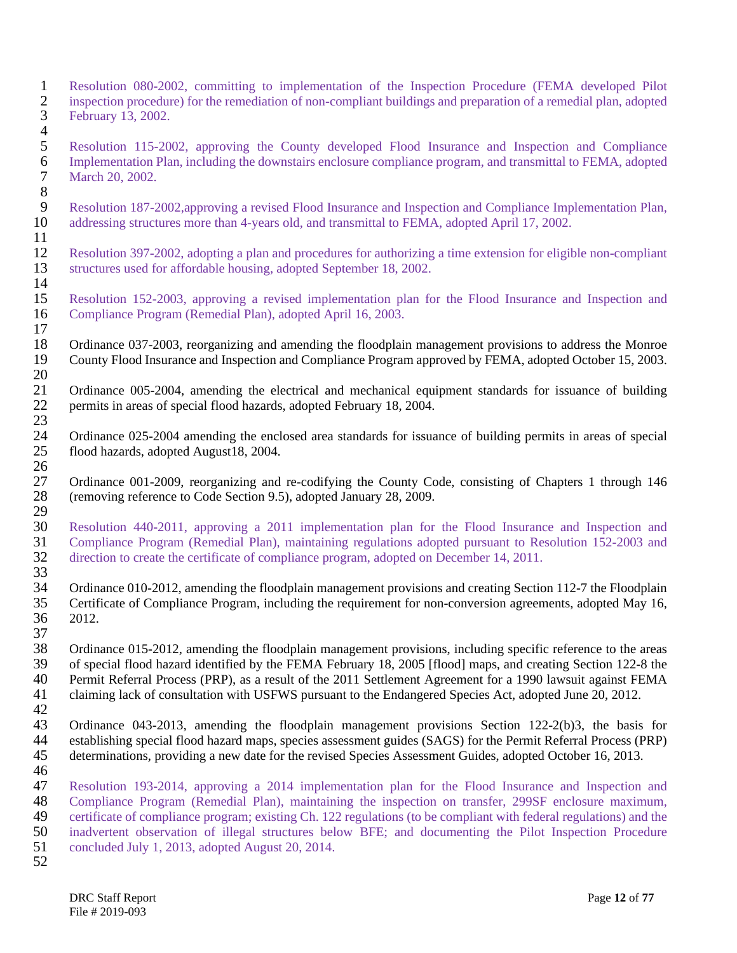- 1 Resolution 080-2002, committing to implementation of the Inspection Procedure (FEMA developed Pilot inspection procedure) for the remediation of non-compliant buildings and preparation of a remedial plan, adopted 2 inspection procedure) for the remediation of non-compliant buildings and preparation of a remedial plan, adopted 3 February 13, 2002.
- $\frac{4}{5}$ 5 Resolution 115-2002, approving the County developed Flood Insurance and Inspection and Compliance<br>6 Implementation Plan, including the downstairs enclosure compliance program, and transmittal to FEMA, adopted 6 Implementation Plan, including the downstairs enclosure compliance program, and transmittal to FEMA, adopted March 20, 2002.
- 8<br>9 9 Resolution 187-2002, approving a revised Flood Insurance and Inspection and Compliance Implementation Plan,<br>10 addressing structures more than 4-years old, and transmittal to FEMA, adopted April 17, 2002. addressing structures more than 4-years old, and transmittal to FEMA, adopted April 17, 2002.
- $\frac{11}{12}$ 12 Resolution 397-2002, adopting a plan and procedures for authorizing a time extension for eligible non-compliant 13 structures used for affordable housing, adopted September 18, 2002. 13 structures used for affordable housing, adopted September 18, 2002.
- $\frac{14}{15}$ 15 Resolution 152-2003, approving a revised implementation plan for the Flood Insurance and Inspection and 16 Compliance Program (Remedial Plan), adopted April 16, 2003.
- $\frac{17}{18}$ 18 Ordinance 037-2003, reorganizing and amending the floodplain management provisions to address the Monroe<br>19 County Flood Insurance and Inspection and Compliance Program approved by FEMA, adopted October 15, 2003. 19 County Flood Insurance and Inspection and Compliance Program approved by FEMA, adopted October 15, 2003.
- $\frac{20}{21}$ 21 Ordinance 005-2004, amending the electrical and mechanical equipment standards for issuance of building permits in areas of special flood hazards, adopted February 18, 2004. 22 permits in areas of special flood hazards, adopted February 18, 2004. 23
- 24 Ordinance 025-2004 amending the enclosed area standards for issuance of building permits in areas of special 100 flood hazards, adopted August 18, 2004. 25 flood hazards, adopted August18, 2004.
- $\frac{26}{27}$ 27 Ordinance 001-2009, reorganizing and re-codifying the County Code, consisting of Chapters 1 through 146 (removing reference to Code Section 9.5), adopted January 28, 2009. 28 (removing reference to Code Section 9.5), adopted January 28, 2009.
- $\frac{29}{30}$ 30 Resolution 440-2011, approving a 2011 implementation plan for the Flood Insurance and Inspection and 31 Compliance Program (Remedial Plan), maintaining regulations adopted pursuant to Resolution 152-2003 and direction to create the certificate of compliance program, adopted on December 14, 2011. direction to create the certificate of compliance program, adopted on December 14, 2011.
- 33 34 Ordinance 010-2012, amending the floodplain management provisions and creating Section 112-7 the Floodplain<br>35 Certificate of Compliance Program, including the requirement for non-conversion agreements, adopted May 16, 35 Certificate of Compliance Program, including the requirement for non-conversion agreements, adopted May 16,<br>36 2012. 2012.
- $\frac{37}{38}$ 38 Ordinance 015-2012, amending the floodplain management provisions, including specific reference to the areas<br>39 of special flood hazard identified by the FEMA February 18, 2005 [flood] maps, and creating Section 122-8 t 39 of special flood hazard identified by the FEMA February 18, 2005 [flood] maps, and creating Section 122-8 the 40 Permit Referral Process (PRP), as a result of the 2011 Settlement Agreement for a 1990 lawsuit against FEM 40 Permit Referral Process (PRP), as a result of the 2011 Settlement Agreement for a 1990 lawsuit against FEMA<br>41 claiming lack of consultation with USFWS pursuant to the Endangered Species Act, adopted June 20, 2012. claiming lack of consultation with USFWS pursuant to the Endangered Species Act, adopted June 20, 2012.
- $\frac{42}{43}$ 43 Ordinance 043-2013, amending the floodplain management provisions Section 122-2(b)3, the basis for establishing special flood hazard mans, species assessment guides (SAGS) for the Permit Referral Process (PRP) 44 establishing special flood hazard maps, species assessment guides (SAGS) for the Permit Referral Process (PRP)<br>45 determinations, providing a new date for the revised Species Assessment Guides, adopted October 16, 2013. determinations, providing a new date for the revised Species Assessment Guides, adopted October 16, 2013.
- 46
- 47 Resolution 193-2014, approving a 2014 implementation plan for the Flood Insurance and Inspection and 48 Compliance Program (Remedial Plan), maintaining the inspection on transfer, 299SF enclosure maximum, 48 Compliance Program (Remedial Plan), maintaining the inspection on transfer, 299SF enclosure maximum,<br>49 certificate of compliance program; existing Ch. 122 regulations (to be compliant with federal regulations) and the 49 certificate of compliance program; existing Ch. 122 regulations (to be compliant with federal regulations) and the inadvertent observation of illegal structures below BFE; and documenting the Pilot Inspection Procedure 50 inadvertent observation of illegal structures below BFE; and documenting the Pilot Inspection Procedure<br>51 concluded July 1, 2013, adopted August 20, 2014. 51 concluded July 1, 2013, adopted August 20, 2014.
- 52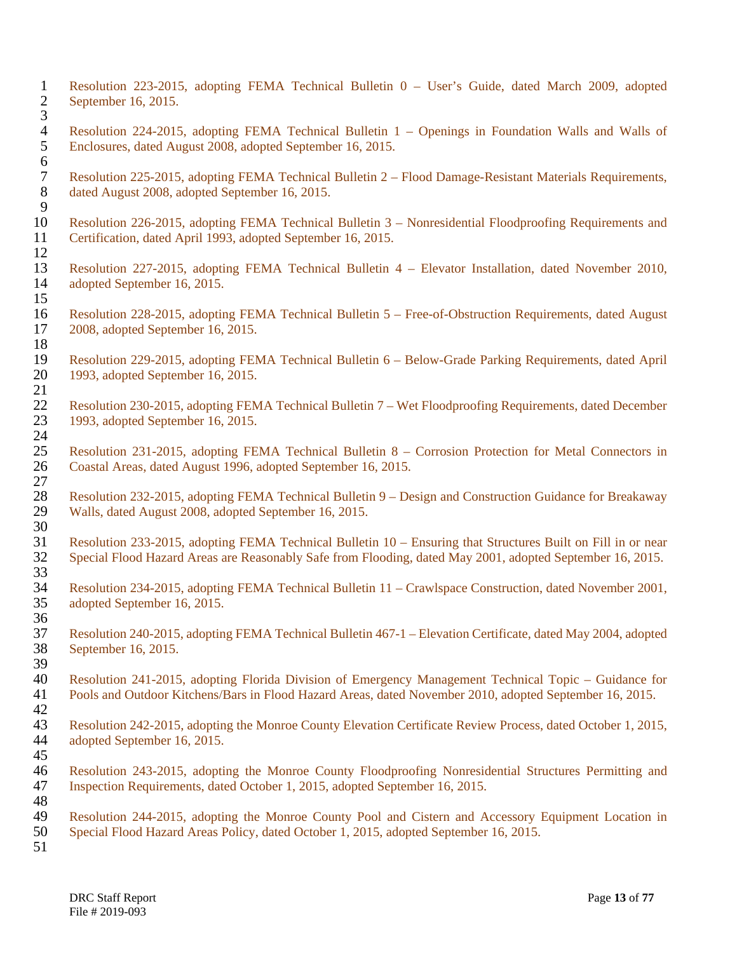1 Resolution 223-2015, adopting FEMA Technical Bulletin 0 – User's Guide, dated March 2009, adopted September 16, 2015. 3 4 Resolution 224-2015, adopting FEMA Technical Bulletin 1 – Openings in Foundation Walls and Walls of Enclosures, dated August 2008, adopted September 16, 2015. 5 Enclosures, dated August 2008, adopted September 16, 2015. 6 7 Resolution 225-2015, adopting FEMA Technical Bulletin 2 – Flood Damage-Resistant Materials Requirements, dated August 2008, adopted September 16, 2015. dated August 2008, adopted September 16, 2015.  $\frac{9}{10}$ 10 Resolution 226-2015, adopting FEMA Technical Bulletin 3 – Nonresidential Floodproofing Requirements and<br>11 Certification, dated April 1993, adopted September 16, 2015. Certification, dated April 1993, adopted September 16, 2015.  $\frac{12}{13}$ 13 Resolution 227-2015, adopting FEMA Technical Bulletin 4 – Elevator Installation, dated November 2010, 14 adopted September 16, 2015. adopted September 16, 2015. 15 16 Resolution 228-2015, adopting FEMA Technical Bulletin 5 – Free-of-Obstruction Requirements, dated August 17 2008, adopted September 16, 2015. 18 19 Resolution 229-2015, adopting FEMA Technical Bulletin 6 – Below-Grade Parking Requirements, dated April<br>20 1993, adopted September 16, 2015. 20 1993, adopted September 16, 2015.  $\frac{21}{22}$ 22 Resolution 230-2015, adopting FEMA Technical Bulletin 7 – Wet Floodproofing Requirements, dated December<br>23 1993, adopted September 16, 2015. 23 1993, adopted September 16, 2015.  $\frac{24}{25}$ 25 Resolution 231-2015, adopting FEMA Technical Bulletin 8 – Corrosion Protection for Metal Connectors in<br>26 Coastal Areas, dated August 1996, adopted September 16, 2015. 26 Coastal Areas, dated August 1996, adopted September 16, 2015.  $\frac{27}{28}$ 28 Resolution 232-2015, adopting FEMA Technical Bulletin 9 – Design and Construction Guidance for Breakaway<br>29 Walls, dated August 2008, adopted September 16, 2015. 29 Walls, dated August 2008, adopted September 16, 2015. 30 31 Resolution 233-2015, adopting FEMA Technical Bulletin 10 – Ensuring that Structures Built on Fill in or near<br>32 Special Flood Hazard Areas are Reasonably Safe from Flooding, dated May 2001, adopted September 16, 2015. 32 Special Flood Hazard Areas are Reasonably Safe from Flooding, dated May 2001, adopted September 16, 2015. 33 34 Resolution 234-2015, adopting FEMA Technical Bulletin 11 – Crawlspace Construction, dated November 2001, adopted September 16, 2015. adopted September 16, 2015. 36 37 Resolution 240-2015, adopting FEMA Technical Bulletin 467-1 – Elevation Certificate, dated May 2004, adopted September 16, 2015. 39 40 Resolution 241-2015, adopting Florida Division of Emergency Management Technical Topic – Guidance for 41 Pools and Outdoor Kitchens/Bars in Flood Hazard Areas, dated November 2010, adopted September 16, 2015. 41 Pools and Outdoor Kitchens/Bars in Flood Hazard Areas, dated November 2010, adopted September 16, 2015.  $\frac{42}{43}$ 43 Resolution 242-2015, adopting the Monroe County Elevation Certificate Review Process, dated October 1, 2015,<br>44 adopted September 16, 2015. adopted September 16, 2015. 45 46 Resolution 243-2015, adopting the Monroe County Floodproofing Nonresidential Structures Permitting and 47 Inspection Requirements, dated October 1, 2015, adopted September 16, 2015. 48 49 Resolution 244-2015, adopting the Monroe County Pool and Cistern and Accessory Equipment Location in 50 Special Flood Hazard Areas Policy, dated October 1, 2015, adopted September 16, 2015. Special Flood Hazard Areas Policy, dated October 1, 2015, adopted September 16, 2015. 51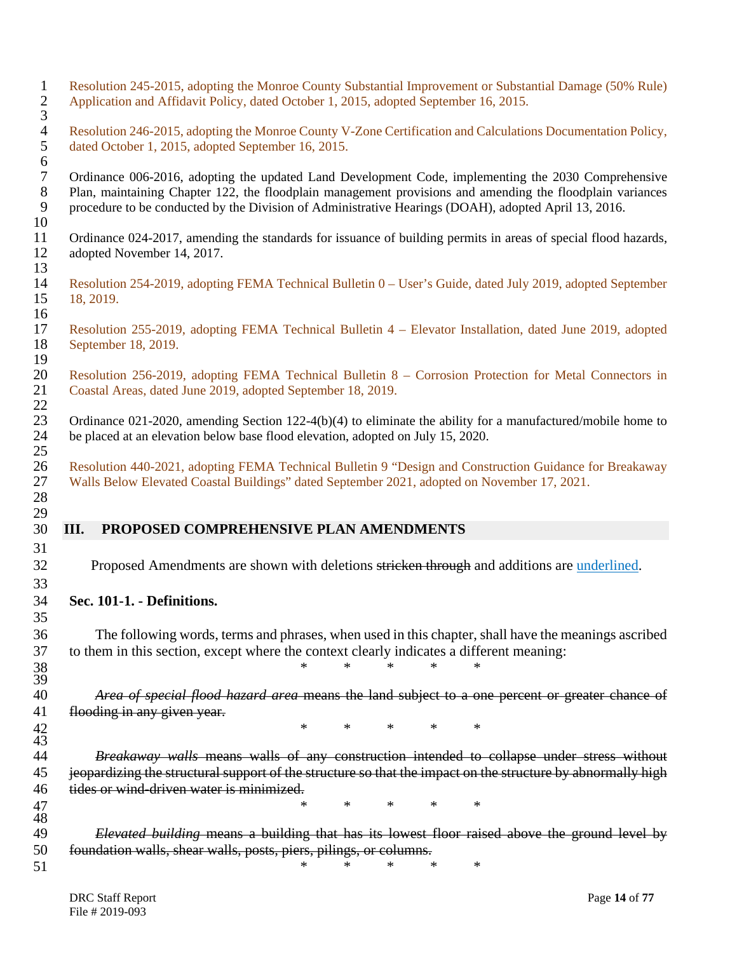| $\mathbf{1}$<br>$\sqrt{2}$<br>3            | Resolution 245-2015, adopting the Monroe County Substantial Improvement or Substantial Damage (50% Rule)<br>Application and Affidavit Policy, dated October 1, 2015, adopted September 16, 2015.                                                                                                                         |
|--------------------------------------------|--------------------------------------------------------------------------------------------------------------------------------------------------------------------------------------------------------------------------------------------------------------------------------------------------------------------------|
| $\overline{4}$<br>$\sqrt{5}$<br>$\sqrt{6}$ | Resolution 246-2015, adopting the Monroe County V-Zone Certification and Calculations Documentation Policy,<br>dated October 1, 2015, adopted September 16, 2015.                                                                                                                                                        |
| $\boldsymbol{7}$<br>$8\,$<br>9<br>10       | Ordinance 006-2016, adopting the updated Land Development Code, implementing the 2030 Comprehensive<br>Plan, maintaining Chapter 122, the floodplain management provisions and amending the floodplain variances<br>procedure to be conducted by the Division of Administrative Hearings (DOAH), adopted April 13, 2016. |
| 11<br>12<br>13                             | Ordinance 024-2017, amending the standards for issuance of building permits in areas of special flood hazards,<br>adopted November 14, 2017.                                                                                                                                                                             |
| 14<br>15<br>16                             | Resolution 254-2019, adopting FEMA Technical Bulletin 0 – User's Guide, dated July 2019, adopted September<br>18, 2019.                                                                                                                                                                                                  |
| 17<br>18<br>19                             | Resolution 255-2019, adopting FEMA Technical Bulletin 4 – Elevator Installation, dated June 2019, adopted<br>September 18, 2019.                                                                                                                                                                                         |
| 20<br>21<br>22                             | Resolution 256-2019, adopting FEMA Technical Bulletin 8 – Corrosion Protection for Metal Connectors in<br>Coastal Areas, dated June 2019, adopted September 18, 2019.                                                                                                                                                    |
| 23<br>24<br>25                             | Ordinance 021-2020, amending Section 122-4(b)(4) to eliminate the ability for a manufactured/mobile home to<br>be placed at an elevation below base flood elevation, adopted on July 15, 2020.                                                                                                                           |
| 26<br>27<br>28                             | Resolution 440-2021, adopting FEMA Technical Bulletin 9 "Design and Construction Guidance for Breakaway<br>Walls Below Elevated Coastal Buildings" dated September 2021, adopted on November 17, 2021.                                                                                                                   |
|                                            |                                                                                                                                                                                                                                                                                                                          |
| 29<br>30                                   | III.<br>PROPOSED COMPREHENSIVE PLAN AMENDMENTS                                                                                                                                                                                                                                                                           |
| 31<br>32<br>33                             | Proposed Amendments are shown with deletions stricken through and additions are underlined.                                                                                                                                                                                                                              |
| 34                                         | Sec. 101-1. - Definitions.                                                                                                                                                                                                                                                                                               |
| 35<br>36<br>37<br>38                       | The following words, terms and phrases, when used in this chapter, shall have the meanings ascribed<br>to them in this section, except where the context clearly indicates a different meaning:<br>$\ast$<br>$\ast$<br>$\ast$<br>$\ast$<br>$\ast$                                                                        |
| 39<br>40                                   |                                                                                                                                                                                                                                                                                                                          |
| 41                                         | Area of special flood hazard area means the land subject to a one percent or greater chance of<br>flooding in any given year.                                                                                                                                                                                            |
| 42                                         | $\ast$<br>$\ast$<br>$\ast$<br>$\ast$<br>$\ast$                                                                                                                                                                                                                                                                           |
| 43<br>44                                   | Breakaway walls means walls of any construction intended to collapse under stress without                                                                                                                                                                                                                                |
| 45                                         | jeopardizing the structural support of the structure so that the impact on the structure by abnormally high                                                                                                                                                                                                              |
| 46                                         | tides or wind-driven water is minimized.                                                                                                                                                                                                                                                                                 |
| 47<br>48                                   | $\ast$<br>$\ast$<br>$\ast$<br>$\ast$<br>$\ast$                                                                                                                                                                                                                                                                           |
| 49                                         | Elevated building means a building that has its lowest floor raised above the ground level by                                                                                                                                                                                                                            |
| 50<br>51                                   | foundation walls, shear walls, posts, piers, pilings, or columns.<br>$\ast$<br>*<br>$\ast$<br>$\ast$<br>∗                                                                                                                                                                                                                |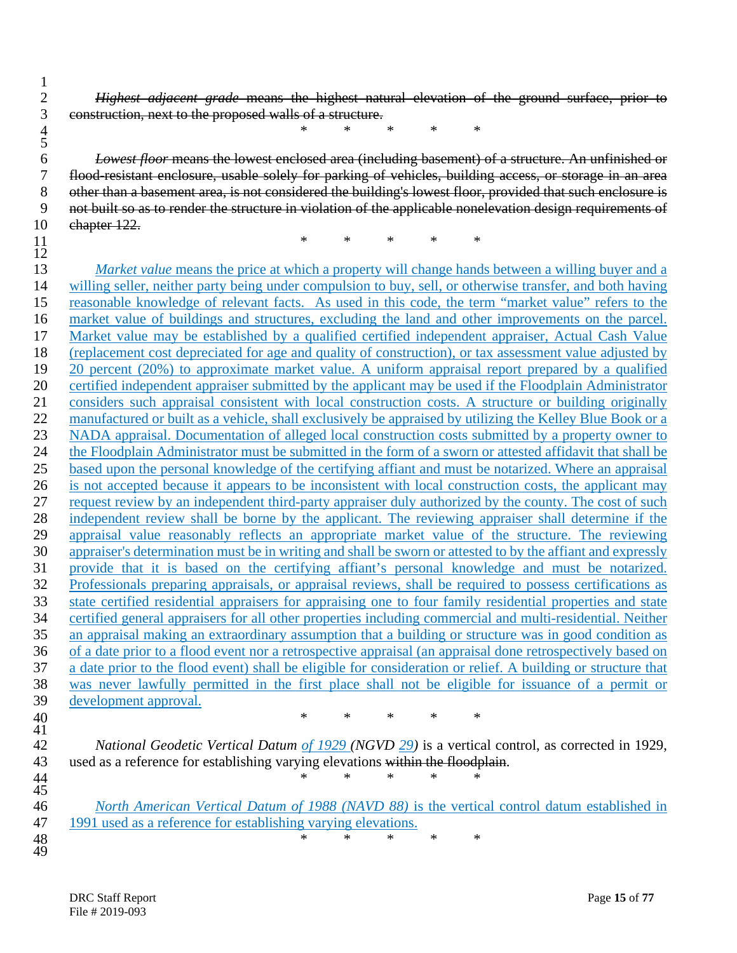*Highest adjacent grade* means the highest natural elevation of the ground surface, prior to construction, next to the proposed walls of a structure.

*\* \* \* \* \**

 $\begin{array}{c} 4 \\ 5 \\ 6 \end{array}$  *Lowest floor* means the lowest enclosed area (including basement) of a structure. An unfinished or flood-resistant enclosure, usable solely for parking of vehicles, building access, or storage in an area 8 other than a basement area, is not considered the building's lowest floor, provided that such enclosure is not built so as to render the structure in violation of the applicable nonelevation design requirements of chapter 122.

*\* \* \* \* \**

 $\frac{11}{12}$ <br> $\frac{13}{13}$ *Market value* means the price at which a property will change hands between a willing buyer and a willing seller, neither party being under compulsion to buy, sell, or otherwise transfer, and both having reasonable knowledge of relevant facts. As used in this code, the term "market value" refers to the market value of buildings and structures, excluding the land and other improvements on the parcel. Market value may be established by a qualified certified independent appraiser, Actual Cash Value (replacement cost depreciated for age and quality of construction), or tax assessment value adjusted by 20 percent (20%) to approximate market value. A uniform appraisal report prepared by a qualified certified independent appraiser submitted by the applicant may be used if the Floodplain Administrator considers such appraisal consistent with local construction costs. A structure or building originally 22 manufactured or built as a vehicle, shall exclusively be appraised by utilizing the Kelley Blue Book or a NADA appraisal. Documentation of alleged local construction costs submitted by a property owner to the Floodplain Administrator must be submitted in the form of a sworn or attested affidavit that shall be based upon the personal knowledge of the certifying affiant and must be notarized. Where an appraisal is not accepted because it appears to be inconsistent with local construction costs, the applicant may request review by an independent third-party appraiser duly authorized by the county. The cost of such independent review shall be borne by the applicant. The reviewing appraiser shall determine if the appraisal value reasonably reflects an appropriate market value of the structure. The reviewing appraiser's determination must be in writing and shall be sworn or attested to by the affiant and expressly 31 provide that it is based on the certifying affiant's personal knowledge and must be notarized.<br>32 Professionals preparing appraisals, or appraisal reviews, shall be required to possess certifications as Professionals preparing appraisals, or appraisal reviews, shall be required to possess certifications as state certified residential appraisers for appraising one to four family residential properties and state certified general appraisers for all other properties including commercial and multi-residential. Neither an appraisal making an extraordinary assumption that a building or structure was in good condition as of a date prior to a flood event nor a retrospective appraisal (an appraisal done retrospectively based on a date prior to the flood event) shall be eligible for consideration or relief. A building or structure that was never lawfully permitted in the first place shall not be eligible for issuance of a permit or 39 development approval.<br>40 *\* \* \* \* \**

 $\frac{41}{42}$ 

 *National Geodetic Vertical Datum of 1929 (NGVD 29)* is a vertical control, as corrected in 1929, 43 used as a reference for establishing varying elevations within the floodplain.

 $\frac{44}{45}$ <br>46 *North American Vertical Datum of 1988 (NAVD 88)* is the vertical control datum established in 1991 used as a reference for establishing varying elevations. 1991 used as a reference for establishing varying elevations. *\* \* \* \* \**

*\* \* \* \* \**

48<br>49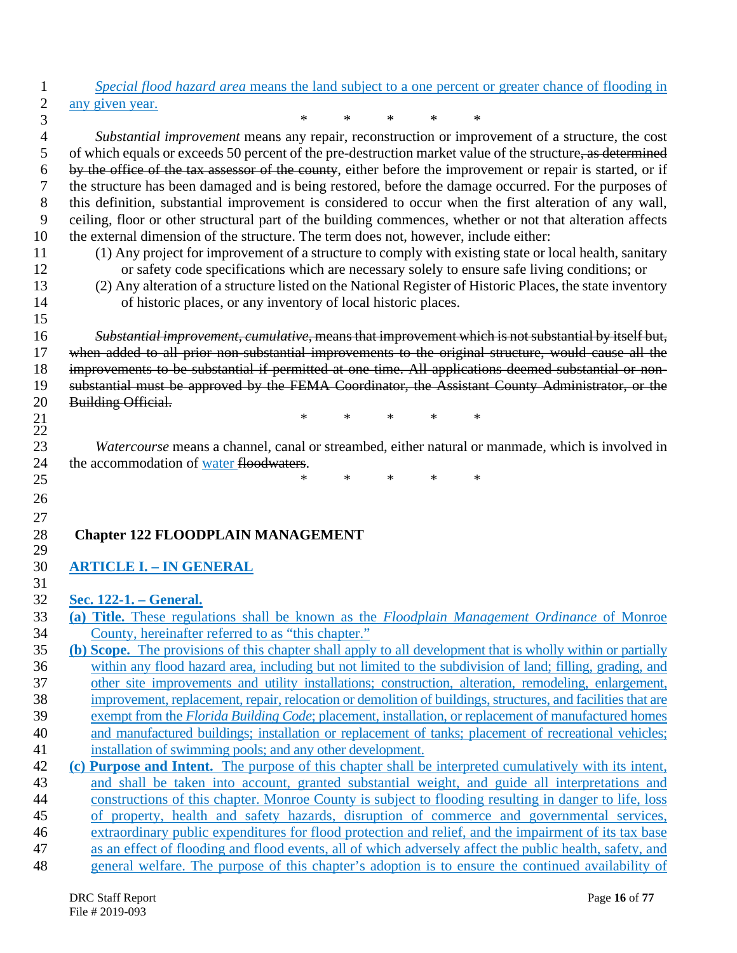- *Special flood hazard area* means the land subject to a one percent or greater chance of flooding in 2 any given year.<br>3
- *\* \* \* \* \* Substantial improvement* means any repair, reconstruction or improvement of a structure, the cost 5 of which equals or exceeds 50 percent of the pre-destruction market value of the structure, as determined by the office of the tax assessor of the county, either before the improvement or repair is started, or if the structure has been damaged and is being restored, before the damage occurred. For the purposes of this definition, substantial improvement is considered to occur when the first alteration of any wall, ceiling, floor or other structural part of the building commences, whether or not that alteration affects the external dimension of the structure. The term does not, however, include either:
- 
- 

 

- 11 (1) Any project for improvement of a structure to comply with existing state or local health, sanitary<br>12 or safety code specifications which are necessary solely to ensure safe living conditions; or or safety code specifications which are necessary solely to ensure safe living conditions; or
- (2) Any alteration of a structure listed on the National Register of Historic Places, the state inventory of historic places, or any inventory of local historic places.

 *Substantial improvement, cumulative,* means that improvement which is not substantial by itself but, when added to all prior non-substantial improvements to the original structure, would cause all the improvements to be substantial if permitted at one time. All applications deemed substantial or non- substantial must be approved by the FEMA Coordinator, the Assistant County Administrator, or the 20 Building Official.<br>21

*\* \* \* \* \**

 $\frac{22}{23}$ *Watercourse* means a channel, canal or streambed, either natural or manmade, which is involved in 24 the accommodation of water floodwaters.

*\* \* \* \* \**

#### **Chapter 122 FLOODPLAIN MANAGEMENT**

# **ARTICLE I. – IN GENERAL**

# **Sec. 122-1. – General.**

- **(a) Title.** These regulations shall be known as the *Floodplain Management Ordinance* of Monroe County, hereinafter referred to as "this chapter."
- **(b) Scope.** The provisions of this chapter shall apply to all development that is wholly within or partially within any flood hazard area, including but not limited to the subdivision of land; filling, grading, and other site improvements and utility installations; construction, alteration, remodeling, enlargement, improvement, replacement, repair, relocation or demolition of buildings, structures, and facilities that are
- exempt from the *Florida Building Code*; placement, installation, or replacement of manufactured homes and manufactured buildings; installation or replacement of tanks; placement of recreational vehicles;
- installation of swimming pools; and any other development.
- **(c) Purpose and Intent.** The purpose of this chapter shall be interpreted cumulatively with its intent, and shall be taken into account, granted substantial weight, and guide all interpretations and constructions of this chapter. Monroe County is subject to flooding resulting in danger to life, loss of property, health and safety hazards, disruption of commerce and governmental services, extraordinary public expenditures for flood protection and relief, and the impairment of its tax base as an effect of flooding and flood events, all of which adversely affect the public health, safety, and
- general welfare. The purpose of this chapter's adoption is to ensure the continued availability of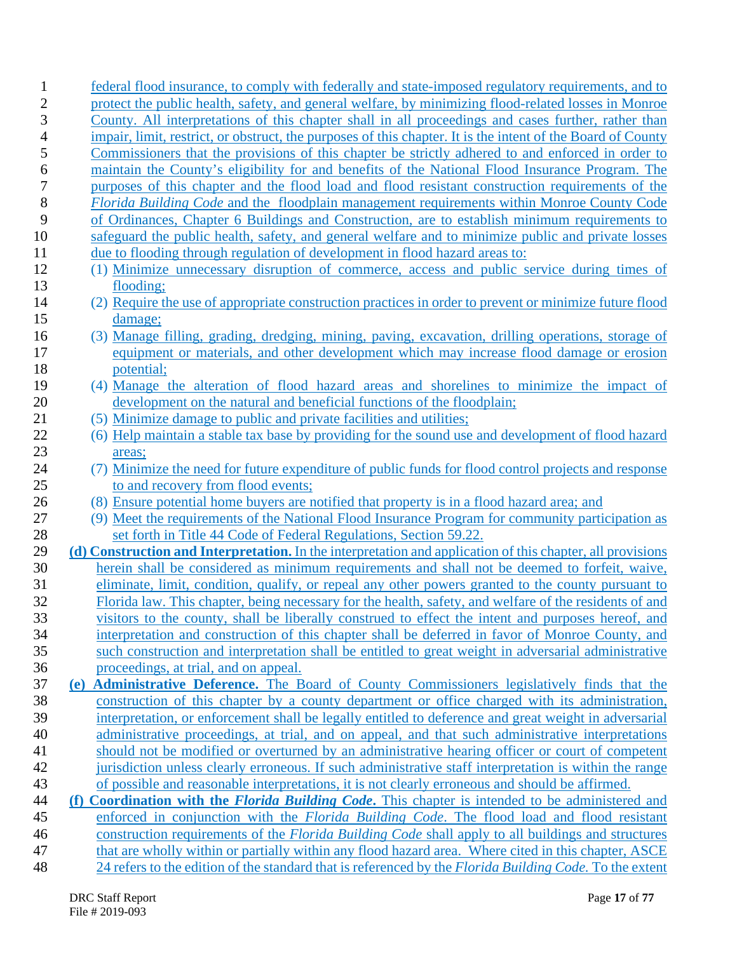| 1              | federal flood insurance, to comply with federally and state-imposed regulatory requirements, and to                                                                                                          |
|----------------|--------------------------------------------------------------------------------------------------------------------------------------------------------------------------------------------------------------|
| $\overline{2}$ | protect the public health, safety, and general welfare, by minimizing flood-related losses in Monroe                                                                                                         |
| 3              | County. All interpretations of this chapter shall in all proceedings and cases further, rather than                                                                                                          |
| 4              | impair, limit, restrict, or obstruct, the purposes of this chapter. It is the intent of the Board of County                                                                                                  |
| 5              | Commissioners that the provisions of this chapter be strictly adhered to and enforced in order to                                                                                                            |
| 6              | maintain the County's eligibility for and benefits of the National Flood Insurance Program. The                                                                                                              |
| 7              | purposes of this chapter and the flood load and flood resistant construction requirements of the                                                                                                             |
| 8              | Florida Building Code and the floodplain management requirements within Monroe County Code                                                                                                                   |
| 9              | of Ordinances, Chapter 6 Buildings and Construction, are to establish minimum requirements to                                                                                                                |
| 10             | safeguard the public health, safety, and general welfare and to minimize public and private losses                                                                                                           |
| 11             | due to flooding through regulation of development in flood hazard areas to:                                                                                                                                  |
| 12             | (1) Minimize unnecessary disruption of commerce, access and public service during times of                                                                                                                   |
| 13             | flooding;                                                                                                                                                                                                    |
| 14             | (2) Require the use of appropriate construction practices in order to prevent or minimize future flood                                                                                                       |
| 15             | damage;                                                                                                                                                                                                      |
| 16             | (3) Manage filling, grading, dredging, mining, paving, excavation, drilling operations, storage of                                                                                                           |
| 17             | equipment or materials, and other development which may increase flood damage or erosion                                                                                                                     |
| 18             | potential;                                                                                                                                                                                                   |
| 19             | (4) Manage the alteration of flood hazard areas and shorelines to minimize the impact of                                                                                                                     |
| 20             | development on the natural and beneficial functions of the floodplain;                                                                                                                                       |
| 21             | (5) Minimize damage to public and private facilities and utilities;                                                                                                                                          |
| 22             | (6) Help maintain a stable tax base by providing for the sound use and development of flood hazard                                                                                                           |
| 23             | areas;                                                                                                                                                                                                       |
| 24             | (7) Minimize the need for future expenditure of public funds for flood control projects and response                                                                                                         |
| 25             | to and recovery from flood events;                                                                                                                                                                           |
| 26             | (8) Ensure potential home buyers are notified that property is in a flood hazard area; and                                                                                                                   |
| 27             | (9) Meet the requirements of the National Flood Insurance Program for community participation as                                                                                                             |
| 28             | set forth in Title 44 Code of Federal Regulations, Section 59.22.                                                                                                                                            |
| 29             | (d) Construction and Interpretation. In the interpretation and application of this chapter, all provisions                                                                                                   |
| 30<br>31       | herein shall be considered as minimum requirements and shall not be deemed to forfeit, waive,                                                                                                                |
| 32             | eliminate, limit, condition, qualify, or repeal any other powers granted to the county pursuant to<br>Florida law. This chapter, being necessary for the health, safety, and welfare of the residents of and |
| 33             | visitors to the county, shall be liberally construed to effect the intent and purposes hereof, and                                                                                                           |
| 34             | interpretation and construction of this chapter shall be deferred in favor of Monroe County, and                                                                                                             |
| 35             | such construction and interpretation shall be entitled to great weight in adversarial administrative                                                                                                         |
| 36             | proceedings, at trial, and on appeal.                                                                                                                                                                        |
| 37             | (e) Administrative Deference. The Board of County Commissioners legislatively finds that the                                                                                                                 |
| 38             | construction of this chapter by a county department or office charged with its administration,                                                                                                               |
| 39             | interpretation, or enforcement shall be legally entitled to deference and great weight in adversarial                                                                                                        |
| 40             | administrative proceedings, at trial, and on appeal, and that such administrative interpretations                                                                                                            |
| 41             | should not be modified or overturned by an administrative hearing officer or court of competent                                                                                                              |
| 42             | jurisdiction unless clearly erroneous. If such administrative staff interpretation is within the range                                                                                                       |
| 43             | of possible and reasonable interpretations, it is not clearly erroneous and should be affirmed.                                                                                                              |
| 44             | (f) Coordination with the Florida Building Code. This chapter is intended to be administered and                                                                                                             |
| 45             | enforced in conjunction with the Florida Building Code. The flood load and flood resistant                                                                                                                   |
| 46             | construction requirements of the <i>Florida Building Code</i> shall apply to all buildings and structures                                                                                                    |
| 47             | that are wholly within or partially within any flood hazard area. Where cited in this chapter, ASCE                                                                                                          |
| 48             | 24 refers to the edition of the standard that is referenced by the Florida Building Code. To the extent                                                                                                      |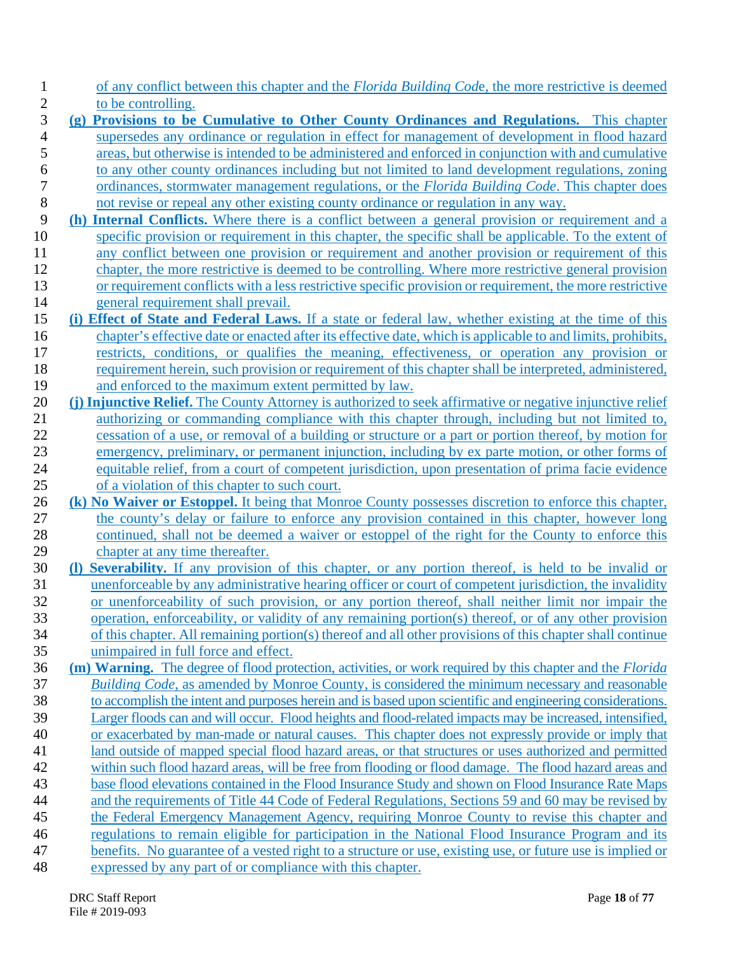- of any conflict between this chapter and the *Florida Building Cod*e, the more restrictive is deemed
- 2 to be controlling.<br>3 (g) Provisions to be **(g) Provisions to be Cumulative to Other County Ordinances and Regulations.** This chapter supersedes any ordinance or regulation in effect for management of development in flood hazard areas, but otherwise is intended to be administered and enforced in conjunction with and cumulative 6 to any other county ordinances including but not limited to land development regulations, zoning<br>7 ordinances, stormwater management regulations, or the *Florida Building Code*. This chapter does ordinances, stormwater management regulations, or the *Florida Building Code*. This chapter does
- not revise or repeal any other existing county ordinance or regulation in any way.
- **(h) Internal Conflicts.** Where there is a conflict between a general provision or requirement and a specific provision or requirement in this chapter, the specific shall be applicable. To the extent of any conflict between one provision or requirement and another provision or requirement of this
- chapter, the more restrictive is deemed to be controlling. Where more restrictive general provision or requirement conflicts with a less restrictive specific provision or requirement, the more restrictive general requirement shall prevail.
- **(i) Effect of State and Federal Laws.** If a state or federal law, whether existing at the time of this chapter's effective date or enacted after its effective date, which is applicable to and limits, prohibits, restricts, conditions, or qualifies the meaning, effectiveness, or operation any provision or requirement herein, such provision or requirement of this chapter shall be interpreted, administered, and enforced to the maximum extent permitted by law.
- **(j) Injunctive Relief.** The County Attorney is authorized to seek affirmative or negative injunctive relief authorizing or commanding compliance with this chapter through, including but not limited to, cessation of a use, or removal of a building or structure or a part or portion thereof, by motion for emergency, preliminary, or permanent injunction, including by ex parte motion, or other forms of equitable relief, from a court of competent jurisdiction, upon presentation of prima facie evidence of a violation of this chapter to such court.
- **(k) No Waiver or Estoppel.** It being that Monroe County possesses discretion to enforce this chapter, the county's delay or failure to enforce any provision contained in this chapter, however long continued, shall not be deemed a waiver or estoppel of the right for the County to enforce this chapter at any time thereafter.
- **(l) Severability.** If any provision of this chapter, or any portion thereof, is held to be invalid or unenforceable by any administrative hearing officer or court of competent jurisdiction, the invalidity or unenforceability of such provision, or any portion thereof, shall neither limit nor impair the operation, enforceability, or validity of any remaining portion(s) thereof, or of any other provision of this chapter. All remaining portion(s) thereof and all other provisions of this chapter shall continue
- unimpaired in full force and effect.
- **(m) Warning.** The degree of flood protection, activities, or work required by this chapter and the *Florida Building Code*, as amended by Monroe County, is considered the minimum necessary and reasonable to accomplish the intent and purposes herein and is based upon scientific and engineering considerations. Larger floods can and will occur. Flood heights and flood-related impacts may be increased, intensified,
- or exacerbated by man-made or natural causes. This chapter does not expressly provide or imply that
- land outside of mapped special flood hazard areas, or that structures or uses authorized and permitted
- within such flood hazard areas, will be free from flooding or flood damage. The flood hazard areas and base flood elevations contained in the Flood Insurance Study and shown on Flood Insurance Rate Maps
- and the requirements of Title 44 Code of Federal Regulations, Sections 59 and 60 may be revised by
- the Federal Emergency Management Agency, requiring Monroe County to revise this chapter and
- regulations to remain eligible for participation in the National Flood Insurance Program and its
- benefits. No guarantee of a vested right to a structure or use, existing use, or future use is implied or
- expressed by any part of or compliance with this chapter.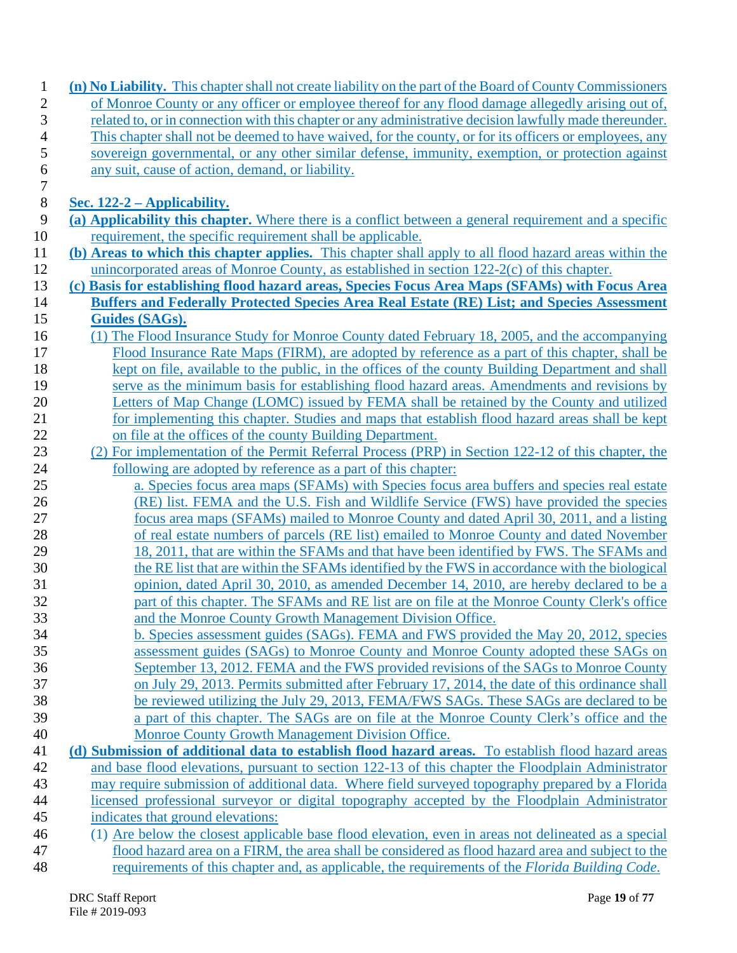| $\mathbf{1}$     | (n) No Liability. This chapter shall not create liability on the part of the Board of County Commissioners                                   |
|------------------|----------------------------------------------------------------------------------------------------------------------------------------------|
| $\overline{c}$   | of Monroe County or any officer or employee thereof for any flood damage allegedly arising out of,                                           |
| 3                | related to, or in connection with this chapter or any administrative decision lawfully made thereunder.                                      |
| 4                | This chapter shall not be deemed to have waived, for the county, or for its officers or employees, any                                       |
| 5                | sovereign governmental, or any other similar defense, immunity, exemption, or protection against                                             |
| 6                | any suit, cause of action, demand, or liability.                                                                                             |
| $\boldsymbol{7}$ |                                                                                                                                              |
| $8\,$            | Sec. $122-2$ – Applicability.                                                                                                                |
| 9                | (a) Applicability this chapter. Where there is a conflict between a general requirement and a specific                                       |
| 10               | requirement, the specific requirement shall be applicable.                                                                                   |
| 11               | (b) Areas to which this chapter applies. This chapter shall apply to all flood hazard areas within the                                       |
| 12               | unincorporated areas of Monroe County, as established in section 122-2(c) of this chapter.                                                   |
| 13               | (c) Basis for establishing flood hazard areas, Species Focus Area Maps (SFAMs) with Focus Area                                               |
| 14<br>15         | <b>Buffers and Federally Protected Species Area Real Estate (RE) List; and Species Assessment</b><br>Guides (SAGs).                          |
|                  | (1) The Flood Insurance Study for Monroe County dated February 18, 2005, and the accompanying                                                |
| 16<br>17         | Flood Insurance Rate Maps (FIRM), are adopted by reference as a part of this chapter, shall be                                               |
| 18               | kept on file, available to the public, in the offices of the county Building Department and shall                                            |
| 19               | serve as the minimum basis for establishing flood hazard areas. Amendments and revisions by                                                  |
| 20               | Letters of Map Change (LOMC) issued by FEMA shall be retained by the County and utilized                                                     |
| 21               | for implementing this chapter. Studies and maps that establish flood hazard areas shall be kept                                              |
| 22               | on file at the offices of the county Building Department.                                                                                    |
| 23               | (2) For implementation of the Permit Referral Process (PRP) in Section 122-12 of this chapter, the                                           |
| 24               | following are adopted by reference as a part of this chapter:                                                                                |
| 25               | a. Species focus area maps (SFAMs) with Species focus area buffers and species real estate                                                   |
| 26               | (RE) list. FEMA and the U.S. Fish and Wildlife Service (FWS) have provided the species                                                       |
| 27               | focus area maps (SFAMs) mailed to Monroe County and dated April 30, 2011, and a listing                                                      |
| 28               | of real estate numbers of parcels (RE list) emailed to Monroe County and dated November                                                      |
| 29               | 18, 2011, that are within the SFAMs and that have been identified by FWS. The SFAMs and                                                      |
| 30               | the RE list that are within the SFAMs identified by the FWS in accordance with the biological                                                |
| 31               | opinion, dated April 30, 2010, as amended December 14, 2010, are hereby declared to be a                                                     |
| 32               | part of this chapter. The SFAMs and RE list are on file at the Monroe County Clerk's office                                                  |
| 33               | and the Monroe County Growth Management Division Office.                                                                                     |
| 34               | b. Species assessment guides (SAGs). FEMA and FWS provided the May 20, 2012, species                                                         |
| 35               | assessment guides (SAGs) to Monroe County and Monroe County adopted these SAGs on                                                            |
| 36               | September 13, 2012. FEMA and the FWS provided revisions of the SAGs to Monroe County                                                         |
| 37               | on July 29, 2013. Permits submitted after February 17, 2014, the date of this ordinance shall                                                |
| 38               | be reviewed utilizing the July 29, 2013, FEMA/FWS SAGs. These SAGs are declared to be                                                        |
| 39<br>40         | a part of this chapter. The SAGs are on file at the Monroe County Clerk's office and the<br>Monroe County Growth Management Division Office. |
| 41               | (d) Submission of additional data to establish flood hazard areas. To establish flood hazard areas                                           |
| 42               | and base flood elevations, pursuant to section 122-13 of this chapter the Floodplain Administrator                                           |
| 43               | may require submission of additional data. Where field surveyed topography prepared by a Florida                                             |
| 44               | licensed professional surveyor or digital topography accepted by the Floodplain Administrator                                                |
| 45               | indicates that ground elevations:                                                                                                            |
| 46               | (1) Are below the closest applicable base flood elevation, even in areas not delineated as a special                                         |
| 47               | flood hazard area on a FIRM, the area shall be considered as flood hazard area and subject to the                                            |
| 48               | requirements of this chapter and, as applicable, the requirements of the Florida Building Code.                                              |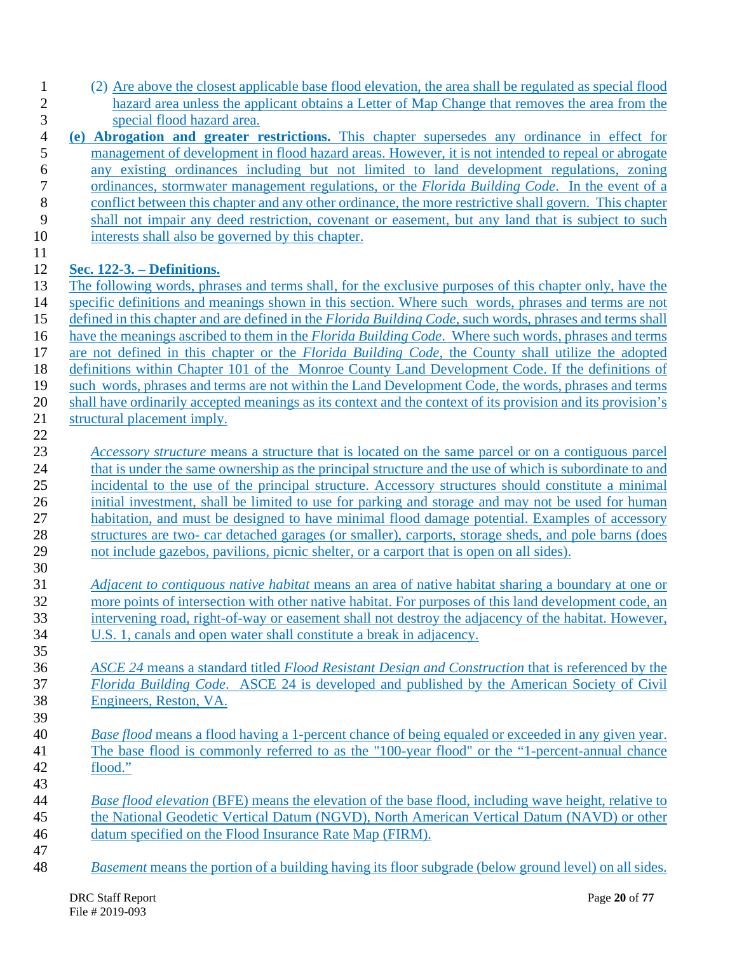| (2) Are above the closest applicable base flood elevation, the area shall be regulated as special flood |
|---------------------------------------------------------------------------------------------------------|
| hazard area unless the applicant obtains a Letter of Map Change that removes the area from the          |
| special flood hazard area.                                                                              |

- **(e) Abrogation and greater restrictions.** This chapter supersedes any ordinance in effect for management of development in flood hazard areas. However, it is not intended to repeal or abrogate any existing ordinances including but not limited to land development regulations, zoning ordinances, stormwater management regulations, or the *Florida Building Code*. In the event of a conflict between this chapter and any other ordinance, the more restrictive shall govern. This chapter shall not impair any deed restriction, covenant or easement, but any land that is subject to such
- 10 interests shall also be governed by this chapter.

# **Sec. 122-3. – Definitions.**

- The following words, phrases and terms shall, for the exclusive purposes of this chapter only, have the specific definitions and meanings shown in this section. Where such words, phrases and terms are not defined in this chapter and are defined in the *Florida Building Code*, such words, phrases and terms shall have the meanings ascribed to them in the *Florida Building Code*. Where such words, phrases and terms are not defined in this chapter or the *Florida Building Code*, the County shall utilize the adopted definitions within Chapter 101 of the Monroe County Land Development Code. If the definitions of such words, phrases and terms are not within the Land Development Code, the words, phrases and terms shall have ordinarily accepted meanings as its context and the context of its provision and its provision's structural placement imply.
- 

 *Accessory structure* means a structure that is located on the same parcel or on a contiguous parcel 24 that is under the same ownership as the principal structure and the use of which is subordinate to and incidental to the use of the principal structure. Accessory structures should constitute a minimal initial investment, shall be limited to use for parking and storage and may not be used for human habitation, and must be designed to have minimal flood damage potential. Examples of accessory 28 structures are two- car detached garages (or smaller), carports, storage sheds, and pole barns (does not include gazebos, pavilions, picnic shelter, or a carport that is open on all sides). 

- *Adjacent to contiguous native habitat* means an area of native habitat sharing a boundary at one or more points of intersection with other native habitat. For purposes of this land development code, an intervening road, right-of-way or easement shall not destroy the adjacency of the habitat. However, U.S. 1, canals and open water shall constitute a break in adjacency.
- *ASCE 24* means a standard titled *Flood Resistant Design and Construction* that is referenced by the *Florida Building Code*. ASCE 24 is developed and published by the American Society of Civil Engineers, Reston, VA.
- *Base flood* means a flood having a 1-percent chance of being equaled or exceeded in any given year. The base flood is commonly referred to as the "100-year flood" or the "1-percent-annual chance flood."
- *Base flood elevation* (BFE) means the elevation of the base flood, including wave height, relative to the National Geodetic Vertical Datum (NGVD), North American Vertical Datum (NAVD) or other datum specified on the Flood Insurance Rate Map (FIRM).
- *Basement* means the portion of a building having its floor subgrade (below ground level) on all sides.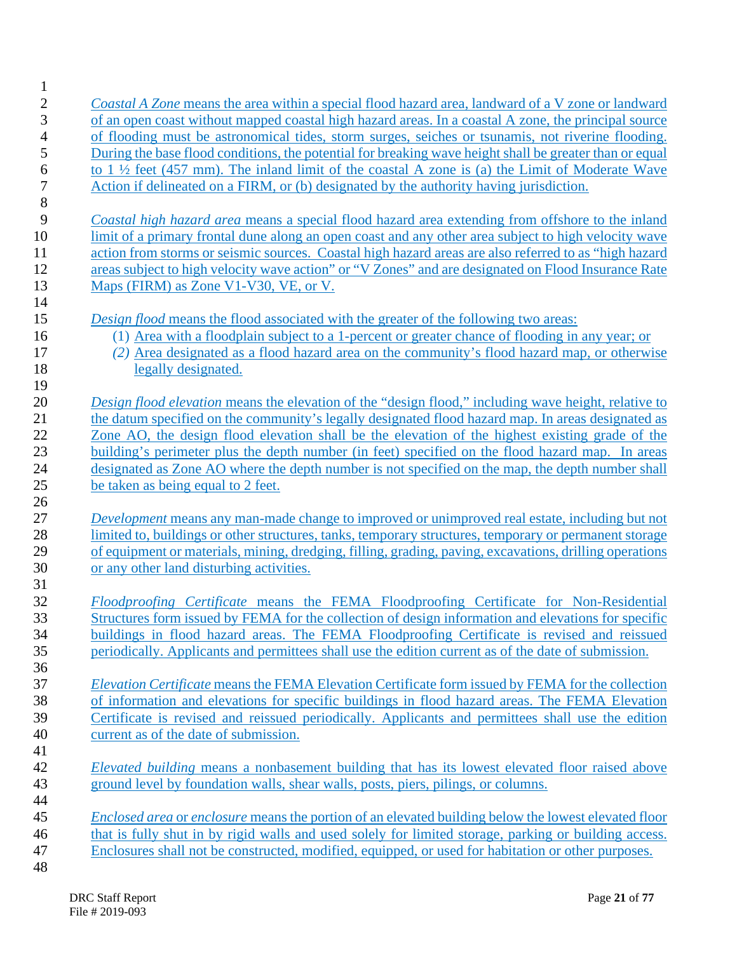| $\mathbf{1}$   |                                                                                                           |
|----------------|-----------------------------------------------------------------------------------------------------------|
| $\overline{c}$ | Coastal A Zone means the area within a special flood hazard area, landward of a V zone or landward        |
| 3              | of an open coast without mapped coastal high hazard areas. In a coastal A zone, the principal source      |
| $\overline{4}$ | of flooding must be astronomical tides, storm surges, seiches or tsunamis, not riverine flooding.         |
| 5              | During the base flood conditions, the potential for breaking wave height shall be greater than or equal   |
| 6              | to $1\frac{1}{2}$ feet (457 mm). The inland limit of the coastal A zone is (a) the Limit of Moderate Wave |
| $\overline{7}$ | Action if delineated on a FIRM, or (b) designated by the authority having jurisdiction.                   |
| $\,8\,$        |                                                                                                           |
| 9              | Coastal high hazard area means a special flood hazard area extending from offshore to the inland          |
| 10             | limit of a primary frontal dune along an open coast and any other area subject to high velocity wave      |
|                |                                                                                                           |
| 11             | action from storms or seismic sources. Coastal high hazard areas are also referred to as "high hazard     |
| 12             | areas subject to high velocity wave action" or "V Zones" and are designated on Flood Insurance Rate       |
| 13             | Maps (FIRM) as Zone V1-V30, VE, or V.                                                                     |
| 14             |                                                                                                           |
| 15             | Design flood means the flood associated with the greater of the following two areas:                      |
| 16             | (1) Area with a floodplain subject to a 1-percent or greater chance of flooding in any year; or           |
| 17             | (2) Area designated as a flood hazard area on the community's flood hazard map, or otherwise              |
| 18             | legally designated.                                                                                       |
| 19             |                                                                                                           |
| 20             | Design flood elevation means the elevation of the "design flood," including wave height, relative to      |
| 21             | the datum specified on the community's legally designated flood hazard map. In areas designated as        |
| 22             | Zone AO, the design flood elevation shall be the elevation of the highest existing grade of the           |
| 23             | building's perimeter plus the depth number (in feet) specified on the flood hazard map. In areas          |
| 24             | designated as Zone AO where the depth number is not specified on the map, the depth number shall          |
| 25             | be taken as being equal to 2 feet.                                                                        |
| 26             |                                                                                                           |
| 27             | <i>Development</i> means any man-made change to improved or unimproved real estate, including but not     |
| 28             | limited to, buildings or other structures, tanks, temporary structures, temporary or permanent storage    |
| 29             | of equipment or materials, mining, dredging, filling, grading, paving, excavations, drilling operations   |
| 30             | or any other land disturbing activities.                                                                  |
| 31             |                                                                                                           |
| 32             | Floodproofing Certificate means the FEMA Floodproofing Certificate for Non-Residential                    |
| 33             | Structures form issued by FEMA for the collection of design information and elevations for specific       |
| 34             | buildings in flood hazard areas. The FEMA Floodproofing Certificate is revised and reissued               |
|                |                                                                                                           |
| 35             | periodically. Applicants and permittees shall use the edition current as of the date of submission.       |
| 36             |                                                                                                           |
| 37             | Elevation Certificate means the FEMA Elevation Certificate form issued by FEMA for the collection         |
| 38             | of information and elevations for specific buildings in flood hazard areas. The FEMA Elevation            |
| 39             | Certificate is revised and reissued periodically. Applicants and permittees shall use the edition         |
| 40             | current as of the date of submission.                                                                     |
| 41             |                                                                                                           |
| 42             | <i>Elevated building</i> means a nonbasement building that has its lowest elevated floor raised above     |
| 43             | ground level by foundation walls, shear walls, posts, piers, pilings, or columns.                         |
| 44             |                                                                                                           |
| 45             | Enclosed area or enclosure means the portion of an elevated building below the lowest elevated floor      |
| 46             | that is fully shut in by rigid walls and used solely for limited storage, parking or building access.     |
| 47             | Enclosures shall not be constructed, modified, equipped, or used for habitation or other purposes.        |
| 48             |                                                                                                           |
|                |                                                                                                           |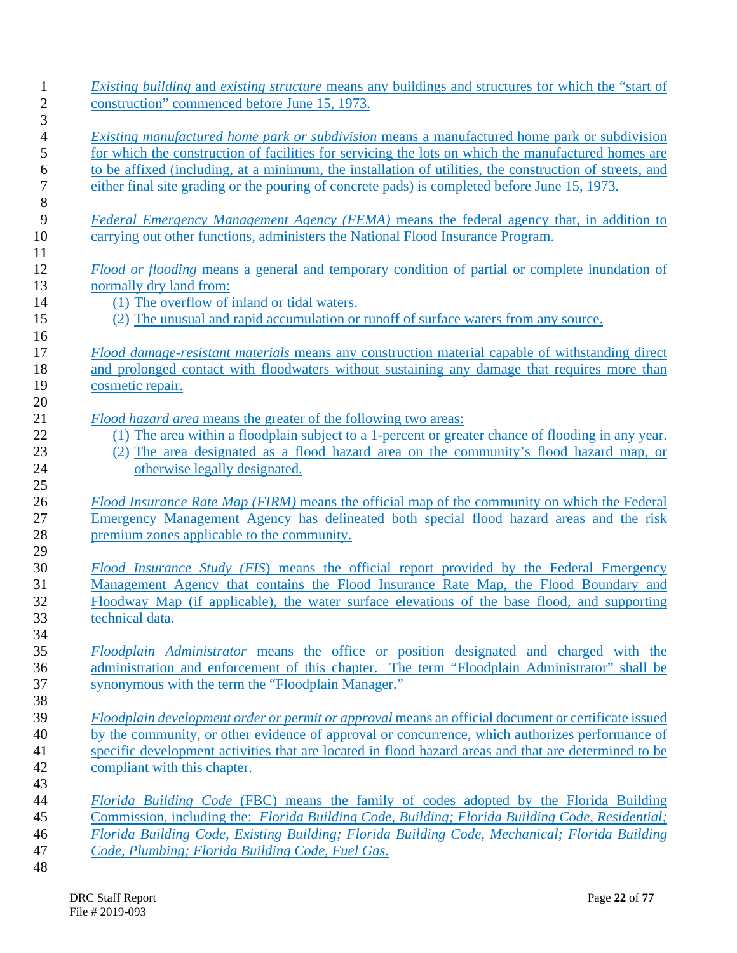| <i>Existing building and existing structure means any buildings and structures for which the "start of</i><br>construction" commenced before June 15, 1973.                                                                                                                                                                                                                                                            |
|------------------------------------------------------------------------------------------------------------------------------------------------------------------------------------------------------------------------------------------------------------------------------------------------------------------------------------------------------------------------------------------------------------------------|
| <i>Existing manufactured home park or subdivision</i> means a manufactured home park or subdivision<br>for which the construction of facilities for servicing the lots on which the manufactured homes are<br>to be affixed (including, at a minimum, the installation of utilities, the construction of streets, and<br>either final site grading or the pouring of concrete pads) is completed before June 15, 1973. |
| Federal Emergency Management Agency (FEMA) means the federal agency that, in addition to<br>carrying out other functions, administers the National Flood Insurance Program.                                                                                                                                                                                                                                            |
| Flood or flooding means a general and temporary condition of partial or complete inundation of<br>normally dry land from:<br>(1) The overflow of inland or tidal waters.<br>(2) The unusual and rapid accumulation or runoff of surface waters from any source.                                                                                                                                                        |
| Flood damage-resistant materials means any construction material capable of withstanding direct<br>and prolonged contact with floodwaters without sustaining any damage that requires more than<br>cosmetic repair.                                                                                                                                                                                                    |
| Flood hazard area means the greater of the following two areas:<br>(1) The area within a floodplain subject to a 1-percent or greater chance of flooding in any year.<br>(2) The area designated as a flood hazard area on the community's flood hazard map, or<br>otherwise legally designated.                                                                                                                       |
| Flood Insurance Rate Map (FIRM) means the official map of the community on which the Federal<br>Emergency Management Agency has delineated both special flood hazard areas and the risk<br>premium zones applicable to the community.                                                                                                                                                                                  |
| Flood Insurance Study (FIS) means the official report provided by the Federal Emergency<br>Management Agency that contains the Flood Insurance Rate Map, the Flood Boundary and<br>Floodway Map (if applicable), the water surface elevations of the base flood, and supporting<br>technical data.                                                                                                                     |
| Floodplain Administrator means the office or position designated and charged with the<br>administration and enforcement of this chapter. The term "Floodplain Administrator" shall be<br>synonymous with the term the "Floodplain Manager."                                                                                                                                                                            |
| Floodplain development order or permit or approval means an official document or certificate issued<br>by the community, or other evidence of approval or concurrence, which authorizes performance of<br>specific development activities that are located in flood hazard areas and that are determined to be<br>compliant with this chapter.                                                                         |
| Florida Building Code (FBC) means the family of codes adopted by the Florida Building<br>Commission, including the: Florida Building Code, Building; Florida Building Code, Residential;<br>Florida Building Code, Existing Building; Florida Building Code, Mechanical; Florida Building                                                                                                                              |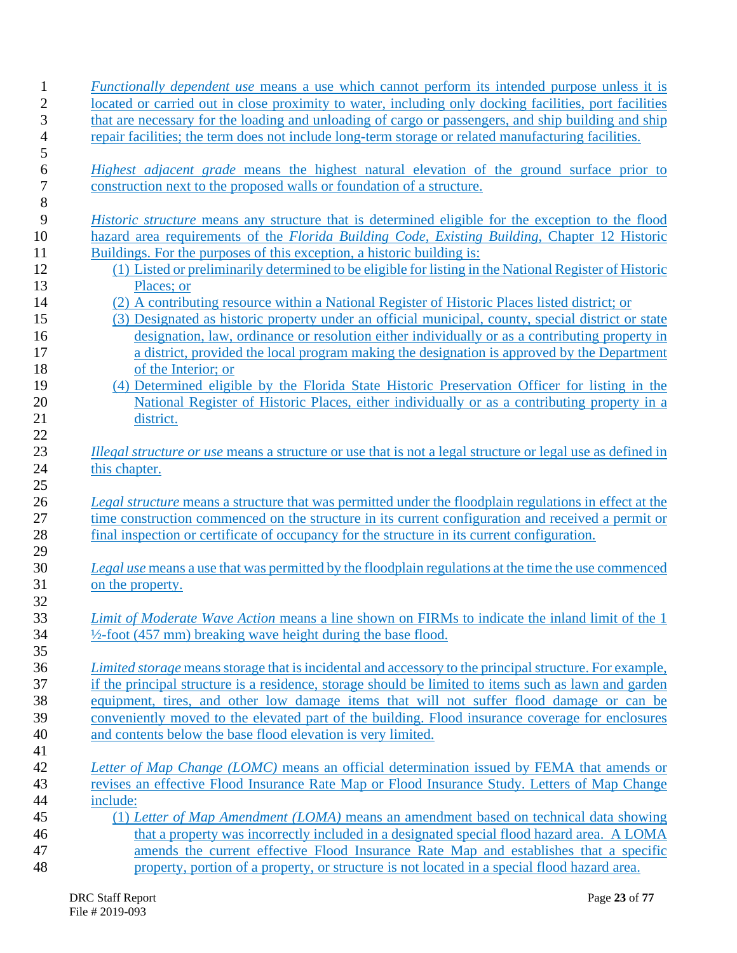|          | <i>Functionally dependent use</i> means a use which cannot perform its intended purpose unless it is                                                                                  |
|----------|---------------------------------------------------------------------------------------------------------------------------------------------------------------------------------------|
|          | located or carried out in close proximity to water, including only docking facilities, port facilities                                                                                |
|          | that are necessary for the loading and unloading of cargo or passengers, and ship building and ship                                                                                   |
|          | repair facilities; the term does not include long-term storage or related manufacturing facilities.                                                                                   |
|          | <i>Highest adjacent grade</i> means the highest natural elevation of the ground surface prior to                                                                                      |
|          | construction next to the proposed walls or foundation of a structure.                                                                                                                 |
|          |                                                                                                                                                                                       |
|          | <i>Historic structure</i> means any structure that is determined eligible for the exception to the flood                                                                              |
|          | hazard area requirements of the Florida Building Code, Existing Building, Chapter 12 Historic                                                                                         |
|          | Buildings. For the purposes of this exception, a historic building is:                                                                                                                |
|          | (1) Listed or preliminarily determined to be eligible for listing in the National Register of Historic                                                                                |
|          | Places; or                                                                                                                                                                            |
|          | (2) A contributing resource within a National Register of Historic Places listed district; or                                                                                         |
|          | (3) Designated as historic property under an official municipal, county, special district or state                                                                                    |
|          | designation, law, ordinance or resolution either individually or as a contributing property in                                                                                        |
|          | a district, provided the local program making the designation is approved by the Department                                                                                           |
|          | of the Interior; or                                                                                                                                                                   |
|          | (4) Determined eligible by the Florida State Historic Preservation Officer for listing in the                                                                                         |
|          | National Register of Historic Places, either individually or as a contributing property in a                                                                                          |
|          | district.                                                                                                                                                                             |
|          |                                                                                                                                                                                       |
|          | <i>Illegal structure or use</i> means a structure or use that is not a legal structure or legal use as defined in                                                                     |
|          | this chapter.                                                                                                                                                                         |
|          |                                                                                                                                                                                       |
|          | Legal structure means a structure that was permitted under the floodplain regulations in effect at the                                                                                |
|          | time construction commenced on the structure in its current configuration and received a permit or                                                                                    |
|          |                                                                                                                                                                                       |
|          | final inspection or certificate of occupancy for the structure in its current configuration.                                                                                          |
|          |                                                                                                                                                                                       |
|          | Legal use means a use that was permitted by the floodplain regulations at the time the use commenced                                                                                  |
|          | on the property.                                                                                                                                                                      |
|          | <i>Limit of Moderate Wave Action</i> means a line shown on FIRMs to indicate the inland limit of the 1                                                                                |
|          | $\frac{1}{2}$ -foot (457 mm) breaking wave height during the base flood.                                                                                                              |
|          |                                                                                                                                                                                       |
|          | Limited storage means storage that is incidental and accessory to the principal structure. For example,                                                                               |
|          | if the principal structure is a residence, storage should be limited to items such as lawn and garden                                                                                 |
|          | equipment, tires, and other low damage items that will not suffer flood damage or can be                                                                                              |
|          | conveniently moved to the elevated part of the building. Flood insurance coverage for enclosures                                                                                      |
|          | and contents below the base flood elevation is very limited.                                                                                                                          |
|          |                                                                                                                                                                                       |
|          | Letter of Map Change (LOMC) means an official determination issued by FEMA that amends or                                                                                             |
|          | revises an effective Flood Insurance Rate Map or Flood Insurance Study. Letters of Map Change                                                                                         |
| include: |                                                                                                                                                                                       |
|          | (1) Letter of Map Amendment (LOMA) means an amendment based on technical data showing                                                                                                 |
|          | that a property was incorrectly included in a designated special flood hazard area. A LOMA                                                                                            |
|          | amends the current effective Flood Insurance Rate Map and establishes that a specific<br>property, portion of a property, or structure is not located in a special flood hazard area. |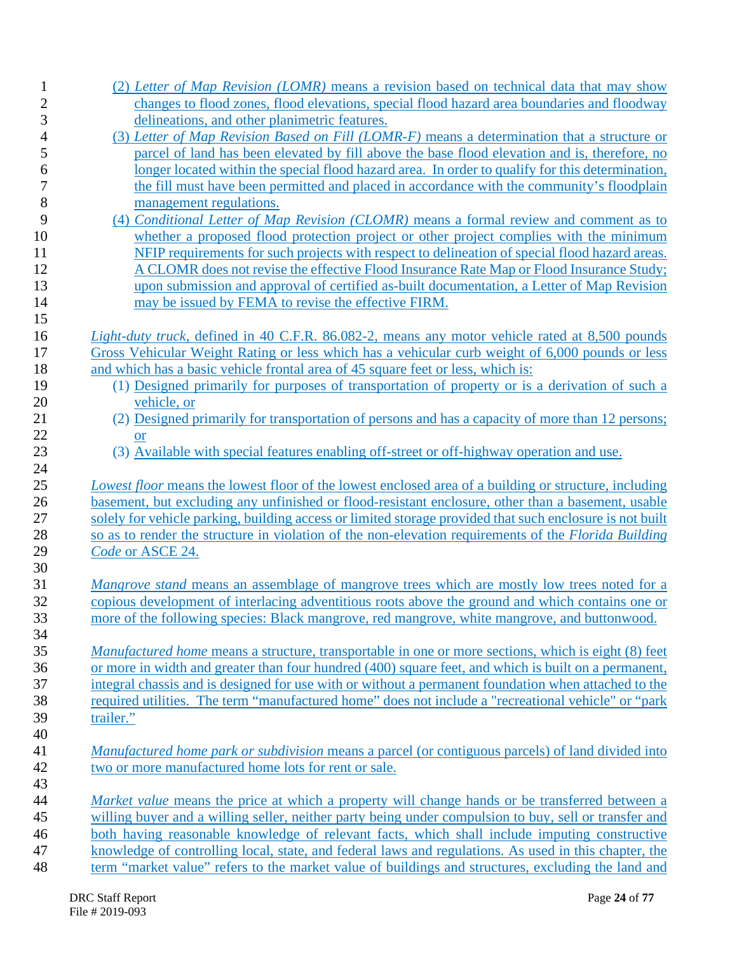| $\mathbf{1}$             | (2) Letter of Map Revision (LOMR) means a revision based on technical data that may show                   |
|--------------------------|------------------------------------------------------------------------------------------------------------|
| $\overline{c}$           | changes to flood zones, flood elevations, special flood hazard area boundaries and floodway                |
| 3                        | delineations, and other planimetric features.                                                              |
| $\overline{\mathcal{L}}$ | (3) Letter of Map Revision Based on Fill (LOMR-F) means a determination that a structure or                |
| 5                        | parcel of land has been elevated by fill above the base flood elevation and is, therefore, no              |
| 6                        | longer located within the special flood hazard area. In order to qualify for this determination,           |
| $\overline{7}$           | the fill must have been permitted and placed in accordance with the community's floodplain                 |
| 8                        | management regulations.                                                                                    |
| 9                        | (4) Conditional Letter of Map Revision (CLOMR) means a formal review and comment as to                     |
| 10                       | whether a proposed flood protection project or other project complies with the minimum                     |
| 11                       | NFIP requirements for such projects with respect to delineation of special flood hazard areas.             |
|                          |                                                                                                            |
| 12                       | A CLOMR does not revise the effective Flood Insurance Rate Map or Flood Insurance Study;                   |
| 13                       | upon submission and approval of certified as-built documentation, a Letter of Map Revision                 |
| 14                       | may be issued by FEMA to revise the effective FIRM.                                                        |
| 15                       |                                                                                                            |
| 16                       | <i>Light-duty truck, defined in 40 C.F.R. 86.082-2, means any motor vehicle rated at 8,500 pounds</i>      |
| 17                       | Gross Vehicular Weight Rating or less which has a vehicular curb weight of 6,000 pounds or less            |
| 18                       | and which has a basic vehicle frontal area of 45 square feet or less, which is:                            |
| 19                       | (1) Designed primarily for purposes of transportation of property or is a derivation of such a             |
| 20                       | vehicle, or                                                                                                |
| 21                       | (2) Designed primarily for transportation of persons and has a capacity of more than 12 persons;           |
| 22                       | or                                                                                                         |
| 23                       | (3) Available with special features enabling off-street or off-highway operation and use.                  |
| 24                       |                                                                                                            |
| 25                       | Lowest floor means the lowest floor of the lowest enclosed area of a building or structure, including      |
| 26                       | basement, but excluding any unfinished or flood-resistant enclosure, other than a basement, usable         |
| 27                       | solely for vehicle parking, building access or limited storage provided that such enclosure is not built   |
| 28                       | so as to render the structure in violation of the non-elevation requirements of the Florida Building       |
| 29                       | Code or ASCE 24.                                                                                           |
| 30                       |                                                                                                            |
| 31                       | <i>Mangrove stand</i> means an assemblage of mangrove trees which are mostly low trees noted for a         |
| 32                       |                                                                                                            |
|                          | copious development of interlacing adventitious roots above the ground and which contains one or           |
| 33                       | more of the following species: Black mangrove, red mangrove, white mangrove, and buttonwood                |
| 34                       |                                                                                                            |
| 35                       | <i>Manufactured home</i> means a structure, transportable in one or more sections, which is eight (8) feet |
| 36                       | or more in width and greater than four hundred (400) square feet, and which is built on a permanent,       |
| 37                       | integral chassis and is designed for use with or without a permanent foundation when attached to the       |
| 38                       | required utilities. The term "manufactured home" does not include a "recreational vehicle" or "park        |
| 39                       | trailer."                                                                                                  |
| 40                       |                                                                                                            |
| 41                       | <i>Manufactured home park or subdivision means a parcel (or contiguous parcels) of land divided into</i>   |
| 42                       | two or more manufactured home lots for rent or sale.                                                       |
| 43                       |                                                                                                            |
| 44                       | Market value means the price at which a property will change hands or be transferred between a             |
| 45                       | willing buyer and a willing seller, neither party being under compulsion to buy, sell or transfer and      |
| 46                       | both having reasonable knowledge of relevant facts, which shall include imputing constructive              |
|                          |                                                                                                            |
| 47                       | knowledge of controlling local, state, and federal laws and regulations. As used in this chapter, the      |
| 48                       | term "market value" refers to the market value of buildings and structures, excluding the land and         |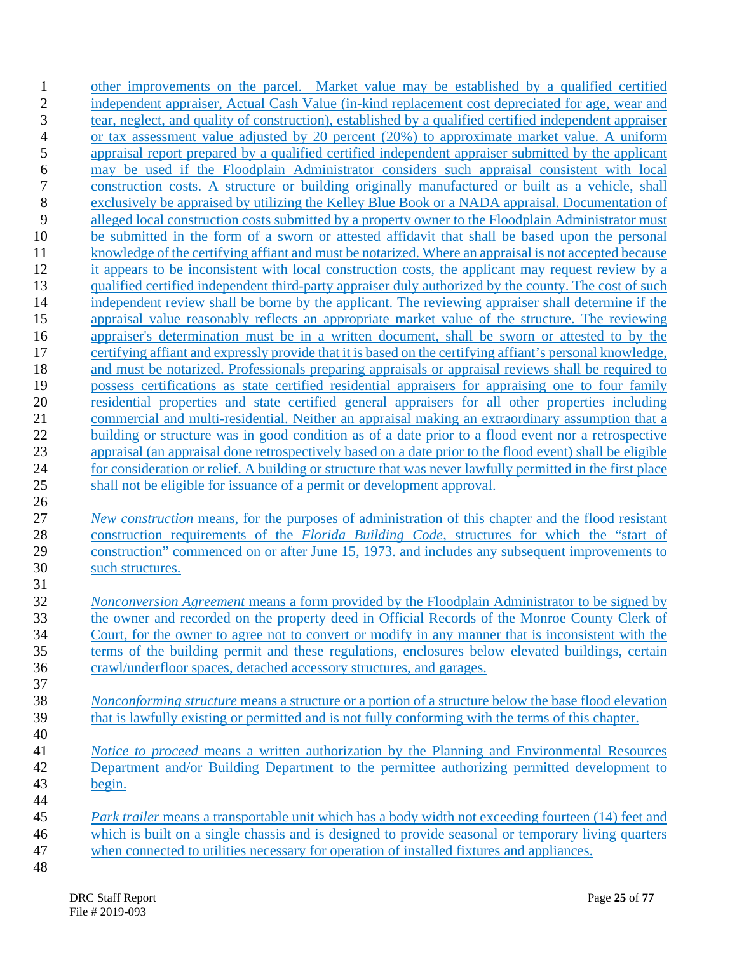other improvements on the parcel. Market value may be established by a qualified certified independent appraiser, Actual Cash Value (in-kind replacement cost depreciated for age, wear and tear, neglect, and quality of construction), established by a qualified certified independent appraiser or tax assessment value adjusted by 20 percent (20%) to approximate market value. A uniform appraisal report prepared by a qualified certified independent appraiser submitted by the applicant may be used if the Floodplain Administrator considers such appraisal consistent with local construction costs. A structure or building originally manufactured or built as a vehicle, shall exclusively be appraised by utilizing the Kelley Blue Book or a NADA appraisal. Documentation of alleged local construction costs submitted by a property owner to the Floodplain Administrator must be submitted in the form of a sworn or attested affidavit that shall be based upon the personal knowledge of the certifying affiant and must be notarized. Where an appraisal is not accepted because it appears to be inconsistent with local construction costs, the applicant may request review by a qualified certified independent third-party appraiser duly authorized by the county. The cost of such independent review shall be borne by the applicant. The reviewing appraiser shall determine if the appraisal value reasonably reflects an appropriate market value of the structure. The reviewing appraiser's determination must be in a written document, shall be sworn or attested to by the certifying affiant and expressly provide that it is based on the certifying affiant's personal knowledge, and must be notarized. Professionals preparing appraisals or appraisal reviews shall be required to possess certifications as state certified residential appraisers for appraising one to four family residential properties and state certified general appraisers for all other properties including commercial and multi-residential. Neither an appraisal making an extraordinary assumption that a building or structure was in good condition as of a date prior to a flood event nor a retrospective appraisal (an appraisal done retrospectively based on a date prior to the flood event) shall be eligible for consideration or relief. A building or structure that was never lawfully permitted in the first place shall not be eligible for issuance of a permit or development approval. *New construction* means, for the purposes of administration of this chapter and the flood resistant construction requirements of the *Florida Building Code*, structures for which the "start of construction" commenced on or after June 15, 1973. and includes any subsequent improvements to such structures. *Nonconversion Agreement* means a form provided by the Floodplain Administrator to be signed by the owner and recorded on the property deed in Official Records of the Monroe County Clerk of Court, for the owner to agree not to convert or modify in any manner that is inconsistent with the terms of the building permit and these regulations, enclosures below elevated buildings, certain crawl/underfloor spaces, detached accessory structures, and garages. *Nonconforming structure* means a structure or a portion of a structure below the base flood elevation

- that is lawfully existing or permitted and is not fully conforming with the terms of this chapter.
- *Notice to proceed* means a written authorization by the Planning and Environmental Resources Department and/or Building Department to the permittee authorizing permitted development to begin.
- *Park trailer* means a transportable unit which has a body width not exceeding fourteen (14) feet and which is built on a single chassis and is designed to provide seasonal or temporary living quarters when connected to utilities necessary for operation of installed fixtures and appliances.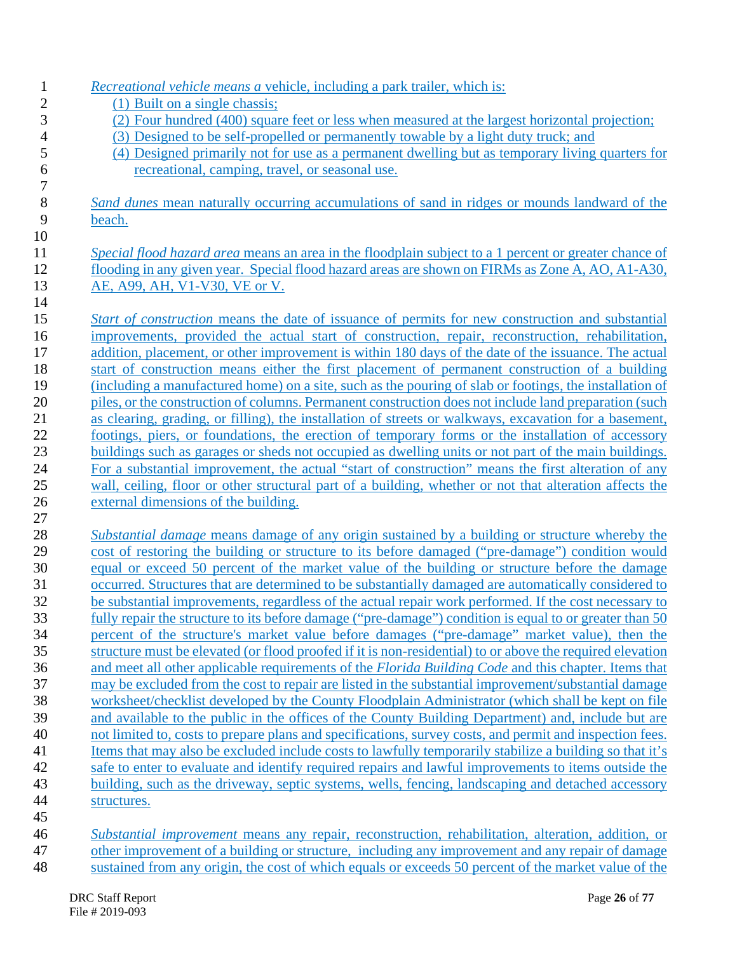| <i>Recreational vehicle means a vehicle, including a park trailer, which is:</i>                                                                                                                               |
|----------------------------------------------------------------------------------------------------------------------------------------------------------------------------------------------------------------|
| (1) Built on a single chassis;                                                                                                                                                                                 |
| (2) Four hundred (400) square feet or less when measured at the largest horizontal projection;                                                                                                                 |
| (3) Designed to be self-propelled or permanently towable by a light duty truck; and                                                                                                                            |
| (4) Designed primarily not for use as a permanent dwelling but as temporary living quarters for                                                                                                                |
| recreational, camping, travel, or seasonal use.                                                                                                                                                                |
| Sand dunes mean naturally occurring accumulations of sand in ridges or mounds landward of the                                                                                                                  |
| beach.                                                                                                                                                                                                         |
| Special flood hazard area means an area in the floodplain subject to a 1 percent or greater chance of                                                                                                          |
| flooding in any given year. Special flood hazard areas are shown on FIRMs as Zone A, AO, A1-A30,                                                                                                               |
| AE, A99, AH, V1-V30, VE or V.                                                                                                                                                                                  |
|                                                                                                                                                                                                                |
| <i>Start of construction</i> means the date of issuance of permits for new construction and substantial                                                                                                        |
| improvements, provided the actual start of construction, repair, reconstruction, rehabilitation,                                                                                                               |
| addition, placement, or other improvement is within 180 days of the date of the issuance. The actual                                                                                                           |
| start of construction means either the first placement of permanent construction of a building                                                                                                                 |
| (including a manufactured home) on a site, such as the pouring of slab or footings, the installation of                                                                                                        |
| piles, or the construction of columns. Permanent construction does not include land preparation (such                                                                                                          |
| as clearing, grading, or filling), the installation of streets or walkways, excavation for a basement,                                                                                                         |
| footings, piers, or foundations, the erection of temporary forms or the installation of accessory                                                                                                              |
| buildings such as garages or sheds not occupied as dwelling units or not part of the main buildings.                                                                                                           |
| For a substantial improvement, the actual "start of construction" means the first alteration of any<br>wall, ceiling, floor or other structural part of a building, whether or not that alteration affects the |
| external dimensions of the building.                                                                                                                                                                           |
|                                                                                                                                                                                                                |
| <i>Substantial damage</i> means damage of any origin sustained by a building or structure whereby the                                                                                                          |
| cost of restoring the building or structure to its before damaged ("pre-damage") condition would                                                                                                               |
| equal or exceed 50 percent of the market value of the building or structure before the damage                                                                                                                  |
| occurred. Structures that are determined to be substantially damaged are automatically considered to                                                                                                           |
| be substantial improvements, regardless of the actual repair work performed. If the cost necessary to                                                                                                          |
| fully repair the structure to its before damage ("pre-damage") condition is equal to or greater than 50                                                                                                        |
| percent of the structure's market value before damages ("pre-damage" market value), then the                                                                                                                   |
| structure must be elevated (or flood proofed if it is non-residential) to or above the required elevation                                                                                                      |
| and meet all other applicable requirements of the Florida Building Code and this chapter. Items that                                                                                                           |
| may be excluded from the cost to repair are listed in the substantial improvement/substantial damage                                                                                                           |
| worksheet/checklist developed by the County Floodplain Administrator (which shall be kept on file                                                                                                              |
| and available to the public in the offices of the County Building Department) and, include but are                                                                                                             |
| not limited to, costs to prepare plans and specifications, survey costs, and permit and inspection fees.                                                                                                       |
| Items that may also be excluded include costs to lawfully temporarily stabilize a building so that it's                                                                                                        |
| safe to enter to evaluate and identify required repairs and lawful improvements to items outside the                                                                                                           |
| building, such as the driveway, septic systems, wells, fencing, landscaping and detached accessory                                                                                                             |
| structures.                                                                                                                                                                                                    |
| Substantial improvement means any repair, reconstruction, rehabilitation, alteration, addition, or                                                                                                             |
| other improvement of a building or structure, including any improvement and any repair of damage                                                                                                               |
| sustained from any origin, the cost of which equals or exceeds 50 percent of the market value of the                                                                                                           |
|                                                                                                                                                                                                                |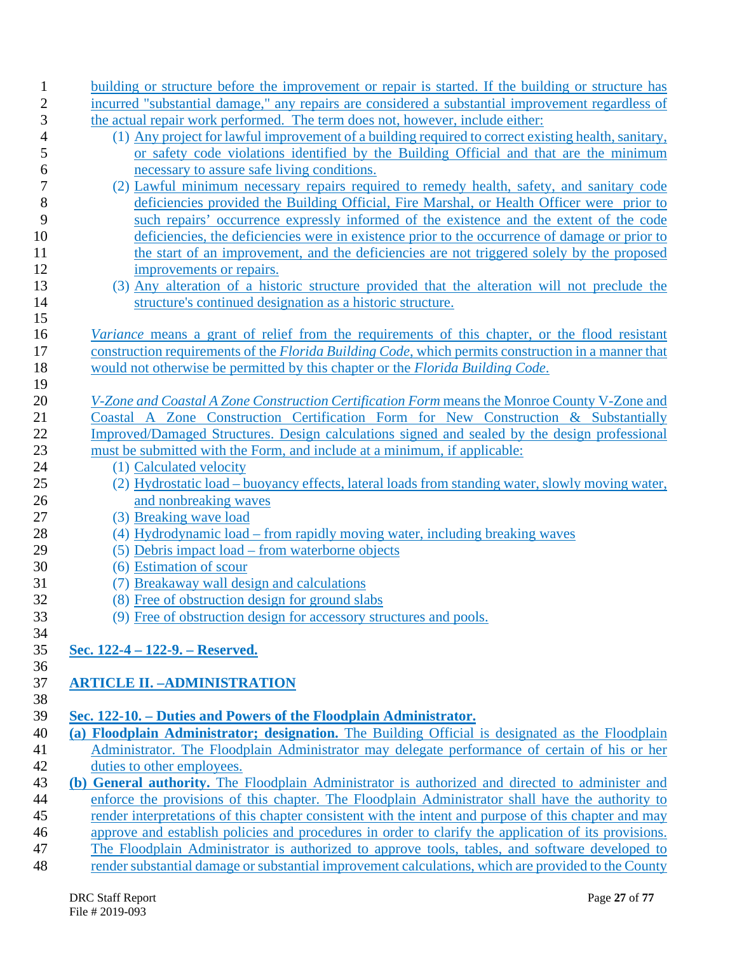| $\mathbf{1}$ | building or structure before the improvement or repair is started. If the building or structure has         |
|--------------|-------------------------------------------------------------------------------------------------------------|
| $\mathbf{2}$ | incurred "substantial damage," any repairs are considered a substantial improvement regardless of           |
| 3            | the actual repair work performed. The term does not, however, include either:                               |
| 4            | (1) Any project for lawful improvement of a building required to correct existing health, sanitary,         |
| 5            | or safety code violations identified by the Building Official and that are the minimum                      |
| 6            | necessary to assure safe living conditions.                                                                 |
| 7            | (2) Lawful minimum necessary repairs required to remedy health, safety, and sanitary code                   |
| 8            | deficiencies provided the Building Official, Fire Marshal, or Health Officer were prior to                  |
| 9            | such repairs' occurrence expressly informed of the existence and the extent of the code                     |
| 10           | deficiencies, the deficiencies were in existence prior to the occurrence of damage or prior to              |
| 11           | the start of an improvement, and the deficiencies are not triggered solely by the proposed                  |
| 12           | improvements or repairs.                                                                                    |
| 13           | (3) Any alteration of a historic structure provided that the alteration will not preclude the               |
| 14           | structure's continued designation as a historic structure.                                                  |
| 15           |                                                                                                             |
| 16           | <i>Variance</i> means a grant of relief from the requirements of this chapter, or the flood resistant       |
| 17           | construction requirements of the <i>Florida Building Code</i> , which permits construction in a manner that |
| 18           | would not otherwise be permitted by this chapter or the <i>Florida Building Code</i> .                      |
| 19           |                                                                                                             |
| 20           | V-Zone and Coastal A Zone Construction Certification Form means the Monroe County V-Zone and                |
| 21           | Coastal A Zone Construction Certification Form for New Construction & Substantially                         |
| 22           | Improved/Damaged Structures. Design calculations signed and sealed by the design professional               |
| 23           | must be submitted with the Form, and include at a minimum, if applicable:                                   |
| 24           | (1) Calculated velocity                                                                                     |
| 25           | (2) Hydrostatic load – buoyancy effects, lateral loads from standing water, slowly moving water,            |
| 26           | and nonbreaking waves                                                                                       |
| 27           | (3) Breaking wave load                                                                                      |
| 28           | (4) Hydrodynamic load – from rapidly moving water, including breaking waves                                 |
| 29           | (5) Debris impact load – from waterborne objects                                                            |
| 30           | (6) Estimation of scour                                                                                     |
| 31           | (7) Breakaway wall design and calculations                                                                  |
| 32           | (8) Free of obstruction design for ground slabs                                                             |
| 33           | (9) Free of obstruction design for accessory structures and pools.                                          |
| 34           |                                                                                                             |
| 35           | Sec. 122-4 – 122-9. – Reserved.                                                                             |
| 36           |                                                                                                             |
| 37           | <b>ARTICLE II. - ADMINISTRATION</b>                                                                         |
| 38           |                                                                                                             |
| 39           | Sec. 122-10. – Duties and Powers of the Floodplain Administrator.                                           |
| 40           | (a) Floodplain Administrator; designation. The Building Official is designated as the Floodplain            |
| 41           | Administrator. The Floodplain Administrator may delegate performance of certain of his or her               |
| 42           | duties to other employees.                                                                                  |
| 43           | (b) General authority. The Floodplain Administrator is authorized and directed to administer and            |
| 44           | enforce the provisions of this chapter. The Floodplain Administrator shall have the authority to            |
| 45           | render interpretations of this chapter consistent with the intent and purpose of this chapter and may       |
| 46           | approve and establish policies and procedures in order to clarify the application of its provisions.        |
| 47           | The Floodplain Administrator is authorized to approve tools, tables, and software developed to              |
| 48           | render substantial damage or substantial improvement calculations, which are provided to the County         |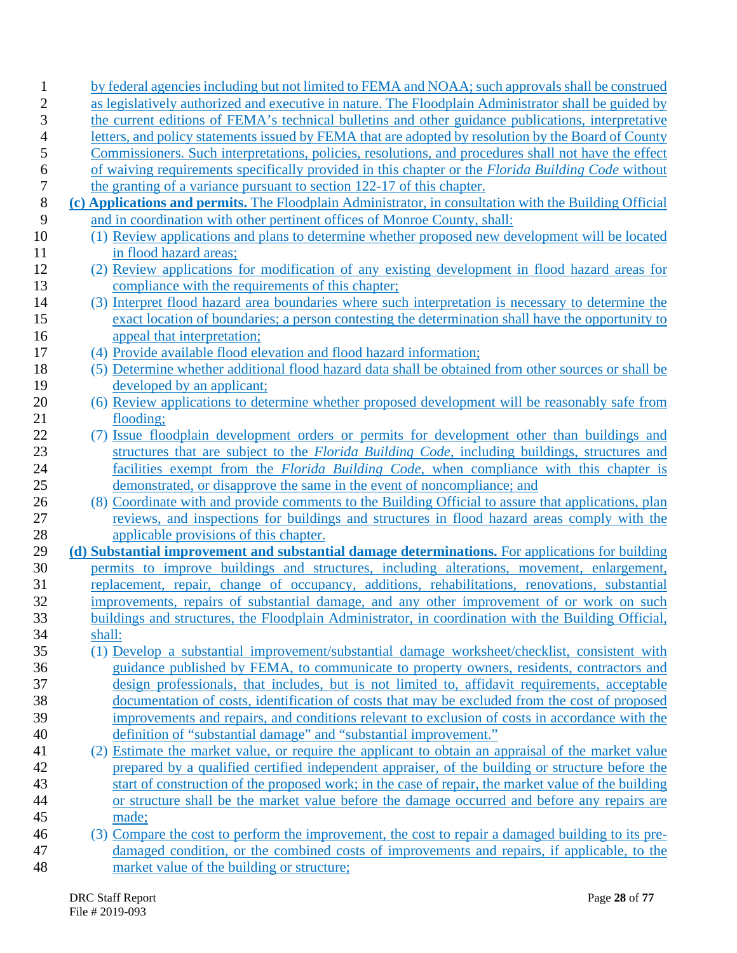| by federal agencies including but not limited to FEMA and NOAA; such approvals shall be construed                                                                                              |
|------------------------------------------------------------------------------------------------------------------------------------------------------------------------------------------------|
| as legislatively authorized and executive in nature. The Floodplain Administrator shall be guided by                                                                                           |
| the current editions of FEMA's technical bulletins and other guidance publications, interpretative                                                                                             |
| letters, and policy statements issued by FEMA that are adopted by resolution by the Board of County                                                                                            |
| Commissioners. Such interpretations, policies, resolutions, and procedures shall not have the effect                                                                                           |
| of waiving requirements specifically provided in this chapter or the Florida Building Code without                                                                                             |
| the granting of a variance pursuant to section 122-17 of this chapter.                                                                                                                         |
| (c) Applications and permits. The Floodplain Administrator, in consultation with the Building Official                                                                                         |
| and in coordination with other pertinent offices of Monroe County, shall:                                                                                                                      |
| (1) Review applications and plans to determine whether proposed new development will be located                                                                                                |
| in flood hazard areas;                                                                                                                                                                         |
| (2) Review applications for modification of any existing development in flood hazard areas for                                                                                                 |
| compliance with the requirements of this chapter;                                                                                                                                              |
| (3) Interpret flood hazard area boundaries where such interpretation is necessary to determine the                                                                                             |
| exact location of boundaries; a person contesting the determination shall have the opportunity to                                                                                              |
| appeal that interpretation;                                                                                                                                                                    |
| (4) Provide available flood elevation and flood hazard information;                                                                                                                            |
| (5) Determine whether additional flood hazard data shall be obtained from other sources or shall be                                                                                            |
| developed by an applicant;                                                                                                                                                                     |
| (6) Review applications to determine whether proposed development will be reasonably safe from                                                                                                 |
| flooding;                                                                                                                                                                                      |
| (7) Issue floodplain development orders or permits for development other than buildings and                                                                                                    |
| structures that are subject to the Florida Building Code, including buildings, structures and                                                                                                  |
| facilities exempt from the <i>Florida Building Code</i> , when compliance with this chapter is                                                                                                 |
| demonstrated, or disapprove the same in the event of noncompliance; and                                                                                                                        |
| (8) Coordinate with and provide comments to the Building Official to assure that applications, plan                                                                                            |
| reviews, and inspections for buildings and structures in flood hazard areas comply with the                                                                                                    |
| applicable provisions of this chapter.                                                                                                                                                         |
| (d) Substantial improvement and substantial damage determinations. For applications for building<br>permits to improve buildings and structures, including alterations, movement, enlargement, |
| replacement, repair, change of occupancy, additions, rehabilitations, renovations, substantial                                                                                                 |
| improvements, repairs of substantial damage, and any other improvement of or work on such                                                                                                      |
| buildings and structures, the Floodplain Administrator, in coordination with the Building Official,                                                                                            |
| shall:                                                                                                                                                                                         |
| (1) Develop a substantial improvement/substantial damage worksheet/checklist, consistent with                                                                                                  |
| guidance published by FEMA, to communicate to property owners, residents, contractors and                                                                                                      |
| design professionals, that includes, but is not limited to, affidavit requirements, acceptable                                                                                                 |
| documentation of costs, identification of costs that may be excluded from the cost of proposed                                                                                                 |
| improvements and repairs, and conditions relevant to exclusion of costs in accordance with the                                                                                                 |
| definition of "substantial damage" and "substantial improvement."                                                                                                                              |
| (2) Estimate the market value, or require the applicant to obtain an appraisal of the market value                                                                                             |
| prepared by a qualified certified independent appraiser, of the building or structure before the                                                                                               |
| start of construction of the proposed work; in the case of repair, the market value of the building                                                                                            |
| or structure shall be the market value before the damage occurred and before any repairs are                                                                                                   |
| made;                                                                                                                                                                                          |
| (3) Compare the cost to perform the improvement, the cost to repair a damaged building to its pre-                                                                                             |
| damaged condition, or the combined costs of improvements and repairs, if applicable, to the                                                                                                    |
| market value of the building or structure;                                                                                                                                                     |
|                                                                                                                                                                                                |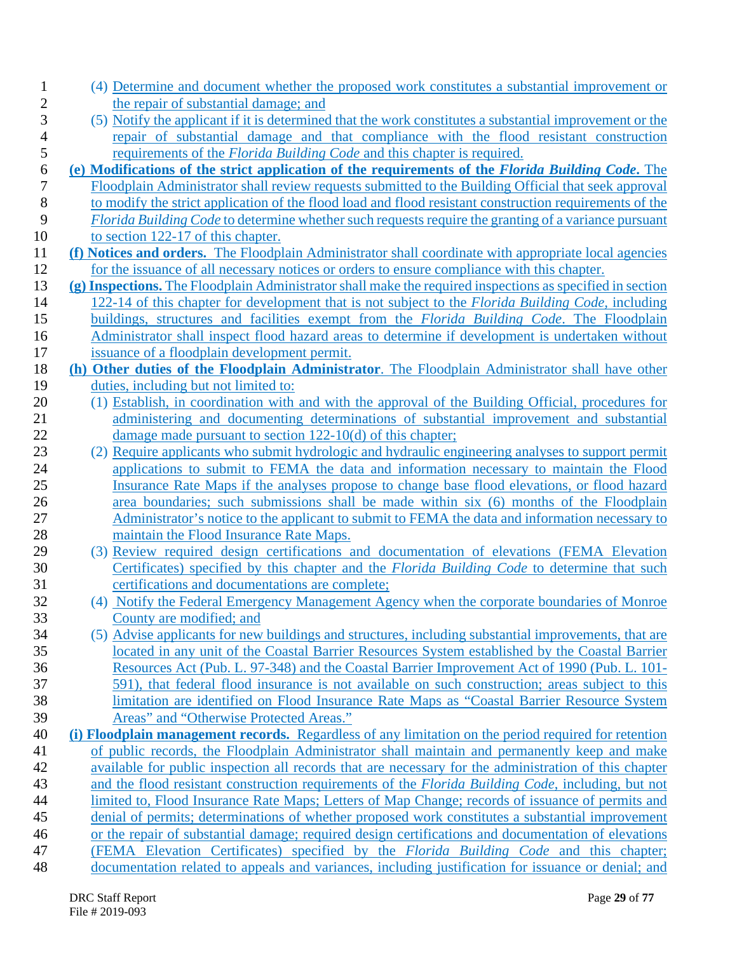| 1            | (4) Determine and document whether the proposed work constitutes a substantial improvement or                                                                                                        |
|--------------|------------------------------------------------------------------------------------------------------------------------------------------------------------------------------------------------------|
| $\mathbf{2}$ | the repair of substantial damage; and                                                                                                                                                                |
| 3            | (5) Notify the applicant if it is determined that the work constitutes a substantial improvement or the                                                                                              |
| 4            | repair of substantial damage and that compliance with the flood resistant construction                                                                                                               |
| 5            | requirements of the <i>Florida Building Code</i> and this chapter is required.                                                                                                                       |
| 6            | (e) Modifications of the strict application of the requirements of the Florida Building Code. The                                                                                                    |
| 7            | Floodplain Administrator shall review requests submitted to the Building Official that seek approval                                                                                                 |
| 8            | to modify the strict application of the flood load and flood resistant construction requirements of the                                                                                              |
| 9            | Florida Building Code to determine whether such requests require the granting of a variance pursuant                                                                                                 |
| 10<br>11     | to section 122-17 of this chapter.<br>(f) Notices and orders. The Floodplain Administrator shall coordinate with appropriate local agencies                                                          |
| 12           | for the issuance of all necessary notices or orders to ensure compliance with this chapter.                                                                                                          |
| 13           | (g) Inspections. The Floodplain Administrator shall make the required inspections as specified in section                                                                                            |
| 14           | 122-14 of this chapter for development that is not subject to the Florida Building Code, including                                                                                                   |
| 15           | buildings, structures and facilities exempt from the Florida Building Code. The Floodplain                                                                                                           |
| 16           | Administrator shall inspect flood hazard areas to determine if development is undertaken without                                                                                                     |
| 17           | issuance of a floodplain development permit.                                                                                                                                                         |
| 18           | (h) Other duties of the Floodplain Administrator. The Floodplain Administrator shall have other                                                                                                      |
| 19           | duties, including but not limited to:                                                                                                                                                                |
| 20           | (1) Establish, in coordination with and with the approval of the Building Official, procedures for                                                                                                   |
| 21           | administering and documenting determinations of substantial improvement and substantial                                                                                                              |
| 22           | damage made pursuant to section $122-10(d)$ of this chapter;                                                                                                                                         |
| 23           | (2) Require applicants who submit hydrologic and hydraulic engineering analyses to support permit                                                                                                    |
| 24           | applications to submit to FEMA the data and information necessary to maintain the Flood                                                                                                              |
| 25           | Insurance Rate Maps if the analyses propose to change base flood elevations, or flood hazard                                                                                                         |
| 26           | area boundaries; such submissions shall be made within six (6) months of the Floodplain                                                                                                              |
| 27           | Administrator's notice to the applicant to submit to FEMA the data and information necessary to                                                                                                      |
| 28           | maintain the Flood Insurance Rate Maps.                                                                                                                                                              |
| 29           | (3) Review required design certifications and documentation of elevations (FEMA Elevation                                                                                                            |
| 30           | Certificates) specified by this chapter and the <i>Florida Building Code</i> to determine that such                                                                                                  |
| 31           | certifications and documentations are complete;                                                                                                                                                      |
| 32           | (4) Notify the Federal Emergency Management Agency when the corporate boundaries of Monroe                                                                                                           |
| 33           | County are modified; and                                                                                                                                                                             |
| 34           | (5) Advise applicants for new buildings and structures, including substantial improvements, that are                                                                                                 |
| 35           | located in any unit of the Coastal Barrier Resources System established by the Coastal Barrier                                                                                                       |
| 36           | Resources Act (Pub. L. 97-348) and the Coastal Barrier Improvement Act of 1990 (Pub. L. 101-                                                                                                         |
| 37           | 591), that federal flood insurance is not available on such construction; areas subject to this                                                                                                      |
| 38           | limitation are identified on Flood Insurance Rate Maps as "Coastal Barrier Resource System                                                                                                           |
| 39           | Areas" and "Otherwise Protected Areas."                                                                                                                                                              |
| 40<br>41     | (i) Floodplain management records. Regardless of any limitation on the period required for retention<br>of public records, the Floodplain Administrator shall maintain and permanently keep and make |
| 42           | available for public inspection all records that are necessary for the administration of this chapter                                                                                                |
| 43           | and the flood resistant construction requirements of the Florida Building Code, including, but not                                                                                                   |
| 44           | limited to, Flood Insurance Rate Maps; Letters of Map Change; records of issuance of permits and                                                                                                     |
| 45           | denial of permits; determinations of whether proposed work constitutes a substantial improvement                                                                                                     |
| 46           | or the repair of substantial damage; required design certifications and documentation of elevations                                                                                                  |
| 47           | (FEMA Elevation Certificates) specified by the <i>Florida Building Code</i> and this chapter;                                                                                                        |
| 48           | documentation related to appeals and variances, including justification for issuance or denial; and                                                                                                  |
|              |                                                                                                                                                                                                      |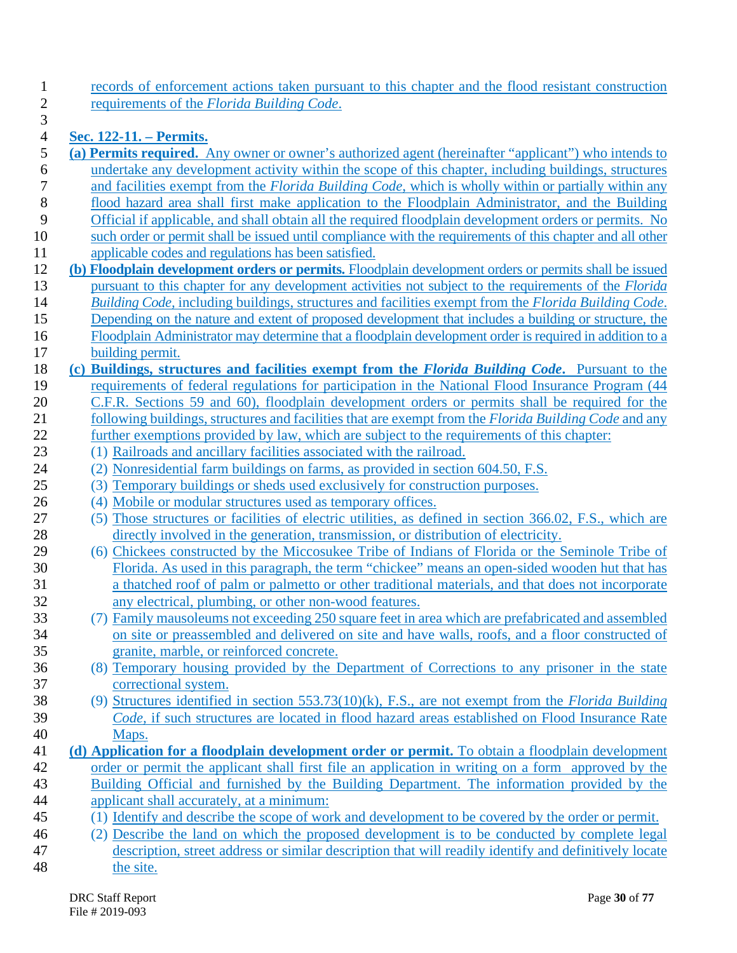1 records of enforcement actions taken pursuant to this chapter and the flood resistant construction<br>2 requirements of the *Florida Building Code*. 2 requirements of the *Florida Building Code*.

# $\frac{3}{4}$ 4 **Sec. 122-11. – Permits.**

| 5        | (a) Permits required. Any owner or owner's authorized agent (hereinafter "applicant") who intends to                                     |
|----------|------------------------------------------------------------------------------------------------------------------------------------------|
| 6        | undertake any development activity within the scope of this chapter, including buildings, structures                                     |
| 7        | and facilities exempt from the <i>Florida Building Code</i> , which is wholly within or partially within any                             |
| $8\,$    | flood hazard area shall first make application to the Floodplain Administrator, and the Building                                         |
| 9        | Official if applicable, and shall obtain all the required floodplain development orders or permits. No                                   |
| 10       | such order or permit shall be issued until compliance with the requirements of this chapter and all other                                |
| 11       | applicable codes and regulations has been satisfied.                                                                                     |
| 12       | (b) Floodplain development orders or permits. Floodplain development orders or permits shall be issued                                   |
| 13       | pursuant to this chapter for any development activities not subject to the requirements of the <i>Florida</i>                            |
| 14       | Building Code, including buildings, structures and facilities exempt from the Florida Building Code.                                     |
| 15       | Depending on the nature and extent of proposed development that includes a building or structure, the                                    |
| 16       | Floodplain Administrator may determine that a floodplain development order is required in addition to a                                  |
| 17       | building permit.                                                                                                                         |
| 18       | (c) Buildings, structures and facilities exempt from the Florida Building Code. Pursuant to the                                          |
| 19       | requirements of federal regulations for participation in the National Flood Insurance Program (44                                        |
| 20       | C.F.R. Sections 59 and 60), floodplain development orders or permits shall be required for the                                           |
| 21       | following buildings, structures and facilities that are exempt from the Florida Building Code and any                                    |
| 22       | further exemptions provided by law, which are subject to the requirements of this chapter:                                               |
| 23       | (1) Railroads and ancillary facilities associated with the railroad.                                                                     |
| 24       | (2) Nonresidential farm buildings on farms, as provided in section 604.50, F.S.                                                          |
| 25       | (3) Temporary buildings or sheds used exclusively for construction purposes.                                                             |
| 26       | (4) Mobile or modular structures used as temporary offices.                                                                              |
| 27       | (5) Those structures or facilities of electric utilities, as defined in section 366.02, F.S., which are                                  |
| 28       | directly involved in the generation, transmission, or distribution of electricity.                                                       |
| 29       | (6) Chickees constructed by the Miccosukee Tribe of Indians of Florida or the Seminole Tribe of                                          |
| 30       | Florida. As used in this paragraph, the term "chickee" means an open-sided wooden hut that has                                           |
| 31       | a thatched roof of palm or palmetto or other traditional materials, and that does not incorporate                                        |
| 32       | any electrical, plumbing, or other non-wood features.                                                                                    |
| 33       | (7) Family mausoleums not exceeding 250 square feet in area which are prefabricated and assembled                                        |
| 34       | on site or preassembled and delivered on site and have walls, roofs, and a floor constructed of                                          |
| 35       | granite, marble, or reinforced concrete.                                                                                                 |
| 36       | (8) Temporary housing provided by the Department of Corrections to any prisoner in the state                                             |
| 37       | correctional system.                                                                                                                     |
| 38       | (9) Structures identified in section $553.73(10)(k)$ , F.S., are not exempt from the <i>Florida Building</i>                             |
| 39       | Code, if such structures are located in flood hazard areas established on Flood Insurance Rate                                           |
| 40       | Maps.                                                                                                                                    |
| 41       | (d) Application for a floodplain development order or permit. To obtain a floodplain development                                         |
| 42       | order or permit the applicant shall first file an application in writing on a form approved by the                                       |
| 43       | Building Official and furnished by the Building Department. The information provided by the<br>applicant shall accurately, at a minimum: |
| 44<br>45 |                                                                                                                                          |
| 46       | (1) Identify and describe the scope of work and development to be covered by the order or permit.                                        |
|          | (2) Describe the land on which the proposed development is to be conducted by complete legal                                             |

47 description, street address or similar description that will readily identify and definitively locate the site. the site.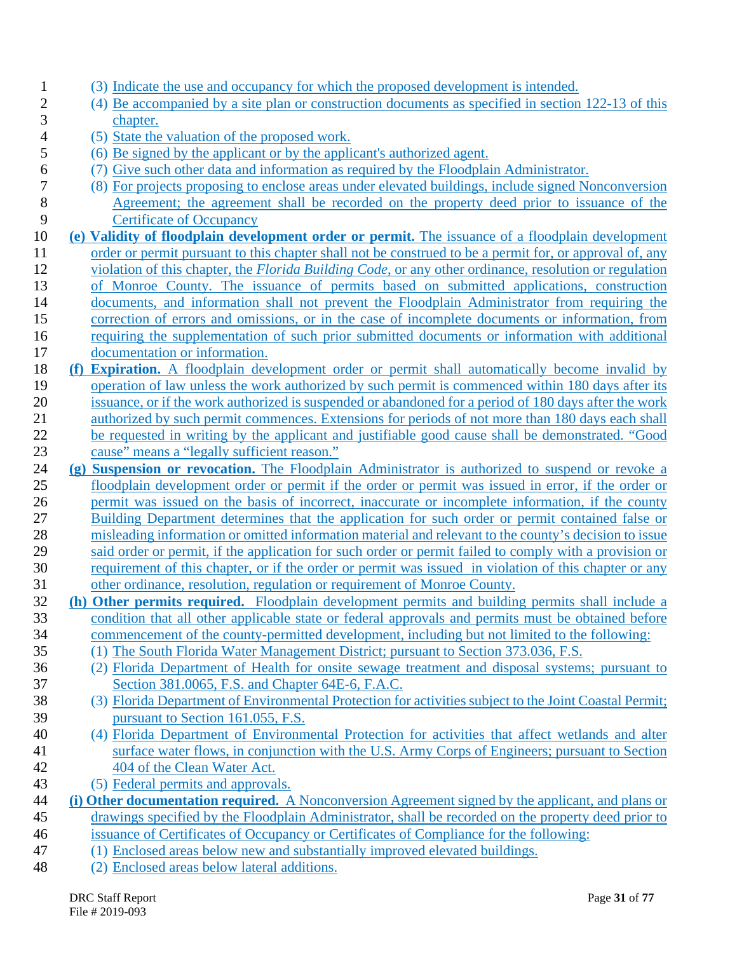| $\mathbf{I}$     | (3) Indicate the use and occupancy for which the proposed development is intended.                                                                                                                       |
|------------------|----------------------------------------------------------------------------------------------------------------------------------------------------------------------------------------------------------|
| $\overline{c}$   | (4) Be accompanied by a site plan or construction documents as specified in section 122-13 of this                                                                                                       |
| 3                | chapter.                                                                                                                                                                                                 |
| 4                | (5) State the valuation of the proposed work.                                                                                                                                                            |
| 5                | (6) Be signed by the applicant or by the applicant's authorized agent.                                                                                                                                   |
| 6                | (7) Give such other data and information as required by the Floodplain Administrator.                                                                                                                    |
| $\boldsymbol{7}$ | (8) For projects proposing to enclose areas under elevated buildings, include signed Nonconversion                                                                                                       |
| 8                | Agreement; the agreement shall be recorded on the property deed prior to issuance of the                                                                                                                 |
| 9                | <b>Certificate of Occupancy</b>                                                                                                                                                                          |
| 10               | (e) Validity of floodplain development order or permit. The issuance of a floodplain development                                                                                                         |
| 11               | order or permit pursuant to this chapter shall not be construed to be a permit for, or approval of, any                                                                                                  |
| 12               | violation of this chapter, the Florida Building Code, or any other ordinance, resolution or regulation                                                                                                   |
| 13               | of Monroe County. The issuance of permits based on submitted applications, construction                                                                                                                  |
| 14               | documents, and information shall not prevent the Floodplain Administrator from requiring the                                                                                                             |
| 15               | correction of errors and omissions, or in the case of incomplete documents or information, from                                                                                                          |
| 16               | requiring the supplementation of such prior submitted documents or information with additional                                                                                                           |
| 17               | documentation or information.                                                                                                                                                                            |
| 18               | (f) Expiration. A floodplain development order or permit shall automatically become invalid by                                                                                                           |
| 19               | operation of law unless the work authorized by such permit is commenced within 180 days after its                                                                                                        |
| 20               | issuance, or if the work authorized is suspended or abandoned for a period of 180 days after the work                                                                                                    |
| 21               | authorized by such permit commences. Extensions for periods of not more than 180 days each shall                                                                                                         |
| 22               | be requested in writing by the applicant and justifiable good cause shall be demonstrated. "Good                                                                                                         |
| 23               | cause" means a "legally sufficient reason."                                                                                                                                                              |
| 24               | (g) Suspension or revocation. The Floodplain Administrator is authorized to suspend or revoke a                                                                                                          |
| 25               | floodplain development order or permit if the order or permit was issued in error, if the order or                                                                                                       |
| 26<br>27         | permit was issued on the basis of incorrect, inaccurate or incomplete information, if the county                                                                                                         |
| 28               | Building Department determines that the application for such order or permit contained false or<br>misleading information or omitted information material and relevant to the county's decision to issue |
| 29               | said order or permit, if the application for such order or permit failed to comply with a provision or                                                                                                   |
| 30               | requirement of this chapter, or if the order or permit was issued in violation of this chapter or any                                                                                                    |
| 31               | other ordinance, resolution, regulation or requirement of Monroe County.                                                                                                                                 |
| 32               | (h) Other permits required. Floodplain development permits and building permits shall include a                                                                                                          |
| 33               | condition that all other applicable state or federal approvals and permits must be obtained before                                                                                                       |
| 34               | commencement of the county-permitted development, including but not limited to the following:                                                                                                            |
| 35               | (1) The South Florida Water Management District; pursuant to Section 373.036, F.S.                                                                                                                       |
| 36               | (2) Florida Department of Health for onsite sewage treatment and disposal systems; pursuant to                                                                                                           |
| 37               | Section 381.0065, F.S. and Chapter 64E-6, F.A.C.                                                                                                                                                         |
| 38               | (3) Florida Department of Environmental Protection for activities subject to the Joint Coastal Permit;                                                                                                   |
| 39               | pursuant to Section 161.055, F.S.                                                                                                                                                                        |

- 40 (4) Florida Department of Environmental Protection for activities that affect wetlands and alter 41 surface water flows, in conjunction with the U.S. Army Corps of Engineers; pursuant to Section 42 404 of the Clean Water Act.
- 43 (5) Federal permits and approvals.
- 44 **(i) Other documentation required.** A Nonconversion Agreement signed by the applicant, and plans or 45 drawings specified by the Floodplain Administrator, shall be recorded on the property deed prior to 46 issuance of Certificates of Occupancy or Certificates of Compliance for the following:
- 47 (1) Enclosed areas below new and substantially improved elevated buildings.
- 48 (2) Enclosed areas below lateral additions.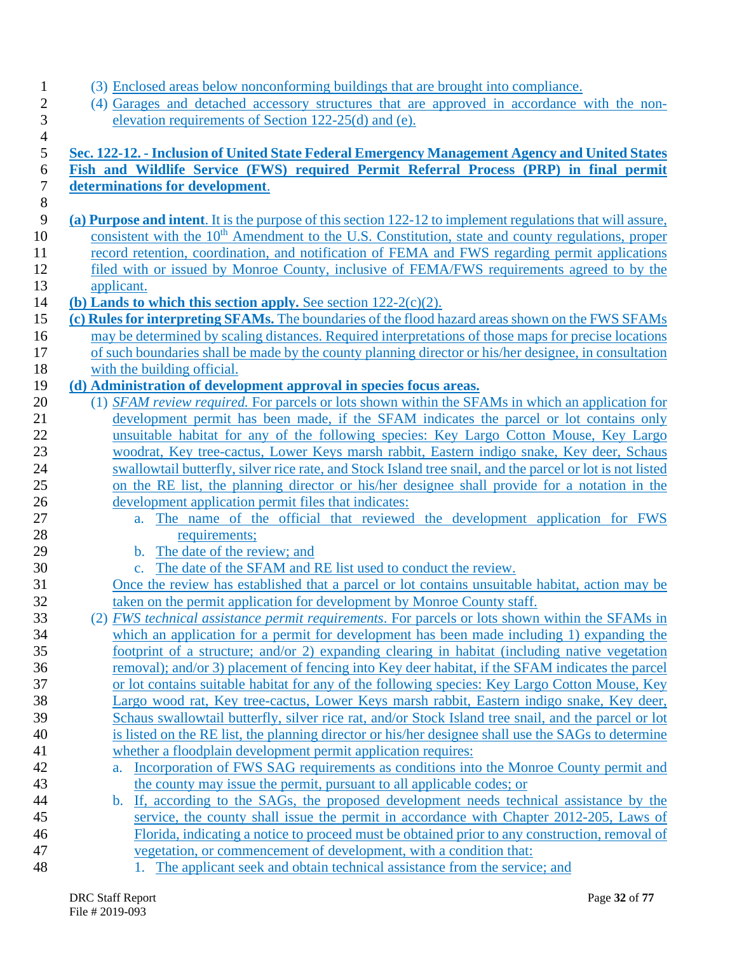- 1 (3) Enclosed areas below nonconforming buildings that are brought into compliance.
- 2 (4) Garages and detached accessory structures that are approved in accordance with the non-<br>3 elevation requirements of Section 122-25(d) and (e). elevation requirements of Section 122-25(d) and (e).

| Fish and Wildlife Service (FWS) required Permit Referral Process (PRP) in final permit                                                                 |
|--------------------------------------------------------------------------------------------------------------------------------------------------------|
| determinations for development.                                                                                                                        |
|                                                                                                                                                        |
| (a) Purpose and intent. It is the purpose of this section 122-12 to implement regulations that will assure,                                            |
| consistent with the 10 <sup>th</sup> Amendment to the U.S. Constitution, state and county regulations, proper                                          |
| record retention, coordination, and notification of FEMA and FWS regarding permit applications                                                         |
| filed with or issued by Monroe County, inclusive of FEMA/FWS requirements agreed to by the                                                             |
| applicant.<br>(b) Lands to which this section apply. See section $122-2(c)(2)$ .                                                                       |
| (c) Rules for interpreting SFAMs. The boundaries of the flood hazard areas shown on the FWS SFAMs                                                      |
| may be determined by scaling distances. Required interpretations of those maps for precise locations                                                   |
| of such boundaries shall be made by the county planning director or his/her designee, in consultation                                                  |
| with the building official.                                                                                                                            |
| (d) Administration of development approval in species focus areas.                                                                                     |
| (1) SFAM review required. For parcels or lots shown within the SFAMs in which an application for                                                       |
| development permit has been made, if the SFAM indicates the parcel or lot contains only                                                                |
| unsuitable habitat for any of the following species: Key Largo Cotton Mouse, Key Largo                                                                 |
| woodrat, Key tree-cactus, Lower Keys marsh rabbit, Eastern indigo snake, Key deer, Schaus                                                              |
| swallowtail butterfly, silver rice rate, and Stock Island tree snail, and the parcel or lot is not listed                                              |
| on the RE list, the planning director or his/her designee shall provide for a notation in the                                                          |
| development application permit files that indicates:                                                                                                   |
| The name of the official that reviewed the development application for FWS<br>$a_{\cdot}$                                                              |
| requirements;                                                                                                                                          |
| The date of the review; and<br>$\mathbf{b}$ .                                                                                                          |
| The date of the SFAM and RE list used to conduct the review.<br>$\mathbf{c}$ .                                                                         |
| Once the review has established that a parcel or lot contains unsuitable habitat, action may be                                                        |
| taken on the permit application for development by Monroe County staff.                                                                                |
| (2) <i>FWS technical assistance permit requirements</i> . For parcels or lots shown within the SFAMs in                                                |
| which an application for a permit for development has been made including 1) expanding the                                                             |
| footprint of a structure; and/or 2) expanding clearing in habitat (including native vegetation                                                         |
| removal); and/or 3) placement of fencing into Key deer habitat, if the SFAM indicates the parcel                                                       |
| or lot contains suitable habitat for any of the following species: Key Largo Cotton Mouse, Key                                                         |
| Largo wood rat, Key tree-cactus, Lower Keys marsh rabbit, Eastern indigo snake, Key deer,                                                              |
| Schaus swallowtail butterfly, silver rice rat, and/or Stock Island tree snail, and the parcel or lot                                                   |
| is listed on the RE list, the planning director or his/her designee shall use the SAGs to determine                                                    |
| whether a floodplain development permit application requires:<br>Incorporation of FWS SAG requirements as conditions into the Monroe County permit and |
| a.<br>the county may issue the permit, pursuant to all applicable codes; or                                                                            |
| b. If, according to the SAGs, the proposed development needs technical assistance by the                                                               |
| service, the county shall issue the permit in accordance with Chapter 2012-205, Laws of                                                                |
| Florida, indicating a notice to proceed must be obtained prior to any construction, removal of                                                         |
|                                                                                                                                                        |
| vegetation, or commencement of development, with a condition that:                                                                                     |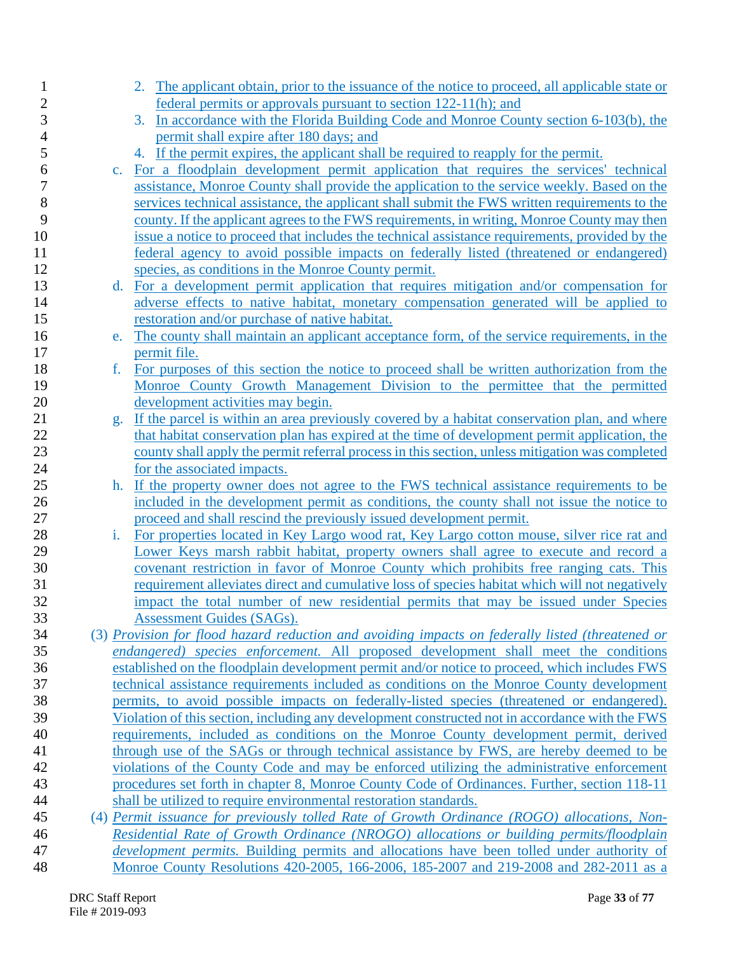| 1              |                | 2. The applicant obtain, prior to the issuance of the notice to proceed, all applicable state or |
|----------------|----------------|--------------------------------------------------------------------------------------------------|
| $\overline{c}$ |                | federal permits or approvals pursuant to section 122-11(h); and                                  |
| 3              |                | In accordance with the Florida Building Code and Monroe County section 6-103(b), the<br>3.       |
| 4              |                | permit shall expire after 180 days; and                                                          |
| 5              |                | 4. If the permit expires, the applicant shall be required to reapply for the permit.             |
| 6              | $\mathbf{c}$ . | For a floodplain development permit application that requires the services' technical            |
| 7              |                | assistance, Monroe County shall provide the application to the service weekly. Based on the      |
| 8              |                | services technical assistance, the applicant shall submit the FWS written requirements to the    |
| 9              |                | county. If the applicant agrees to the FWS requirements, in writing, Monroe County may then      |
| 10             |                | issue a notice to proceed that includes the technical assistance requirements, provided by the   |
| 11             |                | federal agency to avoid possible impacts on federally listed (threatened or endangered)          |
| 12             |                | species, as conditions in the Monroe County permit.                                              |
| 13             | $d_{\cdot}$    | For a development permit application that requires mitigation and/or compensation for            |
| 14             |                | adverse effects to native habitat, monetary compensation generated will be applied to            |
| 15             |                | restoration and/or purchase of native habitat.                                                   |
| 16             | e.             | The county shall maintain an applicant acceptance form, of the service requirements, in the      |
| 17             |                | permit file.                                                                                     |
| 18             | f.             | For purposes of this section the notice to proceed shall be written authorization from the       |
| 19             |                | Monroe County Growth Management Division to the permittee that the permitted                     |
| 20             |                | development activities may begin.                                                                |
| 21             | g.             | If the parcel is within an area previously covered by a habitat conservation plan, and where     |
| 22             |                | that habitat conservation plan has expired at the time of development permit application, the    |
| 23             |                | county shall apply the permit referral process in this section, unless mitigation was completed  |
| 24             |                | for the associated impacts.                                                                      |
| 25             | h.             | If the property owner does not agree to the FWS technical assistance requirements to be          |
| 26             |                | included in the development permit as conditions, the county shall not issue the notice to       |
| 27             |                | proceed and shall rescind the previously issued development permit.                              |
| $28\,$         | i.             | For properties located in Key Largo wood rat, Key Largo cotton mouse, silver rice rat and        |
| 29             |                | Lower Keys marsh rabbit habitat, property owners shall agree to execute and record a             |
| 30             |                | covenant restriction in favor of Monroe County which prohibits free ranging cats. This           |
| 31             |                | requirement alleviates direct and cumulative loss of species habitat which will not negatively   |
| 32             |                | impact the total number of new residential permits that may be issued under Species              |
| 33             |                | <b>Assessment Guides (SAGs).</b>                                                                 |
| 34             |                | (3) Provision for flood hazard reduction and avoiding impacts on federally listed (threatened or |
| 35             |                | <i>endangered) species enforcement</i> . All proposed development shall meet the conditions      |
| 36             |                | established on the floodplain development permit and/or notice to proceed, which includes FWS    |
| 37             |                | technical assistance requirements included as conditions on the Monroe County development        |
| 38             |                | permits, to avoid possible impacts on federally-listed species (threatened or endangered).       |
| 39             |                | Violation of this section, including any development constructed not in accordance with the FWS  |
| 40             |                | requirements, included as conditions on the Monroe County development permit, derived            |
| 41             |                | through use of the SAGs or through technical assistance by FWS, are hereby deemed to be          |
| 42             |                | violations of the County Code and may be enforced utilizing the administrative enforcement       |
| 43             |                | procedures set forth in chapter 8, Monroe County Code of Ordinances. Further, section 118-11     |
| 44             |                | shall be utilized to require environmental restoration standards.                                |
| 45             |                | (4) Permit issuance for previously tolled Rate of Growth Ordinance (ROGO) allocations, Non-      |
| 46             |                | Residential Rate of Growth Ordinance (NROGO) allocations or building permits/floodplain          |
| 47             |                | <i>development permits.</i> Building permits and allocations have been tolled under authority of |
| 48             |                | Monroe County Resolutions 420-2005, 166-2006, 185-2007 and 219-2008 and 282-2011 as a            |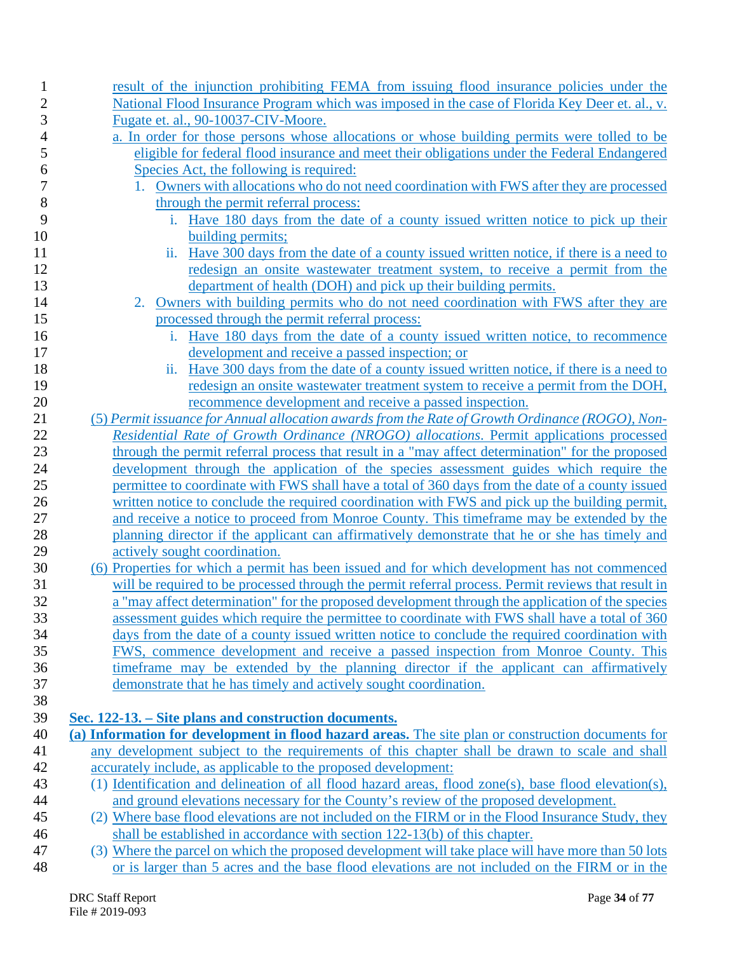| 1              | result of the injunction prohibiting FEMA from issuing flood insurance policies under the                                                                                                            |
|----------------|------------------------------------------------------------------------------------------------------------------------------------------------------------------------------------------------------|
| $\overline{c}$ | National Flood Insurance Program which was imposed in the case of Florida Key Deer et. al., v.                                                                                                       |
| 3              | Fugate et. al., 90-10037-CIV-Moore.                                                                                                                                                                  |
| 4              | a. In order for those persons whose allocations or whose building permits were tolled to be                                                                                                          |
| 5              | eligible for federal flood insurance and meet their obligations under the Federal Endangered                                                                                                         |
| 6              | Species Act, the following is required:                                                                                                                                                              |
| 7              | Owners with allocations who do not need coordination with FWS after they are processed                                                                                                               |
| 8              | through the permit referral process:                                                                                                                                                                 |
| 9              | Have 180 days from the date of a county issued written notice to pick up their<br>i.                                                                                                                 |
| 10             | building permits;                                                                                                                                                                                    |
| 11             | ii. Have 300 days from the date of a county issued written notice, if there is a need to                                                                                                             |
| 12             | redesign an onsite wastewater treatment system, to receive a permit from the                                                                                                                         |
| 13             | department of health (DOH) and pick up their building permits.                                                                                                                                       |
| 14             | Owners with building permits who do not need coordination with FWS after they are<br>2.                                                                                                              |
| 15             | processed through the permit referral process:                                                                                                                                                       |
| 16             | Have 180 days from the date of a county issued written notice, to recommence<br>i.                                                                                                                   |
| 17             | development and receive a passed inspection; or                                                                                                                                                      |
| 18             | ii. Have 300 days from the date of a county issued written notice, if there is a need to                                                                                                             |
| 19             | redesign an onsite wastewater treatment system to receive a permit from the DOH,                                                                                                                     |
| 20             | recommence development and receive a passed inspection.                                                                                                                                              |
| 21             | (5) Permit issuance for Annual allocation awards from the Rate of Growth Ordinance (ROGO), Non-                                                                                                      |
| 22             | Residential Rate of Growth Ordinance (NROGO) allocations. Permit applications processed                                                                                                              |
| 23             | through the permit referral process that result in a "may affect determination" for the proposed                                                                                                     |
| 24             | development through the application of the species assessment guides which require the                                                                                                               |
| 25             | permittee to coordinate with FWS shall have a total of 360 days from the date of a county issued                                                                                                     |
| 26             | written notice to conclude the required coordination with FWS and pick up the building permit,                                                                                                       |
| 27             | and receive a notice to proceed from Monroe County. This timeframe may be extended by the                                                                                                            |
| 28             | planning director if the applicant can affirmatively demonstrate that he or she has timely and                                                                                                       |
| 29             | actively sought coordination.                                                                                                                                                                        |
| 30<br>31       | (6) Properties for which a permit has been issued and for which development has not commenced<br>will be required to be processed through the permit referral process. Permit reviews that result in |
| 32             | a "may affect determination" for the proposed development through the application of the species                                                                                                     |
| 33             | assessment guides which require the permittee to coordinate with FWS shall have a total of 360                                                                                                       |
| 34             | days from the date of a county issued written notice to conclude the required coordination with                                                                                                      |
| 35             | FWS, commence development and receive a passed inspection from Monroe County. This                                                                                                                   |
| 36             | time frame may be extended by the planning director if the applicant can affirmatively                                                                                                               |
| 37             | demonstrate that he has timely and actively sought coordination.                                                                                                                                     |
| 38             |                                                                                                                                                                                                      |
| 39             | Sec. 122-13. – Site plans and construction documents.                                                                                                                                                |
| 40             | (a) Information for development in flood hazard areas. The site plan or construction documents for                                                                                                   |
| 41             | any development subject to the requirements of this chapter shall be drawn to scale and shall                                                                                                        |
| 42             | accurately include, as applicable to the proposed development:                                                                                                                                       |
| 43             | (1) Identification and delineation of all flood hazard areas, flood zone(s), base flood elevation(s),                                                                                                |
| 44             | and ground elevations necessary for the County's review of the proposed development.                                                                                                                 |
| 45             | (2) Where base flood elevations are not included on the FIRM or in the Flood Insurance Study, they                                                                                                   |
| 46             | shall be established in accordance with section 122-13(b) of this chapter.                                                                                                                           |
| 47             | (3) Where the parcel on which the proposed development will take place will have more than 50 lots                                                                                                   |
| 48             | or is larger than 5 acres and the base flood elevations are not included on the FIRM or in the                                                                                                       |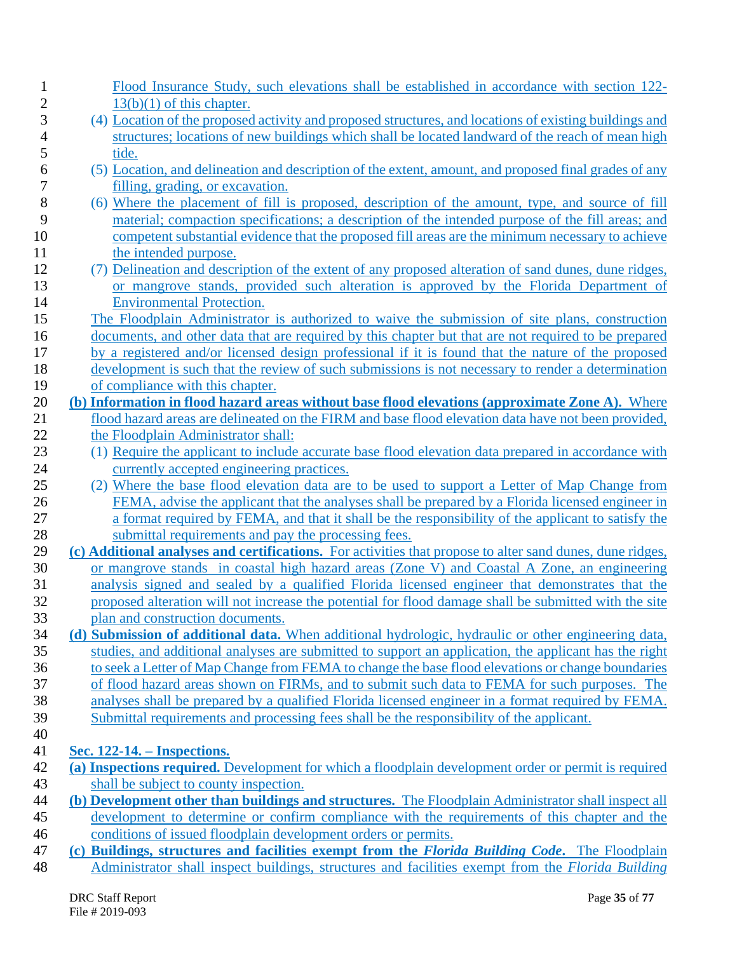| $\mathbf 1$    | Flood Insurance Study, such elevations shall be established in accordance with section 122-               |
|----------------|-----------------------------------------------------------------------------------------------------------|
| $\overline{2}$ | $13(b)(1)$ of this chapter.                                                                               |
| 3              | (4) Location of the proposed activity and proposed structures, and locations of existing buildings and    |
| 4              | structures; locations of new buildings which shall be located landward of the reach of mean high          |
| 5              | tide.                                                                                                     |
| 6              | (5) Location, and delineation and description of the extent, amount, and proposed final grades of any     |
| 7              | filling, grading, or excavation.                                                                          |
| 8              | (6) Where the placement of fill is proposed, description of the amount, type, and source of fill          |
| 9              | material; compaction specifications; a description of the intended purpose of the fill areas; and         |
| 10             | competent substantial evidence that the proposed fill areas are the minimum necessary to achieve          |
| 11             | the intended purpose.                                                                                     |
| 12             | (7) Delineation and description of the extent of any proposed alteration of sand dunes, dune ridges,      |
| 13             | or mangrove stands, provided such alteration is approved by the Florida Department of                     |
| 14             | <b>Environmental Protection.</b>                                                                          |
| 15             | The Floodplain Administrator is authorized to waive the submission of site plans, construction            |
| 16             | documents, and other data that are required by this chapter but that are not required to be prepared      |
| 17             | by a registered and/or licensed design professional if it is found that the nature of the proposed        |
| 18             | development is such that the review of such submissions is not necessary to render a determination        |
| 19             | of compliance with this chapter.                                                                          |
| 20             | (b) Information in flood hazard areas without base flood elevations (approximate Zone A). Where           |
| 21             | flood hazard areas are delineated on the FIRM and base flood elevation data have not been provided,       |
| 22             | the Floodplain Administrator shall:                                                                       |
| 23             | (1) Require the applicant to include accurate base flood elevation data prepared in accordance with       |
| 24             | currently accepted engineering practices.                                                                 |
| 25             | (2) Where the base flood elevation data are to be used to support a Letter of Map Change from             |
| 26             | FEMA, advise the applicant that the analyses shall be prepared by a Florida licensed engineer in          |
| 27             | a format required by FEMA, and that it shall be the responsibility of the applicant to satisfy the        |
| 28             | submittal requirements and pay the processing fees.                                                       |
| 29             | (c) Additional analyses and certifications. For activities that propose to alter sand dunes, dune ridges, |
| 30             | or mangrove stands in coastal high hazard areas (Zone V) and Coastal A Zone, an engineering               |
| 31             | analysis signed and sealed by a qualified Florida licensed engineer that demonstrates that the            |
| 32             | proposed alteration will not increase the potential for flood damage shall be submitted with the site     |
| 33             | plan and construction documents.                                                                          |
| 34             | (d) Submission of additional data. When additional hydrologic, hydraulic or other engineering data,       |
| 35             | studies, and additional analyses are submitted to support an application, the applicant has the right     |
| 36             | to seek a Letter of Map Change from FEMA to change the base flood elevations or change boundaries         |
| 37             | of flood hazard areas shown on FIRMs, and to submit such data to FEMA for such purposes. The              |
| 38             | analyses shall be prepared by a qualified Florida licensed engineer in a format required by FEMA.         |
| 39             | Submittal requirements and processing fees shall be the responsibility of the applicant.                  |
| 40             |                                                                                                           |
| 41             | Sec. 122-14. – Inspections.                                                                               |
| 42             | (a) Inspections required. Development for which a floodplain development order or permit is required      |
| 43             | shall be subject to county inspection.                                                                    |
| 44             | (b) Development other than buildings and structures. The Floodplain Administrator shall inspect all       |
| 45             | development to determine or confirm compliance with the requirements of this chapter and the              |
| 46             | conditions of issued floodplain development orders or permits.                                            |
| 47             | (c) Buildings, structures and facilities exempt from the Florida Building Code. The Floodplain            |
| 48             | Administrator shall inspect buildings, structures and facilities exempt from the <i>Florida Building</i>  |
|                |                                                                                                           |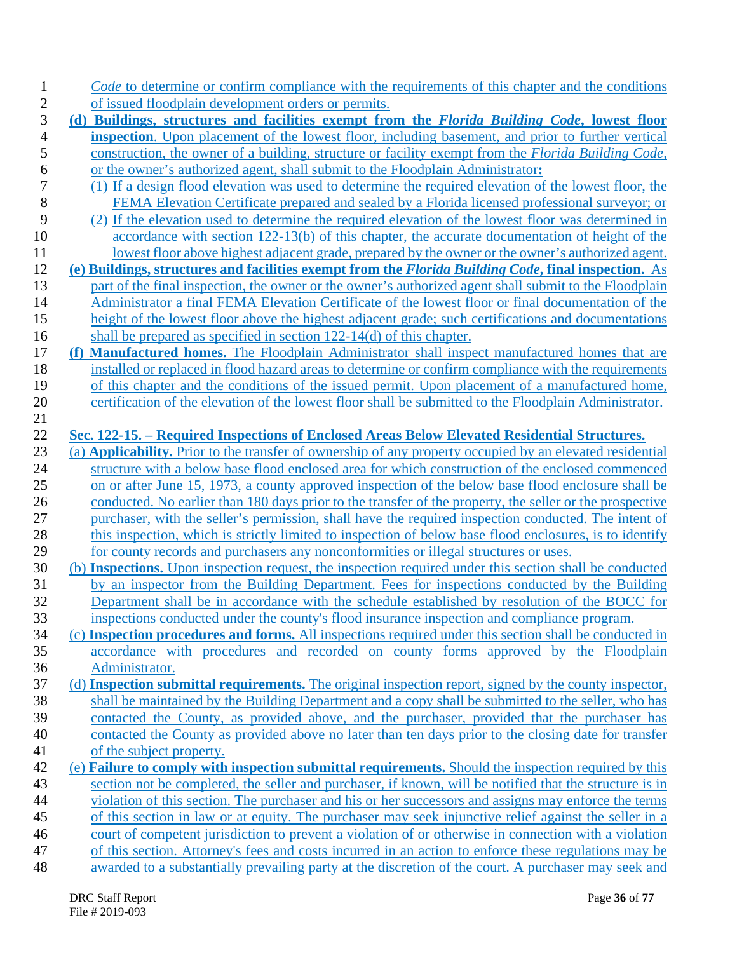| <i>Code</i> to determine or confirm compliance with the requirements of this chapter and the conditions          |
|------------------------------------------------------------------------------------------------------------------|
| of issued floodplain development orders or permits.                                                              |
| (d) Buildings, structures and facilities exempt from the Florida Building Code, lowest floor                     |
| inspection. Upon placement of the lowest floor, including basement, and prior to further vertical                |
| construction, the owner of a building, structure or facility exempt from the <i>Florida Building Code</i> ,      |
| or the owner's authorized agent, shall submit to the Floodplain Administrator:                                   |
| (1) If a design flood elevation was used to determine the required elevation of the lowest floor, the            |
| FEMA Elevation Certificate prepared and sealed by a Florida licensed professional surveyor; or                   |
| (2) If the elevation used to determine the required elevation of the lowest floor was determined in              |
| accordance with section 122-13(b) of this chapter, the accurate documentation of height of the                   |
| lowest floor above highest adjacent grade, prepared by the owner or the owner's authorized agent.                |
| (e) Buildings, structures and facilities exempt from the Florida Building Code, final inspection. As             |
| part of the final inspection, the owner or the owner's authorized agent shall submit to the Floodplain           |
| Administrator a final FEMA Elevation Certificate of the lowest floor or final documentation of the               |
| height of the lowest floor above the highest adjacent grade; such certifications and documentations              |
| shall be prepared as specified in section $122-14(d)$ of this chapter.                                           |
| (f) Manufactured homes. The Floodplain Administrator shall inspect manufactured homes that are                   |
| installed or replaced in flood hazard areas to determine or confirm compliance with the requirements             |
| of this chapter and the conditions of the issued permit. Upon placement of a manufactured home,                  |
| certification of the elevation of the lowest floor shall be submitted to the Floodplain Administrator.           |
| Sec. 122-15. - Required Inspections of Enclosed Areas Below Elevated Residential Structures.                     |
| (a) <b>Applicability.</b> Prior to the transfer of ownership of any property occupied by an elevated residential |
| structure with a below base flood enclosed area for which construction of the enclosed commenced                 |
| on or after June 15, 1973, a county approved inspection of the below base flood enclosure shall be               |
| conducted. No earlier than 180 days prior to the transfer of the property, the seller or the prospective         |
| purchaser, with the seller's permission, shall have the required inspection conducted. The intent of             |
| this inspection, which is strictly limited to inspection of below base flood enclosures, is to identify          |
| for county records and purchasers any nonconformities or illegal structures or uses.                             |
| (b) Inspections. Upon inspection request, the inspection required under this section shall be conducted          |
| by an inspector from the Building Department. Fees for inspections conducted by the Building                     |
| Department shall be in accordance with the schedule established by resolution of the BOCC for                    |
| inspections conducted under the county's flood insurance inspection and compliance program.                      |
| (c) Inspection procedures and forms. All inspections required under this section shall be conducted in           |
| accordance with procedures and recorded on county forms approved by the Floodplain                               |
| Administrator.                                                                                                   |
| (d) Inspection submittal requirements. The original inspection report, signed by the county inspector,           |
| shall be maintained by the Building Department and a copy shall be submitted to the seller, who has              |
| contacted the County, as provided above, and the purchaser, provided that the purchaser has                      |
| contacted the County as provided above no later than ten days prior to the closing date for transfer             |
| of the subject property.                                                                                         |
| (e) Failure to comply with inspection submittal requirements. Should the inspection required by this             |
| section not be completed, the seller and purchaser, if known, will be notified that the structure is in          |
| violation of this section. The purchaser and his or her successors and assigns may enforce the terms             |
| of this section in law or at equity. The purchaser may seek injunctive relief against the seller in a            |
| court of competent jurisdiction to prevent a violation of or otherwise in connection with a violation            |
| of this section. Attorney's fees and costs incurred in an action to enforce these regulations may be             |
| awarded to a substantially prevailing party at the discretion of the court. A purchaser may seek and             |
|                                                                                                                  |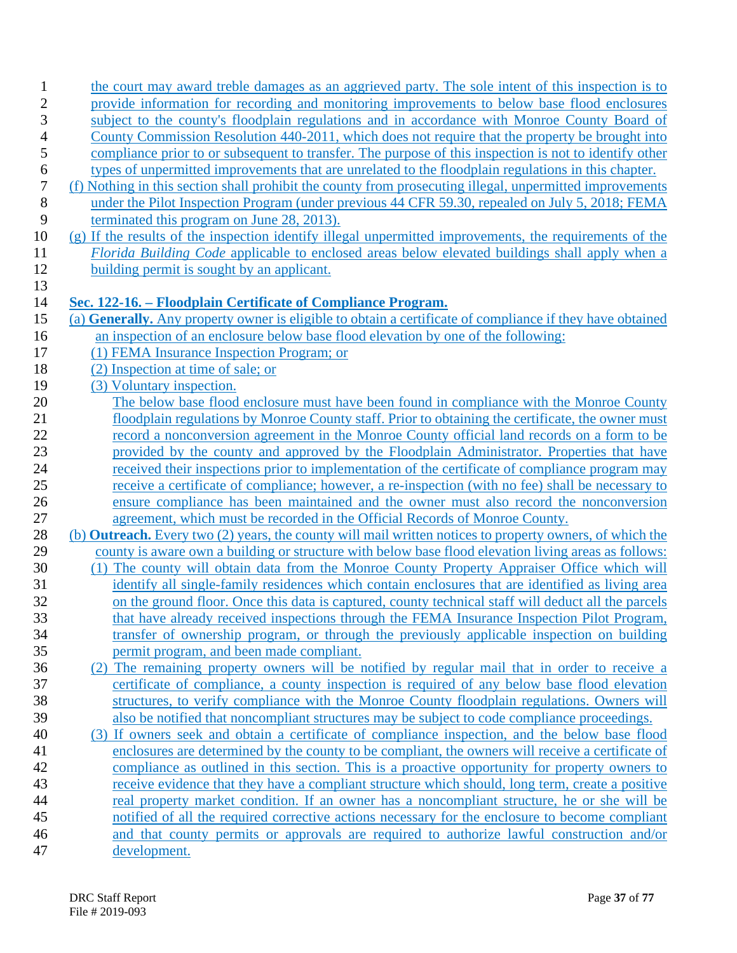| 1              | the court may award treble damages as an aggrieved party. The sole intent of this inspection is to                                                                                                   |
|----------------|------------------------------------------------------------------------------------------------------------------------------------------------------------------------------------------------------|
| 2              | provide information for recording and monitoring improvements to below base flood enclosures                                                                                                         |
| 3              | subject to the county's floodplain regulations and in accordance with Monroe County Board of                                                                                                         |
| $\overline{4}$ | County Commission Resolution 440-2011, which does not require that the property be brought into                                                                                                      |
| 5              | compliance prior to or subsequent to transfer. The purpose of this inspection is not to identify other                                                                                               |
| 6              | types of unpermitted improvements that are unrelated to the floodplain regulations in this chapter.                                                                                                  |
| 7              | (f) Nothing in this section shall prohibit the county from prosecuting illegal, unpermitted improvements                                                                                             |
| $\,8\,$        | under the Pilot Inspection Program (under previous 44 CFR 59.30, repealed on July 5, 2018; FEMA                                                                                                      |
| 9              | terminated this program on June 28, 2013).                                                                                                                                                           |
| 10             | (g) If the results of the inspection identify illegal unpermitted improvements, the requirements of the                                                                                              |
| 11             | Florida Building Code applicable to enclosed areas below elevated buildings shall apply when a                                                                                                       |
| 12             | building permit is sought by an applicant.                                                                                                                                                           |
| 13             |                                                                                                                                                                                                      |
| 14             | Sec. 122-16. – Floodplain Certificate of Compliance Program.                                                                                                                                         |
| 15             | (a) Generally. Any property owner is eligible to obtain a certificate of compliance if they have obtained                                                                                            |
| 16             | an inspection of an enclosure below base flood elevation by one of the following:                                                                                                                    |
| 17             | (1) FEMA Insurance Inspection Program; or                                                                                                                                                            |
| 18             | (2) Inspection at time of sale; or                                                                                                                                                                   |
| 19             | (3) Voluntary inspection.                                                                                                                                                                            |
| 20             | The below base flood enclosure must have been found in compliance with the Monroe County                                                                                                             |
| 21             | floodplain regulations by Monroe County staff. Prior to obtaining the certificate, the owner must                                                                                                    |
| 22             | record a nonconversion agreement in the Monroe County official land records on a form to be                                                                                                          |
| 23             | provided by the county and approved by the Floodplain Administrator. Properties that have                                                                                                            |
| 24<br>25       | received their inspections prior to implementation of the certificate of compliance program may<br>receive a certificate of compliance; however, a re-inspection (with no fee) shall be necessary to |
| 26             | ensure compliance has been maintained and the owner must also record the nonconversion                                                                                                               |
| 27             | agreement, which must be recorded in the Official Records of Monroe County.                                                                                                                          |
| 28             | (b) <b>Outreach.</b> Every two (2) years, the county will mail written notices to property owners, of which the                                                                                      |
| 29             | county is aware own a building or structure with below base flood elevation living areas as follows:                                                                                                 |
| 30             | (1) The county will obtain data from the Monroe County Property Appraiser Office which will                                                                                                          |
| 31             | identify all single-family residences which contain enclosures that are identified as living area                                                                                                    |
| 32             | on the ground floor. Once this data is captured, county technical staff will deduct all the parcels                                                                                                  |
| 33             | that have already received inspections through the FEMA Insurance Inspection Pilot Program,                                                                                                          |
| 34             | transfer of ownership program, or through the previously applicable inspection on building                                                                                                           |
| 35             | permit program, and been made compliant.                                                                                                                                                             |
| 36             | (2) The remaining property owners will be notified by regular mail that in order to receive a                                                                                                        |
| 37             | certificate of compliance, a county inspection is required of any below base flood elevation                                                                                                         |
| 38             | structures, to verify compliance with the Monroe County floodplain regulations. Owners will                                                                                                          |
| 39             | also be notified that noncompliant structures may be subject to code compliance proceedings.                                                                                                         |
| 40             | (3) If owners seek and obtain a certificate of compliance inspection, and the below base flood                                                                                                       |
| 41             | enclosures are determined by the county to be compliant, the owners will receive a certificate of                                                                                                    |
| 42             | compliance as outlined in this section. This is a proactive opportunity for property owners to                                                                                                       |
| 43             | receive evidence that they have a compliant structure which should, long term, create a positive                                                                                                     |
| 44             | real property market condition. If an owner has a noncompliant structure, he or she will be                                                                                                          |
| 45             | notified of all the required corrective actions necessary for the enclosure to become compliant                                                                                                      |
| 46             | and that county permits or approvals are required to authorize lawful construction and/or                                                                                                            |
| 47             | development.                                                                                                                                                                                         |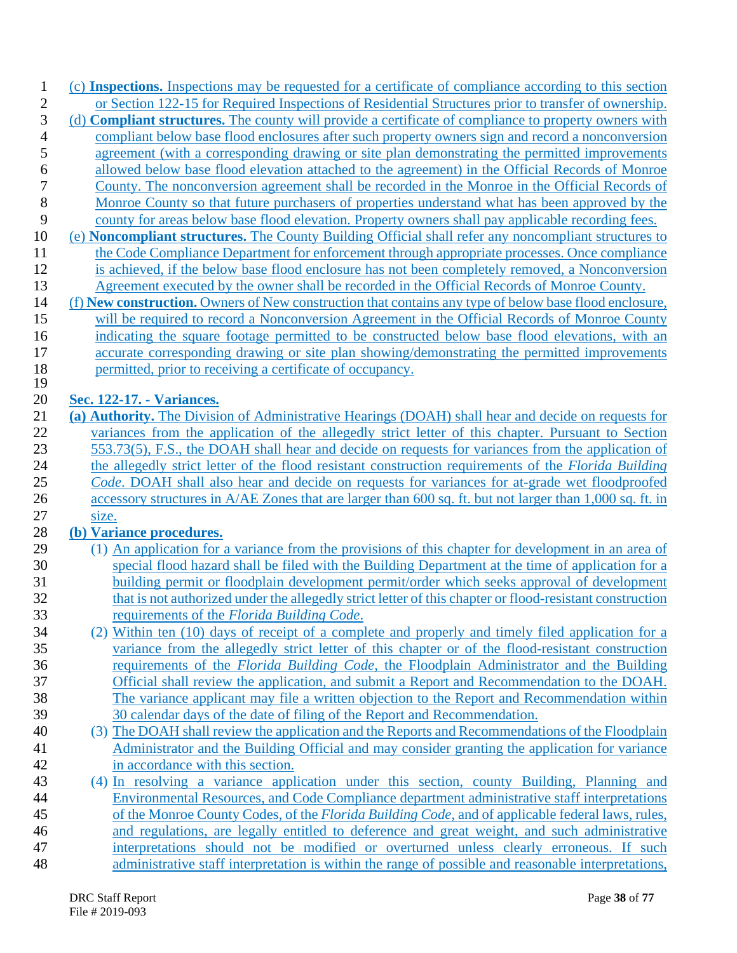| $\mathbf{1}$   | (c) Inspections. Inspections may be requested for a certificate of compliance according to this section      |
|----------------|--------------------------------------------------------------------------------------------------------------|
| $\sqrt{2}$     | or Section 122-15 for Required Inspections of Residential Structures prior to transfer of ownership.         |
| 3              | (d) <b>Compliant structures.</b> The county will provide a certificate of compliance to property owners with |
| $\overline{4}$ | compliant below base flood enclosures after such property owners sign and record a nonconversion             |
| 5              | agreement (with a corresponding drawing or site plan demonstrating the permitted improvements                |
| 6              | allowed below base flood elevation attached to the agreement) in the Official Records of Monroe              |
| $\overline{7}$ | County. The nonconversion agreement shall be recorded in the Monroe in the Official Records of               |
| 8              | Monroe County so that future purchasers of properties understand what has been approved by the               |
| 9              | county for areas below base flood elevation. Property owners shall pay applicable recording fees.            |
| 10             | (e) <b>Noncompliant structures.</b> The County Building Official shall refer any noncompliant structures to  |
| 11             | the Code Compliance Department for enforcement through appropriate processes. Once compliance                |
| 12             | is achieved, if the below base flood enclosure has not been completely removed, a Nonconversion              |
| 13             | Agreement executed by the owner shall be recorded in the Official Records of Monroe County.                  |
| 14             | (f) New construction. Owners of New construction that contains any type of below base flood enclosure,       |
| 15             | will be required to record a Nonconversion Agreement in the Official Records of Monroe County                |
| 16             |                                                                                                              |
|                | indicating the square footage permitted to be constructed below base flood elevations, with an               |
| 17             | accurate corresponding drawing or site plan showing/demonstrating the permitted improvements                 |
| 18<br>19       | permitted, prior to receiving a certificate of occupancy.                                                    |
| 20             | Sec. 122-17. - Variances.                                                                                    |
| 21             | (a) Authority. The Division of Administrative Hearings (DOAH) shall hear and decide on requests for          |
| 22             | variances from the application of the allegedly strict letter of this chapter. Pursuant to Section           |
| 23             | 553.73(5), F.S., the DOAH shall hear and decide on requests for variances from the application of            |
|                |                                                                                                              |
| 24             | the allegedly strict letter of the flood resistant construction requirements of the Florida Building         |
| 25             | Code. DOAH shall also hear and decide on requests for variances for at-grade wet floodproofed                |
| 26             | accessory structures in A/AE Zones that are larger than 600 sq. ft. but not larger than 1,000 sq. ft. in     |
| 27             | size.                                                                                                        |
| 28             | (b) Variance procedures.                                                                                     |
| 29             | (1) An application for a variance from the provisions of this chapter for development in an area of          |
| 30             | special flood hazard shall be filed with the Building Department at the time of application for a            |
| 31             | building permit or floodplain development permit/order which seeks approval of development                   |
| 32             | that is not authorized under the allegedly strict letter of this chapter or flood-resistant construction     |
| 33             | requirements of the Florida Building Code.                                                                   |
| 34             | (2) Within ten (10) days of receipt of a complete and properly and timely filed application for a            |
| 35             | variance from the allegedly strict letter of this chapter or of the flood-resistant construction             |
| 36             | requirements of the Florida Building Code, the Floodplain Administrator and the Building                     |
| 37             | Official shall review the application, and submit a Report and Recommendation to the DOAH.                   |
| 38             | The variance applicant may file a written objection to the Report and Recommendation within                  |
| 39             | 30 calendar days of the date of filing of the Report and Recommendation.                                     |
| 40             | (3) The DOAH shall review the application and the Reports and Recommendations of the Floodplain              |
| 41             | Administrator and the Building Official and may consider granting the application for variance               |
| 42             | in accordance with this section.                                                                             |
| 43             | (4) In resolving a variance application under this section, county Building, Planning and                    |
| 44             | Environmental Resources, and Code Compliance department administrative staff interpretations                 |
| 45             | of the Monroe County Codes, of the Florida Building Code, and of applicable federal laws, rules,             |
| 46             | and regulations, are legally entitled to deference and great weight, and such administrative                 |
| 47             | interpretations should not be modified or overturned unless clearly erroneous. If such                       |
| 48             | administrative staff interpretation is within the range of possible and reasonable interpretations,          |
|                |                                                                                                              |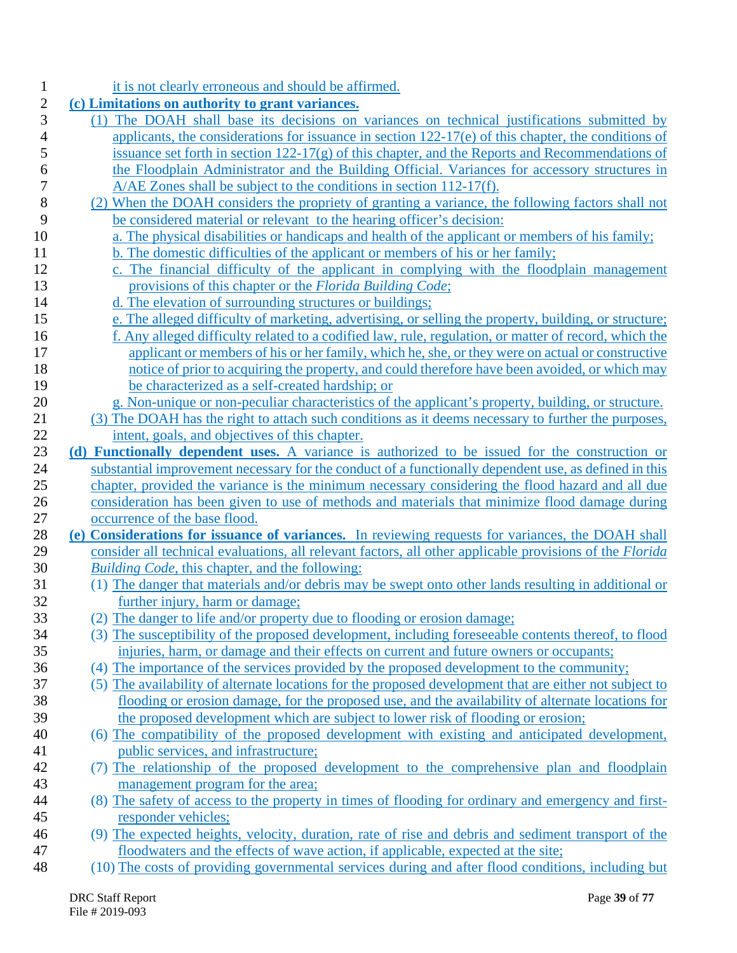| 1              | it is not clearly erroneous and should be affirmed.                                                                                                                                                                  |
|----------------|----------------------------------------------------------------------------------------------------------------------------------------------------------------------------------------------------------------------|
| $\overline{c}$ | (c) Limitations on authority to grant variances.                                                                                                                                                                     |
| 3              | (1) The DOAH shall base its decisions on variances on technical justifications submitted by                                                                                                                          |
| 4              | applicants, the considerations for issuance in section $122-17(e)$ of this chapter, the conditions of                                                                                                                |
| 5              | issuance set forth in section $122-17(g)$ of this chapter, and the Reports and Recommendations of                                                                                                                    |
| 6              | the Floodplain Administrator and the Building Official. Variances for accessory structures in                                                                                                                        |
| 7              | $A/AE$ Zones shall be subject to the conditions in section 112-17(f).                                                                                                                                                |
| 8              | (2) When the DOAH considers the propriety of granting a variance, the following factors shall not                                                                                                                    |
| 9              | be considered material or relevant to the hearing officer's decision:                                                                                                                                                |
| 10             | a. The physical disabilities or handicaps and health of the applicant or members of his family;                                                                                                                      |
| 11             | b. The domestic difficulties of the applicant or members of his or her family;                                                                                                                                       |
| 12             | c. The financial difficulty of the applicant in complying with the floodplain management                                                                                                                             |
| 13             | provisions of this chapter or the Florida Building Code;                                                                                                                                                             |
| 14             | d. The elevation of surrounding structures or buildings;                                                                                                                                                             |
| 15             | e. The alleged difficulty of marketing, advertising, or selling the property, building, or structure;                                                                                                                |
| 16             | f. Any alleged difficulty related to a codified law, rule, regulation, or matter of record, which the                                                                                                                |
| 17             | applicant or members of his or her family, which he, she, or they were on actual or constructive                                                                                                                     |
| 18             | notice of prior to acquiring the property, and could therefore have been avoided, or which may                                                                                                                       |
| 19             | be characterized as a self-created hardship; or                                                                                                                                                                      |
| 20             | g. Non-unique or non-peculiar characteristics of the applicant's property, building, or structure.                                                                                                                   |
| 21             | (3) The DOAH has the right to attach such conditions as it deems necessary to further the purposes,                                                                                                                  |
| 22             | intent, goals, and objectives of this chapter.                                                                                                                                                                       |
| 23             | (d) Functionally dependent uses. A variance is authorized to be issued for the construction or                                                                                                                       |
| 24             | substantial improvement necessary for the conduct of a functionally dependent use, as defined in this                                                                                                                |
| 25             | chapter, provided the variance is the minimum necessary considering the flood hazard and all due                                                                                                                     |
| 26             | consideration has been given to use of methods and materials that minimize flood damage during                                                                                                                       |
| 27<br>28       | occurrence of the base flood.                                                                                                                                                                                        |
| 29             | (e) Considerations for issuance of variances. In reviewing requests for variances, the DOAH shall<br>consider all technical evaluations, all relevant factors, all other applicable provisions of the <i>Florida</i> |
| 30             | Building Code, this chapter, and the following:                                                                                                                                                                      |
| 31             | (1) The danger that materials and/or debris may be swept onto other lands resulting in additional or                                                                                                                 |
| 32             | further injury, harm or damage;                                                                                                                                                                                      |
| 33             | (2) The danger to life and/or property due to flooding or erosion damage;                                                                                                                                            |
| 34             | (3) The susceptibility of the proposed development, including foreseeable contents thereof, to flood                                                                                                                 |
| 35             | injuries, harm, or damage and their effects on current and future owners or occupants;                                                                                                                               |
| 36             | (4) The importance of the services provided by the proposed development to the community;                                                                                                                            |
| 37             | (5) The availability of alternate locations for the proposed development that are either not subject to                                                                                                              |
| 38             | flooding or erosion damage, for the proposed use, and the availability of alternate locations for                                                                                                                    |
| 39             | the proposed development which are subject to lower risk of flooding or erosion;                                                                                                                                     |
| 40             | (6) The compatibility of the proposed development with existing and anticipated development,                                                                                                                         |
| 41             | public services, and infrastructure;                                                                                                                                                                                 |
| 42             | (7) The relationship of the proposed development to the comprehensive plan and floodplain                                                                                                                            |
| 43             | management program for the area;                                                                                                                                                                                     |
| 44             | (8) The safety of access to the property in times of flooding for ordinary and emergency and first-                                                                                                                  |
| 45             | responder vehicles;                                                                                                                                                                                                  |
| 46             | (9) The expected heights, velocity, duration, rate of rise and debris and sediment transport of the                                                                                                                  |
| 47             | floodwaters and the effects of wave action, if applicable, expected at the site;                                                                                                                                     |
| 48             | (10) The costs of providing governmental services during and after flood conditions, including but                                                                                                                   |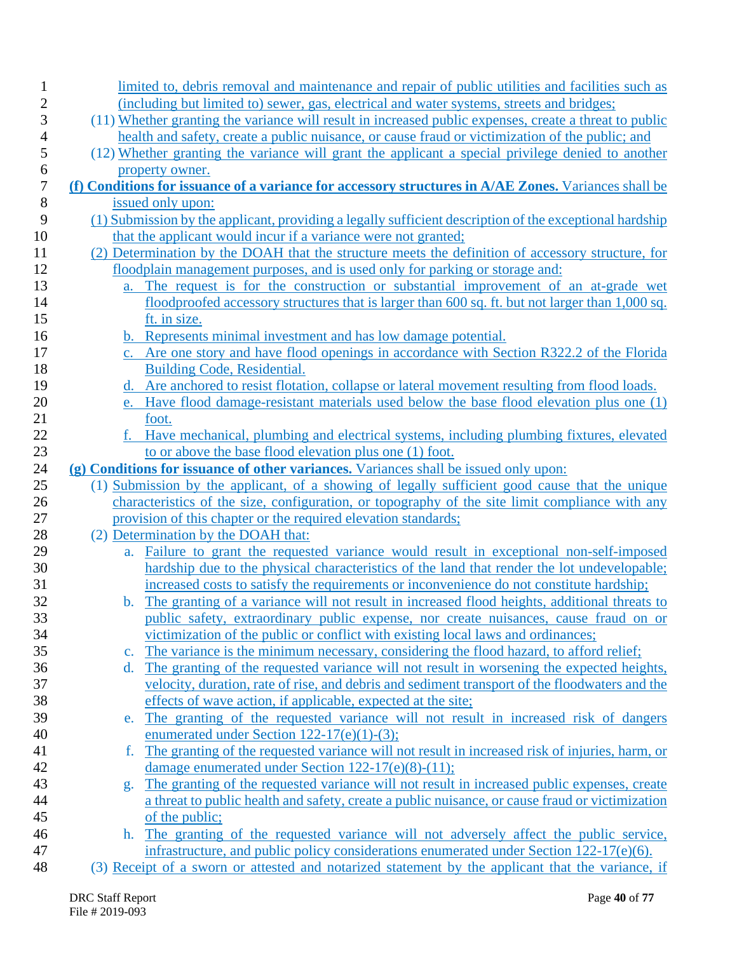| $\mathbf 1$    | limited to, debris removal and maintenance and repair of public utilities and facilities such as              |
|----------------|---------------------------------------------------------------------------------------------------------------|
| $\overline{c}$ | (including but limited to) sewer, gas, electrical and water systems, streets and bridges;                     |
| 3              | (11) Whether granting the variance will result in increased public expenses, create a threat to public        |
| $\overline{4}$ | health and safety, create a public nuisance, or cause fraud or victimization of the public; and               |
| 5              | (12) Whether granting the variance will grant the applicant a special privilege denied to another             |
| 6              | property owner.                                                                                               |
| $\overline{7}$ | (f) Conditions for issuance of a variance for accessory structures in A/AE Zones. Variances shall be          |
| $8\,$          | issued only upon:                                                                                             |
| 9              | (1) Submission by the applicant, providing a legally sufficient description of the exceptional hardship       |
| 10             | that the applicant would incur if a variance were not granted;                                                |
| 11             | (2) Determination by the DOAH that the structure meets the definition of accessory structure, for             |
| 12             | floodplain management purposes, and is used only for parking or storage and:                                  |
| 13             | a. The request is for the construction or substantial improvement of an at-grade wet                          |
| 14             | floodproofed accessory structures that is larger than 600 sq. ft. but not larger than 1,000 sq.               |
| 15             | ft. in size.                                                                                                  |
| 16             | <b>b.</b> Represents minimal investment and has low damage potential.                                         |
| 17             | c. Are one story and have flood openings in accordance with Section R322.2 of the Florida                     |
| 18             | Building Code, Residential.                                                                                   |
| 19             | d. Are anchored to resist flotation, collapse or lateral movement resulting from flood loads.                 |
| 20             | e. Have flood damage-resistant materials used below the base flood elevation plus one (1)                     |
| 21             | foot.                                                                                                         |
| 22             | f. Have mechanical, plumbing and electrical systems, including plumbing fixtures, elevated                    |
| 23             | to or above the base flood elevation plus one (1) foot.                                                       |
| 24             | (g) Conditions for issuance of other variances. Variances shall be issued only upon:                          |
| 25             | (1) Submission by the applicant, of a showing of legally sufficient good cause that the unique                |
| 26             | characteristics of the size, configuration, or topography of the site limit compliance with any               |
| 27             | provision of this chapter or the required elevation standards;                                                |
| 28             | (2) Determination by the DOAH that:                                                                           |
| 29             | Failure to grant the requested variance would result in exceptional non-self-imposed<br>a.                    |
| 30             | hardship due to the physical characteristics of the land that render the lot undevelopable;                   |
| 31             | increased costs to satisfy the requirements or inconvenience do not constitute hardship;                      |
| 32             | b. The granting of a variance will not result in increased flood heights, additional threats to               |
| 33             | public safety, extraordinary public expense, nor create nuisances, cause fraud on or                          |
| 34             | victimization of the public or conflict with existing local laws and ordinances;                              |
| 35             | The variance is the minimum necessary, considering the flood hazard, to afford relief;<br>$\mathbf{c}$ .      |
| 36             | The granting of the requested variance will not result in worsening the expected heights,<br>$d_{\cdot}$      |
| 37             | velocity, duration, rate of rise, and debris and sediment transport of the floodwaters and the                |
| 38             | effects of wave action, if applicable, expected at the site;                                                  |
| 39             | The granting of the requested variance will not result in increased risk of dangers<br>e.                     |
| 40             | enumerated under Section 122-17(e)(1)-(3);                                                                    |
| 41             | The granting of the requested variance will not result in increased risk of injuries, harm, or<br>f.          |
| 42             | damage enumerated under Section 122-17(e)(8)-(11);                                                            |
| 43             | The granting of the requested variance will not result in increased public expenses, create<br>g <sub>1</sub> |
| 44             | a threat to public health and safety, create a public nuisance, or cause fraud or victimization               |
| 45             | of the public;                                                                                                |
| 46             | The granting of the requested variance will not adversely affect the public service,<br>h.                    |
| 47             | infrastructure, and public policy considerations enumerated under Section 122-17(e)(6).                       |
| 48             | (3) Receipt of a sworn or attested and notarized statement by the applicant that the variance, if             |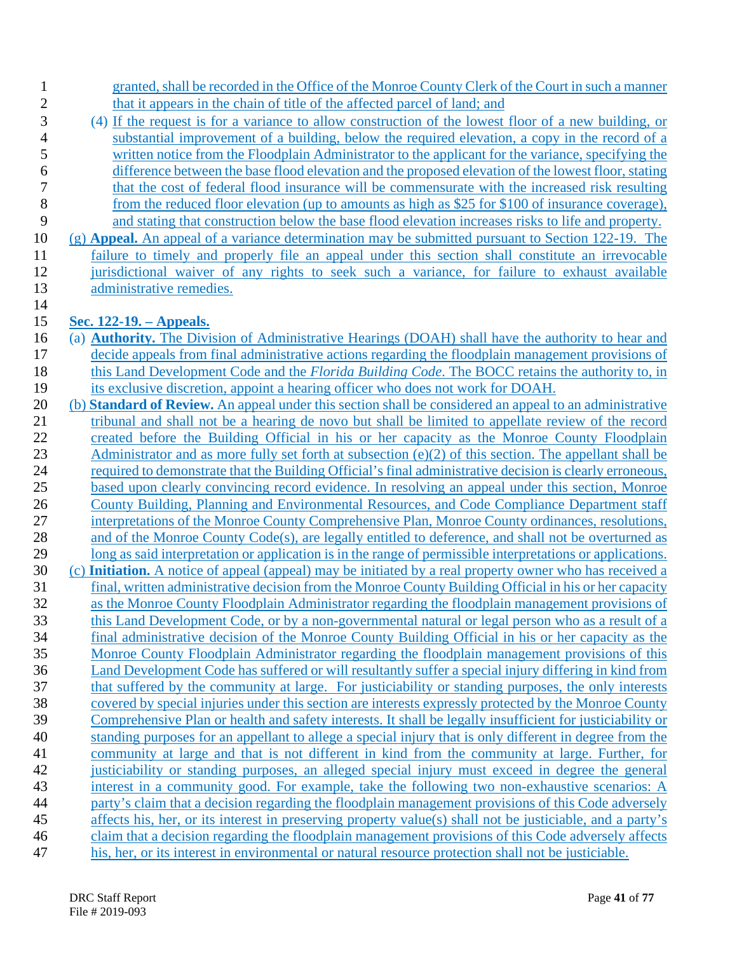| $\mathbf{1}$   | granted, shall be recorded in the Office of the Monroe County Clerk of the Court in such a manner                                                                                                                             |
|----------------|-------------------------------------------------------------------------------------------------------------------------------------------------------------------------------------------------------------------------------|
| $\overline{c}$ | that it appears in the chain of title of the affected parcel of land; and                                                                                                                                                     |
| 3              | (4) If the request is for a variance to allow construction of the lowest floor of a new building, or                                                                                                                          |
| 4              | substantial improvement of a building, below the required elevation, a copy in the record of a                                                                                                                                |
| 5              | written notice from the Floodplain Administrator to the applicant for the variance, specifying the                                                                                                                            |
| 6              | difference between the base flood elevation and the proposed elevation of the lowest floor, stating                                                                                                                           |
| $\overline{7}$ | that the cost of federal flood insurance will be commensurate with the increased risk resulting                                                                                                                               |
| 8              | from the reduced floor elevation (up to amounts as high as \$25 for \$100 of insurance coverage),                                                                                                                             |
| 9              | and stating that construction below the base flood elevation increases risks to life and property.                                                                                                                            |
| 10             | $(g)$ Appeal. An appeal of a variance determination may be submitted pursuant to Section 122-19. The                                                                                                                          |
| 11             | failure to timely and properly file an appeal under this section shall constitute an irrevocable                                                                                                                              |
| 12             | jurisdictional waiver of any rights to seek such a variance, for failure to exhaust available                                                                                                                                 |
| 13             | administrative remedies.                                                                                                                                                                                                      |
| 14             |                                                                                                                                                                                                                               |
| 15             | Sec. 122-19. – Appeals.                                                                                                                                                                                                       |
| 16             | (a) <b>Authority.</b> The Division of Administrative Hearings (DOAH) shall have the authority to hear and                                                                                                                     |
| 17             | decide appeals from final administrative actions regarding the floodplain management provisions of                                                                                                                            |
| 18             | this Land Development Code and the <i>Florida Building Code</i> . The BOCC retains the authority to, in                                                                                                                       |
| 19             | its exclusive discretion, appoint a hearing officer who does not work for DOAH.                                                                                                                                               |
| 20             | (b) <b>Standard of Review.</b> An appeal under this section shall be considered an appeal to an administrative                                                                                                                |
| 21             | tribunal and shall not be a hearing de novo but shall be limited to appellate review of the record                                                                                                                            |
| 22             | created before the Building Official in his or her capacity as the Monroe County Floodplain                                                                                                                                   |
| 23             | Administrator and as more fully set forth at subsection $(e)(2)$ of this section. The appellant shall be                                                                                                                      |
| 24             | required to demonstrate that the Building Official's final administrative decision is clearly erroneous,                                                                                                                      |
| 25             | based upon clearly convincing record evidence. In resolving an appeal under this section, Monroe                                                                                                                              |
| 26             | County Building, Planning and Environmental Resources, and Code Compliance Department staff                                                                                                                                   |
| 27<br>28       | interpretations of the Monroe County Comprehensive Plan, Monroe County ordinances, resolutions,                                                                                                                               |
| 29             | and of the Monroe County Code(s), are legally entitled to deference, and shall not be overturned as                                                                                                                           |
| 30             | long as said interpretation or application is in the range of permissible interpretations or applications.<br>(c) <b>Initiation.</b> A notice of appeal (appeal) may be initiated by a real property owner who has received a |
| 31             | final, written administrative decision from the Monroe County Building Official in his or her capacity                                                                                                                        |
| 32             | as the Monroe County Floodplain Administrator regarding the floodplain management provisions of                                                                                                                               |
| 33             | this Land Development Code, or by a non-governmental natural or legal person who as a result of a                                                                                                                             |
| 34             | final administrative decision of the Monroe County Building Official in his or her capacity as the                                                                                                                            |
| 35             | Monroe County Floodplain Administrator regarding the floodplain management provisions of this                                                                                                                                 |
| 36             | Land Development Code has suffered or will resultantly suffer a special injury differing in kind from                                                                                                                         |
| 37             | that suffered by the community at large. For justiciability or standing purposes, the only interests                                                                                                                          |
| 38             | covered by special injuries under this section are interests expressly protected by the Monroe County                                                                                                                         |
| 39             | Comprehensive Plan or health and safety interests. It shall be legally insufficient for justiciability or                                                                                                                     |
| 40             | standing purposes for an appellant to allege a special injury that is only different in degree from the                                                                                                                       |
| 41             | community at large and that is not different in kind from the community at large. Further, for                                                                                                                                |
| 42             | justiciability or standing purposes, an alleged special injury must exceed in degree the general                                                                                                                              |
| 43             | interest in a community good. For example, take the following two non-exhaustive scenarios: A                                                                                                                                 |
| 44             | party's claim that a decision regarding the floodplain management provisions of this Code adversely                                                                                                                           |
| 45             | affects his, her, or its interest in preserving property value(s) shall not be justiciable, and a party's                                                                                                                     |
| 46             | claim that a decision regarding the floodplain management provisions of this Code adversely affects                                                                                                                           |
| 47             | his, her, or its interest in environmental or natural resource protection shall not be justiciable.                                                                                                                           |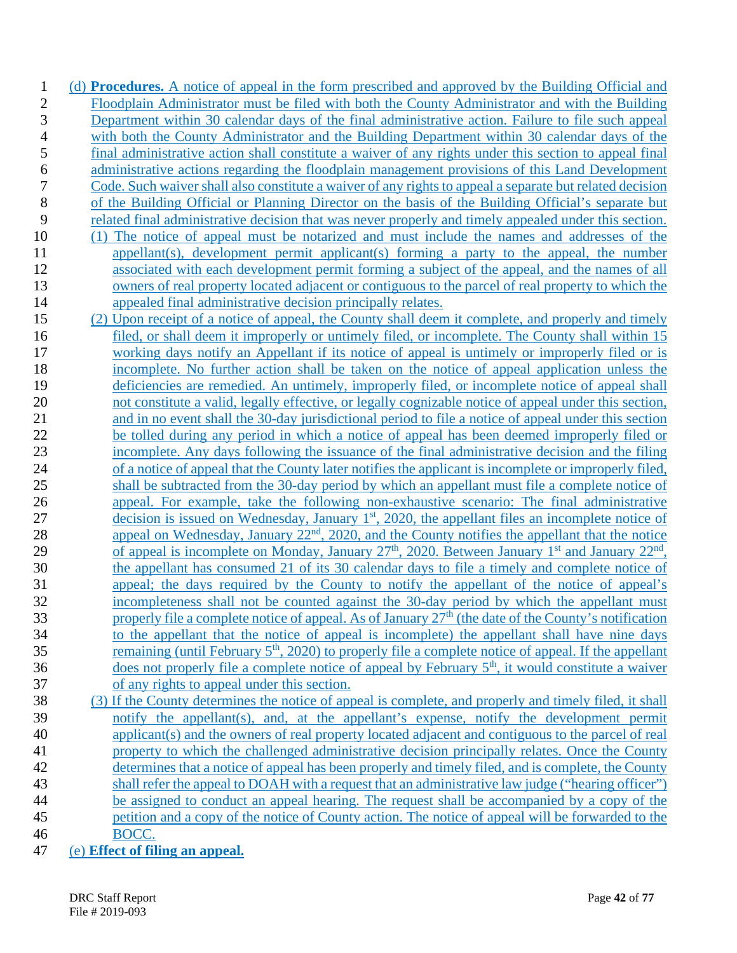(d) **Procedures.** A notice of appeal in the form prescribed and approved by the Building Official and Floodplain Administrator must be filed with both the County Administrator and with the Building Department within 30 calendar days of the final administrative action. Failure to file such appeal with both the County Administrator and the Building Department within 30 calendar days of the final administrative action shall constitute a waiver of any rights under this section to appeal final 6 administrative actions regarding the floodplain management provisions of this Land Development<br>7 Code. Such waiver shall also constitute a waiver of any rights to appeal a separate but related decision Code. Such waiver shall also constitute a waiver of any rights to appeal a separate but related decision of the Building Official or Planning Director on the basis of the Building Official's separate but related final administrative decision that was never properly and timely appealed under this section. 10 (1) The notice of appeal must be notarized and must include the names and addresses of the appellant(s), development permit applicant(s) forming a party to the appeal, the number associated with each development permit forming a subject of the appeal, and the names of all owners of real property located adjacent or contiguous to the parcel of real property to which the appealed final administrative decision principally relates. (2) Upon receipt of a notice of appeal, the County shall deem it complete, and properly and timely 16 filed, or shall deem it improperly or untimely filed, or incomplete. The County shall within 15 working days notify an Appellant if its notice of appeal is untimely or improperly filed or is incomplete. No further action shall be taken on the notice of appeal application unless the deficiencies are remedied. An untimely, improperly filed, or incomplete notice of appeal shall not constitute a valid, legally effective, or legally cognizable notice of appeal under this section, and in no event shall the 30-day jurisdictional period to file a notice of appeal under this section be tolled during any period in which a notice of appeal has been deemed improperly filed or incomplete. Any days following the issuance of the final administrative decision and the filing of a notice of appeal that the County later notifies the applicant is incomplete or improperly filed, shall be subtracted from the 30-day period by which an appellant must file a complete notice of appeal. For example, take the following non-exhaustive scenario: The final administrative 27 decision is issued on Wednesday, January  $1<sup>st</sup>$ , 2020, the appellant files an incomplete notice of 28 appeal on Wednesday, January  $22<sup>nd</sup>$ ,  $2020$ , and the County notifies the appellant that the notice 29 of appeal is incomplete on <u>Monday, January 27<sup>th</sup>, 2020</u>. Between January 1<sup>st</sup> and January 22<sup>nd</sup>, the appellant has consumed 21 of its 30 calendar days to file a timely and complete notice of appeal; the days required by the County to notify the appellant of the notice of appeal's incompleteness shall not be counted against the 30-day period by which the appellant must 33 properly file a complete notice of appeal. As of January  $27<sup>th</sup>$  (the date of the County's notification to the appellant that the notice of appeal is incomplete) the appellant shall have nine days 35 remaining (until February  $5<sup>th</sup>$ , 2020) to properly file a complete notice of appeal. If the appellant does not properly file a complete notice of appeal by February  $5<sup>th</sup>$ , it would constitute a waiver of any rights to appeal under this section. (3) If the County determines the notice of appeal is complete, and properly and timely filed, it shall notify the appellant(s), and, at the appellant's expense, notify the development permit applicant(s) and the owners of real property located adjacent and contiguous to the parcel of real property to which the challenged administrative decision principally relates. Once the County determines that a notice of appeal has been properly and timely filed, and is complete, the County shall refer the appeal to DOAH with a request that an administrative law judge ("hearing officer") be assigned to conduct an appeal hearing. The request shall be accompanied by a copy of the petition and a copy of the notice of County action. The notice of appeal will be forwarded to the

- BOCC.
- (e) **Effect of filing an appeal.**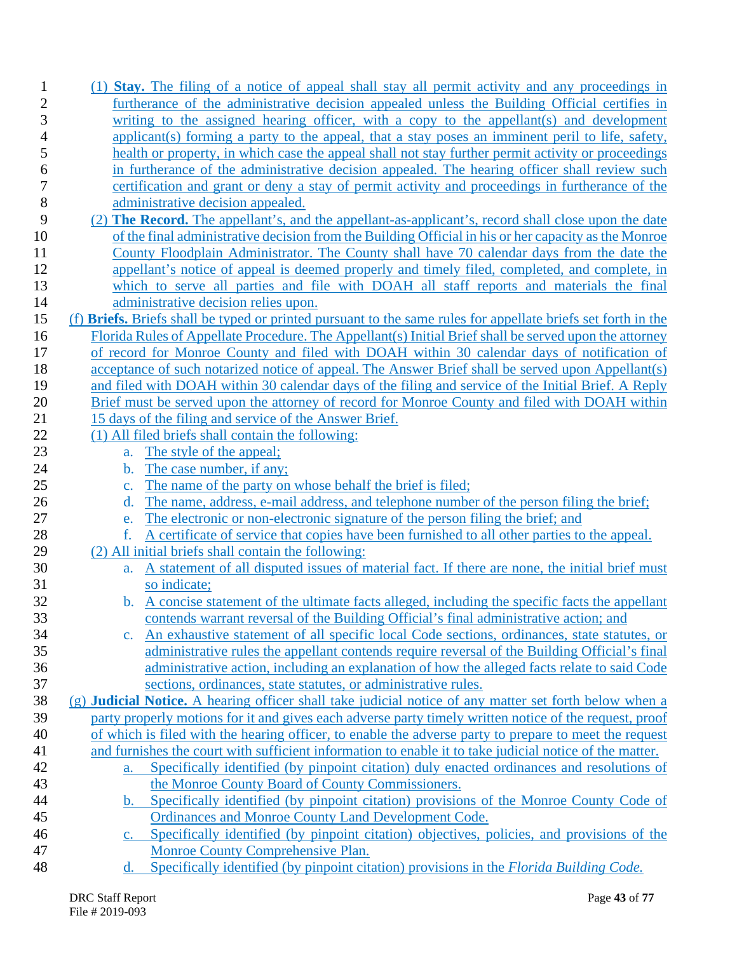| $\mathbf{1}$   | (1) <b>Stay.</b> The filing of a notice of appeal shall stay all permit activity and any proceedings in                      |
|----------------|------------------------------------------------------------------------------------------------------------------------------|
| $\overline{c}$ | furtherance of the administrative decision appealed unless the Building Official certifies in                                |
| 3              | writing to the assigned hearing officer, with a copy to the appellant(s) and development                                     |
| 4              | applicant(s) forming a party to the appeal, that a stay poses an imminent peril to life, safety,                             |
| 5              | health or property, in which case the appeal shall not stay further permit activity or proceedings                           |
| 6              | in furtherance of the administrative decision appealed. The hearing officer shall review such                                |
| 7              | certification and grant or deny a stay of permit activity and proceedings in furtherance of the                              |
| $8\,$          | administrative decision appealed.                                                                                            |
| 9              | (2) The Record. The appellant's, and the appellant-as-applicant's, record shall close upon the date                          |
| 10             | of the final administrative decision from the Building Official in his or her capacity as the Monroe                         |
| 11             | County Floodplain Administrator. The County shall have 70 calendar days from the date the                                    |
| 12             | appellant's notice of appeal is deemed properly and timely filed, completed, and complete, in                                |
| 13             | which to serve all parties and file with DOAH all staff reports and materials the final                                      |
| 14             | administrative decision relies upon.                                                                                         |
| 15             | (f) Briefs. Briefs shall be typed or printed pursuant to the same rules for appellate briefs set forth in the                |
| 16             | Florida Rules of Appellate Procedure. The Appellant(s) Initial Brief shall be served upon the attorney                       |
| 17             | of record for Monroe County and filed with DOAH within 30 calendar days of notification of                                   |
| 18             | acceptance of such notarized notice of appeal. The Answer Brief shall be served upon Appellant(s)                            |
| 19             | and filed with DOAH within 30 calendar days of the filing and service of the Initial Brief. A Reply                          |
| 20             | Brief must be served upon the attorney of record for Monroe County and filed with DOAH within                                |
| 21             | 15 days of the filing and service of the Answer Brief.                                                                       |
| 22             | (1) All filed briefs shall contain the following:                                                                            |
| 23             | The style of the appeal;<br>a.                                                                                               |
| 24             | The case number, if any;<br>b.                                                                                               |
|                |                                                                                                                              |
| 25             | The name of the party on whose behalf the brief is filed;<br>$\mathbf{c}$ .                                                  |
| 26             | The name, address, e-mail address, and telephone number of the person filing the brief;<br>d.                                |
| 27             | The electronic or non-electronic signature of the person filing the brief; and<br>e.                                         |
| 28             | A certificate of service that copies have been furnished to all other parties to the appeal.<br>f.                           |
| 29             | (2) All initial briefs shall contain the following:                                                                          |
| 30             | A statement of all disputed issues of material fact. If there are none, the initial brief must<br>a.                         |
| 31             | so indicate;                                                                                                                 |
| 32             | b. A concise statement of the ultimate facts alleged, including the specific facts the appellant                             |
| 33             | contends warrant reversal of the Building Official's final administrative action; and                                        |
| 34             | c. An exhaustive statement of all specific local Code sections, ordinances, state statutes, or                               |
| 35             | administrative rules the appellant contends require reversal of the Building Official's final                                |
| 36             | administrative action, including an explanation of how the alleged facts relate to said Code                                 |
| 37             | sections, ordinances, state statutes, or administrative rules.                                                               |
| 38             | (g) Judicial Notice. A hearing officer shall take judicial notice of any matter set forth below when a                       |
| 39             | party properly motions for it and gives each adverse party timely written notice of the request, proof                       |
| 40             | of which is filed with the hearing officer, to enable the adverse party to prepare to meet the request                       |
| 41             | and furnishes the court with sufficient information to enable it to take judicial notice of the matter.                      |
| 42             | Specifically identified (by pinpoint citation) duly enacted ordinances and resolutions of<br>a.                              |
| 43             | the Monroe County Board of County Commissioners.                                                                             |
| 44             | Specifically identified (by pinpoint citation) provisions of the Monroe County Code of<br>b.                                 |
| 45             | Ordinances and Monroe County Land Development Code.                                                                          |
| 46             | c. Specifically identified (by pinpoint citation) objectives, policies, and provisions of the                                |
| 47<br>48       | Monroe County Comprehensive Plan.<br>Specifically identified (by pinpoint citation) provisions in the Florida Building Code. |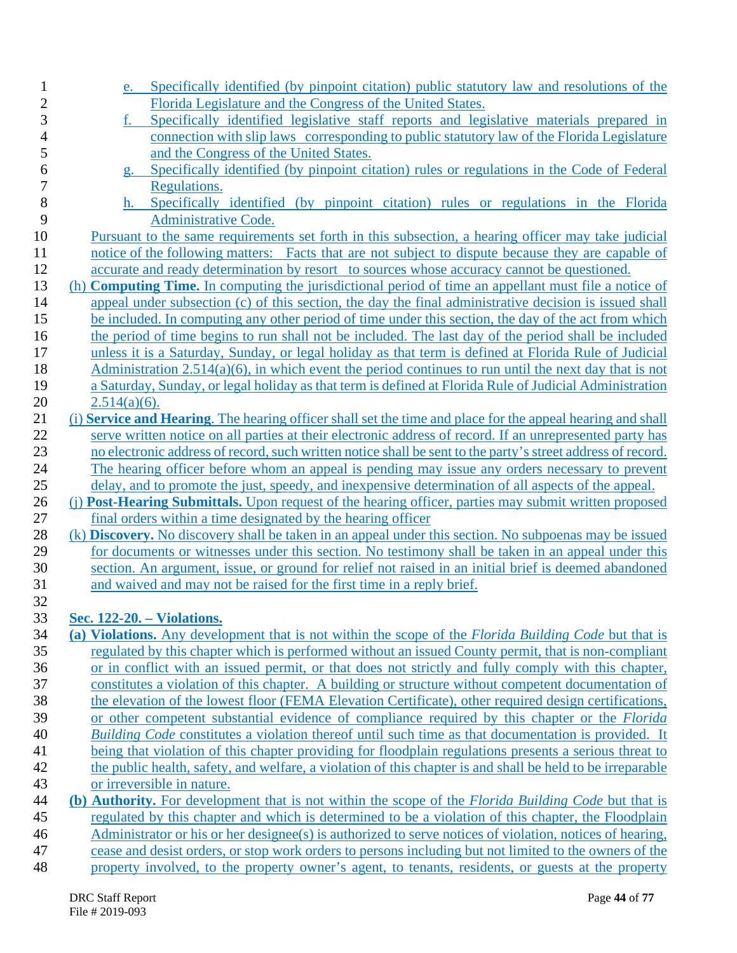| 1              | e. Specifically identified (by pinpoint citation) public statutory law and resolutions of the                                                                                                                |
|----------------|--------------------------------------------------------------------------------------------------------------------------------------------------------------------------------------------------------------|
| $\overline{c}$ | Florida Legislature and the Congress of the United States.                                                                                                                                                   |
| 3              | Specifically identified legislative staff reports and legislative materials prepared in<br>f.                                                                                                                |
| $\overline{4}$ | connection with slip laws corresponding to public statutory law of the Florida Legislature                                                                                                                   |
| 5              | and the Congress of the United States.                                                                                                                                                                       |
| 6              | g. Specifically identified (by pinpoint citation) rules or regulations in the Code of Federal                                                                                                                |
| $\overline{7}$ | Regulations.                                                                                                                                                                                                 |
| 8              | h. Specifically identified (by pinpoint citation) rules or regulations in the Florida                                                                                                                        |
| 9              | Administrative Code.                                                                                                                                                                                         |
| 10             | Pursuant to the same requirements set forth in this subsection, a hearing officer may take judicial                                                                                                          |
| 11             | notice of the following matters: Facts that are not subject to dispute because they are capable of                                                                                                           |
| 12             | accurate and ready determination by resort to sources whose accuracy cannot be questioned.                                                                                                                   |
| 13             | (h) <b>Computing Time.</b> In computing the jurisdictional period of time an appellant must file a notice of                                                                                                 |
| 14             | appeal under subsection (c) of this section, the day the final administrative decision is issued shall                                                                                                       |
| 15             | be included. In computing any other period of time under this section, the day of the act from which                                                                                                         |
| 16             | the period of time begins to run shall not be included. The last day of the period shall be included                                                                                                         |
| 17             | unless it is a Saturday, Sunday, or legal holiday as that term is defined at Florida Rule of Judicial                                                                                                        |
| 18             | Administration $2.514(a)(6)$ , in which event the period continues to run until the next day that is not                                                                                                     |
| 19             | a Saturday, Sunday, or legal holiday as that term is defined at Florida Rule of Judicial Administration                                                                                                      |
| 20             | $2.514(a)(6)$ .                                                                                                                                                                                              |
| 21             | (i) Service and Hearing. The hearing officer shall set the time and place for the appeal hearing and shall                                                                                                   |
| 22             | serve written notice on all parties at their electronic address of record. If an unrepresented party has                                                                                                     |
| 23             | no electronic address of record, such written notice shall be sent to the party's street address of record.                                                                                                  |
| 24             | The hearing officer before whom an appeal is pending may issue any orders necessary to prevent                                                                                                               |
| 25             | delay, and to promote the just, speedy, and inexpensive determination of all aspects of the appeal.<br>(i) Post-Hearing Submittals. Upon request of the hearing officer, parties may submit written proposed |
| 26<br>27       | final orders within a time designated by the hearing officer                                                                                                                                                 |
| 28             | (k) <b>Discovery.</b> No discovery shall be taken in an appeal under this section. No subpoenas may be issued                                                                                                |
| 29             | for documents or witnesses under this section. No testimony shall be taken in an appeal under this                                                                                                           |
| 30             | section. An argument, issue, or ground for relief not raised in an initial brief is deemed abandoned                                                                                                         |
| 31             | and waived and may not be raised for the first time in a reply brief.                                                                                                                                        |
| 32             |                                                                                                                                                                                                              |
| 33             | Sec. 122-20. – Violations.                                                                                                                                                                                   |
| 34             | (a) Violations. Any development that is not within the scope of the Florida Building Code but that is                                                                                                        |
| 35             | regulated by this chapter which is performed without an issued County permit, that is non-compliant                                                                                                          |
| 36             | or in conflict with an issued permit, or that does not strictly and fully comply with this chapter,                                                                                                          |
| 37             | constitutes a violation of this chapter. A building or structure without competent documentation of                                                                                                          |
| 38             | the elevation of the lowest floor (FEMA Elevation Certificate), other required design certifications,                                                                                                        |
| 39             | or other competent substantial evidence of compliance required by this chapter or the <i>Florida</i>                                                                                                         |
| 40             | Building Code constitutes a violation thereof until such time as that documentation is provided. It                                                                                                          |
| 41             | being that violation of this chapter providing for floodplain regulations presents a serious threat to                                                                                                       |
| 42             | the public health, safety, and welfare, a violation of this chapter is and shall be held to be irreparable                                                                                                   |
| 43             | or irreversible in nature.                                                                                                                                                                                   |
| 44             | (b) Authority. For development that is not within the scope of the Florida Building Code but that is                                                                                                         |
| 45             | regulated by this chapter and which is determined to be a violation of this chapter, the Floodplain                                                                                                          |
| 46             | Administrator or his or her designee(s) is authorized to serve notices of violation, notices of hearing,                                                                                                     |
| 47             | cease and desist orders, or stop work orders to persons including but not limited to the owners of the                                                                                                       |
| 48             | property involved, to the property owner's agent, to tenants, residents, or guests at the property                                                                                                           |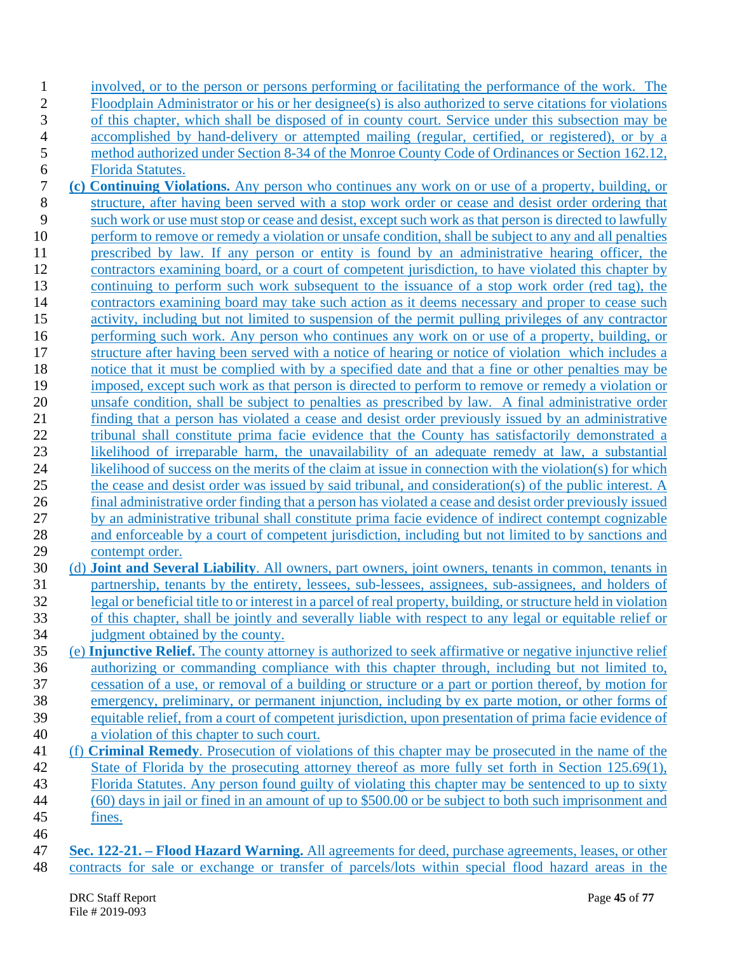| $\overline{c}$<br>Floodplain Administrator or his or her designee(s) is also authorized to serve citations for violations<br>3<br>of this chapter, which shall be disposed of in county court. Service under this subsection may be<br>$\overline{4}$<br>accomplished by hand-delivery or attempted mailing (regular, certified, or registered), or by a<br>$\mathfrak s$<br>method authorized under Section 8-34 of the Monroe County Code of Ordinances or Section 162.12,<br>$\boldsymbol{6}$<br><b>Florida Statutes.</b><br>$\overline{7}$<br>(c) Continuing Violations. Any person who continues any work on or use of a property, building, or<br>$8\,$<br>structure, after having been served with a stop work order or cease and desist order ordering that<br>9<br>such work or use must stop or cease and desist, except such work as that person is directed to lawfully<br>10<br>perform to remove or remedy a violation or unsafe condition, shall be subject to any and all penalties<br>11<br>prescribed by law. If any person or entity is found by an administrative hearing officer, the<br>12<br>contractors examining board, or a court of competent jurisdiction, to have violated this chapter by<br>13<br>continuing to perform such work subsequent to the issuance of a stop work order (red tag), the<br>14<br>contractors examining board may take such action as it deems necessary and proper to cease such<br>15<br>activity, including but not limited to suspension of the permit pulling privileges of any contractor<br>16<br>performing such work. Any person who continues any work on or use of a property, building, or<br>17<br>structure after having been served with a notice of hearing or notice of violation which includes a<br>18<br>notice that it must be complied with by a specified date and that a fine or other penalties may be<br>19<br>imposed, except such work as that person is directed to perform to remove or remedy a violation or<br>20<br>unsafe condition, shall be subject to penalties as prescribed by law. A final administrative order<br>21<br>finding that a person has violated a cease and desist order previously issued by an administrative<br>22<br>tribunal shall constitute prima facie evidence that the County has satisfactorily demonstrated a<br>23<br>likelihood of irreparable harm, the unavailability of an adequate remedy at law, a substantial<br>24<br>likelihood of success on the merits of the claim at issue in connection with the violation(s) for which<br>25<br>the cease and desist order was issued by said tribunal, and consideration(s) of the public interest. A<br>26<br>final administrative order finding that a person has violated a cease and desist order previously issued<br>$27\,$<br>by an administrative tribunal shall constitute prima facie evidence of indirect contempt cognizable<br>28<br>and enforceable by a court of competent jurisdiction, including but not limited to by sanctions and<br>29<br>contempt order.<br>30<br>(d) <b>Joint and Several Liability</b> . All owners, part owners, joint owners, tenants in common, tenants in<br>31<br>partnership, tenants by the entirety, lessees, sub-lessees, assignees, sub-assignees, and holders of<br>32<br>legal or beneficial title to or interest in a parcel of real property, building, or structure held in violation<br>33<br>of this chapter, shall be jointly and severally liable with respect to any legal or equitable relief or<br>34<br>judgment obtained by the county.<br>35<br>(e) Injunctive Relief. The county attorney is authorized to seek affirmative or negative injunctive relief<br>authorizing or commanding compliance with this chapter through, including but not limited to,<br>36<br>37<br>cessation of a use, or removal of a building or structure or a part or portion thereof, by motion for<br>38<br>emergency, preliminary, or permanent injunction, including by ex parte motion, or other forms of<br>equitable relief, from a court of competent jurisdiction, upon presentation of prima facie evidence of<br>39<br>a violation of this chapter to such court.<br>40<br>(f) Criminal Remedy. Prosecution of violations of this chapter may be prosecuted in the name of the<br>41<br>42<br>State of Florida by the prosecuting attorney thereof as more fully set forth in Section 125.69(1),<br>43<br>Florida Statutes. Any person found guilty of violating this chapter may be sentenced to up to sixty<br>(60) days in jail or fined in an amount of up to \$500.00 or be subject to both such imprisonment and<br>44<br>45<br>fines.<br>46<br>47<br>Sec. 122-21. – Flood Hazard Warning. All agreements for deed, purchase agreements, leases, or other<br>48<br>contracts for sale or exchange or transfer of parcels/lots within special flood hazard areas in the | $\mathbf{1}$ | involved, or to the person or persons performing or facilitating the performance of the work. The |
|--------------------------------------------------------------------------------------------------------------------------------------------------------------------------------------------------------------------------------------------------------------------------------------------------------------------------------------------------------------------------------------------------------------------------------------------------------------------------------------------------------------------------------------------------------------------------------------------------------------------------------------------------------------------------------------------------------------------------------------------------------------------------------------------------------------------------------------------------------------------------------------------------------------------------------------------------------------------------------------------------------------------------------------------------------------------------------------------------------------------------------------------------------------------------------------------------------------------------------------------------------------------------------------------------------------------------------------------------------------------------------------------------------------------------------------------------------------------------------------------------------------------------------------------------------------------------------------------------------------------------------------------------------------------------------------------------------------------------------------------------------------------------------------------------------------------------------------------------------------------------------------------------------------------------------------------------------------------------------------------------------------------------------------------------------------------------------------------------------------------------------------------------------------------------------------------------------------------------------------------------------------------------------------------------------------------------------------------------------------------------------------------------------------------------------------------------------------------------------------------------------------------------------------------------------------------------------------------------------------------------------------------------------------------------------------------------------------------------------------------------------------------------------------------------------------------------------------------------------------------------------------------------------------------------------------------------------------------------------------------------------------------------------------------------------------------------------------------------------------------------------------------------------------------------------------------------------------------------------------------------------------------------------------------------------------------------------------------------------------------------------------------------------------------------------------------------------------------------------------------------------------------------------------------------------------------------------------------------------------------------------------------------------------------------------------------------------------------------------------------------------------------------------------------------------------------------------------------------------------------------------------------------------------------------------------------------------------------------------------------------------------------------------------------------------------------------------------------------------------------------------------------------------------------------------------------------------------------------------------------------------------------------------------------------------------------------------------------------------------------------------------------------------------------------------------------------------------------------------------------------------------------------------------------------------------------------------------------------------------------------------------------------------------------------------------------------------------------------------------------------------------------------------------------------------------------------------------------------------------------------------------------------------------|--------------|---------------------------------------------------------------------------------------------------|
|                                                                                                                                                                                                                                                                                                                                                                                                                                                                                                                                                                                                                                                                                                                                                                                                                                                                                                                                                                                                                                                                                                                                                                                                                                                                                                                                                                                                                                                                                                                                                                                                                                                                                                                                                                                                                                                                                                                                                                                                                                                                                                                                                                                                                                                                                                                                                                                                                                                                                                                                                                                                                                                                                                                                                                                                                                                                                                                                                                                                                                                                                                                                                                                                                                                                                                                                                                                                                                                                                                                                                                                                                                                                                                                                                                                                                                                                                                                                                                                                                                                                                                                                                                                                                                                                                                                                                                                                                                                                                                                                                                                                                                                                                                                                                                                                                                                                                                              |              |                                                                                                   |
|                                                                                                                                                                                                                                                                                                                                                                                                                                                                                                                                                                                                                                                                                                                                                                                                                                                                                                                                                                                                                                                                                                                                                                                                                                                                                                                                                                                                                                                                                                                                                                                                                                                                                                                                                                                                                                                                                                                                                                                                                                                                                                                                                                                                                                                                                                                                                                                                                                                                                                                                                                                                                                                                                                                                                                                                                                                                                                                                                                                                                                                                                                                                                                                                                                                                                                                                                                                                                                                                                                                                                                                                                                                                                                                                                                                                                                                                                                                                                                                                                                                                                                                                                                                                                                                                                                                                                                                                                                                                                                                                                                                                                                                                                                                                                                                                                                                                                                              |              |                                                                                                   |
|                                                                                                                                                                                                                                                                                                                                                                                                                                                                                                                                                                                                                                                                                                                                                                                                                                                                                                                                                                                                                                                                                                                                                                                                                                                                                                                                                                                                                                                                                                                                                                                                                                                                                                                                                                                                                                                                                                                                                                                                                                                                                                                                                                                                                                                                                                                                                                                                                                                                                                                                                                                                                                                                                                                                                                                                                                                                                                                                                                                                                                                                                                                                                                                                                                                                                                                                                                                                                                                                                                                                                                                                                                                                                                                                                                                                                                                                                                                                                                                                                                                                                                                                                                                                                                                                                                                                                                                                                                                                                                                                                                                                                                                                                                                                                                                                                                                                                                              |              |                                                                                                   |
|                                                                                                                                                                                                                                                                                                                                                                                                                                                                                                                                                                                                                                                                                                                                                                                                                                                                                                                                                                                                                                                                                                                                                                                                                                                                                                                                                                                                                                                                                                                                                                                                                                                                                                                                                                                                                                                                                                                                                                                                                                                                                                                                                                                                                                                                                                                                                                                                                                                                                                                                                                                                                                                                                                                                                                                                                                                                                                                                                                                                                                                                                                                                                                                                                                                                                                                                                                                                                                                                                                                                                                                                                                                                                                                                                                                                                                                                                                                                                                                                                                                                                                                                                                                                                                                                                                                                                                                                                                                                                                                                                                                                                                                                                                                                                                                                                                                                                                              |              |                                                                                                   |
|                                                                                                                                                                                                                                                                                                                                                                                                                                                                                                                                                                                                                                                                                                                                                                                                                                                                                                                                                                                                                                                                                                                                                                                                                                                                                                                                                                                                                                                                                                                                                                                                                                                                                                                                                                                                                                                                                                                                                                                                                                                                                                                                                                                                                                                                                                                                                                                                                                                                                                                                                                                                                                                                                                                                                                                                                                                                                                                                                                                                                                                                                                                                                                                                                                                                                                                                                                                                                                                                                                                                                                                                                                                                                                                                                                                                                                                                                                                                                                                                                                                                                                                                                                                                                                                                                                                                                                                                                                                                                                                                                                                                                                                                                                                                                                                                                                                                                                              |              |                                                                                                   |
|                                                                                                                                                                                                                                                                                                                                                                                                                                                                                                                                                                                                                                                                                                                                                                                                                                                                                                                                                                                                                                                                                                                                                                                                                                                                                                                                                                                                                                                                                                                                                                                                                                                                                                                                                                                                                                                                                                                                                                                                                                                                                                                                                                                                                                                                                                                                                                                                                                                                                                                                                                                                                                                                                                                                                                                                                                                                                                                                                                                                                                                                                                                                                                                                                                                                                                                                                                                                                                                                                                                                                                                                                                                                                                                                                                                                                                                                                                                                                                                                                                                                                                                                                                                                                                                                                                                                                                                                                                                                                                                                                                                                                                                                                                                                                                                                                                                                                                              |              |                                                                                                   |
|                                                                                                                                                                                                                                                                                                                                                                                                                                                                                                                                                                                                                                                                                                                                                                                                                                                                                                                                                                                                                                                                                                                                                                                                                                                                                                                                                                                                                                                                                                                                                                                                                                                                                                                                                                                                                                                                                                                                                                                                                                                                                                                                                                                                                                                                                                                                                                                                                                                                                                                                                                                                                                                                                                                                                                                                                                                                                                                                                                                                                                                                                                                                                                                                                                                                                                                                                                                                                                                                                                                                                                                                                                                                                                                                                                                                                                                                                                                                                                                                                                                                                                                                                                                                                                                                                                                                                                                                                                                                                                                                                                                                                                                                                                                                                                                                                                                                                                              |              |                                                                                                   |
|                                                                                                                                                                                                                                                                                                                                                                                                                                                                                                                                                                                                                                                                                                                                                                                                                                                                                                                                                                                                                                                                                                                                                                                                                                                                                                                                                                                                                                                                                                                                                                                                                                                                                                                                                                                                                                                                                                                                                                                                                                                                                                                                                                                                                                                                                                                                                                                                                                                                                                                                                                                                                                                                                                                                                                                                                                                                                                                                                                                                                                                                                                                                                                                                                                                                                                                                                                                                                                                                                                                                                                                                                                                                                                                                                                                                                                                                                                                                                                                                                                                                                                                                                                                                                                                                                                                                                                                                                                                                                                                                                                                                                                                                                                                                                                                                                                                                                                              |              |                                                                                                   |
|                                                                                                                                                                                                                                                                                                                                                                                                                                                                                                                                                                                                                                                                                                                                                                                                                                                                                                                                                                                                                                                                                                                                                                                                                                                                                                                                                                                                                                                                                                                                                                                                                                                                                                                                                                                                                                                                                                                                                                                                                                                                                                                                                                                                                                                                                                                                                                                                                                                                                                                                                                                                                                                                                                                                                                                                                                                                                                                                                                                                                                                                                                                                                                                                                                                                                                                                                                                                                                                                                                                                                                                                                                                                                                                                                                                                                                                                                                                                                                                                                                                                                                                                                                                                                                                                                                                                                                                                                                                                                                                                                                                                                                                                                                                                                                                                                                                                                                              |              |                                                                                                   |
|                                                                                                                                                                                                                                                                                                                                                                                                                                                                                                                                                                                                                                                                                                                                                                                                                                                                                                                                                                                                                                                                                                                                                                                                                                                                                                                                                                                                                                                                                                                                                                                                                                                                                                                                                                                                                                                                                                                                                                                                                                                                                                                                                                                                                                                                                                                                                                                                                                                                                                                                                                                                                                                                                                                                                                                                                                                                                                                                                                                                                                                                                                                                                                                                                                                                                                                                                                                                                                                                                                                                                                                                                                                                                                                                                                                                                                                                                                                                                                                                                                                                                                                                                                                                                                                                                                                                                                                                                                                                                                                                                                                                                                                                                                                                                                                                                                                                                                              |              |                                                                                                   |
|                                                                                                                                                                                                                                                                                                                                                                                                                                                                                                                                                                                                                                                                                                                                                                                                                                                                                                                                                                                                                                                                                                                                                                                                                                                                                                                                                                                                                                                                                                                                                                                                                                                                                                                                                                                                                                                                                                                                                                                                                                                                                                                                                                                                                                                                                                                                                                                                                                                                                                                                                                                                                                                                                                                                                                                                                                                                                                                                                                                                                                                                                                                                                                                                                                                                                                                                                                                                                                                                                                                                                                                                                                                                                                                                                                                                                                                                                                                                                                                                                                                                                                                                                                                                                                                                                                                                                                                                                                                                                                                                                                                                                                                                                                                                                                                                                                                                                                              |              |                                                                                                   |
|                                                                                                                                                                                                                                                                                                                                                                                                                                                                                                                                                                                                                                                                                                                                                                                                                                                                                                                                                                                                                                                                                                                                                                                                                                                                                                                                                                                                                                                                                                                                                                                                                                                                                                                                                                                                                                                                                                                                                                                                                                                                                                                                                                                                                                                                                                                                                                                                                                                                                                                                                                                                                                                                                                                                                                                                                                                                                                                                                                                                                                                                                                                                                                                                                                                                                                                                                                                                                                                                                                                                                                                                                                                                                                                                                                                                                                                                                                                                                                                                                                                                                                                                                                                                                                                                                                                                                                                                                                                                                                                                                                                                                                                                                                                                                                                                                                                                                                              |              |                                                                                                   |
|                                                                                                                                                                                                                                                                                                                                                                                                                                                                                                                                                                                                                                                                                                                                                                                                                                                                                                                                                                                                                                                                                                                                                                                                                                                                                                                                                                                                                                                                                                                                                                                                                                                                                                                                                                                                                                                                                                                                                                                                                                                                                                                                                                                                                                                                                                                                                                                                                                                                                                                                                                                                                                                                                                                                                                                                                                                                                                                                                                                                                                                                                                                                                                                                                                                                                                                                                                                                                                                                                                                                                                                                                                                                                                                                                                                                                                                                                                                                                                                                                                                                                                                                                                                                                                                                                                                                                                                                                                                                                                                                                                                                                                                                                                                                                                                                                                                                                                              |              |                                                                                                   |
|                                                                                                                                                                                                                                                                                                                                                                                                                                                                                                                                                                                                                                                                                                                                                                                                                                                                                                                                                                                                                                                                                                                                                                                                                                                                                                                                                                                                                                                                                                                                                                                                                                                                                                                                                                                                                                                                                                                                                                                                                                                                                                                                                                                                                                                                                                                                                                                                                                                                                                                                                                                                                                                                                                                                                                                                                                                                                                                                                                                                                                                                                                                                                                                                                                                                                                                                                                                                                                                                                                                                                                                                                                                                                                                                                                                                                                                                                                                                                                                                                                                                                                                                                                                                                                                                                                                                                                                                                                                                                                                                                                                                                                                                                                                                                                                                                                                                                                              |              |                                                                                                   |
|                                                                                                                                                                                                                                                                                                                                                                                                                                                                                                                                                                                                                                                                                                                                                                                                                                                                                                                                                                                                                                                                                                                                                                                                                                                                                                                                                                                                                                                                                                                                                                                                                                                                                                                                                                                                                                                                                                                                                                                                                                                                                                                                                                                                                                                                                                                                                                                                                                                                                                                                                                                                                                                                                                                                                                                                                                                                                                                                                                                                                                                                                                                                                                                                                                                                                                                                                                                                                                                                                                                                                                                                                                                                                                                                                                                                                                                                                                                                                                                                                                                                                                                                                                                                                                                                                                                                                                                                                                                                                                                                                                                                                                                                                                                                                                                                                                                                                                              |              |                                                                                                   |
|                                                                                                                                                                                                                                                                                                                                                                                                                                                                                                                                                                                                                                                                                                                                                                                                                                                                                                                                                                                                                                                                                                                                                                                                                                                                                                                                                                                                                                                                                                                                                                                                                                                                                                                                                                                                                                                                                                                                                                                                                                                                                                                                                                                                                                                                                                                                                                                                                                                                                                                                                                                                                                                                                                                                                                                                                                                                                                                                                                                                                                                                                                                                                                                                                                                                                                                                                                                                                                                                                                                                                                                                                                                                                                                                                                                                                                                                                                                                                                                                                                                                                                                                                                                                                                                                                                                                                                                                                                                                                                                                                                                                                                                                                                                                                                                                                                                                                                              |              |                                                                                                   |
|                                                                                                                                                                                                                                                                                                                                                                                                                                                                                                                                                                                                                                                                                                                                                                                                                                                                                                                                                                                                                                                                                                                                                                                                                                                                                                                                                                                                                                                                                                                                                                                                                                                                                                                                                                                                                                                                                                                                                                                                                                                                                                                                                                                                                                                                                                                                                                                                                                                                                                                                                                                                                                                                                                                                                                                                                                                                                                                                                                                                                                                                                                                                                                                                                                                                                                                                                                                                                                                                                                                                                                                                                                                                                                                                                                                                                                                                                                                                                                                                                                                                                                                                                                                                                                                                                                                                                                                                                                                                                                                                                                                                                                                                                                                                                                                                                                                                                                              |              |                                                                                                   |
|                                                                                                                                                                                                                                                                                                                                                                                                                                                                                                                                                                                                                                                                                                                                                                                                                                                                                                                                                                                                                                                                                                                                                                                                                                                                                                                                                                                                                                                                                                                                                                                                                                                                                                                                                                                                                                                                                                                                                                                                                                                                                                                                                                                                                                                                                                                                                                                                                                                                                                                                                                                                                                                                                                                                                                                                                                                                                                                                                                                                                                                                                                                                                                                                                                                                                                                                                                                                                                                                                                                                                                                                                                                                                                                                                                                                                                                                                                                                                                                                                                                                                                                                                                                                                                                                                                                                                                                                                                                                                                                                                                                                                                                                                                                                                                                                                                                                                                              |              |                                                                                                   |
|                                                                                                                                                                                                                                                                                                                                                                                                                                                                                                                                                                                                                                                                                                                                                                                                                                                                                                                                                                                                                                                                                                                                                                                                                                                                                                                                                                                                                                                                                                                                                                                                                                                                                                                                                                                                                                                                                                                                                                                                                                                                                                                                                                                                                                                                                                                                                                                                                                                                                                                                                                                                                                                                                                                                                                                                                                                                                                                                                                                                                                                                                                                                                                                                                                                                                                                                                                                                                                                                                                                                                                                                                                                                                                                                                                                                                                                                                                                                                                                                                                                                                                                                                                                                                                                                                                                                                                                                                                                                                                                                                                                                                                                                                                                                                                                                                                                                                                              |              |                                                                                                   |
|                                                                                                                                                                                                                                                                                                                                                                                                                                                                                                                                                                                                                                                                                                                                                                                                                                                                                                                                                                                                                                                                                                                                                                                                                                                                                                                                                                                                                                                                                                                                                                                                                                                                                                                                                                                                                                                                                                                                                                                                                                                                                                                                                                                                                                                                                                                                                                                                                                                                                                                                                                                                                                                                                                                                                                                                                                                                                                                                                                                                                                                                                                                                                                                                                                                                                                                                                                                                                                                                                                                                                                                                                                                                                                                                                                                                                                                                                                                                                                                                                                                                                                                                                                                                                                                                                                                                                                                                                                                                                                                                                                                                                                                                                                                                                                                                                                                                                                              |              |                                                                                                   |
|                                                                                                                                                                                                                                                                                                                                                                                                                                                                                                                                                                                                                                                                                                                                                                                                                                                                                                                                                                                                                                                                                                                                                                                                                                                                                                                                                                                                                                                                                                                                                                                                                                                                                                                                                                                                                                                                                                                                                                                                                                                                                                                                                                                                                                                                                                                                                                                                                                                                                                                                                                                                                                                                                                                                                                                                                                                                                                                                                                                                                                                                                                                                                                                                                                                                                                                                                                                                                                                                                                                                                                                                                                                                                                                                                                                                                                                                                                                                                                                                                                                                                                                                                                                                                                                                                                                                                                                                                                                                                                                                                                                                                                                                                                                                                                                                                                                                                                              |              |                                                                                                   |
|                                                                                                                                                                                                                                                                                                                                                                                                                                                                                                                                                                                                                                                                                                                                                                                                                                                                                                                                                                                                                                                                                                                                                                                                                                                                                                                                                                                                                                                                                                                                                                                                                                                                                                                                                                                                                                                                                                                                                                                                                                                                                                                                                                                                                                                                                                                                                                                                                                                                                                                                                                                                                                                                                                                                                                                                                                                                                                                                                                                                                                                                                                                                                                                                                                                                                                                                                                                                                                                                                                                                                                                                                                                                                                                                                                                                                                                                                                                                                                                                                                                                                                                                                                                                                                                                                                                                                                                                                                                                                                                                                                                                                                                                                                                                                                                                                                                                                                              |              |                                                                                                   |
|                                                                                                                                                                                                                                                                                                                                                                                                                                                                                                                                                                                                                                                                                                                                                                                                                                                                                                                                                                                                                                                                                                                                                                                                                                                                                                                                                                                                                                                                                                                                                                                                                                                                                                                                                                                                                                                                                                                                                                                                                                                                                                                                                                                                                                                                                                                                                                                                                                                                                                                                                                                                                                                                                                                                                                                                                                                                                                                                                                                                                                                                                                                                                                                                                                                                                                                                                                                                                                                                                                                                                                                                                                                                                                                                                                                                                                                                                                                                                                                                                                                                                                                                                                                                                                                                                                                                                                                                                                                                                                                                                                                                                                                                                                                                                                                                                                                                                                              |              |                                                                                                   |
|                                                                                                                                                                                                                                                                                                                                                                                                                                                                                                                                                                                                                                                                                                                                                                                                                                                                                                                                                                                                                                                                                                                                                                                                                                                                                                                                                                                                                                                                                                                                                                                                                                                                                                                                                                                                                                                                                                                                                                                                                                                                                                                                                                                                                                                                                                                                                                                                                                                                                                                                                                                                                                                                                                                                                                                                                                                                                                                                                                                                                                                                                                                                                                                                                                                                                                                                                                                                                                                                                                                                                                                                                                                                                                                                                                                                                                                                                                                                                                                                                                                                                                                                                                                                                                                                                                                                                                                                                                                                                                                                                                                                                                                                                                                                                                                                                                                                                                              |              |                                                                                                   |
|                                                                                                                                                                                                                                                                                                                                                                                                                                                                                                                                                                                                                                                                                                                                                                                                                                                                                                                                                                                                                                                                                                                                                                                                                                                                                                                                                                                                                                                                                                                                                                                                                                                                                                                                                                                                                                                                                                                                                                                                                                                                                                                                                                                                                                                                                                                                                                                                                                                                                                                                                                                                                                                                                                                                                                                                                                                                                                                                                                                                                                                                                                                                                                                                                                                                                                                                                                                                                                                                                                                                                                                                                                                                                                                                                                                                                                                                                                                                                                                                                                                                                                                                                                                                                                                                                                                                                                                                                                                                                                                                                                                                                                                                                                                                                                                                                                                                                                              |              |                                                                                                   |
|                                                                                                                                                                                                                                                                                                                                                                                                                                                                                                                                                                                                                                                                                                                                                                                                                                                                                                                                                                                                                                                                                                                                                                                                                                                                                                                                                                                                                                                                                                                                                                                                                                                                                                                                                                                                                                                                                                                                                                                                                                                                                                                                                                                                                                                                                                                                                                                                                                                                                                                                                                                                                                                                                                                                                                                                                                                                                                                                                                                                                                                                                                                                                                                                                                                                                                                                                                                                                                                                                                                                                                                                                                                                                                                                                                                                                                                                                                                                                                                                                                                                                                                                                                                                                                                                                                                                                                                                                                                                                                                                                                                                                                                                                                                                                                                                                                                                                                              |              |                                                                                                   |
|                                                                                                                                                                                                                                                                                                                                                                                                                                                                                                                                                                                                                                                                                                                                                                                                                                                                                                                                                                                                                                                                                                                                                                                                                                                                                                                                                                                                                                                                                                                                                                                                                                                                                                                                                                                                                                                                                                                                                                                                                                                                                                                                                                                                                                                                                                                                                                                                                                                                                                                                                                                                                                                                                                                                                                                                                                                                                                                                                                                                                                                                                                                                                                                                                                                                                                                                                                                                                                                                                                                                                                                                                                                                                                                                                                                                                                                                                                                                                                                                                                                                                                                                                                                                                                                                                                                                                                                                                                                                                                                                                                                                                                                                                                                                                                                                                                                                                                              |              |                                                                                                   |
|                                                                                                                                                                                                                                                                                                                                                                                                                                                                                                                                                                                                                                                                                                                                                                                                                                                                                                                                                                                                                                                                                                                                                                                                                                                                                                                                                                                                                                                                                                                                                                                                                                                                                                                                                                                                                                                                                                                                                                                                                                                                                                                                                                                                                                                                                                                                                                                                                                                                                                                                                                                                                                                                                                                                                                                                                                                                                                                                                                                                                                                                                                                                                                                                                                                                                                                                                                                                                                                                                                                                                                                                                                                                                                                                                                                                                                                                                                                                                                                                                                                                                                                                                                                                                                                                                                                                                                                                                                                                                                                                                                                                                                                                                                                                                                                                                                                                                                              |              |                                                                                                   |
|                                                                                                                                                                                                                                                                                                                                                                                                                                                                                                                                                                                                                                                                                                                                                                                                                                                                                                                                                                                                                                                                                                                                                                                                                                                                                                                                                                                                                                                                                                                                                                                                                                                                                                                                                                                                                                                                                                                                                                                                                                                                                                                                                                                                                                                                                                                                                                                                                                                                                                                                                                                                                                                                                                                                                                                                                                                                                                                                                                                                                                                                                                                                                                                                                                                                                                                                                                                                                                                                                                                                                                                                                                                                                                                                                                                                                                                                                                                                                                                                                                                                                                                                                                                                                                                                                                                                                                                                                                                                                                                                                                                                                                                                                                                                                                                                                                                                                                              |              |                                                                                                   |
|                                                                                                                                                                                                                                                                                                                                                                                                                                                                                                                                                                                                                                                                                                                                                                                                                                                                                                                                                                                                                                                                                                                                                                                                                                                                                                                                                                                                                                                                                                                                                                                                                                                                                                                                                                                                                                                                                                                                                                                                                                                                                                                                                                                                                                                                                                                                                                                                                                                                                                                                                                                                                                                                                                                                                                                                                                                                                                                                                                                                                                                                                                                                                                                                                                                                                                                                                                                                                                                                                                                                                                                                                                                                                                                                                                                                                                                                                                                                                                                                                                                                                                                                                                                                                                                                                                                                                                                                                                                                                                                                                                                                                                                                                                                                                                                                                                                                                                              |              |                                                                                                   |
|                                                                                                                                                                                                                                                                                                                                                                                                                                                                                                                                                                                                                                                                                                                                                                                                                                                                                                                                                                                                                                                                                                                                                                                                                                                                                                                                                                                                                                                                                                                                                                                                                                                                                                                                                                                                                                                                                                                                                                                                                                                                                                                                                                                                                                                                                                                                                                                                                                                                                                                                                                                                                                                                                                                                                                                                                                                                                                                                                                                                                                                                                                                                                                                                                                                                                                                                                                                                                                                                                                                                                                                                                                                                                                                                                                                                                                                                                                                                                                                                                                                                                                                                                                                                                                                                                                                                                                                                                                                                                                                                                                                                                                                                                                                                                                                                                                                                                                              |              |                                                                                                   |
|                                                                                                                                                                                                                                                                                                                                                                                                                                                                                                                                                                                                                                                                                                                                                                                                                                                                                                                                                                                                                                                                                                                                                                                                                                                                                                                                                                                                                                                                                                                                                                                                                                                                                                                                                                                                                                                                                                                                                                                                                                                                                                                                                                                                                                                                                                                                                                                                                                                                                                                                                                                                                                                                                                                                                                                                                                                                                                                                                                                                                                                                                                                                                                                                                                                                                                                                                                                                                                                                                                                                                                                                                                                                                                                                                                                                                                                                                                                                                                                                                                                                                                                                                                                                                                                                                                                                                                                                                                                                                                                                                                                                                                                                                                                                                                                                                                                                                                              |              |                                                                                                   |
|                                                                                                                                                                                                                                                                                                                                                                                                                                                                                                                                                                                                                                                                                                                                                                                                                                                                                                                                                                                                                                                                                                                                                                                                                                                                                                                                                                                                                                                                                                                                                                                                                                                                                                                                                                                                                                                                                                                                                                                                                                                                                                                                                                                                                                                                                                                                                                                                                                                                                                                                                                                                                                                                                                                                                                                                                                                                                                                                                                                                                                                                                                                                                                                                                                                                                                                                                                                                                                                                                                                                                                                                                                                                                                                                                                                                                                                                                                                                                                                                                                                                                                                                                                                                                                                                                                                                                                                                                                                                                                                                                                                                                                                                                                                                                                                                                                                                                                              |              |                                                                                                   |
|                                                                                                                                                                                                                                                                                                                                                                                                                                                                                                                                                                                                                                                                                                                                                                                                                                                                                                                                                                                                                                                                                                                                                                                                                                                                                                                                                                                                                                                                                                                                                                                                                                                                                                                                                                                                                                                                                                                                                                                                                                                                                                                                                                                                                                                                                                                                                                                                                                                                                                                                                                                                                                                                                                                                                                                                                                                                                                                                                                                                                                                                                                                                                                                                                                                                                                                                                                                                                                                                                                                                                                                                                                                                                                                                                                                                                                                                                                                                                                                                                                                                                                                                                                                                                                                                                                                                                                                                                                                                                                                                                                                                                                                                                                                                                                                                                                                                                                              |              |                                                                                                   |
|                                                                                                                                                                                                                                                                                                                                                                                                                                                                                                                                                                                                                                                                                                                                                                                                                                                                                                                                                                                                                                                                                                                                                                                                                                                                                                                                                                                                                                                                                                                                                                                                                                                                                                                                                                                                                                                                                                                                                                                                                                                                                                                                                                                                                                                                                                                                                                                                                                                                                                                                                                                                                                                                                                                                                                                                                                                                                                                                                                                                                                                                                                                                                                                                                                                                                                                                                                                                                                                                                                                                                                                                                                                                                                                                                                                                                                                                                                                                                                                                                                                                                                                                                                                                                                                                                                                                                                                                                                                                                                                                                                                                                                                                                                                                                                                                                                                                                                              |              |                                                                                                   |
|                                                                                                                                                                                                                                                                                                                                                                                                                                                                                                                                                                                                                                                                                                                                                                                                                                                                                                                                                                                                                                                                                                                                                                                                                                                                                                                                                                                                                                                                                                                                                                                                                                                                                                                                                                                                                                                                                                                                                                                                                                                                                                                                                                                                                                                                                                                                                                                                                                                                                                                                                                                                                                                                                                                                                                                                                                                                                                                                                                                                                                                                                                                                                                                                                                                                                                                                                                                                                                                                                                                                                                                                                                                                                                                                                                                                                                                                                                                                                                                                                                                                                                                                                                                                                                                                                                                                                                                                                                                                                                                                                                                                                                                                                                                                                                                                                                                                                                              |              |                                                                                                   |
|                                                                                                                                                                                                                                                                                                                                                                                                                                                                                                                                                                                                                                                                                                                                                                                                                                                                                                                                                                                                                                                                                                                                                                                                                                                                                                                                                                                                                                                                                                                                                                                                                                                                                                                                                                                                                                                                                                                                                                                                                                                                                                                                                                                                                                                                                                                                                                                                                                                                                                                                                                                                                                                                                                                                                                                                                                                                                                                                                                                                                                                                                                                                                                                                                                                                                                                                                                                                                                                                                                                                                                                                                                                                                                                                                                                                                                                                                                                                                                                                                                                                                                                                                                                                                                                                                                                                                                                                                                                                                                                                                                                                                                                                                                                                                                                                                                                                                                              |              |                                                                                                   |
|                                                                                                                                                                                                                                                                                                                                                                                                                                                                                                                                                                                                                                                                                                                                                                                                                                                                                                                                                                                                                                                                                                                                                                                                                                                                                                                                                                                                                                                                                                                                                                                                                                                                                                                                                                                                                                                                                                                                                                                                                                                                                                                                                                                                                                                                                                                                                                                                                                                                                                                                                                                                                                                                                                                                                                                                                                                                                                                                                                                                                                                                                                                                                                                                                                                                                                                                                                                                                                                                                                                                                                                                                                                                                                                                                                                                                                                                                                                                                                                                                                                                                                                                                                                                                                                                                                                                                                                                                                                                                                                                                                                                                                                                                                                                                                                                                                                                                                              |              |                                                                                                   |
|                                                                                                                                                                                                                                                                                                                                                                                                                                                                                                                                                                                                                                                                                                                                                                                                                                                                                                                                                                                                                                                                                                                                                                                                                                                                                                                                                                                                                                                                                                                                                                                                                                                                                                                                                                                                                                                                                                                                                                                                                                                                                                                                                                                                                                                                                                                                                                                                                                                                                                                                                                                                                                                                                                                                                                                                                                                                                                                                                                                                                                                                                                                                                                                                                                                                                                                                                                                                                                                                                                                                                                                                                                                                                                                                                                                                                                                                                                                                                                                                                                                                                                                                                                                                                                                                                                                                                                                                                                                                                                                                                                                                                                                                                                                                                                                                                                                                                                              |              |                                                                                                   |
|                                                                                                                                                                                                                                                                                                                                                                                                                                                                                                                                                                                                                                                                                                                                                                                                                                                                                                                                                                                                                                                                                                                                                                                                                                                                                                                                                                                                                                                                                                                                                                                                                                                                                                                                                                                                                                                                                                                                                                                                                                                                                                                                                                                                                                                                                                                                                                                                                                                                                                                                                                                                                                                                                                                                                                                                                                                                                                                                                                                                                                                                                                                                                                                                                                                                                                                                                                                                                                                                                                                                                                                                                                                                                                                                                                                                                                                                                                                                                                                                                                                                                                                                                                                                                                                                                                                                                                                                                                                                                                                                                                                                                                                                                                                                                                                                                                                                                                              |              |                                                                                                   |
|                                                                                                                                                                                                                                                                                                                                                                                                                                                                                                                                                                                                                                                                                                                                                                                                                                                                                                                                                                                                                                                                                                                                                                                                                                                                                                                                                                                                                                                                                                                                                                                                                                                                                                                                                                                                                                                                                                                                                                                                                                                                                                                                                                                                                                                                                                                                                                                                                                                                                                                                                                                                                                                                                                                                                                                                                                                                                                                                                                                                                                                                                                                                                                                                                                                                                                                                                                                                                                                                                                                                                                                                                                                                                                                                                                                                                                                                                                                                                                                                                                                                                                                                                                                                                                                                                                                                                                                                                                                                                                                                                                                                                                                                                                                                                                                                                                                                                                              |              |                                                                                                   |
|                                                                                                                                                                                                                                                                                                                                                                                                                                                                                                                                                                                                                                                                                                                                                                                                                                                                                                                                                                                                                                                                                                                                                                                                                                                                                                                                                                                                                                                                                                                                                                                                                                                                                                                                                                                                                                                                                                                                                                                                                                                                                                                                                                                                                                                                                                                                                                                                                                                                                                                                                                                                                                                                                                                                                                                                                                                                                                                                                                                                                                                                                                                                                                                                                                                                                                                                                                                                                                                                                                                                                                                                                                                                                                                                                                                                                                                                                                                                                                                                                                                                                                                                                                                                                                                                                                                                                                                                                                                                                                                                                                                                                                                                                                                                                                                                                                                                                                              |              |                                                                                                   |
|                                                                                                                                                                                                                                                                                                                                                                                                                                                                                                                                                                                                                                                                                                                                                                                                                                                                                                                                                                                                                                                                                                                                                                                                                                                                                                                                                                                                                                                                                                                                                                                                                                                                                                                                                                                                                                                                                                                                                                                                                                                                                                                                                                                                                                                                                                                                                                                                                                                                                                                                                                                                                                                                                                                                                                                                                                                                                                                                                                                                                                                                                                                                                                                                                                                                                                                                                                                                                                                                                                                                                                                                                                                                                                                                                                                                                                                                                                                                                                                                                                                                                                                                                                                                                                                                                                                                                                                                                                                                                                                                                                                                                                                                                                                                                                                                                                                                                                              |              |                                                                                                   |
|                                                                                                                                                                                                                                                                                                                                                                                                                                                                                                                                                                                                                                                                                                                                                                                                                                                                                                                                                                                                                                                                                                                                                                                                                                                                                                                                                                                                                                                                                                                                                                                                                                                                                                                                                                                                                                                                                                                                                                                                                                                                                                                                                                                                                                                                                                                                                                                                                                                                                                                                                                                                                                                                                                                                                                                                                                                                                                                                                                                                                                                                                                                                                                                                                                                                                                                                                                                                                                                                                                                                                                                                                                                                                                                                                                                                                                                                                                                                                                                                                                                                                                                                                                                                                                                                                                                                                                                                                                                                                                                                                                                                                                                                                                                                                                                                                                                                                                              |              |                                                                                                   |
|                                                                                                                                                                                                                                                                                                                                                                                                                                                                                                                                                                                                                                                                                                                                                                                                                                                                                                                                                                                                                                                                                                                                                                                                                                                                                                                                                                                                                                                                                                                                                                                                                                                                                                                                                                                                                                                                                                                                                                                                                                                                                                                                                                                                                                                                                                                                                                                                                                                                                                                                                                                                                                                                                                                                                                                                                                                                                                                                                                                                                                                                                                                                                                                                                                                                                                                                                                                                                                                                                                                                                                                                                                                                                                                                                                                                                                                                                                                                                                                                                                                                                                                                                                                                                                                                                                                                                                                                                                                                                                                                                                                                                                                                                                                                                                                                                                                                                                              |              |                                                                                                   |
|                                                                                                                                                                                                                                                                                                                                                                                                                                                                                                                                                                                                                                                                                                                                                                                                                                                                                                                                                                                                                                                                                                                                                                                                                                                                                                                                                                                                                                                                                                                                                                                                                                                                                                                                                                                                                                                                                                                                                                                                                                                                                                                                                                                                                                                                                                                                                                                                                                                                                                                                                                                                                                                                                                                                                                                                                                                                                                                                                                                                                                                                                                                                                                                                                                                                                                                                                                                                                                                                                                                                                                                                                                                                                                                                                                                                                                                                                                                                                                                                                                                                                                                                                                                                                                                                                                                                                                                                                                                                                                                                                                                                                                                                                                                                                                                                                                                                                                              |              |                                                                                                   |
|                                                                                                                                                                                                                                                                                                                                                                                                                                                                                                                                                                                                                                                                                                                                                                                                                                                                                                                                                                                                                                                                                                                                                                                                                                                                                                                                                                                                                                                                                                                                                                                                                                                                                                                                                                                                                                                                                                                                                                                                                                                                                                                                                                                                                                                                                                                                                                                                                                                                                                                                                                                                                                                                                                                                                                                                                                                                                                                                                                                                                                                                                                                                                                                                                                                                                                                                                                                                                                                                                                                                                                                                                                                                                                                                                                                                                                                                                                                                                                                                                                                                                                                                                                                                                                                                                                                                                                                                                                                                                                                                                                                                                                                                                                                                                                                                                                                                                                              |              |                                                                                                   |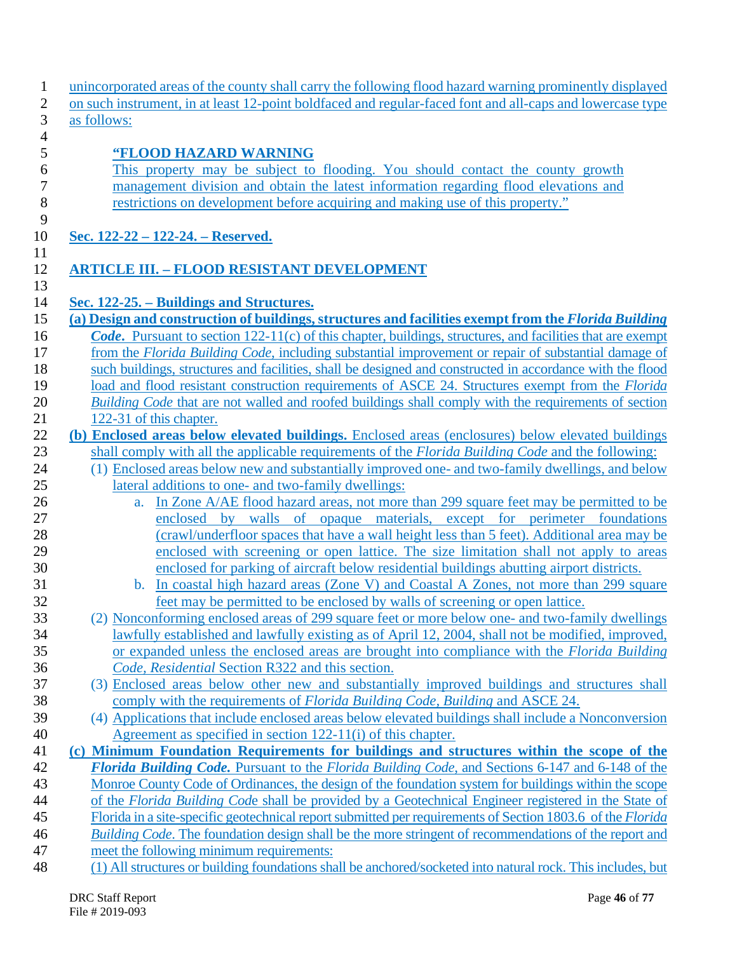| unincorporated areas of the county shall carry the following flood hazard warning prominently displayed                                                                                                                   |
|---------------------------------------------------------------------------------------------------------------------------------------------------------------------------------------------------------------------------|
| on such instrument, in at least 12-point boldfaced and regular-faced font and all-caps and lowercase type                                                                                                                 |
| as follows:                                                                                                                                                                                                               |
| "FLOOD HAZARD WARNING                                                                                                                                                                                                     |
| This property may be subject to flooding. You should contact the county growth                                                                                                                                            |
| management division and obtain the latest information regarding flood elevations and                                                                                                                                      |
| restrictions on development before acquiring and making use of this property."                                                                                                                                            |
|                                                                                                                                                                                                                           |
| Sec. 122-22 – 122-24. – Reserved.                                                                                                                                                                                         |
|                                                                                                                                                                                                                           |
| <b>ARTICLE III. - FLOOD RESISTANT DEVELOPMENT</b>                                                                                                                                                                         |
|                                                                                                                                                                                                                           |
| Sec. 122-25. – Buildings and Structures.                                                                                                                                                                                  |
| (a) Design and construction of buildings, structures and facilities exempt from the Florida Building<br><b>Code.</b> Pursuant to section 122-11(c) of this chapter, buildings, structures, and facilities that are exempt |
| from the Florida Building Code, including substantial improvement or repair of substantial damage of                                                                                                                      |
| such buildings, structures and facilities, shall be designed and constructed in accordance with the flood                                                                                                                 |
| load and flood resistant construction requirements of ASCE 24. Structures exempt from the <i>Florida</i>                                                                                                                  |
| Building Code that are not walled and roofed buildings shall comply with the requirements of section                                                                                                                      |
| 122-31 of this chapter.                                                                                                                                                                                                   |
| (b) Enclosed areas below elevated buildings. Enclosed areas (enclosures) below elevated buildings                                                                                                                         |
| shall comply with all the applicable requirements of the <i>Florida Building Code</i> and the following:                                                                                                                  |
| (1) Enclosed areas below new and substantially improved one- and two-family dwellings, and below                                                                                                                          |
| lateral additions to one- and two-family dwellings:                                                                                                                                                                       |
| In Zone A/AE flood hazard areas, not more than 299 square feet may be permitted to be<br>a.                                                                                                                               |
| enclosed by walls of opaque materials, except for perimeter foundations                                                                                                                                                   |
| (crawl/underfloor spaces that have a wall height less than 5 feet). Additional area may be                                                                                                                                |
| enclosed with screening or open lattice. The size limitation shall not apply to areas                                                                                                                                     |
| enclosed for parking of aircraft below residential buildings abutting airport districts.                                                                                                                                  |
| In coastal high hazard areas (Zone V) and Coastal A Zones, not more than 299 square<br>$\mathbf{b}$ .                                                                                                                     |
| feet may be permitted to be enclosed by walls of screening or open lattice.<br>(2) Nonconforming enclosed areas of 299 square feet or more below one- and two-family dwellings                                            |
| lawfully established and lawfully existing as of April 12, 2004, shall not be modified, improved,                                                                                                                         |
| or expanded unless the enclosed areas are brought into compliance with the <i>Florida Building</i>                                                                                                                        |
| Code, Residential Section R322 and this section.                                                                                                                                                                          |
| (3) Enclosed areas below other new and substantially improved buildings and structures shall                                                                                                                              |
| comply with the requirements of <i>Florida Building Code, Building</i> and ASCE 24.                                                                                                                                       |
| (4) Applications that include enclosed areas below elevated buildings shall include a Nonconversion                                                                                                                       |
| Agreement as specified in section 122-11(i) of this chapter.                                                                                                                                                              |
| (c) Minimum Foundation Requirements for buildings and structures within the scope of the                                                                                                                                  |
| Florida Building Code. Pursuant to the Florida Building Code, and Sections 6-147 and 6-148 of the                                                                                                                         |
| Monroe County Code of Ordinances, the design of the foundation system for buildings within the scope                                                                                                                      |
| of the Florida Building Code shall be provided by a Geotechnical Engineer registered in the State of                                                                                                                      |
| Florida in a site-specific geotechnical report submitted per requirements of Section 1803.6 of the Florida                                                                                                                |
| Building Code. The foundation design shall be the more stringent of recommendations of the report and                                                                                                                     |
| meet the following minimum requirements:                                                                                                                                                                                  |
| (1) All structures or building foundations shall be anchored/socketed into natural rock. This includes, but                                                                                                               |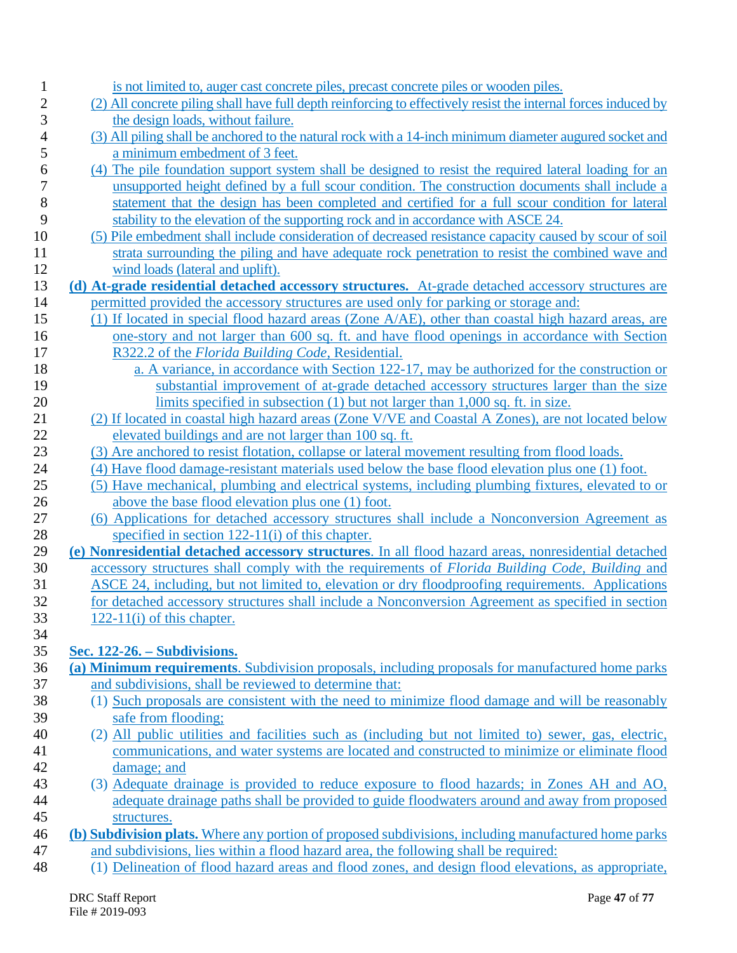| $\mathbf{1}$   | is not limited to, auger cast concrete piles, precast concrete piles or wooden piles.                                       |
|----------------|-----------------------------------------------------------------------------------------------------------------------------|
| $\overline{c}$ | (2) All concrete piling shall have full depth reinforcing to effectively resist the internal forces induced by              |
| 3              | the design loads, without failure.                                                                                          |
| 4              | (3) All piling shall be anchored to the natural rock with a 14-inch minimum diameter augured socket and                     |
| 5              | a minimum embedment of 3 feet.                                                                                              |
| 6              | (4) The pile foundation support system shall be designed to resist the required lateral loading for an                      |
| 7              | unsupported height defined by a full scour condition. The construction documents shall include a                            |
| 8              | statement that the design has been completed and certified for a full scour condition for lateral                           |
| 9              | stability to the elevation of the supporting rock and in accordance with ASCE 24.                                           |
| 10             | (5) Pile embedment shall include consideration of decreased resistance capacity caused by scour of soil                     |
| 11             | strata surrounding the piling and have adequate rock penetration to resist the combined wave and                            |
| 12             | wind loads (lateral and uplift).                                                                                            |
| 13             | (d) At-grade residential detached accessory structures. At-grade detached accessory structures are                          |
| 14             | permitted provided the accessory structures are used only for parking or storage and:                                       |
| 15             | (1) If located in special flood hazard areas (Zone A/AE), other than coastal high hazard areas, are                         |
| 16             | one-story and not larger than 600 sq. ft. and have flood openings in accordance with Section                                |
| 17             | R322.2 of the Florida Building Code, Residential.                                                                           |
| 18             | a. A variance, in accordance with Section 122-17, may be authorized for the construction or                                 |
| 19             | substantial improvement of at-grade detached accessory structures larger than the size                                      |
| 20             | limits specified in subsection $(1)$ but not larger than 1,000 sq. ft. in size.                                             |
| 21             | (2) If located in coastal high hazard areas (Zone V/VE and Coastal A Zones), are not located below                          |
| 22             | elevated buildings and are not larger than 100 sq. ft.                                                                      |
| 23             | (3) Are anchored to resist flotation, collapse or lateral movement resulting from flood loads.                              |
| 24             | (4) Have flood damage-resistant materials used below the base flood elevation plus one (1) foot.                            |
| 25             | (5) Have mechanical, plumbing and electrical systems, including plumbing fixtures, elevated to or                           |
| 26             | above the base flood elevation plus one (1) foot.                                                                           |
| 27             | (6) Applications for detached accessory structures shall include a Nonconversion Agreement as                               |
| 28             | specified in section $122-11(i)$ of this chapter.                                                                           |
| 29             | (e) Nonresidential detached accessory structures. In all flood hazard areas, nonresidential detached                        |
| 30             | accessory structures shall comply with the requirements of Florida Building Code, Building and                              |
| 31             | ASCE 24, including, but not limited to, elevation or dry floodproofing requirements. Applications                           |
| 32             | for detached accessory structures shall include a Nonconversion Agreement as specified in section                           |
| 33             | $122-11(i)$ of this chapter.                                                                                                |
| 34             |                                                                                                                             |
| 35             | <u>Sec. 122-26. – Subdivisions.</u>                                                                                         |
| 36             | (a) Minimum requirements. Subdivision proposals, including proposals for manufactured home parks                            |
| 37             | and subdivisions, shall be reviewed to determine that:                                                                      |
| 38             | (1) Such proposals are consistent with the need to minimize flood damage and will be reasonably                             |
| 39             | safe from flooding;<br>(2) All public utilities and facilities such as (including but not limited to) sewer, gas, electric, |
| 40<br>41       | communications, and water systems are located and constructed to minimize or eliminate flood                                |
| 42             | damage; and                                                                                                                 |
| 43             | (3) Adequate drainage is provided to reduce exposure to flood hazards; in Zones AH and AO,                                  |
| 44             | adequate drainage paths shall be provided to guide floodwaters around and away from proposed                                |
| 45             | structures.                                                                                                                 |
| 46             | (b) Subdivision plats. Where any portion of proposed subdivisions, including manufactured home parks                        |
| 47             | and subdivisions, lies within a flood hazard area, the following shall be required:                                         |
| 48             | (1) Delineation of flood hazard areas and flood zones, and design flood elevations, as appropriate,                         |
|                |                                                                                                                             |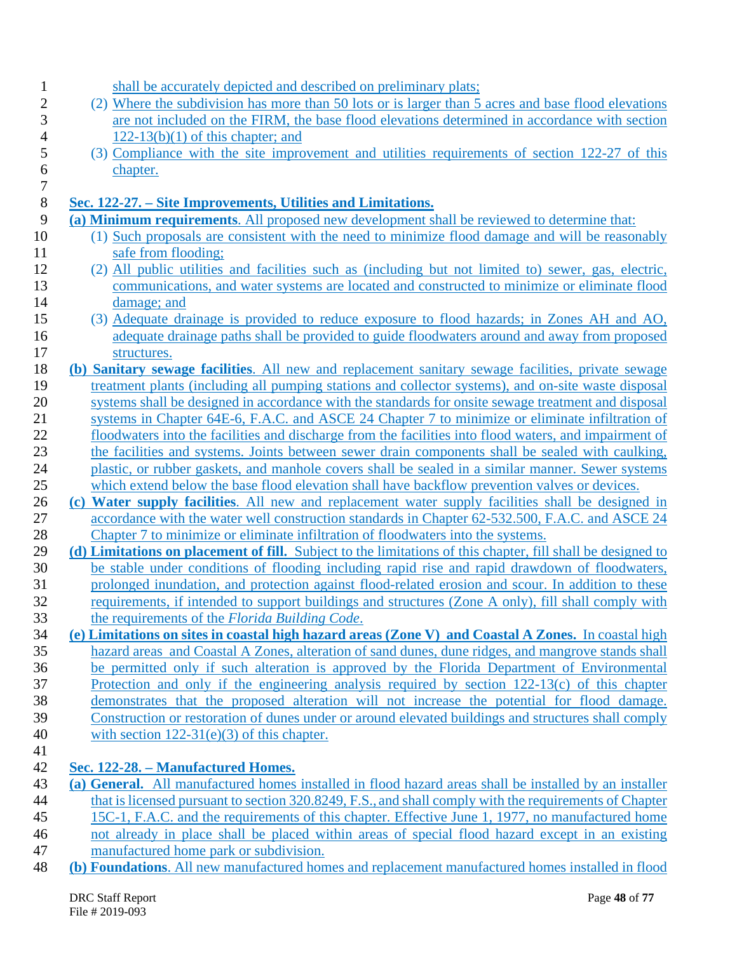| $\mathbf 1$             | shall be accurately depicted and described on preliminary plats;                                            |
|-------------------------|-------------------------------------------------------------------------------------------------------------|
| $\overline{\mathbf{c}}$ | (2) Where the subdivision has more than 50 lots or is larger than 5 acres and base flood elevations         |
| 3                       | are not included on the FIRM, the base flood elevations determined in accordance with section               |
| 4                       | $122-13(b)(1)$ of this chapter; and                                                                         |
| 5                       | (3) Compliance with the site improvement and utilities requirements of section 122-27 of this               |
| 6                       | chapter.                                                                                                    |
| $\boldsymbol{7}$        |                                                                                                             |
| $\,8\,$                 | Sec. 122-27. – Site Improvements, Utilities and Limitations.                                                |
| 9                       | (a) Minimum requirements. All proposed new development shall be reviewed to determine that:                 |
| 10                      | (1) Such proposals are consistent with the need to minimize flood damage and will be reasonably             |
| 11                      | safe from flooding;                                                                                         |
| 12                      | (2) All public utilities and facilities such as (including but not limited to) sewer, gas, electric,        |
| 13                      | communications, and water systems are located and constructed to minimize or eliminate flood                |
| 14                      | damage; and                                                                                                 |
| 15                      | (3) Adequate drainage is provided to reduce exposure to flood hazards; in Zones AH and AO,                  |
| 16                      | adequate drainage paths shall be provided to guide floodwaters around and away from proposed                |
| 17                      | structures.                                                                                                 |
| 18                      | (b) Sanitary sewage facilities. All new and replacement sanitary sewage facilities, private sewage          |
| 19                      | treatment plants (including all pumping stations and collector systems), and on-site waste disposal         |
| 20                      | systems shall be designed in accordance with the standards for onsite sewage treatment and disposal         |
| 21                      | systems in Chapter 64E-6, F.A.C. and ASCE 24 Chapter 7 to minimize or eliminate infiltration of             |
| 22                      | floodwaters into the facilities and discharge from the facilities into flood waters, and impairment of      |
| 23                      | the facilities and systems. Joints between sewer drain components shall be sealed with caulking,            |
| 24                      | plastic, or rubber gaskets, and manhole covers shall be sealed in a similar manner. Sewer systems           |
| 25                      | which extend below the base flood elevation shall have backflow prevention valves or devices.               |
| 26                      | (c) Water supply facilities. All new and replacement water supply facilities shall be designed in           |
| 27                      | accordance with the water well construction standards in Chapter 62-532.500, F.A.C. and ASCE 24             |
| 28                      | Chapter 7 to minimize or eliminate infiltration of floodwaters into the systems.                            |
| 29                      | (d) Limitations on placement of fill. Subject to the limitations of this chapter, fill shall be designed to |
| 30                      | be stable under conditions of flooding including rapid rise and rapid drawdown of floodwaters,              |
| 31                      | prolonged inundation, and protection against flood-related erosion and scour. In addition to these          |
| 32                      | requirements, if intended to support buildings and structures (Zone A only), fill shall comply with         |
| 33                      | the requirements of the Florida Building Code.                                                              |
| 34                      | (e) Limitations on sites in coastal high hazard areas (Zone V) and Coastal A Zones. In coastal high         |
| 35                      | hazard areas and Coastal A Zones, alteration of sand dunes, dune ridges, and mangrove stands shall          |
| 36                      | be permitted only if such alteration is approved by the Florida Department of Environmental                 |
| 37                      | Protection and only if the engineering analysis required by section 122-13(c) of this chapter               |
| 38                      | demonstrates that the proposed alteration will not increase the potential for flood damage.                 |
| 39                      | Construction or restoration of dunes under or around elevated buildings and structures shall comply         |
|                         | with section $122-31(e)(3)$ of this chapter.                                                                |
| 40                      |                                                                                                             |
| 41                      |                                                                                                             |
| 42                      | Sec. 122-28. – Manufactured Homes.                                                                          |
| 43                      | (a) General. All manufactured homes installed in flood hazard areas shall be installed by an installer      |
| 44                      | that is licensed pursuant to section 320.8249, F.S., and shall comply with the requirements of Chapter      |
| 45                      | 15C-1, F.A.C. and the requirements of this chapter. Effective June 1, 1977, no manufactured home            |
| 46                      | not already in place shall be placed within areas of special flood hazard except in an existing             |
| 47                      | manufactured home park or subdivision.                                                                      |
| 48                      | (b) Foundations. All new manufactured homes and replacement manufactured homes installed in flood           |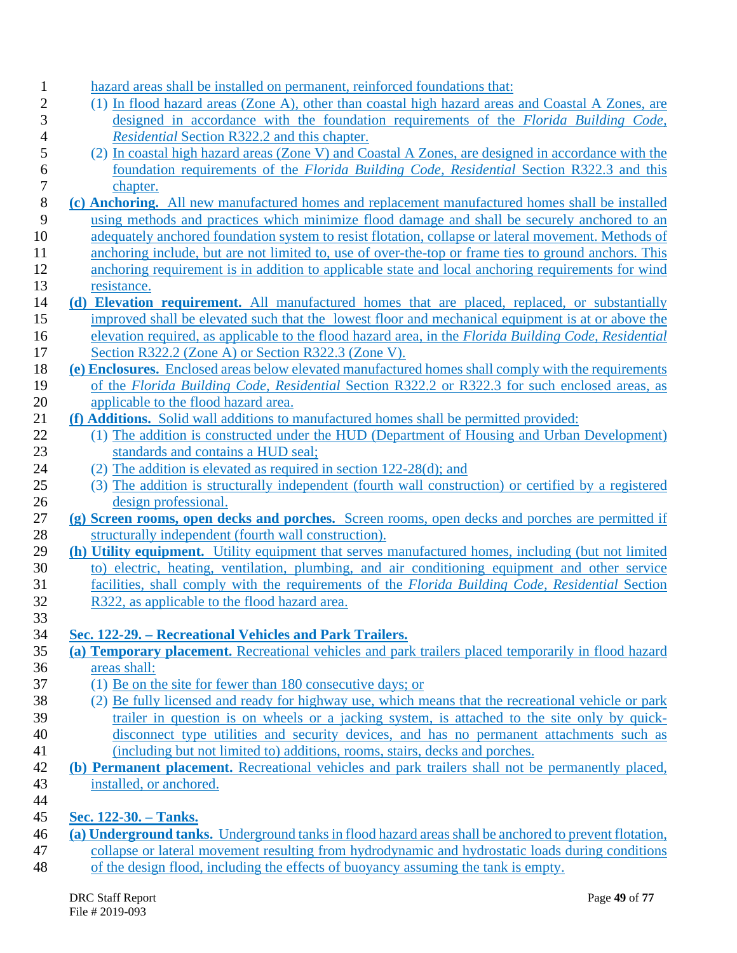| hazard areas shall be installed on permanent, reinforced foundations that:                                                                                                                                 |
|------------------------------------------------------------------------------------------------------------------------------------------------------------------------------------------------------------|
| (1) In flood hazard areas (Zone A), other than coastal high hazard areas and Coastal A Zones, are                                                                                                          |
| designed in accordance with the foundation requirements of the Florida Building Code,                                                                                                                      |
| Residential Section R322.2 and this chapter.                                                                                                                                                               |
| (2) In coastal high hazard areas (Zone V) and Coastal A Zones, are designed in accordance with the                                                                                                         |
| foundation requirements of the <i>Florida Building Code</i> , <i>Residential</i> Section R322.3 and this                                                                                                   |
| chapter.                                                                                                                                                                                                   |
| (c) Anchoring. All new manufactured homes and replacement manufactured homes shall be installed                                                                                                            |
| using methods and practices which minimize flood damage and shall be securely anchored to an                                                                                                               |
| adequately anchored foundation system to resist flotation, collapse or lateral movement. Methods of                                                                                                        |
| anchoring include, but are not limited to, use of over-the-top or frame ties to ground anchors. This                                                                                                       |
| anchoring requirement is in addition to applicable state and local anchoring requirements for wind                                                                                                         |
| resistance.                                                                                                                                                                                                |
| (d) Elevation requirement. All manufactured homes that are placed, replaced, or substantially                                                                                                              |
| improved shall be elevated such that the lowest floor and mechanical equipment is at or above the                                                                                                          |
| elevation required, as applicable to the flood hazard area, in the Florida Building Code, Residential                                                                                                      |
| Section R322.2 (Zone A) or Section R322.3 (Zone V).                                                                                                                                                        |
| (e) Enclosures. Enclosed areas below elevated manufactured homes shall comply with the requirements                                                                                                        |
| of the Florida Building Code, Residential Section R322.2 or R322.3 for such enclosed areas, as                                                                                                             |
| applicable to the flood hazard area.                                                                                                                                                                       |
| (f) Additions. Solid wall additions to manufactured homes shall be permitted provided:                                                                                                                     |
| (1) The addition is constructed under the HUD (Department of Housing and Urban Development)                                                                                                                |
| standards and contains a HUD seal;                                                                                                                                                                         |
| (2) The addition is elevated as required in section $122-28(d)$ ; and                                                                                                                                      |
| (3) The addition is structurally independent (fourth wall construction) or certified by a registered                                                                                                       |
| design professional.                                                                                                                                                                                       |
| (g) Screen rooms, open decks and porches. Screen rooms, open decks and porches are permitted if                                                                                                            |
| structurally independent (fourth wall construction).                                                                                                                                                       |
| (h) Utility equipment. Utility equipment that serves manufactured homes, including (but not limited                                                                                                        |
| to) electric, heating, ventilation, plumbing, and air conditioning equipment and other service                                                                                                             |
| facilities, shall comply with the requirements of the Florida Building Code, Residential Section                                                                                                           |
| R322, as applicable to the flood hazard area.                                                                                                                                                              |
|                                                                                                                                                                                                            |
| Sec. 122-29. – Recreational Vehicles and Park Trailers.                                                                                                                                                    |
| (a) Temporary placement. Recreational vehicles and park trailers placed temporarily in flood hazard                                                                                                        |
| areas shall:                                                                                                                                                                                               |
| (1) Be on the site for fewer than 180 consecutive days; or                                                                                                                                                 |
| (2) Be fully licensed and ready for highway use, which means that the recreational vehicle or park                                                                                                         |
| trailer in question is on wheels or a jacking system, is attached to the site only by quick-                                                                                                               |
| disconnect type utilities and security devices, and has no permanent attachments such as                                                                                                                   |
| (including but not limited to) additions, rooms, stairs, decks and porches.                                                                                                                                |
| (b) Permanent placement. Recreational vehicles and park trailers shall not be permanently placed,                                                                                                          |
| installed, or anchored.                                                                                                                                                                                    |
|                                                                                                                                                                                                            |
| Sec. 122-30. – Tanks.                                                                                                                                                                                      |
| (a) Underground tanks. Underground tanks in flood hazard areas shall be anchored to prevent flotation,<br>collapse or lateral movement resulting from hydrodynamic and hydrostatic loads during conditions |
|                                                                                                                                                                                                            |

48 of the design flood, including the effects of buoyancy assuming the tank is empty.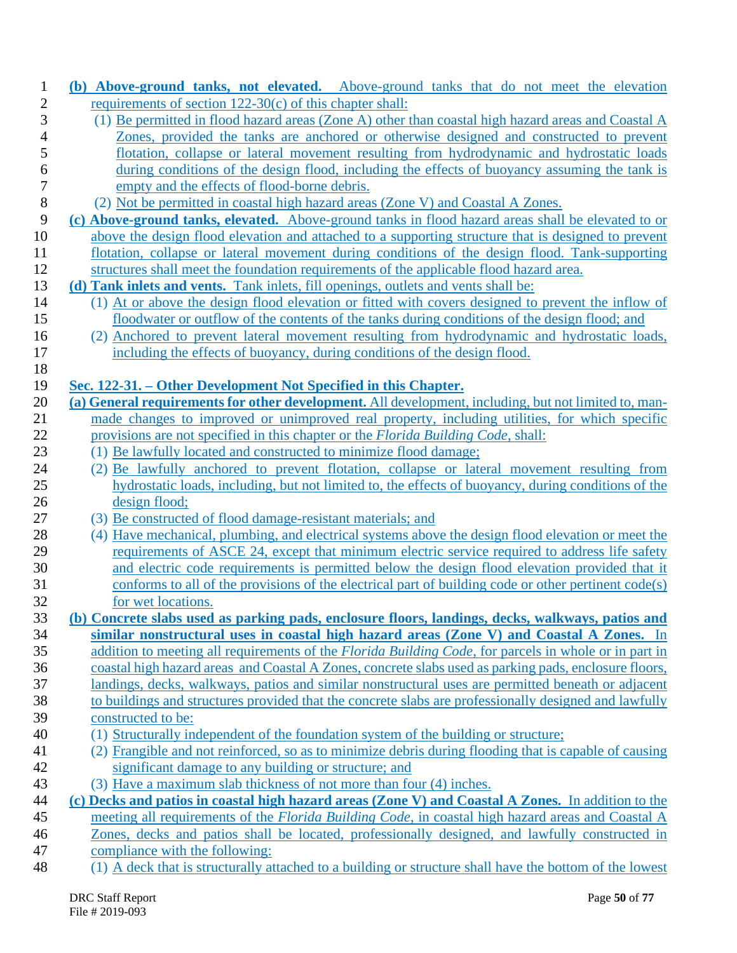| $\mathbf{1}$ | (b) Above-ground tanks, not elevated. Above-ground tanks that do not meet the elevation                   |
|--------------|-----------------------------------------------------------------------------------------------------------|
| $\mathbf{2}$ | requirements of section $122-30(c)$ of this chapter shall:                                                |
| 3            | (1) Be permitted in flood hazard areas (Zone A) other than coastal high hazard areas and Coastal A        |
| 4            | Zones, provided the tanks are anchored or otherwise designed and constructed to prevent                   |
| 5            | flotation, collapse or lateral movement resulting from hydrodynamic and hydrostatic loads                 |
| 6            | during conditions of the design flood, including the effects of buoyancy assuming the tank is             |
| 7            | empty and the effects of flood-borne debris.                                                              |
| $8\,$        | (2) Not be permitted in coastal high hazard areas (Zone V) and Coastal A Zones.                           |
| 9            | (c) Above-ground tanks, elevated. Above-ground tanks in flood hazard areas shall be elevated to or        |
| 10           | above the design flood elevation and attached to a supporting structure that is designed to prevent       |
| 11           | flotation, collapse or lateral movement during conditions of the design flood. Tank-supporting            |
| 12           | structures shall meet the foundation requirements of the applicable flood hazard area.                    |
| 13           | (d) Tank inlets and vents. Tank inlets, fill openings, outlets and vents shall be:                        |
| 14           | (1) At or above the design flood elevation or fitted with covers designed to prevent the inflow of        |
| 15           | floodwater or outflow of the contents of the tanks during conditions of the design flood; and             |
| 16           | (2) Anchored to prevent lateral movement resulting from hydrodynamic and hydrostatic loads,               |
| 17           | including the effects of buoyancy, during conditions of the design flood.                                 |
| 18           |                                                                                                           |
| 19           | Sec. 122-31. – Other Development Not Specified in this Chapter.                                           |
| 20           | (a) General requirements for other development. All development, including, but not limited to, man-      |
| 21           | made changes to improved or unimproved real property, including utilities, for which specific             |
| 22           | provisions are not specified in this chapter or the <i>Florida Building Code</i> , shall:                 |
| 23           | (1) Be lawfully located and constructed to minimize flood damage;                                         |
| 24           | (2) Be lawfully anchored to prevent flotation, collapse or lateral movement resulting from                |
| 25           | hydrostatic loads, including, but not limited to, the effects of buoyancy, during conditions of the       |
| 26           | design flood;                                                                                             |
| 27           | (3) Be constructed of flood damage-resistant materials; and                                               |
| 28           | (4) Have mechanical, plumbing, and electrical systems above the design flood elevation or meet the        |
| 29           | requirements of ASCE 24, except that minimum electric service required to address life safety             |
| 30           | and electric code requirements is permitted below the design flood elevation provided that it             |
| 31           | conforms to all of the provisions of the electrical part of building code or other pertinent code(s)      |
| 32           | for wet locations.                                                                                        |
| 33           | (b) Concrete slabs used as parking pads, enclosure floors, landings, decks, walkways, patios and          |
| 34           | similar nonstructural uses in coastal high hazard areas (Zone V) and Coastal A Zones. In                  |
| 35           | addition to meeting all requirements of the Florida Building Code, for parcels in whole or in part in     |
| 36           | coastal high hazard areas_and Coastal A Zones, concrete slabs used as parking pads, enclosure floors,     |
| 37           | landings, decks, walkways, patios and similar nonstructural uses are permitted beneath or adjacent        |
| 38           | to buildings and structures provided that the concrete slabs are professionally designed and lawfully     |
| 39           | constructed to be:                                                                                        |
| 40           | (1) Structurally independent of the foundation system of the building or structure;                       |
| 41           | (2) Frangible and not reinforced, so as to minimize debris during flooding that is capable of causing     |
| 42           | significant damage to any building or structure; and                                                      |
| 43           | (3) Have a maximum slab thickness of not more than four (4) inches.                                       |
| 44           | (c) Decks and patios in coastal high hazard areas (Zone V) and Coastal A Zones. In addition to the        |
| 45           | meeting all requirements of the <i>Florida Building Code</i> , in coastal high hazard areas and Coastal A |
| 46           | Zones, decks and patios shall be located, professionally designed, and lawfully constructed in            |
| 47           | compliance with the following:                                                                            |
| 48           | (1) A deck that is structurally attached to a building or structure shall have the bottom of the lowest   |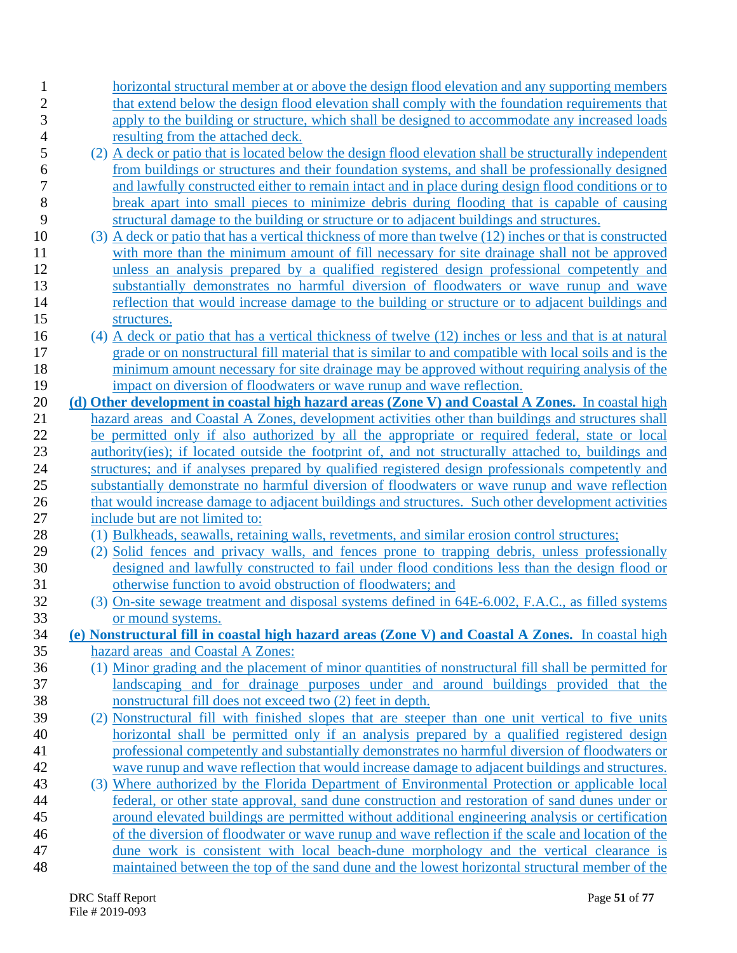| 1                       | horizontal structural member at or above the design flood elevation and any supporting members                                                                                                            |
|-------------------------|-----------------------------------------------------------------------------------------------------------------------------------------------------------------------------------------------------------|
| $\overline{\mathbf{c}}$ | that extend below the design flood elevation shall comply with the foundation requirements that                                                                                                           |
| 3                       | apply to the building or structure, which shall be designed to accommodate any increased loads                                                                                                            |
| 4                       | resulting from the attached deck.                                                                                                                                                                         |
| 5<br>6                  | (2) A deck or patio that is located below the design flood elevation shall be structurally independent<br>from buildings or structures and their foundation systems, and shall be professionally designed |
| 7                       | and lawfully constructed either to remain intact and in place during design flood conditions or to                                                                                                        |
| 8                       | break apart into small pieces to minimize debris during flooding that is capable of causing                                                                                                               |
| 9                       | structural damage to the building or structure or to adjacent buildings and structures.                                                                                                                   |
| 10                      | (3) A deck or patio that has a vertical thickness of more than twelve (12) inches or that is constructed                                                                                                  |
| 11                      | with more than the minimum amount of fill necessary for site drainage shall not be approved                                                                                                               |
| 12                      | unless an analysis prepared by a qualified registered design professional competently and                                                                                                                 |
| 13                      | substantially demonstrates no harmful diversion of floodwaters or wave runup and wave                                                                                                                     |
| 14                      | reflection that would increase damage to the building or structure or to adjacent buildings and                                                                                                           |
| 15                      | structures.                                                                                                                                                                                               |
| 16                      | (4) A deck or patio that has a vertical thickness of twelve (12) inches or less and that is at natural                                                                                                    |
| 17                      | grade or on nonstructural fill material that is similar to and compatible with local soils and is the                                                                                                     |
| 18                      | minimum amount necessary for site drainage may be approved without requiring analysis of the                                                                                                              |
| 19                      | impact on diversion of floodwaters or wave runup and wave reflection.                                                                                                                                     |
| 20                      | (d) Other development in coastal high hazard areas (Zone V) and Coastal A Zones. In coastal high                                                                                                          |
| 21<br>22                | hazard areas and Coastal A Zones, development activities other than buildings and structures shall<br>be permitted only if also authorized by all the appropriate or required federal, state or local     |
| 23                      | authority(ies); if located outside the footprint of, and not structurally attached to, buildings and                                                                                                      |
| 24                      | structures; and if analyses prepared by qualified registered design professionals competently and                                                                                                         |
| 25                      | substantially demonstrate no harmful diversion of floodwaters or wave runup and wave reflection                                                                                                           |
| 26                      | that would increase damage to adjacent buildings and structures. Such other development activities                                                                                                        |
| 27                      | include but are not limited to:                                                                                                                                                                           |
| 28                      | (1) Bulkheads, seawalls, retaining walls, revetments, and similar erosion control structures;                                                                                                             |
| 29                      | (2) Solid fences and privacy walls, and fences prone to trapping debris, unless professionally                                                                                                            |
| 30                      | designed and lawfully constructed to fail under flood conditions less than the design flood or                                                                                                            |
| 31                      | otherwise function to avoid obstruction of floodwaters; and                                                                                                                                               |
| 32                      | (3) On-site sewage treatment and disposal systems defined in 64E-6.002, F.A.C., as filled systems                                                                                                         |
| 33                      | or mound systems.                                                                                                                                                                                         |
| 34<br>35                | (e) Nonstructural fill in coastal high hazard areas (Zone V) and Coastal A Zones. In coastal high<br>hazard areas and Coastal A Zones:                                                                    |
| 36                      | (1) Minor grading and the placement of minor quantities of nonstructural fill shall be permitted for                                                                                                      |
| 37                      | landscaping and for drainage purposes under and around buildings provided that the                                                                                                                        |
| 38                      | nonstructural fill does not exceed two (2) feet in depth.                                                                                                                                                 |
| 39                      | (2) Nonstructural fill with finished slopes that are steeper than one unit vertical to five units                                                                                                         |
| 40                      | horizontal shall be permitted only if an analysis prepared by a qualified registered design                                                                                                               |
| 41                      | professional competently and substantially demonstrates no harmful diversion of floodwaters or                                                                                                            |
| 42                      | wave runup and wave reflection that would increase damage to adjacent buildings and structures.                                                                                                           |
| 43                      | (3) Where authorized by the Florida Department of Environmental Protection or applicable local                                                                                                            |
| 44                      | federal, or other state approval, sand dune construction and restoration of sand dunes under or                                                                                                           |
| 45                      | around elevated buildings are permitted without additional engineering analysis or certification                                                                                                          |
| 46                      | of the diversion of floodwater or wave runup and wave reflection if the scale and location of the                                                                                                         |
| 47                      | dune work is consistent with local beach-dune morphology and the vertical clearance is                                                                                                                    |
| 48                      | maintained between the top of the sand dune and the lowest horizontal structural member of the                                                                                                            |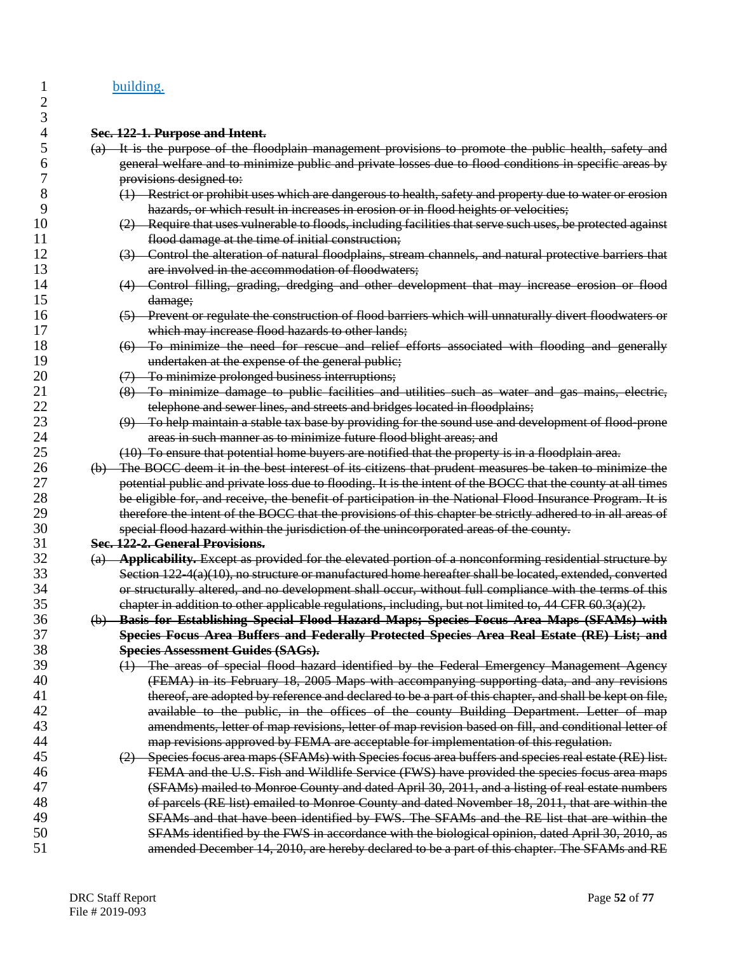#### 1 building.

 $\overline{2}$  $\frac{3}{4}$ 

# 4 **Sec. 122-1. Purpose and Intent.**

- 5 (a) It is the purpose of the floodplain management provisions to promote the public health, safety and 6 general welfare and to minimize public and private losses due to flood conditions in specific areas by 7 **provisions designed to:**<br>8 (1) Restrict or prohibi
- 8 (1) Restrict or prohibit uses which are dangerous to health, safety and property due to water or erosion<br>9 hazards, or which result in increases in erosion or in flood heights or velocities: 9 hazards, or which result in increases in erosion or in flood heights or velocities;
- 10 (2) Require that uses vulnerable to floods, including facilities that serve such uses, be protected against<br>11 flood damage at the time of initial construction: flood damage at the time of initial construction;
- 12 (3) Control the alteration of natural floodplains, stream channels, and natural protective barriers that 13 **are involved in the accommodation of floodwaters;**
- 14 (4) Control filling, grading, dredging and other development that may increase erosion or flood 15 damage;
- 16 (5) Prevent or regulate the construction of flood barriers which will unnaturally divert floodwaters or<br>17 which may increase flood hazards to other lands: 17 which may increase flood hazards to other lands;<br>18 (6) To minimize the need for rescue and relief
- 18 (6) To minimize the need for rescue and relief efforts associated with flooding and generally 19 undertaken at the expense of the general public;
- 20 (7) To minimize prolonged business interruptions;
- 21 (8) To minimize damage to public facilities and utilities such as water and gas mains, electric,<br>22 telephone and sewer lines, and streets and bridges located in floodplains: telephone and sewer lines, and streets and bridges located in floodplains;
- 23 (9) To help maintain a stable tax base by providing for the sound use and development of flood-prone 24 **areas in such manner as to minimize future flood blight areas; and**<br>25 **1999** To ensure that potential home buyers are notified that the property
	- 25 (10) To ensure that potential home buyers are notified that the property is in a floodplain area.
- 26 (b) The BOCC deem it in the best interest of its citizens that prudent measures be taken to minimize the<br>27 botential public and private loss due to flooding. It is the intent of the BOCC that the county at all times 27 potential public and private loss due to flooding. It is the intent of the BOCC that the county at all times<br>28 be eligible for, and receive, the benefit of participation in the National Flood Insurance Program. It is be eligible for, and receive, the benefit of participation in the National Flood Insurance Program. It is 29 therefore the intent of the BOCC that the provisions of this chapter be strictly adhered to in all areas of 30 special flood hazard within the jurisdiction of the unincorporated areas of the county.

## 31 **Sec. 122-2. General Provisions.**

32 (a) **Applicability.** Except as provided for the elevated portion of a nonconforming residential structure by Section  $122-4(a)(10)$ , no structure or manufactured home hereafter shall be located, extended, converted 34 or structurally altered, and no development shall occur, without full compliance with the terms of this 35 chapter in addition to other applicable regulations, including, but not limited to, 44 CFR 60.3(a)(2).

## 36 (b) **Basis for Establishing Special Flood Hazard Maps; Species Focus Area Maps (SFAMs) with**  37 **Species Focus Area Buffers and Federally Protected Species Area Real Estate (RE) List; and**

- 38 **Species Assessment Guides (SAGs).** 39 (1) The areas of special flood hazard identified by the Federal Emergency Management Agency<br>40 (FEMA) in its February 18 2005 Mans with accompanying supporting data and any revisions 40 (FEMA) in its February 18, 2005 Maps with accompanying supporting data, and any revisions<br>41 thereof, are adopted by reference and declared to be a part of this chapter, and shall be kept on file. thereof, are adopted by reference and declared to be a part of this chapter, and shall be kept on file, 42 available to the public, in the offices of the county Building Department. Letter of map 43 amendments, letter of map revisions, letter of map revision based on fill, and conditional letter of 44 map revisions approved by FEMA are acceptable for implementation of this regulation.
- 45 (2) Species focus area maps (SFAMs) with Species focus area buffers and species real estate (RE) list. 46 FEMA and the U.S. Fish and Wildlife Service (FWS) have provided the species focus area maps 47 (SFAMs) mailed to Monroe County and dated April 30, 2011, and a listing of real estate numbers<br>48 (48) of parcels (RE list) emailed to Monroe County and dated November 18, 2011, that are within the 48 of parcels (RE list) emailed to Monroe County and dated November 18, 2011, that are within the 49 SFAMs and that have been identified by FWS. The SFAMs and the RE list that are within the 50 SFAMs identified by the FWS in accordance with the biological opinion, dated April 30, 2010, as<br>51 samended December 14, 2010, are hereby declared to be a part of this chapter. The SFAMs and RE amended December 14, 2010, are hereby declared to be a part of this chapter. The SFAMs and RE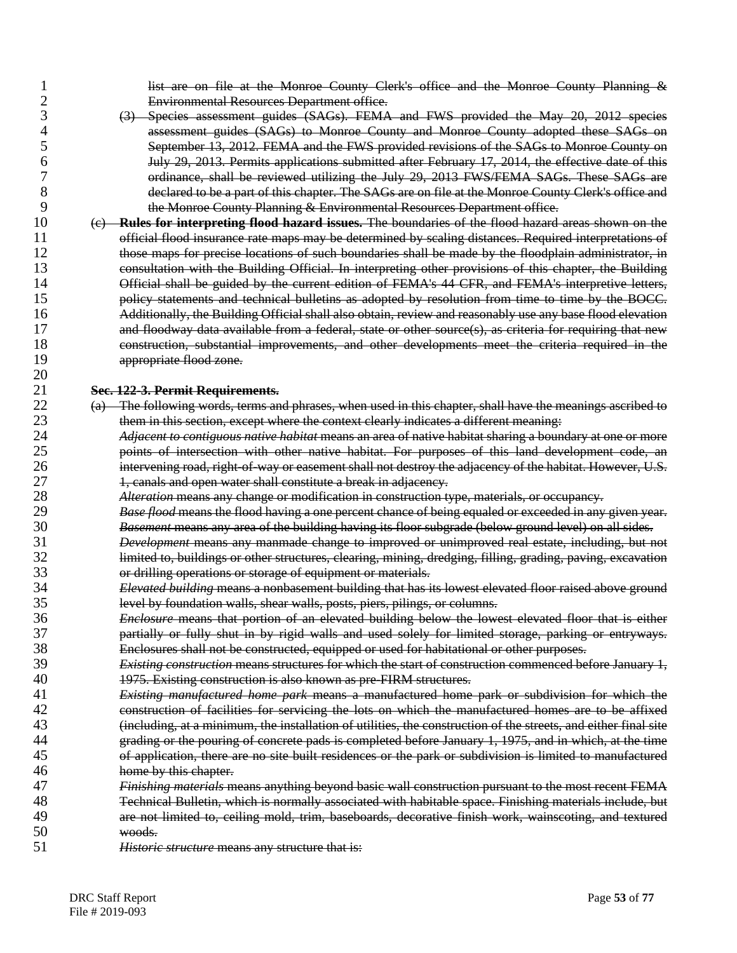1 list are on file at the Monroe County Clerk's office and the Monroe County Planning &<br>2 **Environmental Resources Department** office. 2 Environmental Resources Department office.

- 3 (3) Species assessment guides (SAGs). FEMA and FWS provided the May 20, 2012 species 4 assessment guides (SAGs) to Monroe County and Monroe County adopted these SAGs on<br>5 September 13, 2012. FEMA and the FWS provided revisions of the SAGs to Monroe County on 5 September 13, 2012. FEMA and the FWS provided revisions of the SAGs to Monroe County on 6 July 29, 2013. Permits applications submitted after February 17, 2014, the effective date of this 7 ordinance, shall be reviewed utilizing the July 29, 2013 FWS/FEMA SAGs. These SAGs are<br>8 declared to be a part of this chapter. The SAGs are on file at the Monroe County Clerk's office and declared to be a part of this chapter. The SAGs are on file at the Monroe County Clerk's office and 9 **the Monroe County Planning & Environmental Resources Department office.**
- 10 (c) **Rules for interpreting flood hazard issues.** The boundaries of the flood hazard areas shown on the 11 official flood insurance rate maps may be determined by scaling distances. Required interpretations of 12<br>12 **hology of the starting of the startions** of such boundaries shall be made by the floodplain administrator, in 12 those maps for precise locations of such boundaries shall be made by the floodplain administrator, in<br>13 consultation with the Building Official. In interpreting other provisions of this chapter, the Building 13 consultation with the Building Official. In interpreting other provisions of this chapter, the Building 14 Official shall be guided by the current edition of FEMA's 44 CFR, and FEMA's interpretive letters,<br>15 separate policy statements and technical bulletins as adopted by resolution from time to time by the BOCC. policy statements and technical bulletins as adopted by resolution from time to time by the BOCC. 16 Additionally, the Building Official shall also obtain, review and reasonably use any base flood elevation 17 and floodway data available from a federal, state or other source(s), as criteria for requiring that new 18 construction, substantial improvements, and other developments meet the criteria required in the 19 **appropriate flood zone.**  $\frac{20}{21}$

# 21 **Sec. 122-3. Permit Requirements.**

- 22 (a) The following words, terms and phrases, when used in this chapter, shall have the meanings ascribed to 23 them in this section, except where the context clearly indicates a different meaning:
- 24 *Adjacent to contiguous native habitat* means an area of native habitat sharing a boundary at one or more points of intersection with other native habitat. For purposes of this land development code, an 26 intervening road, right-of-way or easement shall not destroy the adjacency of the habitat. However, U.S. 27 1, canals and open water shall constitute a break in adjacency.<br>28 28 *Alteration* means any change or modification in construction to
- 28 *Alteration* means any change or modification in construction type, materials, or occupancy.
- 29 *Base flood* means the flood having a one percent chance of being equaled or exceeded in any given year. 30 *Basement* means any area of the building having its floor subgrade (below ground level) on all sides.
- 31 *Development* means any manmade change to improved or unimproved real estate, including, but not limited to, buildings or other structures, clearing, mining, dredging, filling, grading, paving, excavation 33 or drilling operations or storage of equipment or materials.
- 34 *Elevated building* means a nonbasement building that has its lowest elevated floor raised above ground 35 level by foundation walls, shear walls, posts, piers, pilings, or columns.<br>36 *Enclosure* means that portion of an elevated building below the low
- 36 *Enclosure* means that portion of an elevated building below the lowest elevated floor that is either 37 partially or fully shut in by rigid walls and used solely for limited storage, parking or entryways. 38 Enclosures shall not be constructed, equipped or used for habitational or other purposes.
- 39 *Existing construction* means structures for which the start of construction commenced before January 1, 40 1975. Existing construction is also known as pre-FIRM structures.
- 41 *Existing manufactured home park* means a manufactured home park or subdivision for which the 42 construction of facilities for servicing the lots on which the manufactured homes are to be affixed<br>43 **construction** at a minimum the installation of utilities, the construction of the streets, and either final site 43 (including, at a minimum, the installation of utilities, the construction of the streets, and either final site<br>44 **Final of the political concrete pads is completed before January 1–1975** and in which, at the time 44 grading or the pouring of concrete pads is completed before January 1, 1975, and in which, at the time<br>45 of application, there are no site built residences or the park or subdivision is limited to manufactured 45 of application, there are no site built residences or the park or subdivision is limited to manufactured 46 home by this chapter.
- 47 *Finishing materials* means anything beyond basic wall construction pursuant to the most recent FEMA 48 Technical Bulletin, which is normally associated with habitable space. Finishing materials include, but 49 are not limited to, ceiling mold, trim, baseboards, decorative finish work, wainscoting, and textured 450 50 woods.
- Historic structure means any structure that is: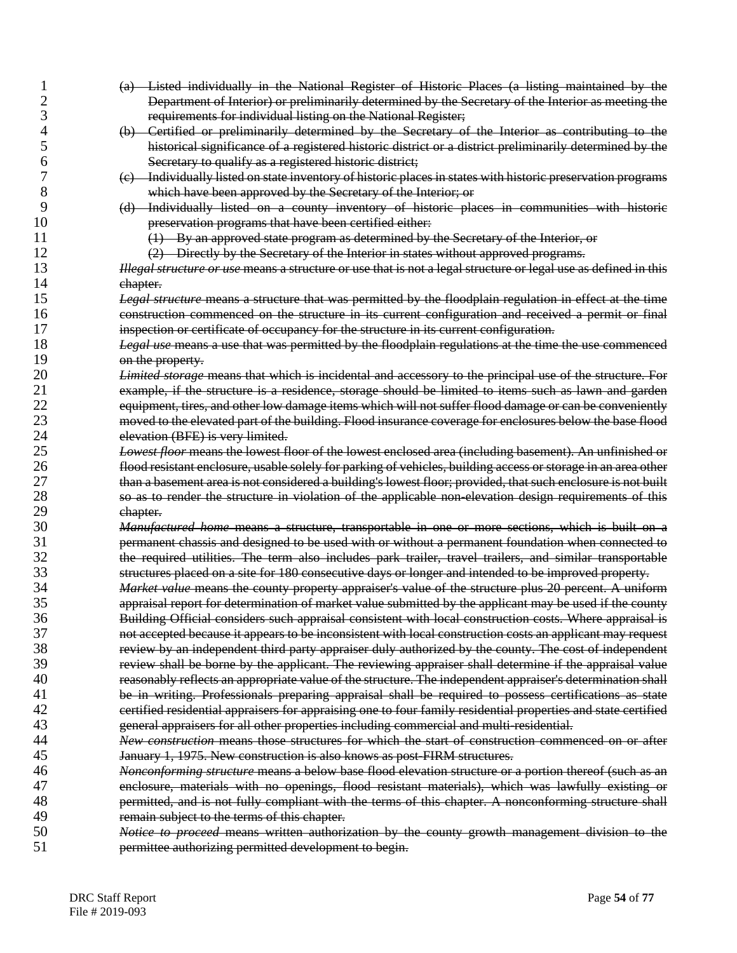- (a) Listed individually in the National Register of Historic Places (a listing maintained by the Department of Interior) or preliminarily determined by the Secretary of the Interior as meeting the requirements for individual listing on the National Register;
- (b) Certified or preliminarily determined by the Secretary of the Interior as contributing to the historical significance of a registered historic district or a district preliminarily determined by the Secretary to qualify as a registered historic district;
- (c) Individually listed on state inventory of historic places in states with historic preservation programs which have been approved by the Secretary of the Interior; or
- (d) Individually listed on a county inventory of historic places in communities with historic **preservation programs that have been certified either:**
- 11 (1) By an approved state program as determined by the Secretary of the Interior, or<br>12 (2) Directly by the Secretary of the Interior in states without approved programs.
	-

12 (2) Directly by the Secretary of the Interior in states without approved programs.<br>13 Hegal structure or use means a structure or use that is not a legal structure or legal use as *Illegal structure or use* means a structure or use that is not a legal structure or legal use as defined in this 14 chapter.<br>15 *Legal st* 

- *Legal structure* means a structure that was permitted by the floodplain regulation in effect at the time construction commenced on the structure in its current configuration and received a permit or final 17 inspection or certificate of occupancy for the structure in its current configuration.
- *Legal use* means a use that was permitted by the floodplain regulations at the time the use commenced 19 on the property.<br>20 *Limited storage*
- *Limited storage* means that which is incidental and accessory to the principal use of the structure. For 21 example, if the structure is a residence, storage should be limited to items such as lawn and garden<br>22 equipment, tires, and other low damage items which will not suffer flood damage or can be conveniently equipment, tires, and other low damage items which will not suffer flood damage or can be conveniently moved to the elevated part of the building. Flood insurance coverage for enclosures below the base flood 24 elevation (BFE) is very limited.<br>25 *Lowest floor* means the lowest f
- *Lowest floor* means the lowest floor of the lowest enclosed area (including basement). An unfinished or flood resistant enclosure, usable solely for parking of vehicles, building access or storage in an area other 27 than a basement area is not considered a building's lowest floor; provided, that such enclosure is not built<br>28 30 30 35 50 render the structure in violation of the applicable non-elevation design requirements of this 28 so as to render the structure in violation of the applicable non-elevation design requirements of this 29 chapter.
- *Manufactured home* means a structure, transportable in one or more sections, which is built on a 31 state permanent chassis and designed to be used with or without a permanent foundation when connected to 32<br>32 state the required utilities. The term also includes park trailer, travel trailers, and similar transportabl the required utilities. The term also includes park trailer, travel trailers, and similar transportable structures placed on a site for 180 consecutive days or longer and intended to be improved property.
- *Market value* means the county property appraiser's value of the structure plus 20 percent. A uniform appraisal report for determination of market value submitted by the applicant may be used if the county Building Official considers such appraisal consistent with local construction costs. Where appraisal is not accepted because it appears to be inconsistent with local construction costs an applicant may request 38 review by an independent third party appraiser duly authorized by the county. The cost of independent<br>39 review shall be borne by the applicant. The reviewing appraiser shall determine if the appraisal value review shall be borne by the applicant. The reviewing appraiser shall determine if the appraisal value reasonably reflects an appropriate value of the structure. The independent appraiser's determination shall be in writing. Professionals preparing appraisal shall be required to possess certifications as state 42 certified residential appraisers for appraising one to four family residential properties and state certified<br>43 ceneral appraisers for all other properties including commercial and multi-residential
- general appraisers for all other properties including commercial and multi-residential. *New construction* means those structures for which the start of construction commenced on or after January 1, 1975. New construction is also knows as post-FIRM structures.
- *Nonconforming structure* means a below base flood elevation structure or a portion thereof (such as an enclosure, materials with no openings, flood resistant materials), which was lawfully existing or permitted, and is not fully compliant with the terms of this chapter. A nonconforming structure shall 49 **remain subject to the terms of this chapter.**<br>50 *Notice to proceed* means written authori
- *Notice to proceed* means written authorization by the county growth management division to the permittee authorizing permitted development to begin.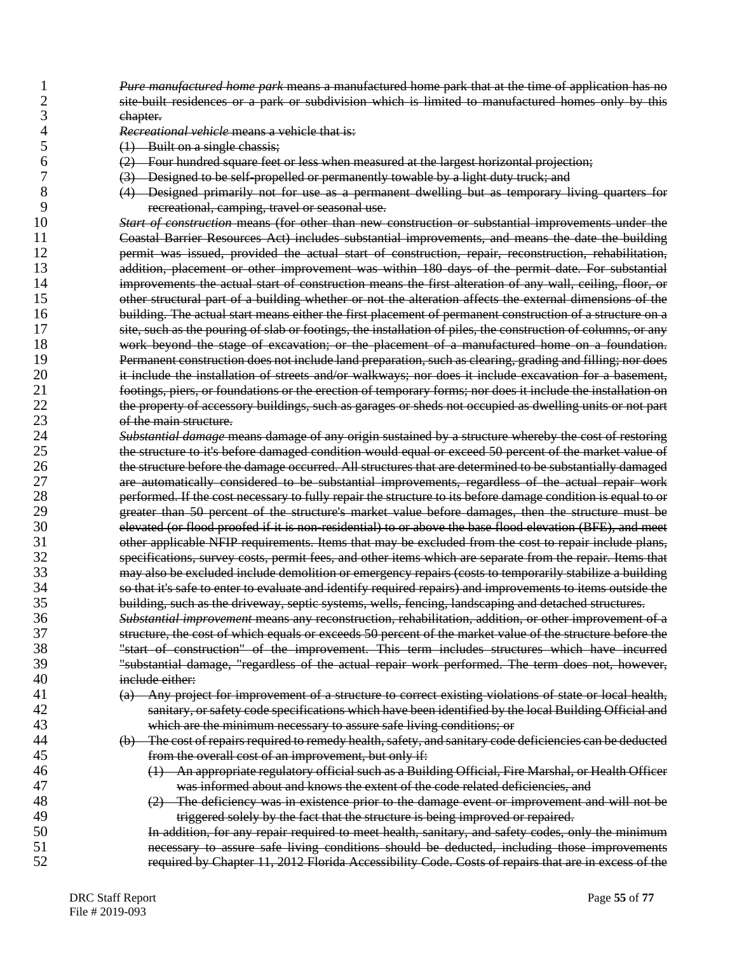- 1 *Pure manufactured home park* means a manufactured home park that at the time of application has no site-built residences or a park or subdivision which is limited to manufactured homes only by this 3 chapter.
- 4 *Recreational vehicle* means a vehicle that is:
- 5 (1) Built on a single chassis;<br>6 (2) Four hundred square feet
- $(2)$  Four hundred square feet or less when measured at the largest horizontal projection;<br>  $(3)$  Designed to be self-propelled or permanently towable by a light duty truck: and
	-
- 7 (3) Designed to be self-propelled or permanently towable by a light duty truck; and<br>8 (4) Designed primarily not for use as a permanent dwelling but as temporary l 8 (4) Designed primarily not for use as a permanent dwelling but as temporary living quarters for 9 recreational, camping, travel or seasonal use.

10 *Start of construction* means (for other than new construction or substantial improvements under the 11 Coastal Barrier Resources Act) includes substantial improvements, and means the date the building<br>12 **East of the set of the actual start of construction, repair, reconstruction, rehabilitation**, 12 permit was issued, provided the actual start of construction, repair, reconstruction, rehabilitation, addition, placement or other improvement was within 180 days of the permit date. For substantial 14 improvements the actual start of construction means the first alteration of any wall, ceiling, floor, or<br>15 other structural part of a building whether or not the alteration affects the external dimensions of the other structural part of a building whether or not the alteration affects the external dimensions of the 16 building. The actual start means either the first placement of permanent construction of a structure on a 17 site, such as the pouring of slab or footings, the installation of piles, the construction of columns, or any 18 work beyond the stage of excavation; or the placement of a manufactured home on a foundation. 19 **Permanent construction does not include land preparation, such as clearing, grading and filling; nor does**<br>20 **permanent of the installation of streets and/or walkways; nor does it include excavation for a basement** 20 it include the installation of streets and/or walkways; nor does it include excavation for a basement,<br>21 footings, piers, or foundations or the erection of temporary forms; nor does it include the installation on 21 footings, piers, or foundations or the erection of temporary forms; nor does it include the installation on<br>22 the property of accessory buildings, such as garages or sheds not occupied as dwelling units or not part 22 the property of accessory buildings, such as garages or sheds not occupied as dwelling units or not part 23 of the main structure.

24 *Substantial damage* means damage of any origin sustained by a structure whereby the cost of restoring the structure to it's before damaged condition would equal or exceed 50 percent of the market value of 26 the structure before the damage occurred. All structures that are determined to be substantially damaged 27 are automatically considered to be substantial improvements, regardless of the actual repair work<br>28 **home performed If the cost necessary to fully repair the structure to its before damage condition is equal to or** 28 performed. If the cost necessary to fully repair the structure to its before damage condition is equal to or<br>29 ereater than 50 percent of the structure's market value before damages, then the structure must be 29 greater than 50 percent of the structure's market value before damages, then the structure must be elevated (or flood proofed if it is non-residential) to or above the base flood elevation (BFE), and meet 31 other applicable NFIP requirements. Items that may be excluded from the cost to repair include plans,<br>32 specifications, survey costs, permit fees, and other items which are separate from the repair. Items that specifications, survey costs, permit fees, and other items which are separate from the repair. Items that 33 may also be excluded include demolition or emergency repairs (costs to temporarily stabilize a building 34 so that it's safe to enter to evaluate and identify required repairs) and improvements to items outside the<br>35 building, such as the driveway, septic systems, wells, fencing, landscaping and detached structures. 35 building, such as the driveway, septic systems, wells, fencing, landscaping and detached structures.

 *Substantial improvement* means any reconstruction, rehabilitation, addition, or other improvement of a structure, the cost of which equals or exceeds 50 percent of the market value of the structure before the "start of construction" of the improvement. This term includes structures which have incurred "substantial damage, "regardless of the actual repair work performed. The term does not, however, include either:

- 41 (a) Any project for improvement of a structure to correct existing violations of state or local health, 42 sanitary, or safety code specifications which have been identified by the local Building Official and<br>43 which are the minimum necessary to assure safe living conditions: or which are the minimum necessary to assure safe living conditions; or
- 44 (b) The cost of repairs required to remedy health, safety, and sanitary code deficiencies can be deducted 45 from the overall cost of an improvement, but only if:
- 46 (1) An appropriate regulatory official such as a Building Official, Fire Marshal, or Health Officer 47 was informed about and knows the extent of the code related deficiencies, and
- 48 (2) The deficiency was in existence prior to the damage event or improvement and will not be
- 49 triggered solely by the fact that the structure is being improved or repaired.<br>50 **In addition, for any repair required to meet health, sanitary, and safety codes, o** 50 In addition, for any repair required to meet health, sanitary, and safety codes, only the minimum 51 **1** necessary to assure safe living conditions should be deducted, including those improvements 52 required by Chapter 11, 2012 Florida Accessibility Code. Costs of repairs that are in excess of the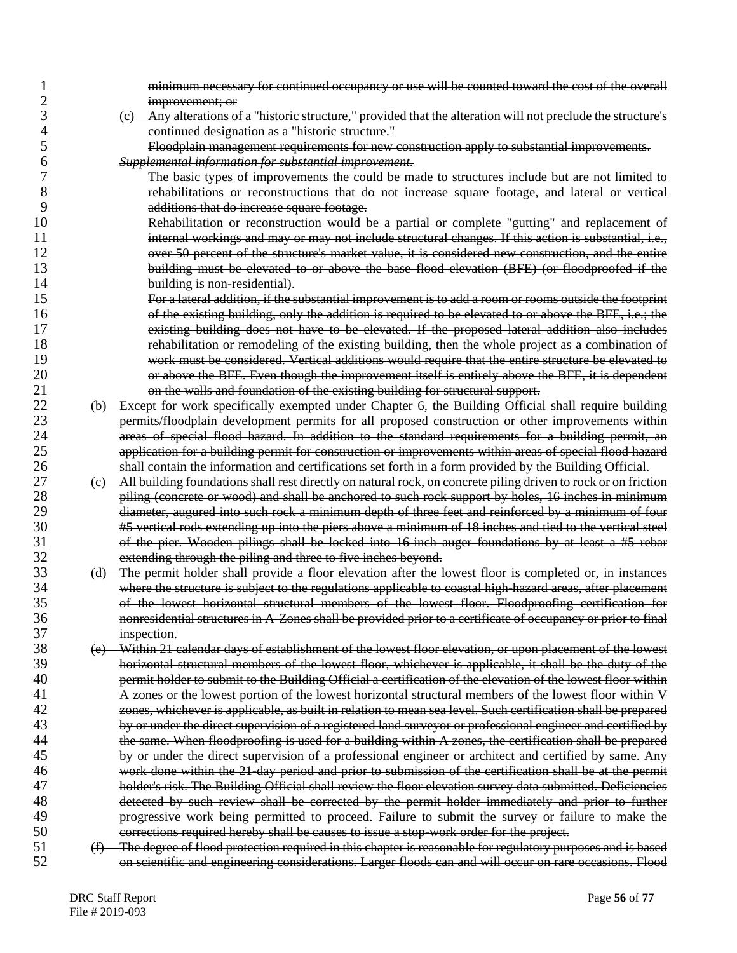| 1              |     | minimum necessary for continued occupancy or use will be counted toward the cost of the overall                    |
|----------------|-----|--------------------------------------------------------------------------------------------------------------------|
| $\overline{c}$ |     | improvement; or                                                                                                    |
| 3              |     | (e) Any alterations of a "historic structure," provided that the alteration will not preclude the structure's      |
| 4              |     | continued designation as a "historic structure."                                                                   |
| 5              |     | Floodplain management requirements for new construction apply to substantial improvements.                         |
| 6              |     | Supplemental information for substantial improvement.                                                              |
| 7              |     | The basic types of improvements the could be made to structures include but are not limited to                     |
| 8              |     | rehabilitations or reconstructions that do not increase square footage, and lateral or vertical                    |
| 9              |     | additions that do increase square footage.                                                                         |
| 10             |     | Rehabilitation or reconstruction would be a partial or complete "gutting" and replacement of                       |
| 11             |     | internal workings and may or may not include structural changes. If this action is substantial, i.e.,              |
| 12             |     | over 50 percent of the structure's market value, it is considered new construction, and the entire                 |
| 13             |     | building must be elevated to or above the base flood elevation (BFE) (or floodproofed if the                       |
| 14             |     | building is non-residential).                                                                                      |
| 15             |     | For a lateral addition, if the substantial improvement is to add a room or rooms outside the footprint             |
| 16             |     | of the existing building, only the addition is required to be elevated to or above the BFE, i.e.; the              |
| 17             |     | existing building does not have to be elevated. If the proposed lateral addition also includes                     |
| 18             |     |                                                                                                                    |
|                |     | rehabilitation or remodeling of the existing building, then the whole project as a combination of                  |
| 19             |     | work must be considered. Vertical additions would require that the entire structure be elevated to                 |
| 20             |     | or above the BFE. Even though the improvement itself is entirely above the BFE, it is dependent                    |
| 21             |     | on the walls and foundation of the existing building for structural support.                                       |
| 22             |     | (b) Except for work specifically exempted under Chapter 6, the Building Official shall require building            |
| 23             |     | permits/floodplain development permits for all proposed construction or other improvements within                  |
| 24             |     | areas of special flood hazard. In addition to the standard requirements for a building permit, an                  |
| 25             |     | application for a building permit for construction or improvements within areas of special flood hazard            |
| 26             |     | shall contain the information and certifications set forth in a form provided by the Building Official.            |
| 27             |     | (c) All building foundations shall rest directly on natural rock, on concrete piling driven to rock or on friction |
| 28             |     | piling (concrete or wood) and shall be anchored to such rock support by holes, 16 inches in minimum                |
| 29             |     | diameter, augured into such rock a minimum depth of three feet and reinforced by a minimum of four                 |
| 30             |     | #5 vertical rods extending up into the piers above a minimum of 18 inches and tied to the vertical steel           |
| 31             |     | of the pier. Wooden pilings shall be locked into 16 inch auger foundations by at least a #5 rebar                  |
| 32             |     | extending through the piling and three to five inches beyond.                                                      |
| 33             |     | (d) The permit holder shall provide a floor elevation after the lowest floor is completed or, in instances         |
| 34             |     | where the structure is subject to the regulations applicable to coastal high-hazard areas, after placement         |
| 35             |     | of the lowest horizontal structural members of the lowest floor. Floodproofing certification for                   |
| 36             |     | nonresidential structures in A-Zones shall be provided prior to a certificate of occupancy or prior to final       |
| 37             |     | inspection.                                                                                                        |
| 38             | (e) | Within 21 calendar days of establishment of the lowest floor elevation, or upon placement of the lowest            |
| 39             |     | horizontal structural members of the lowest floor, whichever is applicable, it shall be the duty of the            |
| 40             |     | permit holder to submit to the Building Official a certification of the elevation of the lowest floor within       |
| 41             |     | A zones or the lowest portion of the lowest horizontal structural members of the lowest floor within V             |
| 42             |     | zones, whichever is applicable, as built in relation to mean sea level. Such certification shall be prepared       |
| 43             |     | by or under the direct supervision of a registered land surveyor or professional engineer and certified by         |
| 44             |     | the same. When floodproofing is used for a building within A zones, the certification shall be prepared            |
| 45             |     | by or under the direct supervision of a professional engineer or architect and certified by same. Any              |
| 46             |     | work done within the 21-day period and prior to submission of the certification shall be at the permit             |
| 47             |     | holder's risk. The Building Official shall review the floor elevation survey data submitted. Deficiencies          |
| 48             |     | detected by such review shall be corrected by the permit holder immediately and prior to further                   |
| 49             |     | progressive work being permitted to proceed. Failure to submit the survey or failure to make the                   |
| 50             |     | corrections required hereby shall be causes to issue a stop-work order for the project.                            |
| 51             |     | (f) The degree of flood protection required in this chapter is reasonable for regulatory purposes and is based     |
| 52             |     | on scientific and engineering considerations. Larger floods can and will occur on rare occasions. Flood            |
|                |     |                                                                                                                    |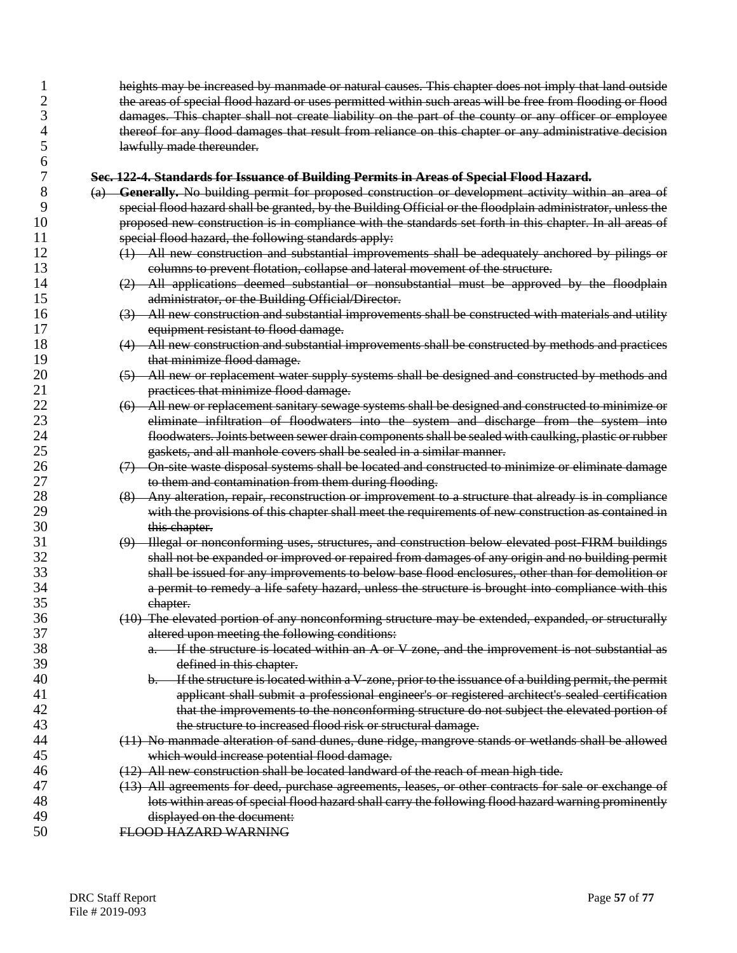1 heights may be increased by manmade or natural causes. This chapter does not imply that land outside<br>2 **he areas of special flood hazard or uses permitted within such areas will be free from flooding or flood** 2 the areas of special flood hazard or uses permitted within such areas will be free from flooding or flood 3 damages. This chapter shall not create liability on the part of the county or any officer or employee 4 thereof for any flood damages that result from reliance on this chapter or any administrative decision<br>5 **12** lawfully made thereunder. lawfully made thereunder.

- 7 **Sec. 122-4. Standards for Issuance of Building Permits in Areas of Special Flood Hazard.** 8 (a) **Generally.** No building permit for proposed construction or development activity within an area of 9 special flood hazard shall be granted, by the Building Official or the floodplain administrator, unless the 10 proposed new construction is in compliance with the standards set forth in this chapter. In all areas of 11 11 special flood hazard, the following standards apply:<br>12 (<del>1) All new construction and substantial improve</del>
- 12 (1) All new construction and substantial improvements shall be adequately anchored by pilings or<br>13 endlumns to prevent flotation, collapse and lateral movement of the structure. columns to prevent flotation, collapse and lateral movement of the structure.
- 14 (2) All applications deemed substantial or nonsubstantial must be approved by the floodplain 15 administrator, or the Building Official/Director.
- 16 (3) All new construction and substantial improvements shall be constructed with materials and utility 17 equipment resistant to flood damage.
- 18 (4) All new construction and substantial improvements shall be constructed by methods and practices 19 that minimize flood damage.<br>20 (5) All new or replacement water
- 20 (5) All new or replacement water supply systems shall be designed and constructed by methods and practices that minimize flood damage. 21 **practices that minimize flood damage.**<br>22 (6) All new or replacement sanitary sewage
- 22 (6) All new or replacement sanitary sewage systems shall be designed and constructed to minimize or eliminate infiltration of floodwaters into the system and discharge from the system into 24 floodwaters. Joints between sewer drain components shall be sealed with caulking, plastic or rubber<br>25 seaskets, and all manhole covers shall be sealed in a similar manner. 25 gaskets, and all manhole covers shall be sealed in a similar manner.
- 26 (7) On-site waste disposal systems shall be located and constructed to minimize or eliminate damage 27 to them and contamination from them during flooding.<br>28 (8) Any alteration, repair, reconstruction or improvement.
- 28 (8) Any alteration, repair, reconstruction or improvement to a structure that already is in compliance<br>29 with the provisions of this chapter shall meet the requirements of new construction as contained in 29 with the provisions of this chapter shall meet the requirements of new construction as contained in this chapter.
- 31 (9) Illegal or nonconforming uses, structures, and construction below elevated post-FIRM buildings shall not be expanded or improved or repaired from damages of any origin and no building permit 33 shall be issued for any improvements to below base flood enclosures, other than for demolition or 34 a permit to remedy a life safety hazard, unless the structure is brought into compliance with this 35 <del>chapter.</del><br>36 <del>(10) The elex</del>
- 36 (10) The elevated portion of any nonconforming structure may be extended, expanded, or structurally 37 altered upon meeting the following conditions:
- 38 a. If the structure is located within an A or V zone, and the improvement is not substantial as 39 defined in this chapter.
- 40 b. If the structure is located within a V-zone, prior to the issuance of a building permit, the permit 41 applicant shall submit a professional engineer's or registered architect's sealed certification 42 that the improvements to the nonconforming structure do not subject the elevated portion of 43 43 **the structure to increased flood risk or structural damage.**<br>44 **the structure of sand dunes dune ridge mangrove** s
- 44 (11) No manmade alteration of sand dunes, dune ridge, mangrove stands or wetlands shall be allowed<br>45 which would increase potential flood damage. which would increase potential flood damage.
- 46 (12) All new construction shall be located landward of the reach of mean high tide.
- 47 (13) All agreements for deed, purchase agreements, leases, or other contracts for sale or exchange of 48 lots within areas of special flood hazard shall carry the following flood hazard warning prominently 49 displayed on the document:<br>50 **ELOOD HAZARD WARNING**
- FLOOD HAZARD WARNING

 $\frac{6}{7}$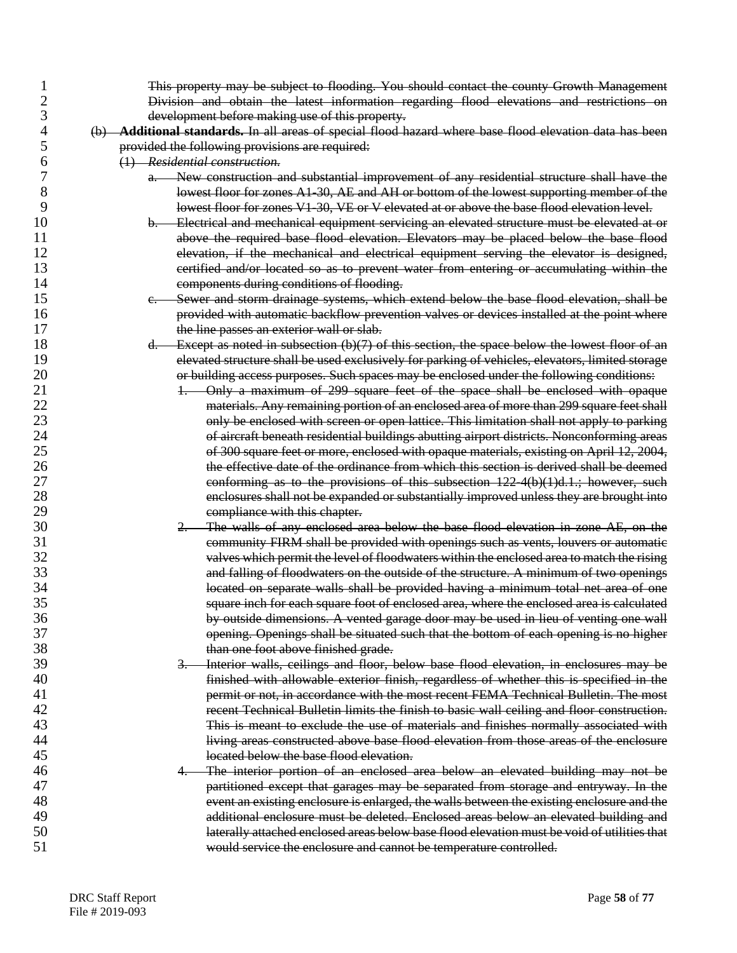|                | This property may be subject to flooding. You should contact the county Growth Management                                                                                       |
|----------------|---------------------------------------------------------------------------------------------------------------------------------------------------------------------------------|
| $\overline{2}$ | Division and obtain the latest information regarding flood elevations and restrictions on                                                                                       |
| 3              | development before making use of this property.                                                                                                                                 |
| 4              | (b) Additional standards. In all areas of special flood hazard where base flood elevation data has been                                                                         |
| 5              | provided the following provisions are required:                                                                                                                                 |
| 6              | (1) Residential construction.                                                                                                                                                   |
| 7              | a. New construction and substantial improvement of any residential structure shall have the                                                                                     |
| 8              | lowest floor for zones A1-30, AE and AH or bottom of the lowest supporting member of the                                                                                        |
| 9              | lowest floor for zones V1-30, VE or V elevated at or above the base flood elevation level.                                                                                      |
| 10             | b. Electrical and mechanical equipment servicing an elevated structure must be elevated at or                                                                                   |
| 11             | above the required base flood elevation. Elevators may be placed below the base flood                                                                                           |
| 12             | elevation, if the mechanical and electrical equipment serving the elevator is designed,                                                                                         |
| 13             | eertified and/or located so as to prevent water from entering or accumulating within the                                                                                        |
| 14             | components during conditions of flooding.                                                                                                                                       |
| 15             |                                                                                                                                                                                 |
|                | Sewer and storm drainage systems, which extend below the base flood elevation, shall be<br>$e -$                                                                                |
| 16             | provided with automatic backflow prevention valves or devices installed at the point where                                                                                      |
| 17             | the line passes an exterior wall or slab.                                                                                                                                       |
| 18             | Except as noted in subsection $(b)(7)$ of this section, the space below the lowest floor of an<br>$d-$                                                                          |
| 19             | elevated structure shall be used exclusively for parking of vehicles, elevators, limited storage                                                                                |
| 20             | or building access purposes. Such spaces may be enclosed under the following conditions:                                                                                        |
| 21             | Only a maximum of 299 square feet of the space shall be enclosed with opaque                                                                                                    |
| 22             | materials. Any remaining portion of an enclosed area of more than 299 square feet shall                                                                                         |
| 23             | only be enclosed with screen or open lattice. This limitation shall not apply to parking                                                                                        |
| 24             | of aircraft beneath residential buildings abutting airport districts. Nonconforming areas                                                                                       |
| 25             | of 300 square feet or more, enclosed with opaque materials, existing on April 12, 2004,                                                                                         |
| 26             | the effective date of the ordinance from which this section is derived shall be deemed                                                                                          |
| 27             | conforming as to the provisions of this subsection $122.4(b)(1)d.1$ ; however, such                                                                                             |
| 28             | enclosures shall not be expanded or substantially improved unless they are brought into                                                                                         |
| 29             | compliance with this chapter.                                                                                                                                                   |
| 30             | 2. The walls of any enclosed area below the base flood elevation in zone AE, on the                                                                                             |
| 31             | community FIRM shall be provided with openings such as vents, louvers or automatic                                                                                              |
| 32             | valves which permit the level of floodwaters within the enclosed area to match the rising                                                                                       |
| 33             | and falling of floodwaters on the outside of the structure. A minimum of two openings                                                                                           |
| 34             | located on separate walls shall be provided having a minimum total net area of one                                                                                              |
| 35             | square inch for each square foot of enclosed area, where the enclosed area is calculated                                                                                        |
| 36             | by outside dimensions. A vented garage door may be used in lieu of venting one wall                                                                                             |
| 37             | opening. Openings shall be situated such that the bottom of each opening is no higher                                                                                           |
| 38             | than one foot above finished grade.                                                                                                                                             |
| 39             | 3. Interior walls, ceilings and floor, below base flood elevation, in enclosures may be                                                                                         |
| 40             | finished with allowable exterior finish, regardless of whether this is specified in the                                                                                         |
| 41             | permit or not, in accordance with the most recent FEMA Technical Bulletin. The most                                                                                             |
| 42             | recent Technical Bulletin limits the finish to basic wall ceiling and floor construction.                                                                                       |
| 43             | This is meant to exclude the use of materials and finishes normally associated with                                                                                             |
| 44             | living areas constructed above base flood elevation from those areas of the enclosure                                                                                           |
| 45             | located below the base flood elevation.                                                                                                                                         |
| 46             | The interior portion of an enclosed area below an elevated building may not be                                                                                                  |
| 47             | 4 <del>.</del>                                                                                                                                                                  |
| 48             | partitioned except that garages may be separated from storage and entryway. In the<br>event an existing enclosure is enlarged, the walls between the existing enclosure and the |
| 49             |                                                                                                                                                                                 |
|                | additional enclosure must be deleted. Enclosed areas below an elevated building and                                                                                             |
| 50             | laterally attached enclosed areas below base flood elevation must be void of utilities that                                                                                     |
| 51             | would service the enclosure and cannot be temperature controlled.                                                                                                               |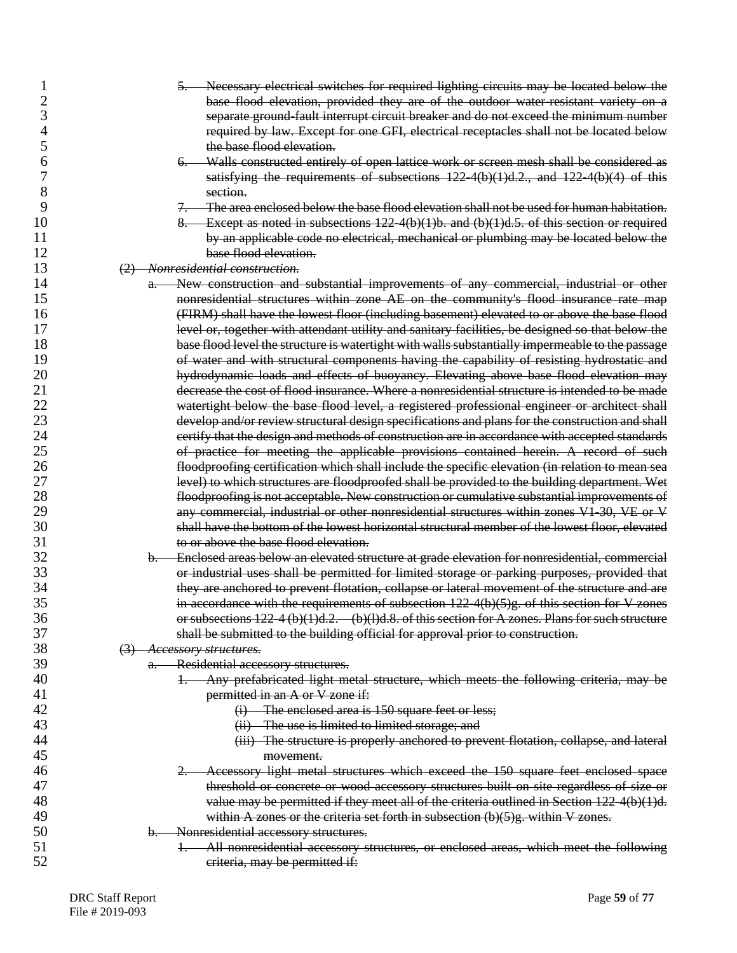|    | 5. Necessary electrical switches for required lighting circuits may be located below the           |
|----|----------------------------------------------------------------------------------------------------|
| 2  | base flood elevation, provided they are of the outdoor water resistant variety on a                |
| 3  | separate ground-fault interrupt circuit breaker and do not exceed the minimum number               |
| 4  | required by law. Except for one GFI, electrical receptacles shall not be located below             |
| 5  | the base flood elevation.                                                                          |
| 6  | 6. Walls constructed entirely of open lattice work or screen mesh shall be considered as           |
| 7  | satisfying the requirements of subsections $122-4(b)(1)d.2$ , and $122-4(b)(4)$ of this            |
| 8  | section.                                                                                           |
| 9  | 7. The area enclosed below the base flood elevation shall not be used for human habitation.        |
| 10 | 8. Except as noted in subsections $122-4(b)(1)b$ . and $(b)(1)d.5$ . of this section or required   |
| 11 | by an applicable code no electrical, mechanical or plumbing may be located below the               |
| 12 | base flood elevation.                                                                              |
| 13 | (2) Nonresidential construction.                                                                   |
| 14 | New construction and substantial improvements of any commercial, industrial or other               |
| 15 | nonresidential structures within zone AE on the community's flood insurance rate map               |
| 16 | (FIRM) shall have the lowest floor (including basement) elevated to or above the base flood        |
| 17 | level or, together with attendant utility and sanitary facilities, be designed so that below the   |
| 18 | base flood level the structure is watertight with walls substantially impermeable to the passage   |
| 19 | of water and with structural components having the capability of resisting hydrostatic and         |
| 20 | hydrodynamic loads and effects of buoyancy. Elevating above base flood elevation may               |
| 21 | decrease the cost of flood insurance. Where a nonresidential structure is intended to be made      |
| 22 | watertight below the base flood level, a registered professional engineer or architect shall       |
| 23 | develop and/or review structural design specifications and plans for the construction and shall    |
| 24 | certify that the design and methods of construction are in accordance with accepted standards      |
| 25 | of practice for meeting the applicable provisions contained herein. A record of such               |
| 26 | floodproofing certification which shall include the specific elevation (in relation to mean sea    |
| 27 | level) to which structures are floodproofed shall be provided to the building department. Wet      |
| 28 | floodproofing is not acceptable. New construction or cumulative substantial improvements of        |
| 29 | any commercial, industrial or other nonresidential structures within zones V1 30, VE or V          |
| 30 | shall have the bottom of the lowest horizontal structural member of the lowest floor, elevated     |
| 31 | to or above the base flood elevation.                                                              |
| 32 | b. Enclosed areas below an elevated structure at grade elevation for nonresidential, commercial    |
| 33 | or industrial uses shall be permitted for limited storage or parking purposes, provided that       |
| 34 | they are anchored to prevent flotation, collapse or lateral movement of the structure and are      |
| 35 | in accordance with the requirements of subsection 122-4(b)(5)g. of this section for V zones        |
| 36 | or subsections $122-4$ (b)(1)d.2. (b)(1)d.8. of this section for A zones. Plans for such structure |
| 37 | shall be submitted to the building official for approval prior to construction.                    |
| 38 | (3) Accessory structures.                                                                          |
| 39 | Residential accessory structures.<br>a.-                                                           |
| 40 | Any prefabricated light metal structure, which meets the following criteria, may be<br>╈┯          |
| 41 | permitted in an A or V zone if:                                                                    |
| 42 | (i) The enclosed area is 150 square feet or less;                                                  |
| 43 | (ii) The use is limited to limited storage; and                                                    |
| 44 | (iii) The structure is properly anchored to prevent flotation, collapse, and lateral               |
| 45 | movement.                                                                                          |
| 46 | Accessory light metal structures which exceed the 150 square feet enclosed space                   |
| 47 | threshold or concrete or wood accessory structures built on site regardless of size or             |
| 48 | value may be permitted if they meet all of the criteria outlined in Section 122-4(b)(1)d.          |
| 49 | within A zones or the criteria set forth in subsection $(b)(5)g$ . within V zones.                 |
| 50 | b. Nonresidential accessory structures.                                                            |
| 51 | 1. All nonresidential accessory structures, or enclosed areas, which meet the following            |
| 52 | criteria, may be permitted if:                                                                     |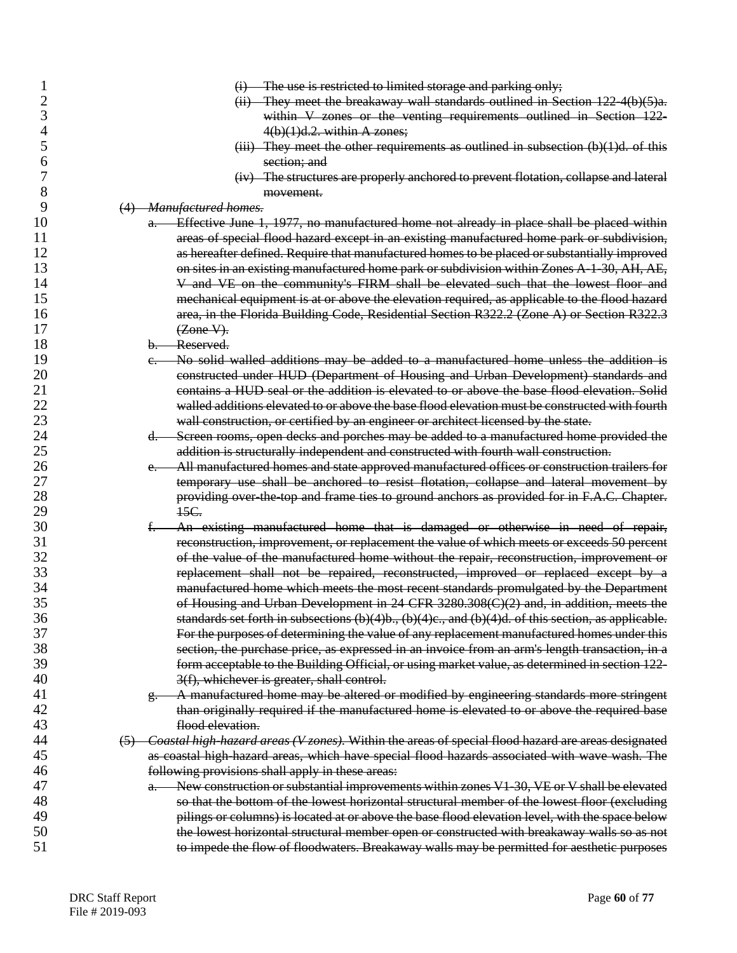|          | (i) The use is restricted to limited storage and parking only;                                           |
|----------|----------------------------------------------------------------------------------------------------------|
| 2        | $(ii)$ They meet the breakaway wall standards outlined in Section 122-4(b)(5)a.                          |
| 3        | within V zones or the venting requirements outlined in Section 122-                                      |
| 4        | $4(b)(1)d.2.$ within A zones;                                                                            |
| 5        | $(iii)$ They meet the other requirements as outlined in subsection $(b)(1)d$ . of this                   |
| 6        | section; and                                                                                             |
| 7        | (iv) The structures are properly anchored to prevent flotation, collapse and lateral                     |
| 8        | movement.                                                                                                |
| 9        | (4) Manufactured homes.                                                                                  |
| 10       | Effective June 1, 1977, no manufactured home not already in place shall be placed within<br>$a -$        |
| 11       | areas of special flood hazard except in an existing manufactured home park or subdivision,               |
| 12       | as hereafter defined. Require that manufactured homes to be placed or substantially improved             |
| 13       | on sites in an existing manufactured home park or subdivision within Zones A 1 30, AH, AE,               |
| 14       | V and VE on the community's FIRM shall be elevated such that the lowest floor and                        |
| 15       | mechanical equipment is at or above the elevation required, as applicable to the flood hazard            |
| 16       | area, in the Florida Building Code, Residential Section R322.2 (Zone A) or Section R322.3                |
| 17       | $(Zone V)$ .                                                                                             |
| 18       | b. Reserved.                                                                                             |
| 19       | No solid walled additions may be added to a manufactured home unless the addition is                     |
| 20       | e.<br>constructed under HUD (Department of Housing and Urban Development) standards and                  |
| 21       | contains a HUD seal or the addition is elevated to or above the base flood elevation. Solid              |
| 22       | walled additions elevated to or above the base flood elevation must be constructed with fourth           |
| 23       |                                                                                                          |
|          | wall construction, or certified by an engineer or architect licensed by the state.                       |
| 24       | Screen rooms, open decks and porches may be added to a manufactured home provided the<br>$d-$            |
| 25       | addition is structurally independent and constructed with fourth wall construction.                      |
| 26       | - All manufactured homes and state approved manufactured offices or construction trailers for<br>e.      |
| 27       | temporary use shall be anchored to resist flotation, collapse and lateral movement by                    |
| 28<br>29 | providing over the top and frame ties to ground anchors as provided for in F.A.C. Chapter.<br>15C.       |
| 30       | An existing manufactured home that is damaged or otherwise in need of repair,<br>ŧ.                      |
| 31       | reconstruction, improvement, or replacement the value of which meets or exceeds 50 percent               |
| 32       | of the value of the manufactured home without the repair, reconstruction, improvement or                 |
| 33       | replacement shall not be repaired, reconstructed, improved or replaced except by a                       |
| 34       | manufactured home which meets the most recent standards promulgated by the Department                    |
| 35       | of Housing and Urban Development in 24 CFR 3280.308(C)(2) and, in addition, meets the                    |
| 36       | standards set forth in subsections (b)(4)b., (b)(4)c., and (b)(4)d. of this section, as applicable.      |
| 37       | For the purposes of determining the value of any replacement manufactured homes under this               |
| 38       | section, the purchase price, as expressed in an invoice from an arm's length transaction, in a           |
| 39       | form acceptable to the Building Official, or using market value, as determined in section 122-           |
| 40       | 3(f), whichever is greater, shall control.                                                               |
| 41       | A manufactured home may be altered or modified by engineering standards more stringent                   |
| 42       | than originally required if the manufactured home is elevated to or above the required base              |
| 43       | flood elevation.                                                                                         |
| 44       | (5) Coastal high-hazard areas (V zones). Within the areas of special flood hazard are areas designated   |
| 45       | as coastal high-hazard areas, which have special flood hazards associated with wave wash. The            |
| 46       | following provisions shall apply in these areas:                                                         |
| 47       | New construction or substantial improvements within zones V1-30, VE or V shall be elevated<br>$a_{\tau}$ |
| 48       | so that the bottom of the lowest horizontal structural member of the lowest floor (excluding             |
| 49       | pilings or columns) is located at or above the base flood elevation level, with the space below          |
| 50       |                                                                                                          |
| 51       | the lowest horizontal structural member open or constructed with breakaway walls so as not               |
|          | to impede the flow of floodwaters. Breakaway walls may be permitted for aesthetic purposes               |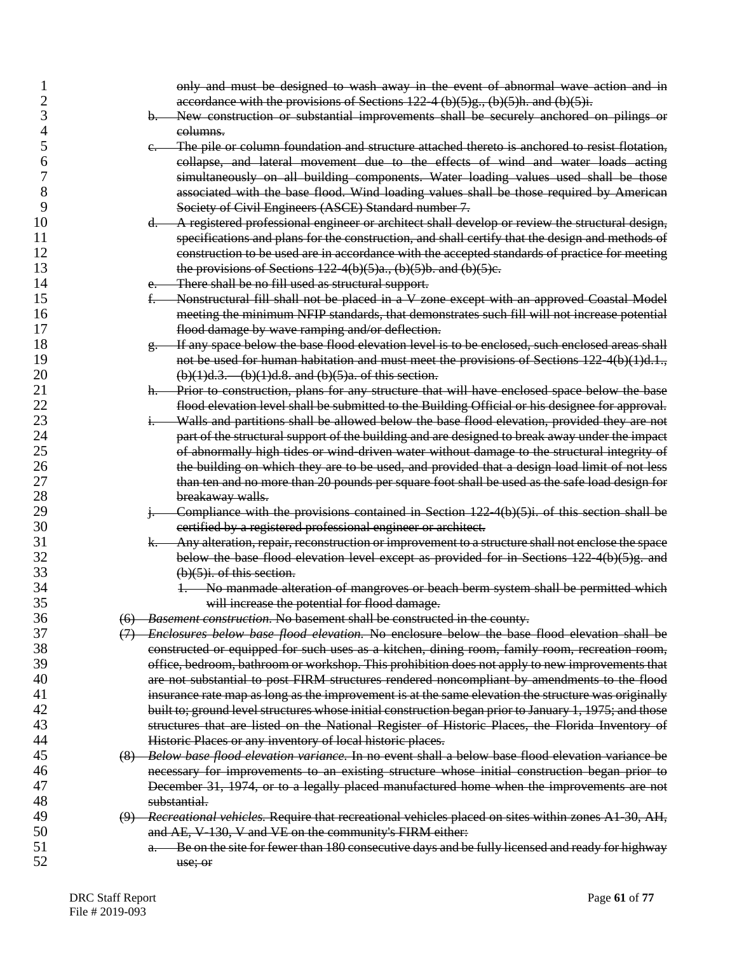|    | only and must be designed to wash away in the event of abnormal wave action and in                           |
|----|--------------------------------------------------------------------------------------------------------------|
| 2  | accordance with the provisions of Sections 122-4 (b)(5)g., (b)(5)h. and (b)(5)i.                             |
| 3  | b. New construction or substantial improvements shall be securely anchored on pilings or                     |
|    | eolumns.                                                                                                     |
| 5  | The pile or column foundation and structure attached thereto is anchored to resist flotation,<br>$e -$       |
| 6  | collapse, and lateral movement due to the effects of wind and water loads acting                             |
| 7  | simultaneously on all building components. Water loading values used shall be those                          |
| 8  | associated with the base flood. Wind loading values shall be those required by American                      |
| 9  | Society of Civil Engineers (ASCE) Standard number 7.                                                         |
| 10 | $d.$ A registered professional engineer or architect shall develop or review the structural design,          |
| 11 | specifications and plans for the construction, and shall certify that the design and methods of              |
| 12 | construction to be used are in accordance with the accepted standards of practice for meeting                |
| 13 | the provisions of Sections $122-4(b)(5)a$ ., $(b)(5)b$ . and $(b)(5)c$ .                                     |
| 14 | There shall be no fill used as structural support.<br>$e -$                                                  |
| 15 | Nonstructural fill shall not be placed in a V zone except with an approved Coastal Model                     |
| 16 | meeting the minimum NFIP standards, that demonstrates such fill will not increase potential                  |
| 17 | flood damage by wave ramping and/or deflection.                                                              |
| 18 | If any space below the base flood elevation level is to be enclosed, such enclosed areas shall<br>$g_{\tau}$ |
| 19 | not be used for human habitation and must meet the provisions of Sections 122-4(b)(1)d.1.,                   |
| 20 | $(b)(1)d.3.$ (b) $(1)d.8.$ and $(b)(5)a.$ of this section.                                                   |
| 21 | Prior to construction, plans for any structure that will have enclosed space below the base<br>h.            |
| 22 | flood elevation level shall be submitted to the Building Official or his designee for approval.              |
| 23 | Walls and partitions shall be allowed below the base flood elevation, provided they are not<br>$1 -$         |
| 24 | part of the structural support of the building and are designed to break away under the impact               |
| 25 | of abnormally high tides or wind driven water without damage to the structural integrity of                  |
| 26 | the building on which they are to be used, and provided that a design load limit of not less                 |
| 27 | than ten and no more than 20 pounds per square foot shall be used as the safe load design for                |
| 28 | breakaway walls.                                                                                             |
| 29 | Compliance with the provisions contained in Section 122-4(b)(5)i. of this section shall be<br>$+$            |
| 30 | certified by a registered professional engineer or architect.                                                |
| 31 | Any alteration, repair, reconstruction or improvement to a structure shall not enclose the space<br>k.—      |
| 32 | below the base flood elevation level except as provided for in Sections $122.4(b)(5)g$ , and                 |
| 33 | $(b)(5)$ i. of this section.                                                                                 |
| 34 | 1. No manmade alteration of mangroves or beach berm system shall be permitted which                          |
| 35 | will increase the potential for flood damage.                                                                |
| 36 | (6) Basement construction. No basement shall be constructed in the county.                                   |
| 37 | (7) Enclosures below base flood elevation. No enclosure below the base flood elevation shall be              |
| 38 | constructed or equipped for such uses as a kitchen, dining room, family room, recreation room,               |
| 39 | office, bedroom, bathroom or workshop. This prohibition does not apply to new improvements that              |
| 40 | are not substantial to post FIRM structures rendered noncompliant by amendments to the flood                 |
| 41 | insurance rate map as long as the improvement is at the same elevation the structure was originally          |
| 42 | built to; ground level structures whose initial construction began prior to January 1, 1975; and those       |
| 43 | structures that are listed on the National Register of Historic Places, the Florida Inventory of             |
| 44 | Historic Places or any inventory of local historic places.                                                   |
| 45 | (8) Below base flood elevation variance. In no event shall a below base flood elevation variance be          |
| 46 | necessary for improvements to an existing structure whose initial construction began prior to                |
| 47 | December 31, 1974, or to a legally placed manufactured home when the improvements are not                    |
| 48 | substantial.                                                                                                 |
| 49 | (9) Recreational vehicles. Require that recreational vehicles placed on sites within zones A1-30, AH,        |
| 50 | and AE, V-130, V and VE on the community's FIRM either:                                                      |
| 51 | Be on the site for fewer than 180 consecutive days and be fully licensed and ready for highway               |
| 52 | $a_{-}$                                                                                                      |
|    | use; or                                                                                                      |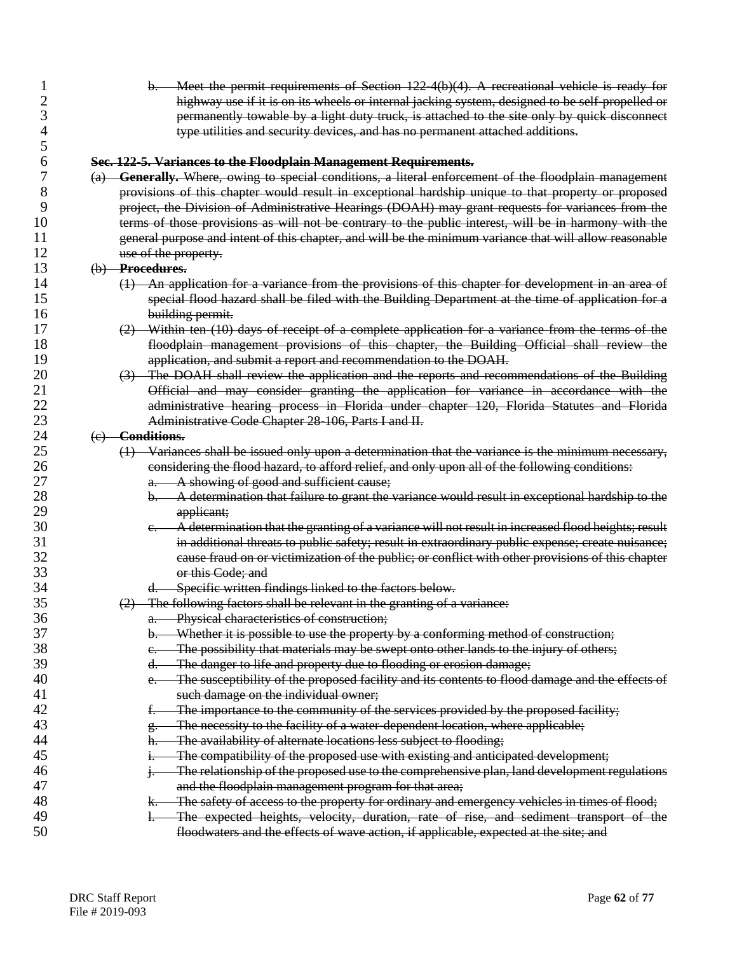|    | Meet the permit requirements of Section 122-4(b)(4). A recreational vehicle is ready for<br>$b-$                  |
|----|-------------------------------------------------------------------------------------------------------------------|
|    | highway use if it is on its wheels or internal jacking system, designed to be self-propelled or                   |
| 3  | permanently towable by a light duty truck, is attached to the site only by quick disconnect                       |
| 4  | type utilities and security devices, and has no permanent attached additions.                                     |
| 5  |                                                                                                                   |
| 6  | Sec. 122-5. Variances to the Floodplain Management Requirements.                                                  |
|    | (a) Generally. Where, owing to special conditions, a literal enforcement of the floodplain management             |
| 8  | provisions of this chapter would result in exceptional hardship unique to that property or proposed               |
| 9  | project, the Division of Administrative Hearings (DOAH) may grant requests for variances from the                 |
| 10 | terms of those provisions as will not be contrary to the public interest, will be in harmony with the             |
| 11 | general purpose and intent of this chapter, and will be the minimum variance that will allow reasonable           |
| 12 | use of the property.                                                                                              |
| 13 | (b) Procedures.                                                                                                   |
| 14 | (1) An application for a variance from the provisions of this chapter for development in an area of               |
| 15 | special flood hazard shall be filed with the Building Department at the time of application for a                 |
| 16 | building permit.                                                                                                  |
| 17 | (2) Within ten (10) days of receipt of a complete application for a variance from the terms of the                |
| 18 | floodplain management provisions of this chapter, the Building Official shall review the                          |
| 19 | application, and submit a report and recommendation to the DOAH.                                                  |
| 20 | (3) The DOAH shall review the application and the reports and recommendations of the Building                     |
| 21 | Official and may consider granting the application for variance in accordance with the                            |
| 22 | administrative hearing process in Florida under chapter 120, Florida Statutes and Florida                         |
| 23 | Administrative Code Chapter 28-106, Parts I and II.                                                               |
| 24 | (e) Conditions.                                                                                                   |
| 25 | $(1)$ Variances shall be issued only upon a determination that the variance is the minimum necessary,             |
| 26 | considering the flood hazard, to afford relief, and only upon all of the following conditions:                    |
| 27 | a. A showing of good and sufficient cause;                                                                        |
| 28 | b. A determination that failure to grant the variance would result in exceptional hardship to the                 |
| 29 | applicant;                                                                                                        |
| 30 | A determination that the granting of a variance will not result in increased flood heights; result<br>$e_{\cdot}$ |
| 31 | in additional threats to public safety; result in extraordinary public expense; create nuisance;                  |
| 32 | cause fraud on or victimization of the public; or conflict with other provisions of this chapter                  |
| 33 | or this Code; and                                                                                                 |
| 34 | Specific written findings linked to the factors below.<br>d.-                                                     |
| 35 | $(2)$ The following factors shall be relevant in the granting of a variance:                                      |
| 36 | Physical characteristics of construction;                                                                         |
| 37 | Whether it is possible to use the property by a conforming method of construction;<br>b.                          |
| 38 | The possibility that materials may be swept onto other lands to the injury of others;<br>e.                       |
| 39 | The danger to life and property due to flooding or erosion damage;<br>d.                                          |
| 40 | The susceptibility of the proposed facility and its contents to flood damage and the effects of<br>e.             |
| 41 | such damage on the individual owner;                                                                              |
| 42 | The importance to the community of the services provided by the proposed facility;<br>ŧ.                          |
| 43 | The necessity to the facility of a water-dependent location, where applicable;                                    |
| 44 | The availability of alternate locations less subject to flooding;<br>h.                                           |
| 45 | The compatibility of the proposed use with existing and anticipated development;                                  |
| 46 | The relationship of the proposed use to the comprehensive plan, land development regulations                      |
| 47 | and the floodplain management program for that area;                                                              |
| 48 | The safety of access to the property for ordinary and emergency vehicles in times of flood;<br>k.                 |
| 49 | The expected heights, velocity, duration, rate of rise, and sediment transport of the<br>$\vdash$                 |
| 50 | floodwaters and the effects of wave action, if applicable, expected at the site; and                              |
|    |                                                                                                                   |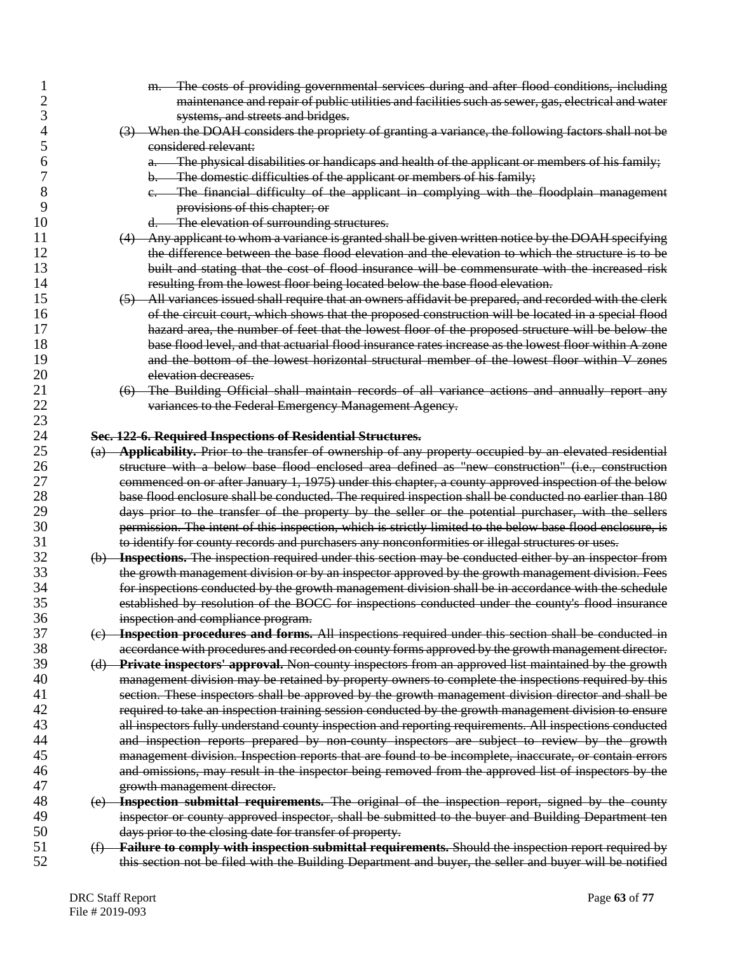|    | m. The costs of providing governmental services during and after flood conditions, including               |
|----|------------------------------------------------------------------------------------------------------------|
| 2  | maintenance and repair of public utilities and facilities such as sewer, gas, electrical and water         |
| 3  | systems, and streets and bridges.                                                                          |
| 4  | (3) When the DOAH considers the propriety of granting a variance, the following factors shall not be       |
| 5  | considered relevant:                                                                                       |
| 6  | The physical disabilities or handicaps and health of the applicant or members of his family;<br>$a_{-}$    |
| 7  | The domestic difficulties of the applicant or members of his family;<br>$b -$                              |
| 8  | e. The financial difficulty of the applicant in complying with the floodplain management                   |
| 9  | provisions of this chapter; or                                                                             |
| 10 | d. The elevation of surrounding structures.                                                                |
| 11 | (4) Any applicant to whom a variance is granted shall be given written notice by the DOAH specifying       |
| 12 | the difference between the base flood elevation and the elevation to which the structure is to be          |
| 13 | built and stating that the cost of flood insurance will be commensurate with the increased risk            |
| 14 | resulting from the lowest floor being located below the base flood elevation.                              |
| 15 | (5) All variances issued shall require that an owners affidavit be prepared, and recorded with the clerk   |
| 16 | of the circuit court, which shows that the proposed construction will be located in a special flood        |
| 17 | hazard area, the number of feet that the lowest floor of the proposed structure will be below the          |
| 18 | base flood level, and that actuarial flood insurance rates increase as the lowest floor within A zone      |
| 19 | and the bottom of the lowest horizontal structural member of the lowest floor within V zones               |
| 20 | elevation decreases.                                                                                       |
| 21 | (6) The Building Official shall maintain records of all variance actions and annually report any           |
| 22 | variances to the Federal Emergency Management Agency.                                                      |
| 23 |                                                                                                            |
| 24 | Sec. 122-6. Required Inspections of Residential Structures.                                                |
| 25 | (a) Applicability. Prior to the transfer of ownership of any property occupied by an elevated residential  |
| 26 | structure with a below base flood enclosed area defined as "new construction" (i.e., construction          |
| 27 | commenced on or after January 1, 1975) under this chapter, a county approved inspection of the below       |
| 28 | base flood enclosure shall be conducted. The required inspection shall be conducted no earlier than 180    |
| 29 | days prior to the transfer of the property by the seller or the potential purchaser, with the sellers      |
| 30 | permission. The intent of this inspection, which is strictly limited to the below base flood enclosure, is |
| 31 | to identify for county records and purchasers any nonconformities or illegal structures or uses.           |
| 32 | (b) Inspections. The inspection required under this section may be conducted either by an inspector from   |
| 33 | the growth management division or by an inspector approved by the growth management division. Fees         |
| 34 | for inspections conducted by the growth management division shall be in accordance with the schedule       |
| 35 | established by resolution of the BOCC for inspections conducted under the county's flood insurance         |
| 36 | inspection and compliance program.                                                                         |
| 37 | (c) Inspection procedures and forms. All inspections required under this section shall be conducted in     |
| 38 | accordance with procedures and recorded on county forms approved by the growth management director.        |
| 39 | (d) Private inspectors' approval. Non-county inspectors from an approved list maintained by the growth     |
| 40 | management division may be retained by property owners to complete the inspections required by this        |
| 41 | section. These inspectors shall be approved by the growth management division director and shall be        |
| 42 | required to take an inspection training session conducted by the growth management division to ensure      |
| 43 | all inspectors fully understand county inspection and reporting requirements. All inspections conducted    |
| 44 | and inspection reports prepared by non-county inspectors are subject to review by the growth               |
| 45 | management division. Inspection reports that are found to be incomplete, inaccurate, or contain errors     |
| 46 | and omissions, may result in the inspector being removed from the approved list of inspectors by the       |
| 47 | growth management director.                                                                                |
| 48 | (e) Inspection submittal requirements. The original of the inspection report, signed by the county         |
| 49 | inspector or county approved inspector, shall be submitted to the buyer and Building Department ten        |
| 50 | days prior to the closing date for transfer of property.                                                   |
| 51 | (f) Failure to comply with inspection submittal requirements. Should the inspection report required by     |
| 52 | this section not be filed with the Building Department and buyer, the seller and buyer will be notified    |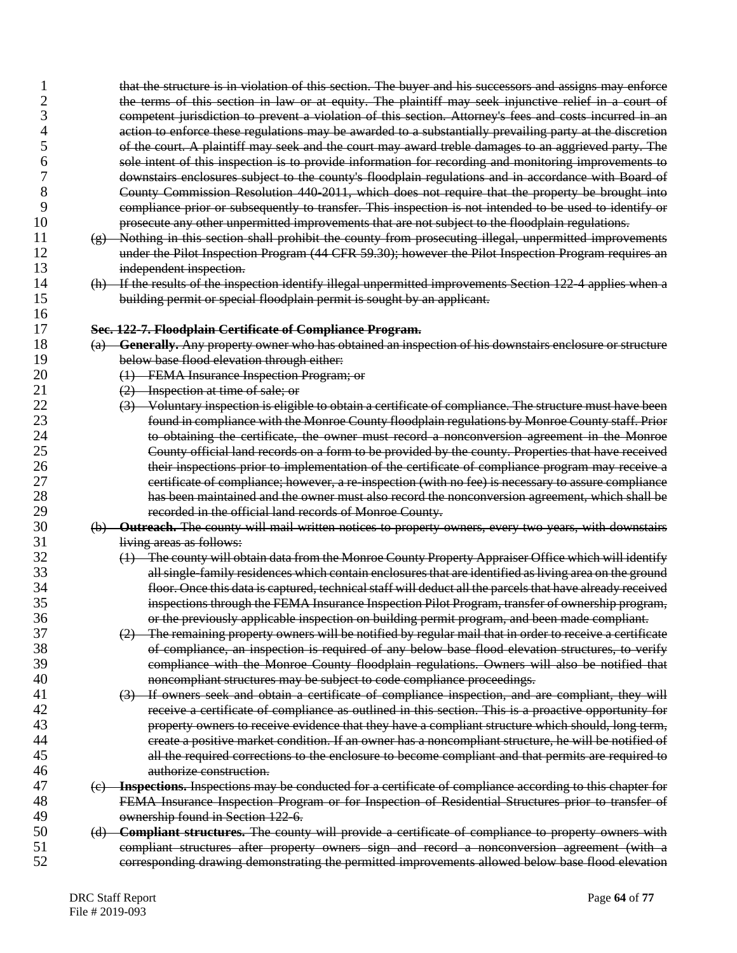| $\overline{2}$ | the terms of this section in law or at equity. The plaintiff may seek injunctive relief in a court of       |
|----------------|-------------------------------------------------------------------------------------------------------------|
| 3              | competent jurisdiction to prevent a violation of this section. Attorney's fees and costs incurred in an     |
| 4              | action to enforce these regulations may be awarded to a substantially prevailing party at the discretion    |
| 5              | of the court. A plaintiff may seek and the court may award treble damages to an aggrieved party. The        |
| 6              | sole intent of this inspection is to provide information for recording and monitoring improvements to       |
| 7              | downstairs enclosures subject to the county's floodplain regulations and in accordance with Board of        |
| 8              | County Commission Resolution 440-2011, which does not require that the property be brought into             |
| 9              | compliance prior or subsequently to transfer. This inspection is not intended to be used to identify or     |
| 10             | prosecute any other unpermitted improvements that are not subject to the floodplain regulations.            |
| 11             | (g) Nothing in this section shall prohibit the county from prosecuting illegal, unpermitted improvements    |
| 12             |                                                                                                             |
|                | under the Pilot Inspection Program (44 CFR 59.30); however the Pilot Inspection Program requires an         |
| 13             | independent inspection.                                                                                     |
| 14             | (h) If the results of the inspection identify illegal unpermitted improvements Section 122 4 applies when a |
| 15             | building permit or special floodplain permit is sought by an applicant.                                     |
| 16             |                                                                                                             |
| 17             | Sec. 122-7. Floodplain Certificate of Compliance Program.                                                   |
| 18             | (a) Generally. Any property owner who has obtained an inspection of his downstairs enclosure or structure   |
| 19             | below base flood elevation through either:                                                                  |
| 20             | (1) FEMA Insurance Inspection Program; or                                                                   |
| 21             | (2) Inspection at time of sale; or                                                                          |
| 22             | (3) Voluntary inspection is eligible to obtain a certificate of compliance. The structure must have been    |
| 23             | found in compliance with the Monroe County floodplain regulations by Monroe County staff. Prior             |
| 24             | to obtaining the certificate, the owner must record a nonconversion agreement in the Monroe                 |
| 25             | County official land records on a form to be provided by the county. Properties that have received          |
| 26             | their inspections prior to implementation of the certificate of compliance program may receive a            |
| 27             | certificate of compliance; however, a re-inspection (with no fee) is necessary to assure compliance         |
| 28             | has been maintained and the owner must also record the nonconversion agreement, which shall be              |
| 29             | recorded in the official land records of Monroe County.                                                     |
| 30             | (b) Outreach. The county will mail written notices to property owners, every two years, with downstairs     |
| 31             | living areas as follows:                                                                                    |
| 32             | (1) The county will obtain data from the Monroe County Property Appraiser Office which will identify        |
| 33             | all single family residences which contain enclosures that are identified as living area on the ground      |
| 34             | floor. Once this data is captured, technical staff will deduct all the parcels that have already received   |
| 35             | inspections through the FEMA Insurance Inspection Pilot Program, transfer of ownership program,             |
| 36             | or the previously applicable inspection on building permit program, and been made compliant.                |
| 37             | (2) The remaining property owners will be notified by regular mail that in order to receive a certificate   |
| 38             | of compliance, an inspection is required of any below base flood elevation structures, to verify            |
| 39             | compliance with the Monroe County floodplain regulations. Owners will also be notified that                 |
| 40             | noncompliant structures may be subject to code compliance proceedings.                                      |
| 41             | (3) If owners seek and obtain a certificate of compliance inspection, and are compliant, they will          |
| 42             | receive a certificate of compliance as outlined in this section. This is a proactive opportunity for        |
| 43             |                                                                                                             |
|                | property owners to receive evidence that they have a compliant structure which should, long term,           |
| 44             | create a positive market condition. If an owner has a noncompliant structure, he will be notified of        |
| 45             | all the required corrections to the enclosure to become compliant and that permits are required to          |
| 46             | authorize construction.                                                                                     |
| 47             | (e) Inspections. Inspections may be conducted for a certificate of compliance according to this chapter for |
| 48             | FEMA Insurance Inspection Program or for Inspection of Residential Structures prior to transfer of          |
| 49             | ownership found in Section 122-6.                                                                           |
| 50             | (d) Compliant structures. The county will provide a certificate of compliance to property owners with       |
| 51             | compliant structures after property owners sign and record a nonconversion agreement (with a                |
| 52             | corresponding drawing demonstrating the permitted improvements allowed below base flood elevation           |
|                |                                                                                                             |

1 that the structure is in violation of this section. The buyer and his successors and assigns may enforce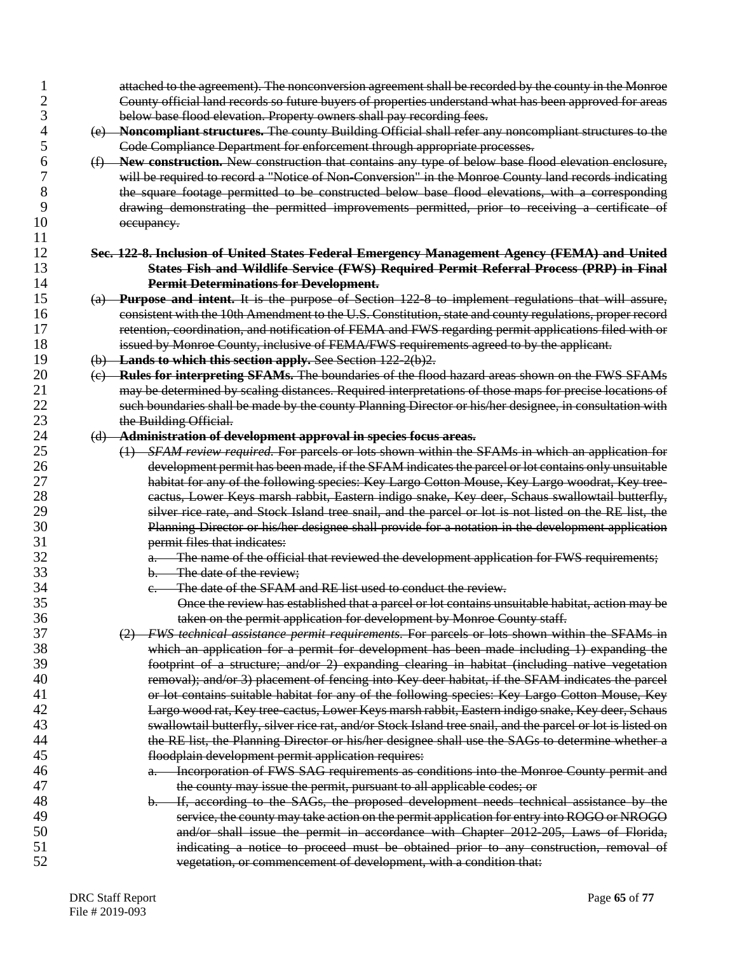| 1              | attached to the agreement). The nonconversion agreement shall be recorded by the county in the Monroe      |
|----------------|------------------------------------------------------------------------------------------------------------|
| $\overline{c}$ | County official land records so future buyers of properties understand what has been approved for areas    |
| 3              | below base flood elevation. Property owners shall pay recording fees.                                      |
| 4              | (e) Noncompliant structures. The county Building Official shall refer any noncompliant structures to the   |
| 5              | Code Compliance Department for enforcement through appropriate processes.                                  |
| 6              | (f) New construction. New construction that contains any type of below base flood elevation enclosure,     |
| 7              | will be required to record a "Notice of Non-Conversion" in the Monroe County land records indicating       |
| 8              | the square footage permitted to be constructed below base flood elevations, with a corresponding           |
| 9              | drawing demonstrating the permitted improvements permitted, prior to receiving a certificate of            |
| 10             | occupancy.                                                                                                 |
| 11             |                                                                                                            |
| 12             | Sec. 122-8. Inclusion of United States Federal Emergency Management Agency (FEMA) and United               |
| 13             | <b>States Fish and Wildlife Service (FWS) Required Permit Referral Process (PRP) in Final</b>              |
| 14             | <b>Permit Determinations for Development.</b>                                                              |
| 15             | (a) Purpose and intent. It is the purpose of Section 122-8 to implement regulations that will assure,      |
| 16             | consistent with the 10th Amendment to the U.S. Constitution, state and county regulations, proper record   |
| 17             | retention, coordination, and notification of FEMA and FWS regarding permit applications filed with or      |
| 18             |                                                                                                            |
|                | issued by Monroe County, inclusive of FEMA/FWS requirements agreed to by the applicant.                    |
| 19             | (b) Lands to which this section apply. See Section 122-2(b)2.                                              |
| 20             | (c) Rules for interpreting SFAMs. The boundaries of the flood hazard areas shown on the FWS SFAMs          |
| 21             | may be determined by scaling distances. Required interpretations of those maps for precise locations of    |
| 22             | such boundaries shall be made by the county Planning Director or his/her designee, in consultation with    |
| 23             | the Building Official.                                                                                     |
| 24             | (d) Administration of development approval in species focus areas.                                         |
| 25             | (1) SFAM review required. For parcels or lots shown within the SFAMs in which an application for           |
| 26             | development permit has been made, if the SFAM indicates the parcel or lot contains only unsuitable         |
| 27             | habitat for any of the following species: Key Largo Cotton Mouse, Key Largo woodrat, Key tree-             |
| 28             | eactus, Lower Keys marsh rabbit, Eastern indigo snake, Key deer, Schaus swallowtail butterfly,             |
| 29             | silver rice rate, and Stock Island tree snail, and the parcel or lot is not listed on the RE list, the     |
| 30             | Planning Director or his/her designee shall provide for a notation in the development application          |
| 31             | permit files that indicates:                                                                               |
| 32             | a. The name of the official that reviewed the development application for FWS requirements;                |
| 33             | b. The date of the review;                                                                                 |
| 34             | The date of the SFAM and RE list used to conduct the review.                                               |
| 35             | Once the review has established that a parcel or lot contains unsuitable habitat, action may be            |
| 36             | taken on the permit application for development by Monroe County staff.                                    |
| 37             | (2) FWS technical assistance permit requirements. For parcels or lots shown within the SFAMs in            |
| 38             | which an application for a permit for development has been made including 1) expanding the                 |
| 39             | footprint of a structure; and/or 2) expanding clearing in habitat (including native vegetation             |
| 40             | removal); and/or 3) placement of fencing into Key deer habitat, if the SFAM indicates the parcel           |
| 41             | or lot contains suitable habitat for any of the following species: Key Largo Cotton Mouse, Key             |
| 42             | Largo wood rat, Key tree-cactus, Lower Keys marsh rabbit, Eastern indigo snake, Key deer, Schaus           |
| 43             | swallowtail butterfly, silver rice rat, and/or Stock Island tree snail, and the parcel or lot is listed on |
| 44             | the RE list, the Planning Director or his/her designee shall use the SAGs to determine whether a           |
| 45             |                                                                                                            |
| 46             | floodplain development permit application requires:                                                        |
| 47             | Incorporation of FWS SAG requirements as conditions into the Monroe County permit and                      |
|                | the county may issue the permit, pursuant to all applicable codes; or                                      |
| 48             | If, according to the SAGs, the proposed development needs technical assistance by the<br>b.                |
| 49             | service, the county may take action on the permit application for entry into ROGO or NROGO                 |
| 50             | and/or shall issue the permit in accordance with Chapter 2012-205, Laws of Florida,                        |
| 51             | indicating a notice to proceed must be obtained prior to any construction, removal of                      |
| 52             | vegetation, or commencement of development, with a condition that:                                         |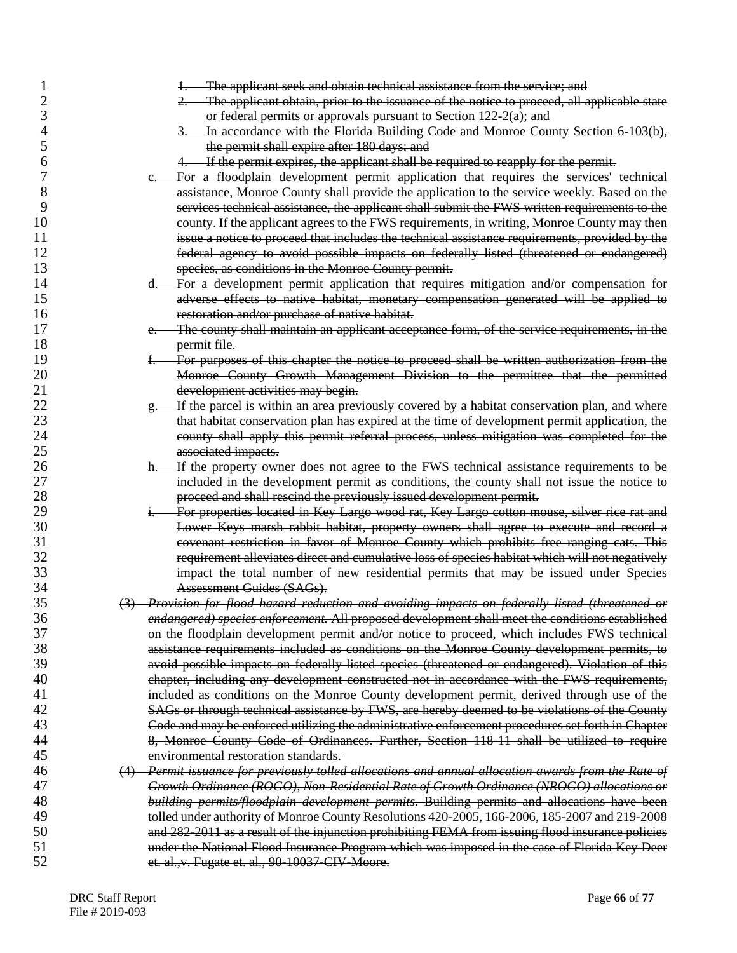| The applicant obtain, prior to the issuance of the notice to proceed, all applicable state<br>$2-$<br>3<br>or federal permits or approvals pursuant to Section $122-2(a)$ ; and<br>3. In accordance with the Florida Building Code and Monroe County Section 6-103(b),<br>4<br>5<br>the permit shall expire after 180 days; and<br>4. If the permit expires, the applicant shall be required to reapply for the permit.<br>6<br>7<br>For a floodplain development permit application that requires the services' technical<br>$e -$<br>8<br>assistance, Monroe County shall provide the application to the service weekly. Based on the<br>9<br>services technical assistance, the applicant shall submit the FWS written requirements to the |  |
|-----------------------------------------------------------------------------------------------------------------------------------------------------------------------------------------------------------------------------------------------------------------------------------------------------------------------------------------------------------------------------------------------------------------------------------------------------------------------------------------------------------------------------------------------------------------------------------------------------------------------------------------------------------------------------------------------------------------------------------------------|--|
|                                                                                                                                                                                                                                                                                                                                                                                                                                                                                                                                                                                                                                                                                                                                               |  |
|                                                                                                                                                                                                                                                                                                                                                                                                                                                                                                                                                                                                                                                                                                                                               |  |
|                                                                                                                                                                                                                                                                                                                                                                                                                                                                                                                                                                                                                                                                                                                                               |  |
|                                                                                                                                                                                                                                                                                                                                                                                                                                                                                                                                                                                                                                                                                                                                               |  |
|                                                                                                                                                                                                                                                                                                                                                                                                                                                                                                                                                                                                                                                                                                                                               |  |
|                                                                                                                                                                                                                                                                                                                                                                                                                                                                                                                                                                                                                                                                                                                                               |  |
|                                                                                                                                                                                                                                                                                                                                                                                                                                                                                                                                                                                                                                                                                                                                               |  |
|                                                                                                                                                                                                                                                                                                                                                                                                                                                                                                                                                                                                                                                                                                                                               |  |
| 10<br>county. If the applicant agrees to the FWS requirements, in writing, Monroe County may then                                                                                                                                                                                                                                                                                                                                                                                                                                                                                                                                                                                                                                             |  |
| 11                                                                                                                                                                                                                                                                                                                                                                                                                                                                                                                                                                                                                                                                                                                                            |  |
| issue a notice to proceed that includes the technical assistance requirements, provided by the                                                                                                                                                                                                                                                                                                                                                                                                                                                                                                                                                                                                                                                |  |
| 12<br>federal agency to avoid possible impacts on federally listed (threatened or endangered)                                                                                                                                                                                                                                                                                                                                                                                                                                                                                                                                                                                                                                                 |  |
| 13<br>species, as conditions in the Monroe County permit.                                                                                                                                                                                                                                                                                                                                                                                                                                                                                                                                                                                                                                                                                     |  |
| 14<br>d. For a development permit application that requires mitigation and/or compensation for                                                                                                                                                                                                                                                                                                                                                                                                                                                                                                                                                                                                                                                |  |
| 15<br>adverse effects to native habitat, monetary compensation generated will be applied to                                                                                                                                                                                                                                                                                                                                                                                                                                                                                                                                                                                                                                                   |  |
| 16<br>restoration and/or purchase of native habitat.                                                                                                                                                                                                                                                                                                                                                                                                                                                                                                                                                                                                                                                                                          |  |
| 17<br>The county shall maintain an applicant acceptance form, of the service requirements, in the<br>$e_{\cdot}$                                                                                                                                                                                                                                                                                                                                                                                                                                                                                                                                                                                                                              |  |
| 18<br>permit file.                                                                                                                                                                                                                                                                                                                                                                                                                                                                                                                                                                                                                                                                                                                            |  |
| 19<br>For purposes of this chapter the notice to proceed shall be written authorization from the<br>ŧ.                                                                                                                                                                                                                                                                                                                                                                                                                                                                                                                                                                                                                                        |  |
| 20<br>Monroe County Growth Management Division to the permittee that the permitted                                                                                                                                                                                                                                                                                                                                                                                                                                                                                                                                                                                                                                                            |  |
| 21<br>development activities may begin.                                                                                                                                                                                                                                                                                                                                                                                                                                                                                                                                                                                                                                                                                                       |  |
| 22<br>If the parcel is within an area previously covered by a habitat conservation plan, and where<br><del>g.</del>                                                                                                                                                                                                                                                                                                                                                                                                                                                                                                                                                                                                                           |  |
| 23<br>that habitat conservation plan has expired at the time of development permit application, the                                                                                                                                                                                                                                                                                                                                                                                                                                                                                                                                                                                                                                           |  |
|                                                                                                                                                                                                                                                                                                                                                                                                                                                                                                                                                                                                                                                                                                                                               |  |
| 24                                                                                                                                                                                                                                                                                                                                                                                                                                                                                                                                                                                                                                                                                                                                            |  |
| county shall apply this permit referral process, unless mitigation was completed for the<br>25                                                                                                                                                                                                                                                                                                                                                                                                                                                                                                                                                                                                                                                |  |
| associated impacts.                                                                                                                                                                                                                                                                                                                                                                                                                                                                                                                                                                                                                                                                                                                           |  |
| If the property owner does not agree to the FWS technical assistance requirements to be<br>26<br>$h -$                                                                                                                                                                                                                                                                                                                                                                                                                                                                                                                                                                                                                                        |  |
| 27<br>included in the development permit as conditions, the county shall not issue the notice to                                                                                                                                                                                                                                                                                                                                                                                                                                                                                                                                                                                                                                              |  |
| 28<br>proceed and shall rescind the previously issued development permit.                                                                                                                                                                                                                                                                                                                                                                                                                                                                                                                                                                                                                                                                     |  |
| 29<br>For properties located in Key Largo wood rat, Key Largo cotton mouse, silver rice rat and<br>$1 -$                                                                                                                                                                                                                                                                                                                                                                                                                                                                                                                                                                                                                                      |  |
| 30<br>Lower Keys marsh rabbit habitat, property owners shall agree to execute and record a                                                                                                                                                                                                                                                                                                                                                                                                                                                                                                                                                                                                                                                    |  |
| 31<br>covenant restriction in favor of Monroe County which prohibits free ranging cats. This                                                                                                                                                                                                                                                                                                                                                                                                                                                                                                                                                                                                                                                  |  |
| 32<br>requirement alleviates direct and cumulative loss of species habitat which will not negatively                                                                                                                                                                                                                                                                                                                                                                                                                                                                                                                                                                                                                                          |  |
| 33<br>impact the total number of new residential permits that may be issued under Species                                                                                                                                                                                                                                                                                                                                                                                                                                                                                                                                                                                                                                                     |  |
| 34<br>Assessment Guides (SAGs).                                                                                                                                                                                                                                                                                                                                                                                                                                                                                                                                                                                                                                                                                                               |  |
| 35<br>(3) Provision for flood hazard reduction and avoiding impacts on federally listed (threatened or                                                                                                                                                                                                                                                                                                                                                                                                                                                                                                                                                                                                                                        |  |
| 36<br>endangered) species enforcement. All proposed development shall meet the conditions established                                                                                                                                                                                                                                                                                                                                                                                                                                                                                                                                                                                                                                         |  |
| 37<br>on the floodplain development permit and/or notice to proceed, which includes FWS technical                                                                                                                                                                                                                                                                                                                                                                                                                                                                                                                                                                                                                                             |  |
| 38<br>assistance requirements included as conditions on the Monroe County development permits, to                                                                                                                                                                                                                                                                                                                                                                                                                                                                                                                                                                                                                                             |  |
| 39<br>avoid possible impacts on federally listed species (threatened or endangered). Violation of this                                                                                                                                                                                                                                                                                                                                                                                                                                                                                                                                                                                                                                        |  |
| 40<br>chapter, including any development constructed not in accordance with the FWS requirements,                                                                                                                                                                                                                                                                                                                                                                                                                                                                                                                                                                                                                                             |  |
| 41<br>included as conditions on the Monroe County development permit, derived through use of the                                                                                                                                                                                                                                                                                                                                                                                                                                                                                                                                                                                                                                              |  |
| 42<br>SAGs or through technical assistance by FWS, are hereby deemed to be violations of the County                                                                                                                                                                                                                                                                                                                                                                                                                                                                                                                                                                                                                                           |  |
| 43<br>Code and may be enforced utilizing the administrative enforcement procedures set forth in Chapter                                                                                                                                                                                                                                                                                                                                                                                                                                                                                                                                                                                                                                       |  |
| 44<br>8, Monroe County Code of Ordinances. Further, Section 118-11 shall be utilized to require                                                                                                                                                                                                                                                                                                                                                                                                                                                                                                                                                                                                                                               |  |
| 45<br>environmental restoration standards.                                                                                                                                                                                                                                                                                                                                                                                                                                                                                                                                                                                                                                                                                                    |  |
| 46<br>(4) Permit issuance for previously tolled allocations and annual allocation awards from the Rate of                                                                                                                                                                                                                                                                                                                                                                                                                                                                                                                                                                                                                                     |  |
| 47<br>Growth Ordinance (ROGO), Non-Residential Rate of Growth Ordinance (NROGO) allocations or                                                                                                                                                                                                                                                                                                                                                                                                                                                                                                                                                                                                                                                |  |
| 48                                                                                                                                                                                                                                                                                                                                                                                                                                                                                                                                                                                                                                                                                                                                            |  |
| building permits/floodplain development permits. Building permits and allocations have been<br>49                                                                                                                                                                                                                                                                                                                                                                                                                                                                                                                                                                                                                                             |  |
| tolled under authority of Monroe County Resolutions 420-2005, 166-2006, 185-2007 and 219-2008<br>50                                                                                                                                                                                                                                                                                                                                                                                                                                                                                                                                                                                                                                           |  |
| and 282-2011 as a result of the injunction prohibiting FEMA from issuing flood insurance policies<br>51<br>under the National Flood Insurance Program which was imposed in the case of Florida Key Deer                                                                                                                                                                                                                                                                                                                                                                                                                                                                                                                                       |  |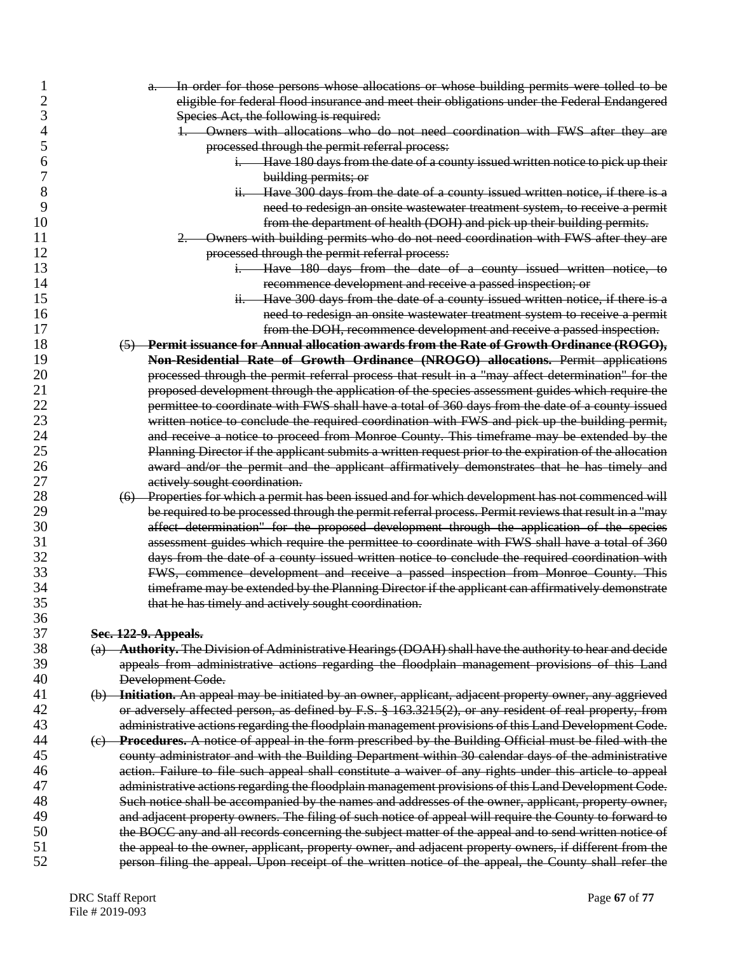|          | a. In order for those persons whose allocations or whose building permits were tolled to be                                                                                                       |
|----------|---------------------------------------------------------------------------------------------------------------------------------------------------------------------------------------------------|
| 2        | eligible for federal flood insurance and meet their obligations under the Federal Endangered                                                                                                      |
| 3        | Species Act, the following is required:                                                                                                                                                           |
| 4        | 1. Owners with allocations who do not need coordination with FWS after they are                                                                                                                   |
| 5        | processed through the permit referral process:                                                                                                                                                    |
| 6        | i. Have 180 days from the date of a county issued written notice to pick up their                                                                                                                 |
| 7        | building permits; or                                                                                                                                                                              |
| 8        | Have 300 days from the date of a county issued written notice, if there is a<br>$H -$                                                                                                             |
| 9        | need to redesign an onsite wastewater treatment system, to receive a permit                                                                                                                       |
| 10       | from the department of health (DOH) and pick up their building permits.                                                                                                                           |
| 11       | Owners with building permits who do not need coordination with FWS after they are                                                                                                                 |
| 12       | processed through the permit referral process:                                                                                                                                                    |
| 13       | Have 180 days from the date of a county issued written notice, to<br>1.                                                                                                                           |
| 14       | recommence development and receive a passed inspection; or                                                                                                                                        |
| 15       | Have 300 days from the date of a county issued written notice, if there is a<br>$H_{\tau}$                                                                                                        |
| 16       | need to redesign an onsite wastewater treatment system to receive a permit                                                                                                                        |
| 17       | from the DOH, recommence development and receive a passed inspection.                                                                                                                             |
| 18       | (5) Permit issuance for Annual allocation awards from the Rate of Growth Ordinance (ROGO),                                                                                                        |
| 19       | Non-Residential Rate of Growth Ordinance (NROGO) allocations. Permit applications                                                                                                                 |
| 20       | processed through the permit referral process that result in a "may affect determination" for the                                                                                                 |
| 21       | proposed development through the application of the species assessment guides which require the                                                                                                   |
| 22       | permittee to coordinate with FWS shall have a total of 360 days from the date of a county issued                                                                                                  |
| 23       | written notice to conclude the required coordination with FWS and pick up the building permit,                                                                                                    |
| 24       | and receive a notice to proceed from Monroe County. This timeframe may be extended by the                                                                                                         |
| 25       | Planning Director if the applicant submits a written request prior to the expiration of the allocation                                                                                            |
| 26       | award and/or the permit and the applicant affirmatively demonstrates that he has timely and                                                                                                       |
| 27       | actively sought coordination.                                                                                                                                                                     |
| 28       | (6) Properties for which a permit has been issued and for which development has not commenced will                                                                                                |
| 29       | be required to be processed through the permit referral process. Permit reviews that result in a "may                                                                                             |
| 30       |                                                                                                                                                                                                   |
| 31       | affect determination" for the proposed development through the application of the species                                                                                                         |
| 32       | assessment guides which require the permittee to coordinate with FWS shall have a total of 360<br>days from the date of a county issued written notice to conclude the required coordination with |
| 33       |                                                                                                                                                                                                   |
| 34       | FWS, commence development and receive a passed inspection from Monroe County. This                                                                                                                |
| 35       | timeframe may be extended by the Planning Director if the applicant can affirmatively demonstrate                                                                                                 |
|          | that he has timely and actively sought coordination.                                                                                                                                              |
| 36<br>37 |                                                                                                                                                                                                   |
| 38       | Sec. 122-9. Appeals.                                                                                                                                                                              |
| 39       | Authority. The Division of Administrative Hearings (DOAH) shall have the authority to hear and decide<br>$\left(\mathrm{a}\right)$                                                                |
|          | appeals from administrative actions regarding the floodplain management provisions of this Land                                                                                                   |
| 40       | Development Code.                                                                                                                                                                                 |
| 41<br>42 | (b) Initiation. An appeal may be initiated by an owner, applicant, adjacent property owner, any aggrieved                                                                                         |
|          | or adversely affected person, as defined by F.S. § 163.3215(2), or any resident of real property, from                                                                                            |
| 43       | administrative actions regarding the floodplain management provisions of this Land Development Code.                                                                                              |
| 44       | (c) Procedures. A notice of appeal in the form prescribed by the Building Official must be filed with the                                                                                         |
| 45       | county administrator and with the Building Department within 30 calendar days of the administrative                                                                                               |
| 46       | action. Failure to file such appeal shall constitute a waiver of any rights under this article to appeal                                                                                          |
| 47       | administrative actions regarding the floodplain management provisions of this Land Development Code.                                                                                              |
| 48       | Such notice shall be accompanied by the names and addresses of the owner, applicant, property owner,                                                                                              |
| 49       | and adjacent property owners. The filing of such notice of appeal will require the County to forward to                                                                                           |
| 50       | the BOCC any and all records concerning the subject matter of the appeal and to send written notice of                                                                                            |
| 51       | the appeal to the owner, applicant, property owner, and adjacent property owners, if different from the                                                                                           |
| 52       | person filing the appeal. Upon receipt of the written notice of the appeal, the County shall refer the                                                                                            |
|          |                                                                                                                                                                                                   |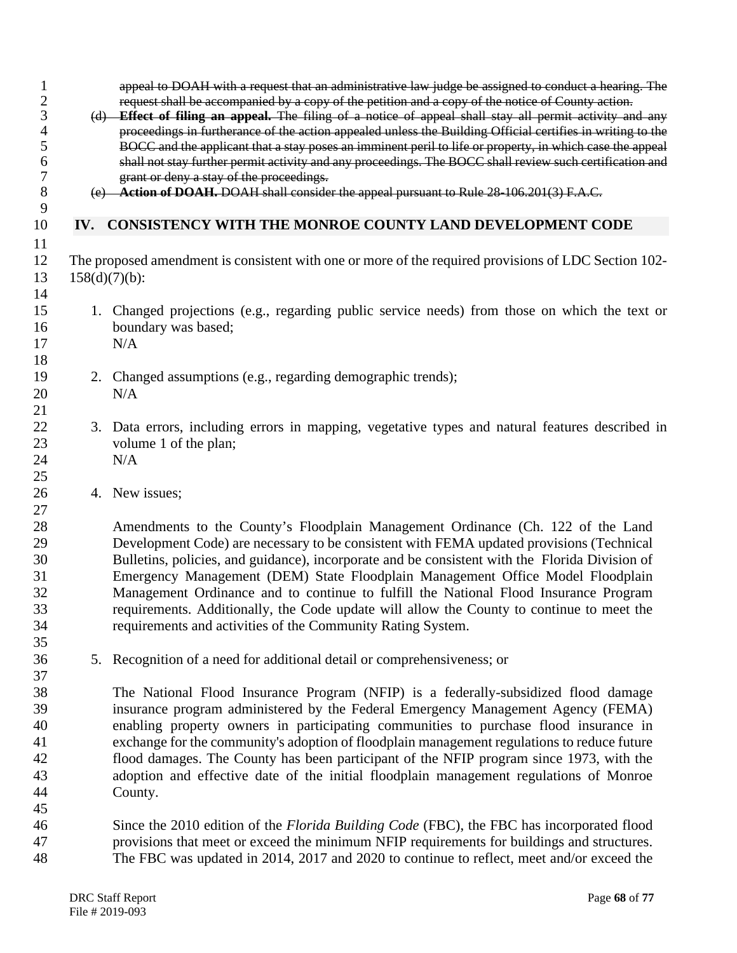|                  | request shall be accompanied by a copy of the petition and a copy of the notice of County action.<br>(d) <b>Effect of filing an appeal.</b> The filing of a notice of appeal shall stay all permit activity and any<br>proceedings in furtherance of the action appealed unless the Building Official certifies in writing to the<br>BOCC and the applicant that a stay poses an imminent peril to life or property, in which case the appeal<br>shall not stay further permit activity and any proceedings. The BOCC shall review such certification and<br>grant or deny a stay of the proceedings.               |
|------------------|---------------------------------------------------------------------------------------------------------------------------------------------------------------------------------------------------------------------------------------------------------------------------------------------------------------------------------------------------------------------------------------------------------------------------------------------------------------------------------------------------------------------------------------------------------------------------------------------------------------------|
|                  | (e) Action of DOAH. DOAH shall consider the appeal pursuant to Rule 28-106.201(3) F.A.C.                                                                                                                                                                                                                                                                                                                                                                                                                                                                                                                            |
|                  | IV. CONSISTENCY WITH THE MONROE COUNTY LAND DEVELOPMENT CODE                                                                                                                                                                                                                                                                                                                                                                                                                                                                                                                                                        |
| $158(d)(7)(b)$ : | The proposed amendment is consistent with one or more of the required provisions of LDC Section 102-                                                                                                                                                                                                                                                                                                                                                                                                                                                                                                                |
|                  | 1. Changed projections (e.g., regarding public service needs) from those on which the text or<br>boundary was based;<br>N/A                                                                                                                                                                                                                                                                                                                                                                                                                                                                                         |
|                  | 2. Changed assumptions (e.g., regarding demographic trends);<br>N/A                                                                                                                                                                                                                                                                                                                                                                                                                                                                                                                                                 |
|                  | 3. Data errors, including errors in mapping, vegetative types and natural features described in<br>volume 1 of the plan;<br>N/A                                                                                                                                                                                                                                                                                                                                                                                                                                                                                     |
|                  | 4. New issues;                                                                                                                                                                                                                                                                                                                                                                                                                                                                                                                                                                                                      |
|                  | Amendments to the County's Floodplain Management Ordinance (Ch. 122 of the Land<br>Development Code) are necessary to be consistent with FEMA updated provisions (Technical<br>Bulletins, policies, and guidance), incorporate and be consistent with the Florida Division of<br>Emergency Management (DEM) State Floodplain Management Office Model Floodplain<br>Management Ordinance and to continue to fulfill the National Flood Insurance Program<br>requirements. Additionally, the Code update will allow the County to continue to meet the<br>requirements and activities of the Community Rating System. |
|                  | 5. Recognition of a need for additional detail or comprehensiveness; or                                                                                                                                                                                                                                                                                                                                                                                                                                                                                                                                             |
|                  | The National Flood Insurance Program (NFIP) is a federally-subsidized flood damage<br>insurance program administered by the Federal Emergency Management Agency (FEMA)<br>enabling property owners in participating communities to purchase flood insurance in<br>exchange for the community's adoption of floodplain management regulations to reduce future<br>flood damages. The County has been participant of the NFIP program since 1973, with the<br>adoption and effective date of the initial floodplain management regulations of Monroe<br>County.                                                       |
|                  | Since the 2010 edition of the <i>Florida Building Code</i> (FBC), the FBC has incorporated flood<br>provisions that meet or exceed the minimum NFIP requirements for buildings and structures.<br>The FBC was updated in 2014, 2017 and 2020 to continue to reflect, meet and/or exceed the                                                                                                                                                                                                                                                                                                                         |
|                  | <b>DRC</b> Staff Report<br>Page 68 of 77                                                                                                                                                                                                                                                                                                                                                                                                                                                                                                                                                                            |

1 appeal to DOAH with a request that an administrative law judge be assigned to conduct a hearing. The request shall be accompanied by a copy of the petition and a copy of the notice of County action.

 $\frac{11}{12}$ 

 158(d)(7)(b): 

 N/A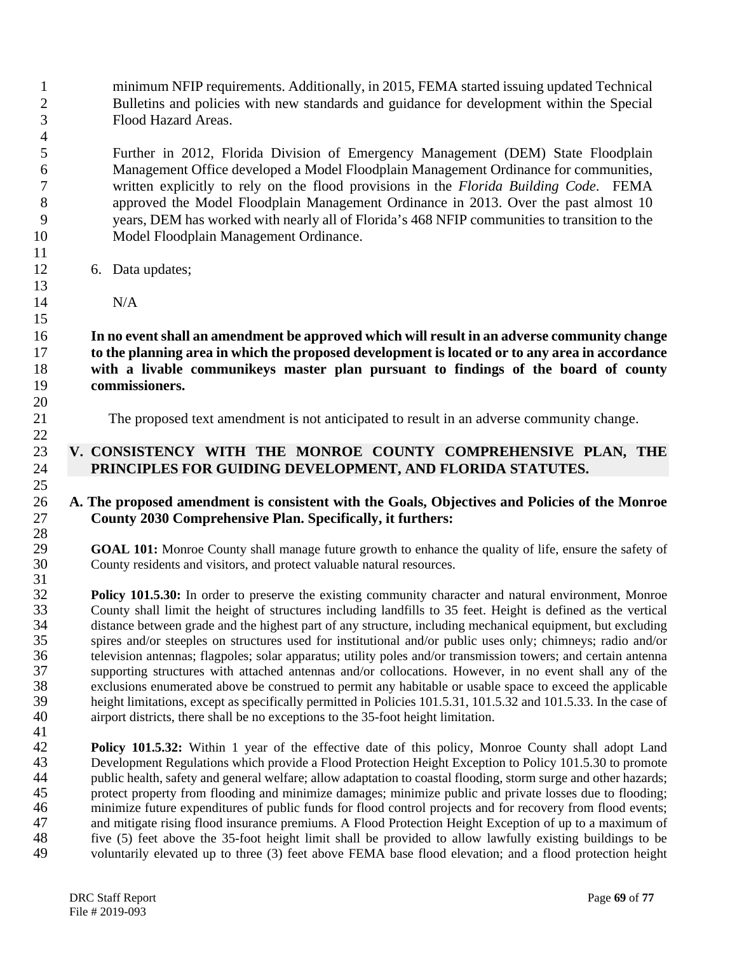minimum NFIP requirements. Additionally, in 2015, FEMA started issuing updated Technical Bulletins and policies with new standards and guidance for development within the Special Flood Hazard Areas.

 Further in 2012, Florida Division of Emergency Management (DEM) State Floodplain Management Office developed a Model Floodplain Management Ordinance for communities, written explicitly to rely on the flood provisions in the *Florida Building Code*. FEMA approved the Model Floodplain Management Ordinance in 2013. Over the past almost 10 years, DEM has worked with nearly all of Florida's 468 NFIP communities to transition to the Model Floodplain Management Ordinance.

6. Data updates;

N/A

 **In no event shall an amendment be approved which will result in an adverse community change to the planning area in which the proposed development is located or to any area in accordance with a livable communikeys master plan pursuant to findings of the board of county commissioners.** 

The proposed text amendment is not anticipated to result in an adverse community change.

#### **V. CONSISTENCY WITH THE MONROE COUNTY COMPREHENSIVE PLAN, THE PRINCIPLES FOR GUIDING DEVELOPMENT, AND FLORIDA STATUTES.**

### **A. The proposed amendment is consistent with the Goals, Objectives and Policies of the Monroe County 2030 Comprehensive Plan. Specifically, it furthers:**   $\frac{28}{29}$

**GOAL 101:** Monroe County shall manage future growth to enhance the quality of life, ensure the safety of County residents and visitors, and protect valuable natural resources. County residents and visitors, and protect valuable natural resources.

 $\frac{31}{32}$ **Policy 101.5.30:** In order to preserve the existing community character and natural environment, Monroe County shall limit the height of structures including landfills to 35 feet. Height is defined as the vertical 33 County shall limit the height of structures including landfills to 35 feet. Height is defined as the vertical<br>34 distance between grade and the highest part of any structure, including mechanical equipment, but excludin distance between grade and the highest part of any structure, including mechanical equipment, but excluding spires and/or steeples on structures used for institutional and/or public uses only; chimneys; radio and/or television antennas; flagpoles; solar apparatus; utility poles and/or transmission towers; and certain antenna 37 supporting structures with attached antennas and/or collocations. However, in no event shall any of the exclusions enumerated above be construed to permit any habitable or usable space to exceed the applicable 38 exclusions enumerated above be construed to permit any habitable or usable space to exceed the applicable<br>39 height limitations, except as specifically permitted in Policies 101.5.31, 101.5.32 and 101.5.33. In the case 39 height limitations, except as specifically permitted in Policies 101.5.31, 101.5.32 and 101.5.33. In the case of airport districts, there shall be no exceptions to the 35-foot height limitation. airport districts, there shall be no exceptions to the 35-foot height limitation. 

**Policy 101.5.32:** Within 1 year of the effective date of this policy, Monroe County shall adopt Land<br>43 Development Regulations which provide a Flood Protection Height Exception to Policy 101.5.30 to promote Development Regulations which provide a Flood Protection Height Exception to Policy 101.5.30 to promote public health, safety and general welfare; allow adaptation to coastal flooding, storm surge and other hazards; 45 protect property from flooding and minimize damages; minimize public and private losses due to flooding;<br>46 minimize future expenditures of public funds for flood control projects and for recovery from flood events; 46 minimize future expenditures of public funds for flood control projects and for recovery from flood events;<br>47 and mitigate rising flood insurance premiums. A Flood Protection Height Exception of up to a maximum of and mitigate rising flood insurance premiums. A Flood Protection Height Exception of up to a maximum of 48 five (5) feet above the 35-foot height limit shall be provided to allow lawfully existing buildings to be voluntarily elevated up to three (3) feet above FEMA base flood elevation: and a flood protection height voluntarily elevated up to three (3) feet above FEMA base flood elevation; and a flood protection height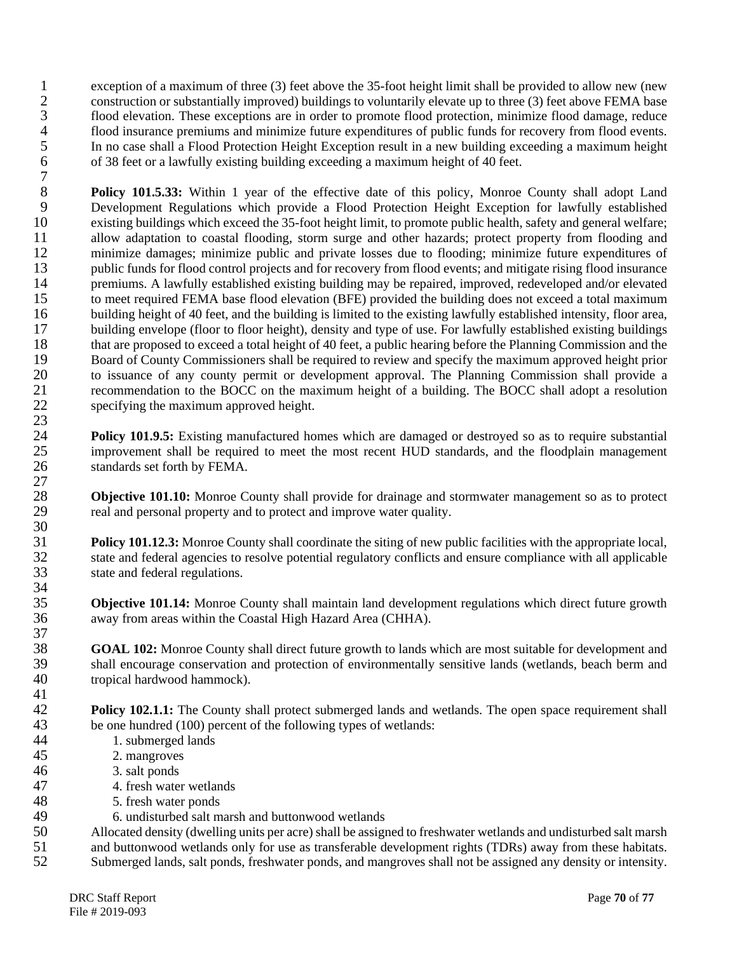1 exception of a maximum of three (3) feet above the 35-foot height limit shall be provided to allow new (new<br>2 construction or substantially improved) buildings to voluntarily elevate up to three (3) feet above FEMA base 2 construction or substantially improved) buildings to voluntarily elevate up to three (3) feet above FEMA base 3 flood elevation. These exceptions are in order to promote flood protection, minimize flood damage, reduce 4 flood insurance premiums and minimize future expenditures of public funds for recovery from flood events.<br>5 In no case shall a Flood Protection Height Exception result in a new building exceeding a maximum height 5 In no case shall a Flood Protection Height Exception result in a new building exceeding a maximum height of  $38$  feet or a lawfully existing building exceeding a maximum height of 40 feet. 6 of 38 feet or a lawfully existing building exceeding a maximum height of 40 feet.

 $\begin{array}{c} 7 \\ 8 \end{array}$ **Policy 101.5.33:** Within 1 year of the effective date of this policy, Monroe County shall adopt Land<br>9 Development Regulations which provide a Flood Protection Height Exception for lawfully established 9 Development Regulations which provide a Flood Protection Height Exception for lawfully established<br>10 existing buildings which exceed the 35-foot height limit, to promote public health, safety and general welfare: 10 existing buildings which exceed the 35-foot height limit, to promote public health, safety and general welfare;<br>11 allow adaptation to coastal flooding, storm surge and other hazards; protect property from flooding and 11 allow adaptation to coastal flooding, storm surge and other hazards; protect property from flooding and<br>12 minimize damages; minimize public and private losses due to flooding; minimize future expenditures of 12 minimize damages; minimize public and private losses due to flooding; minimize future expenditures of public funds for flood control projects and for recovery from flood events; and mitigate rising flood insurance public funds for flood control projects and for recovery from flood events; and mitigate rising flood insurance 14 premiums. A lawfully established existing building may be repaired, improved, redeveloped and/or elevated to meet required FEMA base flood elevation (BFE) provided the building does not exceed a total maximum to meet required FEMA base flood elevation (BFE) provided the building does not exceed a total maximum 16 building height of 40 feet, and the building is limited to the existing lawfully established intensity, floor area, 17 building envelope (floor to floor height), density and type of use. For lawfully established existing buildings<br>18 that are proposed to exceed a total height of 40 feet, a public hearing before the Planning Commission a 18 that are proposed to exceed a total height of 40 feet, a public hearing before the Planning Commission and the<br>19 Board of County Commissioners shall be required to review and specify the maximum approved height prior 19 Board of County Commissioners shall be required to review and specify the maximum approved height prior<br>20 to issuance of any county permit or development approval. The Planning Commission shall provide a 20 to issuance of any county permit or development approval. The Planning Commission shall provide a<br>21 tecommendation to the BOCC on the maximum height of a building. The BOCC shall adopt a resolution 21 recommendation to the BOCC on the maximum height of a building. The BOCC shall adopt a resolution specifying the maximum approved height. specifying the maximum approved height. 23

**Policy 101.9.5:** Existing manufactured homes which are damaged or destroyed so as to require substantial improvement shall be required to meet the most recent HUD standards, and the floodplain management improvement shall be required to meet the most recent HUD standards, and the floodplain management 26 standards set forth by FEMA.

28 **Objective 101.10:** Monroe County shall provide for drainage and stormwater management so as to protect real and personal property and to protect and improve water quality. real and personal property and to protect and improve water quality.

**Policy 101.12.3:** Monroe County shall coordinate the siting of new public facilities with the appropriate local, state and federal agencies to resolve potential regulatory conflicts and ensure compliance with all applicab 32 state and federal agencies to resolve potential regulatory conflicts and ensure compliance with all applicable state and federal regulations. state and federal regulations.

**Objective 101.14:** Monroe County shall maintain land development regulations which direct future growth away from areas within the Coastal High Hazard Area (CHHA). away from areas within the Coastal High Hazard Area (CHHA).

 $\frac{37}{38}$ **GOAL 102:** Monroe County shall direct future growth to lands which are most suitable for development and shall encourage conservation and protection of environmentally sensitive lands (wetlands, beach berm and 39 shall encourage conservation and protection of environmentally sensitive lands (wetlands, beach berm and tropical hardwood hammock). tropical hardwood hammock).  $\frac{41}{42}$ 

**Policy 102.1.1:** The County shall protect submerged lands and wetlands. The open space requirement shall be one hundred (100) percent of the following types of wetlands: 43 be one hundred (100) percent of the following types of wetlands:<br>44 1. submerged lands

- 44 1. submerged lands<br>45 2. mangroves
	- 2. mangroves
- 46 3. salt ponds

 $\frac{27}{28}$ 

30

34<br>35

- 47 4. fresh water wetlands
- 48 5. fresh water ponds
	-
- 49 6. undisturbed salt marsh and buttonwood wetlands<br>50 Allocated density (dwelling units per acre) shall be assign 50 Allocated density (dwelling units per acre) shall be assigned to freshwater wetlands and undisturbed salt marsh<br>51 and buttonwood wetlands only for use as transferable development rights (TDRs) away from these habitats.
- 51 and buttonwood wetlands only for use as transferable development rights (TDRs) away from these habitats.<br>52 Submerged lands, salt ponds, freshwater ponds, and mangroves shall not be assigned any density or intensity.
- Submerged lands, salt ponds, freshwater ponds, and mangroves shall not be assigned any density or intensity.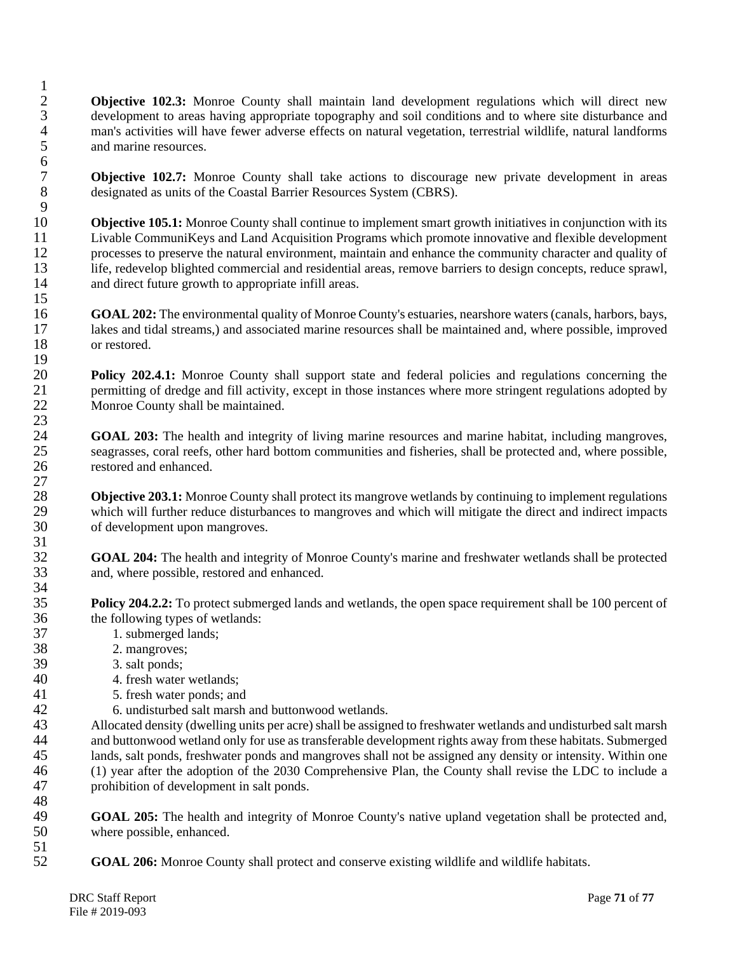**Objective 102.3:** Monroe County shall maintain land development regulations which will direct new 3 development to areas having appropriate topography and soil conditions and to where site disturbance and 4 man's activities will have fewer adverse effects on natural vegetation, terrestrial wildlife, natural landforms and marine resources. and marine resources.

**7 Objective 102.7:** Monroe County shall take actions to discourage new private development in areas designated as units of the Coastal Barrier Resources System (CBRS). designated as units of the Coastal Barrier Resources System (CBRS).

 $\frac{9}{10}$ 10 **Objective 105.1:** Monroe County shall continue to implement smart growth initiatives in conjunction with its<br>11 Livable CommuniKeys and Land Acquisition Programs which promote innovative and flexible development 11 Livable CommuniKeys and Land Acquisition Programs which promote innovative and flexible development<br>12 more serve the natural environment, maintain and enhance the community character and quality of 12 processes to preserve the natural environment, maintain and enhance the community character and quality of life, redevelop blighted commercial and residential areas, remove barriers to design concepts, reduce sprawl. life, redevelop blighted commercial and residential areas, remove barriers to design concepts, reduce sprawl, 14 and direct future growth to appropriate infill areas. 15

16 **GOAL 202:** The environmental quality of Monroe County's estuaries, nearshore waters (canals, harbors, bays, 17 lakes and tidal streams,) and associated marine resources shall be maintained and, where possible, improved or restored. or restored.

 $\frac{19}{20}$ 20 **Policy 202.4.1:** Monroe County shall support state and federal policies and regulations concerning the permitting of dredge and fill activity, except in those instances where more stringent regulations adopted by 21 permitting of dredge and fill activity, except in those instances where more stringent regulations adopted by<br>22 Monroe County shall be maintained. Monroe County shall be maintained. 23

24 **GOAL 203:** The health and integrity of living marine resources and marine habitat, including mangroves, seagrasses, coral reefs, other hard bottom communities and fisheries, shall be protected and, where possible. seagrasses, coral reefs, other hard bottom communities and fisheries, shall be protected and, where possible, 26 restored and enhanced.

28 **Objective 203.1:** Monroe County shall protect its mangrove wetlands by continuing to implement regulations which will further reduce disturbances to mangroves and which will mitigate the direct and indirect impacts 29 which will further reduce disturbances to mangroves and which will mitigate the direct and indirect impacts of development upon mangroves. of development upon mangroves.

32 **GOAL 204:** The health and integrity of Monroe County's marine and freshwater wetlands shall be protected 33 and, where possible, restored and enhanced.

**Policy 204.2.2:** To protect submerged lands and wetlands, the open space requirement shall be 100 percent of the following types of wetlands: the following types of wetlands:

- 37 1. submerged lands;
- 38 2. mangroves;<br>39 3. salt ponds:

 $\frac{1}{2}$ 

 $\frac{6}{7}$ 

 $\frac{27}{28}$ 

 $\frac{31}{32}$ 

34<br>35

48<br>49

- 3. salt ponds;
- 40 4. fresh water wetlands;<br>41 5. fresh water ponds; and
- 41 5. fresh water ponds; and<br>42 6. undisturbed salt marsh
	-

42 6. undisturbed salt marsh and buttonwood wetlands.<br>43 Allocated density (dwelling units per acre) shall be assign 43 Allocated density (dwelling units per acre) shall be assigned to freshwater wetlands and undisturbed salt marsh<br>44 and buttonwood wetland only for use as transferable development rights away from these habitats. Submerg 44 and buttonwood wetland only for use as transferable development rights away from these habitats. Submerged<br>45 ands, salt ponds, freshwater ponds and mangroves shall not be assigned any density or intensity. Within one lands, salt ponds, freshwater ponds and mangroves shall not be assigned any density or intensity. Within one 46 (1) year after the adoption of the 2030 Comprehensive Plan, the County shall revise the LDC to include a 47 prohibition of development in salt ponds.

49 **GOAL 205:** The health and integrity of Monroe County's native upland vegetation shall be protected and, where possible, enhanced. where possible, enhanced.

 $\frac{51}{52}$ 52 **GOAL 206:** Monroe County shall protect and conserve existing wildlife and wildlife habitats.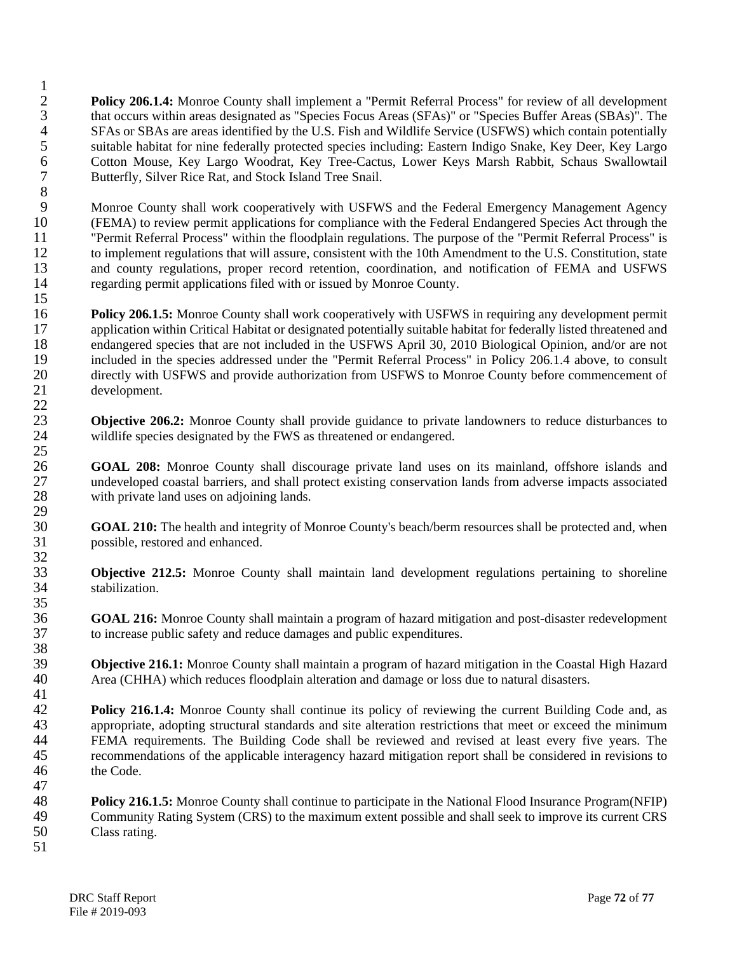$\frac{1}{2}$ 2 **Policy 206.1.4:** Monroe County shall implement a "Permit Referral Process" for review of all development 3 that occurs within areas designated as "Species Focus Areas (SFAs)" or "Species Buffer Areas (SBAs)". The 4 SFAs or SBAs are areas identified by the U.S. Fish and Wildlife Service (USFWS) which contain potentially<br>5 suitable habitat for nine federally protected species including: Eastern Indigo Snake, Key Deer, Key Largo 5 suitable habitat for nine federally protected species including: Eastern Indigo Snake, Key Deer, Key Largo<br>6 Cotton Mouse, Key Largo Woodrat, Key Tree-Cactus, Lower Keys Marsh Rabbit, Schaus Swallowtail 6 Cotton Mouse, Key Largo Woodrat, Key Tree-Cactus, Lower Keys Marsh Rabbit, Schaus Swallowtail Butterfly, Silver Rice Rat, and Stock Island Tree Snail.

8 9 Monroe County shall work cooperatively with USFWS and the Federal Emergency Management Agency<br>10 (FEMA) to review permit applications for compliance with the Federal Endangered Species Act through the 10 (FEMA) to review permit applications for compliance with the Federal Endangered Species Act through the 11 "Permit Referral Process" within the floodplain regulations. The purpose of the "Permit Referral Process" is <sup>11</sup> "Permit Referral Process" within the floodplain regulations. The purpose of the "Permit Referral Process" is<br><sup>12</sup> to implement regulations that will assure, consistent with the 10th Amendment to the U.S. Constitution, 12 to implement regulations that will assure, consistent with the 10th Amendment to the U.S. Constitution, state<br>13 and county regulations, proper record retention, coordination, and notification of FEMA and USFWS and county regulations, proper record retention, coordination, and notification of FEMA and USFWS 14 regarding permit applications filed with or issued by Monroe County. 15

16 **Policy 206.1.5:** Monroe County shall work cooperatively with USFWS in requiring any development permit 17 application within Critical Habitat or designated potentially suitable habitat for federally listed threatened and<br>18 endangered species that are not included in the USFWS April 30, 2010 Biological Opinion, and/or are n 18 endangered species that are not included in the USFWS April 30, 2010 Biological Opinion, and/or are not 19 included in the species addressed under the "Permit Referral Process" in Policy 206.1.4 above, to consult<br>20 directly with USFWS and provide authorization from USFWS to Monroe County before commencement of 20 directly with USFWS and provide authorization from USFWS to Monroe County before commencement of development. development.

 $\frac{22}{23}$ 23 **Objective 206.2:** Monroe County shall provide guidance to private landowners to reduce disturbances to 24 wildlife species designated by the FWS as threatened or endangered.  $\frac{25}{26}$ 

26 **GOAL 208:** Monroe County shall discourage private land uses on its mainland, offshore islands and undeveloped coastal barriers, and shall protect existing conservation lands from adverse impacts associated 27 undeveloped coastal barriers, and shall protect existing conservation lands from adverse impacts associated with private land uses on adioining lands. with private land uses on adjoining lands.

30 **GOAL 210:** The health and integrity of Monroe County's beach/berm resources shall be protected and, when 31 possible, restored and enhanced.

- 32<br>33 **Objective 212.5:** Monroe County shall maintain land development regulations pertaining to shoreline 34 stabilization.
- $\frac{35}{36}$ 36 **GOAL 216:** Monroe County shall maintain a program of hazard mitigation and post-disaster redevelopment 37 to increase public safety and reduce damages and public expenditures.
- 38<br>39 **39 Objective 216.1:** Monroe County shall maintain a program of hazard mitigation in the Coastal High Hazard Area (CHHA) which reduces floodplain alteration and damage or loss due to natural disasters. Area (CHHA) which reduces floodplain alteration and damage or loss due to natural disasters.
- $\frac{41}{42}$ **Policy 216.1.4:** Monroe County shall continue its policy of reviewing the current Building Code and, as appropriate, adopting structural standards and site alteration restrictions that meet or exceed the minimum 43 appropriate, adopting structural standards and site alteration restrictions that meet or exceed the minimum<br>44 FEMA requirements. The Building Code shall be reviewed and revised at least every five years. The 44 FEMA requirements. The Building Code shall be reviewed and revised at least every five years. The recommendations of the applicable interagency hazard mitigation report shall be considered in revisions to recommendations of the applicable interagency hazard mitigation report shall be considered in revisions to 46 the Code.
- 48 **Policy 216.1.5:** Monroe County shall continue to participate in the National Flood Insurance Program(NFIP) 49 Community Rating System (CRS) to the maximum extent possible and shall seek to improve its current CRS<br>50 Class rating. Class rating.
- 51

47

29<br>30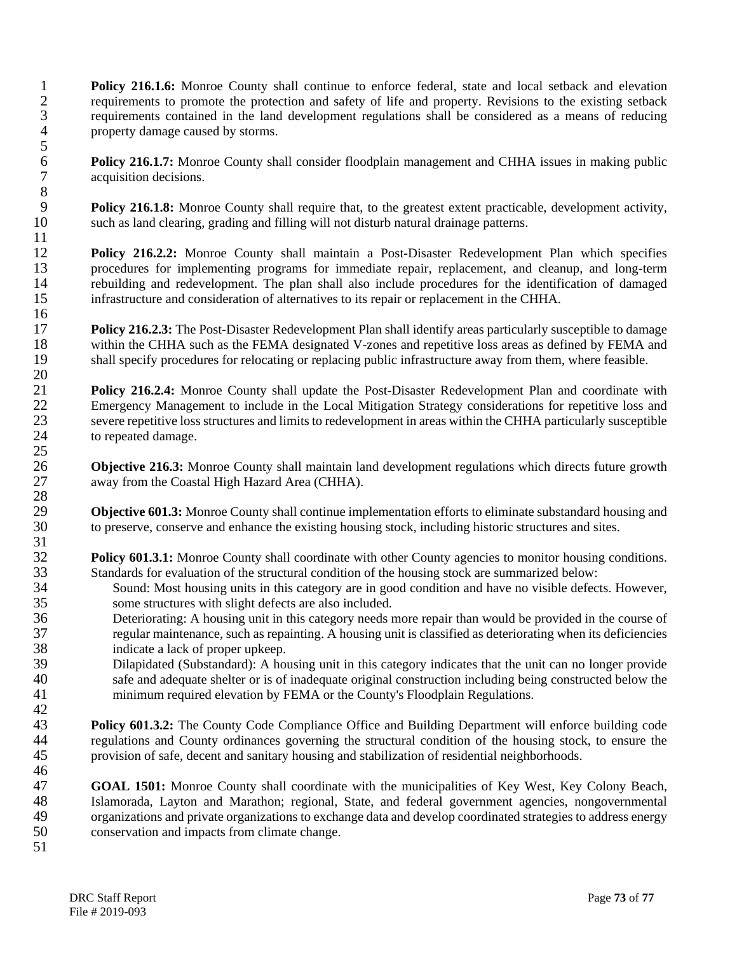**Policy 216.1.6:** Monroe County shall continue to enforce federal, state and local setback and elevation requirements to promote the protection and safety of life and property. Revisions to the existing setback requirements to promote the protection and safety of life and property. Revisions to the existing setback requirements contained in the land development regulations shall be considered as a means of reducing property damage caused by storms.

**Policy 216.1.7:** Monroe County shall consider floodplain management and CHHA issues in making public acquisition decisions. acquisition decisions.

**Policy 216.1.8:** Monroe County shall require that, to the greatest extent practicable, development activity, 10 such as land clearing, grading and filling will not disturb natural drainage patterns.

12 **Policy 216.2.2:** Monroe County shall maintain a Post-Disaster Redevelopment Plan which specifies procedures for implementing programs for immediate repair, replacement, and cleanup, and long-term 13 procedures for implementing programs for immediate repair, replacement, and cleanup, and long-term<br>14 rebuilding and redevelopment. The plan shall also include procedures for the identification of damaged 14 rebuilding and redevelopment. The plan shall also include procedures for the identification of damaged<br>15 infrastructure and consideration of alternatives to its repair or replacement in the CHHA. infrastructure and consideration of alternatives to its repair or replacement in the CHHA.

17 **Policy 216.2.3:** The Post-Disaster Redevelopment Plan shall identify areas particularly susceptible to damage within the CHHA such as the FEMA designated V-zones and repetitive loss areas as defined by FEMA and 18 within the CHHA such as the FEMA designated V-zones and repetitive loss areas as defined by FEMA and shall specify procedures for relocating or replacing public infrastructure away from them, where feasible. shall specify procedures for relocating or replacing public infrastructure away from them, where feasible.

**Policy 216.2.4:** Monroe County shall update the Post-Disaster Redevelopment Plan and coordinate with<br> **EXECUTE:** Emergency Management to include in the Local Mitigation Strategy considerations for repetitive loss and 22 Emergency Management to include in the Local Mitigation Strategy considerations for repetitive loss and severe repetitive loss structures and limits to redevelopment in areas within the CHHA particularly susceptible 23 severe repetitive loss structures and limits to redevelopment in areas within the CHHA particularly susceptible 24 to repeated damage.

26 **Objective 216.3:** Monroe County shall maintain land development regulations which directs future growth 27 away from the Coastal High Hazard Area (CHHA).

29 **Objective 601.3:** Monroe County shall continue implementation efforts to eliminate substandard housing and to preserve, conserve and enhance the existing housing stock, including historic structures and sites. to preserve, conserve and enhance the existing housing stock, including historic structures and sites.

**Policy 601.3.1:** Monroe County shall coordinate with other County agencies to monitor housing conditions. 33 Standards for evaluation of the structural condition of the housing stock are summarized below:

- 34 Sound: Most housing units in this category are in good condition and have no visible defects. However,<br>35 some structures with slight defects are also included. 35 some structures with slight defects are also included.<br>36 Deteriorating: A housing unit in this category needs r
- Deteriorating: A housing unit in this category needs more repair than would be provided in the course of 37 regular maintenance, such as repainting. A housing unit is classified as deteriorating when its deficiencies 38 indicate a lack of proper upkeep.<br>39 Dilapidated (Substandard): A hours
- Dilapidated (Substandard): A housing unit in this category indicates that the unit can no longer provide 40 safe and adequate shelter or is of inadequate original construction including being constructed below the minimum required elevation by FEMA or the County's Floodplain Regulations. minimum required elevation by FEMA or the County's Floodplain Regulations.
- $\frac{42}{43}$ **Policy 601.3.2:** The County Code Compliance Office and Building Department will enforce building code regulations and County ordinances governing the structural condition of the housing stock, to ensure the 44 regulations and County ordinances governing the structural condition of the housing stock, to ensure the provision of safe, decent and sanitary housing and stabilization of residential neighborhoods. provision of safe, decent and sanitary housing and stabilization of residential neighborhoods. 46

47 **GOAL 1501:** Monroe County shall coordinate with the municipalities of Key West, Key Colony Beach, 18 Islamorada, Layton and Marathon; regional, State, and federal government agencies, nongovernmental<br>19 organizations and private organizations to exchange data and develop coordinated strategies to address energy 49 organizations and private organizations to exchange data and develop coordinated strategies to address energy<br>50 conservation and impacts from climate change. 50 conservation and impacts from climate change.

51

 $\frac{5}{6}$ 

8

 $\frac{11}{12}$ 

16

 $\frac{20}{21}$ 

25

28

 $\frac{31}{32}$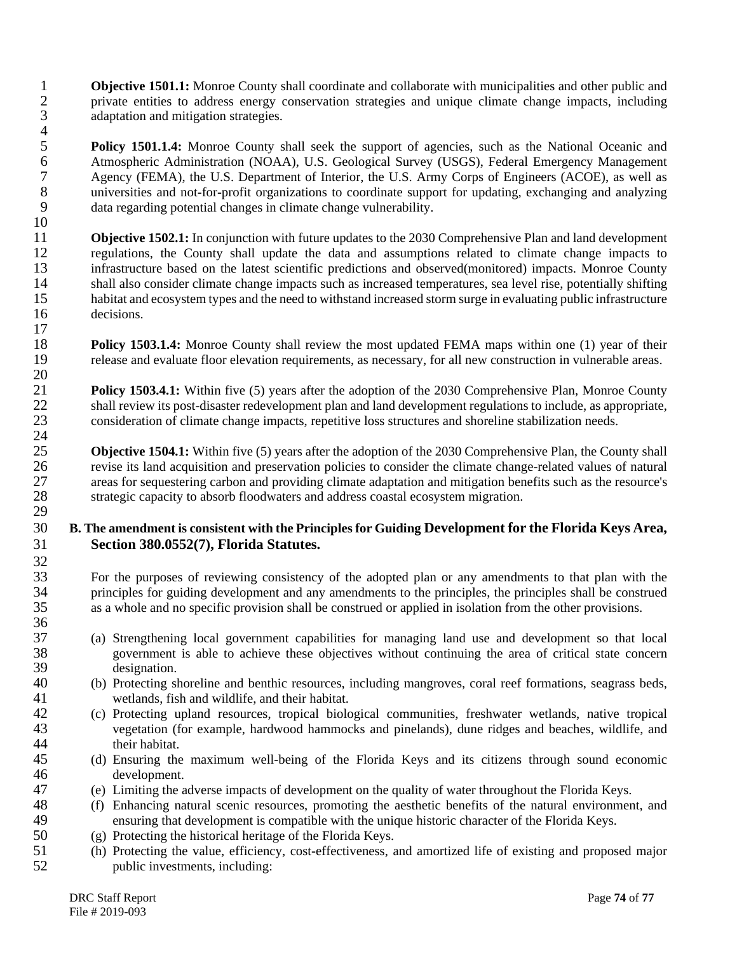**1 Objective 1501.1:** Monroe County shall coordinate and collaborate with municipalities and other public and private entities to address energy conservation strategies and unique climate change impacts, including 2 private entities to address energy conservation strategies and unique climate change impacts, including 3 adaptation and mitigation strategies.

 $rac{4}{5}$ **Folicy 1501.1.4:** Monroe County shall seek the support of agencies, such as the National Oceanic and<br>6 Atmospheric Administration (NOAA), U.S. Geological Survey (USGS), Federal Emergency Management 6 Atmospheric Administration (NOAA), U.S. Geological Survey (USGS), Federal Emergency Management<br>7 Agency (FEMA), the U.S. Department of Interior, the U.S. Army Corps of Engineers (ACOE), as well as 7 Agency (FEMA), the U.S. Department of Interior, the U.S. Army Corps of Engineers (ACOE), as well as universities and not-for-profit organizations to coordinate support for updating, exchanging and analyzing 8 universities and not-for-profit organizations to coordinate support for updating, exchanging and analyzing<br>9 data regarding potential changes in climate change vulnerability. data regarding potential changes in climate change vulnerability.

 $\begin{array}{c} 10 \\ 11 \end{array}$ 11 **Objective 1502.1:** In conjunction with future updates to the 2030 Comprehensive Plan and land development regulations, the County shall update the data and assumptions related to climate change impacts to 12 regulations, the County shall update the data and assumptions related to climate change impacts to infrastructure based on the latest scientific predictions and observed (monitored) impacts. Monroe County infrastructure based on the latest scientific predictions and observed(monitored) impacts. Monroe County 14 shall also consider climate change impacts such as increased temperatures, sea level rise, potentially shifting<br>15 habitat and ecosystem types and the need to withstand increased storm surge in evaluating public infrast habitat and ecosystem types and the need to withstand increased storm surge in evaluating public infrastructure 16 decisions.

 $\frac{17}{18}$ 18 **Policy 1503.1.4:** Monroe County shall review the most updated FEMA maps within one (1) year of their release and evaluate floor elevation requirements, as necessary, for all new construction in vulnerable areas. 19 release and evaluate floor elevation requirements, as necessary, for all new construction in vulnerable areas.  $\frac{20}{21}$ 

**Policy 1503.4.1:** Within five (5) years after the adoption of the 2030 Comprehensive Plan, Monroe County shall review its post-disaster redevelopment plan and land development regulations to include, as appropriate. 22 shall review its post-disaster redevelopment plan and land development regulations to include, as appropriate,<br>23 consideration of climate change impacts, repetitive loss structures and shoreline stabilization needs. 23 consideration of climate change impacts, repetitive loss structures and shoreline stabilization needs.

 $\frac{24}{25}$ **Objective 1504.1:** Within five (5) years after the adoption of the 2030 Comprehensive Plan, the County shall 26 revise its land acquisition and preservation policies to consider the climate change-related values of natural areas for sequestering carbon and providing climate adaptation and mitigation benefits such as the resource' 27 areas for sequestering carbon and providing climate adaptation and mitigation benefits such as the resource's<br>28 strategic capacity to absorb floodwaters and address coastal ecosystem migration. strategic capacity to absorb floodwaters and address coastal ecosystem migration. 29

## 30 **B. The amendment is consistent with the Principles for Guiding Development for the Florida Keys Area,**  31 **Section 380.0552(7), Florida Statutes.**

33 For the purposes of reviewing consistency of the adopted plan or any amendments to that plan with the principles for *s*uiding development and any amendments to the principles the principles shall be construed principles for guiding development and any amendments to the principles, the principles shall be construed 35 as a whole and no specific provision shall be construed or applied in isolation from the other provisions.

- 37 (a) Strengthening local government capabilities for managing land use and development so that local 38 government is able to achieve these objectives without continuing the area of critical state concern 39 designation.<br>40 (b) Protecting sl
- 40 (b) Protecting shoreline and benthic resources, including mangroves, coral reef formations, seagrass beds, wetlands. fish and wildlife, and their habitat. wetlands, fish and wildlife, and their habitat.
- 42 (c) Protecting upland resources, tropical biological communities, freshwater wetlands, native tropical vegetation (for example, hardwood hammocks and pinelands), dune ridges and beaches, wildlife, and 43 vegetation (for example, hardwood hammocks and pinelands), dune ridges and beaches, wildlife, and 44 their habitat.
- 45 (d) Ensuring the maximum well-being of the Florida Keys and its citizens through sound economic 46 development.<br>47 (e) Limiting the a
- 47 (e) Limiting the adverse impacts of development on the quality of water throughout the Florida Keys.<br>48 (f) Enhancing natural scenic resources, promoting the aesthetic benefits of the natural environment
- 48 (f) Enhancing natural scenic resources, promoting the aesthetic benefits of the natural environment, and ensuring that development is compatible with the unique historic character of the Florida Keys. 49 ensuring that development is compatible with the unique historic character of the Florida Keys.<br>50 (g) Protecting the historical heritage of the Florida Keys.
- 50 (g) Protecting the historical heritage of the Florida Keys.<br>51 (h) Protecting the value, efficiency, cost-effectiveness, a
- 51 (h) Protecting the value, efficiency, cost-effectiveness, and amortized life of existing and proposed major 52 public investments, including:

32<br>33

36<br>37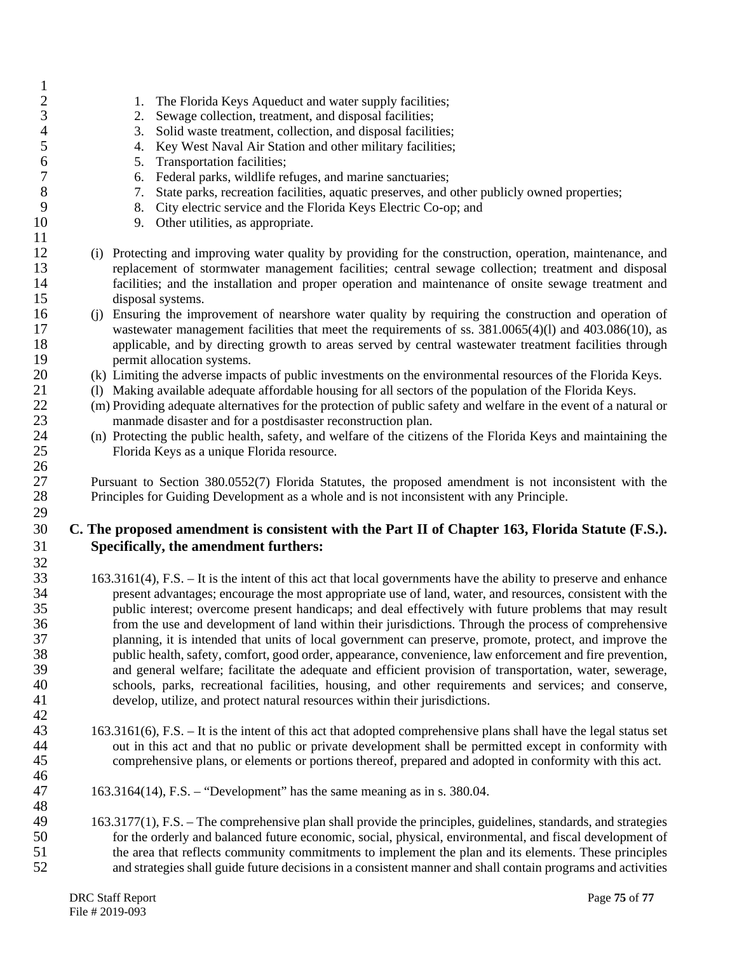| $\mathbf{1}$   |                                                                                                                                                                                                                       |
|----------------|-----------------------------------------------------------------------------------------------------------------------------------------------------------------------------------------------------------------------|
| $\overline{c}$ | The Florida Keys Aqueduct and water supply facilities;<br>1.                                                                                                                                                          |
| $\frac{3}{4}$  | Sewage collection, treatment, and disposal facilities;<br>2.                                                                                                                                                          |
|                | Solid waste treatment, collection, and disposal facilities;<br>3.                                                                                                                                                     |
| 5              | Key West Naval Air Station and other military facilities;<br>4.                                                                                                                                                       |
| 6              | Transportation facilities;<br>5.                                                                                                                                                                                      |
| $\overline{7}$ | Federal parks, wildlife refuges, and marine sanctuaries;<br>6.                                                                                                                                                        |
| 8              | State parks, recreation facilities, aquatic preserves, and other publicly owned properties;<br>7.                                                                                                                     |
| 9              | City electric service and the Florida Keys Electric Co-op; and<br>8.                                                                                                                                                  |
| 10             | 9. Other utilities, as appropriate.                                                                                                                                                                                   |
| 11             |                                                                                                                                                                                                                       |
| 12             | (i) Protecting and improving water quality by providing for the construction, operation, maintenance, and                                                                                                             |
| 13             | replacement of stormwater management facilities; central sewage collection; treatment and disposal                                                                                                                    |
| 14             | facilities; and the installation and proper operation and maintenance of onsite sewage treatment and                                                                                                                  |
| 15             | disposal systems.                                                                                                                                                                                                     |
| 16             | (j) Ensuring the improvement of nearshore water quality by requiring the construction and operation of                                                                                                                |
| 17             | wastewater management facilities that meet the requirements of ss. 381.0065(4)(1) and 403.086(10), as                                                                                                                 |
| 18<br>19       | applicable, and by directing growth to areas served by central wastewater treatment facilities through                                                                                                                |
| 20             | permit allocation systems.<br>(k) Limiting the adverse impacts of public investments on the environmental resources of the Florida Keys.                                                                              |
| 21             | (1) Making available adequate affordable housing for all sectors of the population of the Florida Keys.                                                                                                               |
| 22             | (m) Providing adequate alternatives for the protection of public safety and welfare in the event of a natural or                                                                                                      |
| 23             | manmade disaster and for a postdisaster reconstruction plan.                                                                                                                                                          |
| 24             | (n) Protecting the public health, safety, and welfare of the citizens of the Florida Keys and maintaining the                                                                                                         |
| 25             | Florida Keys as a unique Florida resource.                                                                                                                                                                            |
| 26             |                                                                                                                                                                                                                       |
| 27             | Pursuant to Section 380.0552(7) Florida Statutes, the proposed amendment is not inconsistent with the                                                                                                                 |
| 28             | Principles for Guiding Development as a whole and is not inconsistent with any Principle.                                                                                                                             |
| 29             |                                                                                                                                                                                                                       |
| 30             | C. The proposed amendment is consistent with the Part II of Chapter 163, Florida Statute (F.S.).                                                                                                                      |
| 31             | Specifically, the amendment furthers:                                                                                                                                                                                 |
| 32             |                                                                                                                                                                                                                       |
| 33             | 163.3161(4), F.S. – It is the intent of this act that local governments have the ability to preserve and enhance                                                                                                      |
| 34             |                                                                                                                                                                                                                       |
| 35             |                                                                                                                                                                                                                       |
|                | present advantages; encourage the most appropriate use of land, water, and resources, consistent with the                                                                                                             |
|                | public interest; overcome present handicaps; and deal effectively with future problems that may result                                                                                                                |
| 36             | from the use and development of land within their jurisdictions. Through the process of comprehensive                                                                                                                 |
| 37             | planning, it is intended that units of local government can preserve, promote, protect, and improve the                                                                                                               |
| 38<br>39       | public health, safety, comfort, good order, appearance, convenience, law enforcement and fire prevention,                                                                                                             |
|                | and general welfare; facilitate the adequate and efficient provision of transportation, water, sewerage,                                                                                                              |
| 40             | schools, parks, recreational facilities, housing, and other requirements and services; and conserve,<br>develop, utilize, and protect natural resources within their jurisdictions.                                   |
| 41<br>42       |                                                                                                                                                                                                                       |
| 43             | 163.3161(6), F.S. – It is the intent of this act that adopted comprehensive plans shall have the legal status set                                                                                                     |
| 44             | out in this act and that no public or private development shall be permitted except in conformity with                                                                                                                |
| 45             | comprehensive plans, or elements or portions thereof, prepared and adopted in conformity with this act.                                                                                                               |
| 46             |                                                                                                                                                                                                                       |
| 47             | $163.3164(14)$ , F.S. – "Development" has the same meaning as in s. 380.04.                                                                                                                                           |
| 48             |                                                                                                                                                                                                                       |
| 49             | 163.3177(1), F.S. – The comprehensive plan shall provide the principles, guidelines, standards, and strategies                                                                                                        |
| 50             | for the orderly and balanced future economic, social, physical, environmental, and fiscal development of                                                                                                              |
| 51<br>52       | the area that reflects community commitments to implement the plan and its elements. These principles<br>and strategies shall guide future decisions in a consistent manner and shall contain programs and activities |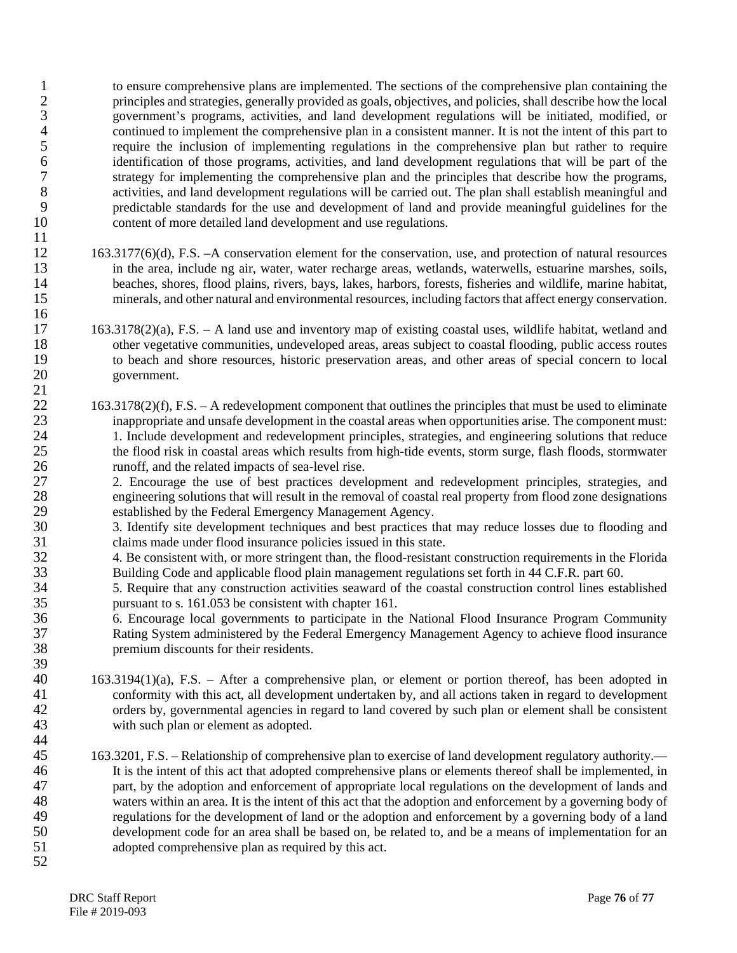1 to ensure comprehensive plans are implemented. The sections of the comprehensive plan containing the principles and strategies, generally provided as goals, objectives, and policies, shall describe how the local 2 principles and strategies, generally provided as goals, objectives, and policies, shall describe how the local 3 government's programs, activities, and land development regulations will be initiated, modified, or 4 continued to implement the comprehensive plan in a consistent manner. It is not the intent of this part to<br>5 require the inclusion of implementing regulations in the comprehensive plan but rather to require 5 require the inclusion of implementing regulations in the comprehensive plan but rather to require<br>6 identification of those programs, activities, and land development regulations that will be part of the 6 identification of those programs, activities, and land development regulations that will be part of the strategy for implementing the comprehensive plan and the principles that describe how the programs. 7 strategy for implementing the comprehensive plan and the principles that describe how the programs,<br>8 activities, and land development regulations will be carried out. The plan shall establish meaningful and 8 activities, and land development regulations will be carried out. The plan shall establish meaningful and predictable standards for the use and development of land and provide meaningful guidelines for the 9 predictable standards for the use and development of land and provide meaningful guidelines for the 10 content of more detailed land development and use regulations.

- $\frac{11}{12}$ 12 163.3177(6)(d), F.S. –A conservation element for the conservation, use, and protection of natural resources<br>13 in the area, include ng air, water, water recharge areas, wetlands, waterwells, estuarine marshes, soils, in the area, include ng air, water, water recharge areas, wetlands, waterwells, estuarine marshes, soils, 14 beaches, shores, flood plains, rivers, bays, lakes, harbors, forests, fisheries and wildlife, marine habitat,<br>15 minerals, and other natural and environmental resources, including factors that affect energy conservation 15 minerals, and other natural and environmental resources, including factors that affect energy conservation. 16
- 17 163.3178(2)(a), F.S. A land use and inventory map of existing coastal uses, wildlife habitat, wetland and other vegetative communities, undeveloped areas, areas subject to coastal flooding, public access routes other vegetative communities, undeveloped areas, areas subject to coastal flooding, public access routes 19 to beach and shore resources, historic preservation areas, and other areas of special concern to local government. 20 government.
- $163.3178(2)(f)$ , F.S. A redevelopment component that outlines the principles that must be used to eliminate 23 inappropriate and unsafe development in the coastal areas when opportunities arise. The component must: 24 1. Include development and redevelopment principles, strategies, and engineering solutions that reduce<br>25 the flood risk in coastal areas which results from high-tide events, storm surge, flash floods, stormwater 25 the flood risk in coastal areas which results from high-tide events, storm surge, flash floods, stormwater 26 runoff, and the related impacts of sea-level rise.

27 2. Encourage the use of best practices development and redevelopment principles, strategies, and engineering solutions that will result in the removal of coastal real property from flood zone designations 28 engineering solutions that will result in the removal of coastal real property from flood zone designations<br>29 established by the Federal Emergency Management Agency. 29 established by the Federal Emergency Management Agency.<br>30 3. Identify site development techniques and best practices the

- 3. Identify site development techniques and best practices that may reduce losses due to flooding and 31 claims made under flood insurance policies issued in this state.<br>32 4. Be consistent with or more stringent than, the flood-resistan
- 32 4. Be consistent with, or more stringent than, the flood-resistant construction requirements in the Florida 33 Building Code and applicable flood plain management regulations set forth in 44 C.F.R. part 60.

34 5. Require that any construction activities seaward of the coastal construction control lines established<br>35 sexual construction control lines established<br>35 sexual construction control lines established 35 pursuant to s. 161.053 be consistent with chapter 161.<br>36 6. Encourage local governments to participate in the

36 6. Encourage local governments to participate in the National Flood Insurance Program Community 37 Rating System administered by the Federal Emergency Management Agency to achieve flood insurance 38 premium discounts for their residents.

- 39 40 163.3194(1)(a), F.S. – After a comprehensive plan, or element or portion thereof, has been adopted in conformity with this act, all development undertaken by, and all actions taken in regard to development 41 conformity with this act, all development undertaken by, and all actions taken in regard to development<br>42 conforming orders by, governmental agencies in regard to land covered by such plan or element shall be consisten 42 orders by, governmental agencies in regard to land covered by such plan or element shall be consistent with such plan or element as adopted. with such plan or element as adopted.
- 44<br>45 45 163.3201, F.S. – Relationship of comprehensive plan to exercise of land development regulatory authority.— 46 It is the intent of this act that adopted comprehensive plans or elements thereof shall be implemented, in 47 part, by the adoption and enforcement of appropriate local regulations on the development of lands and 48 waters within an area. It is the intent of this act that the adoption and enforcement by a governing body of 49 regulations for the development of land or the adoption and enforcement by a governing body of a land<br>50 development code for an area shall be based on, be related to, and be a means of implementation for an 50 development code for an area shall be based on, be related to, and be a means of implementation for an adopted comprehensive plan as required by this act. adopted comprehensive plan as required by this act.
- 52

 $\frac{21}{22}$